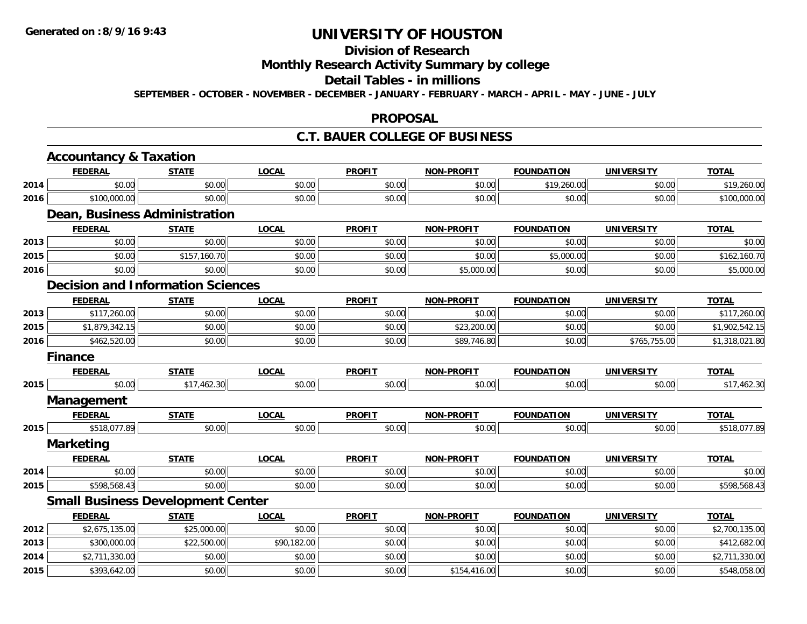# **Division of Research**

## **Monthly Research Activity Summary by college**

#### **Detail Tables - in millions**

**SEPTEMBER - OCTOBER - NOVEMBER - DECEMBER - JANUARY - FEBRUARY - MARCH - APRIL - MAY - JUNE - JULY**

#### **PROPOSAL**

## **C.T. BAUER COLLEGE OF BUSINESS**

|      | <b>Accountancy &amp; Taxation</b>        |              |              |               |                   |                   |                   |                |
|------|------------------------------------------|--------------|--------------|---------------|-------------------|-------------------|-------------------|----------------|
|      | <b>FEDERAL</b>                           | <b>STATE</b> | <b>LOCAL</b> | <b>PROFIT</b> | <b>NON-PROFIT</b> | <b>FOUNDATION</b> | <b>UNIVERSITY</b> | <b>TOTAL</b>   |
| 2014 | \$0.00                                   | \$0.00       | \$0.00       | \$0.00        | \$0.00            | \$19,260.00       | \$0.00            | \$19,260.00    |
| 2016 | \$100,000.00                             | \$0.00       | \$0.00       | \$0.00        | \$0.00            | \$0.00            | \$0.00            | \$100,000.00   |
|      | Dean, Business Administration            |              |              |               |                   |                   |                   |                |
|      | <b>FEDERAL</b>                           | <b>STATE</b> | <b>LOCAL</b> | <b>PROFIT</b> | <b>NON-PROFIT</b> | <b>FOUNDATION</b> | <b>UNIVERSITY</b> | <b>TOTAL</b>   |
| 2013 | \$0.00                                   | \$0.00       | \$0.00       | \$0.00        | \$0.00            | \$0.00            | \$0.00            | \$0.00         |
| 2015 | \$0.00                                   | \$157,160.70 | \$0.00       | \$0.00        | \$0.00            | \$5,000.00        | \$0.00            | \$162,160.70   |
| 2016 | \$0.00                                   | \$0.00       | \$0.00       | \$0.00        | \$5,000.00        | \$0.00            | \$0.00            | \$5,000.00     |
|      | <b>Decision and Information Sciences</b> |              |              |               |                   |                   |                   |                |
|      | <b>FEDERAL</b>                           | <b>STATE</b> | <b>LOCAL</b> | <b>PROFIT</b> | <b>NON-PROFIT</b> | <b>FOUNDATION</b> | <b>UNIVERSITY</b> | <b>TOTAL</b>   |
| 2013 | \$117,260.00                             | \$0.00       | \$0.00       | \$0.00        | \$0.00            | \$0.00            | \$0.00            | \$117,260.00   |
| 2015 | \$1,879,342.15                           | \$0.00       | \$0.00       | \$0.00        | \$23,200.00       | \$0.00            | \$0.00            | \$1,902,542.15 |
| 2016 | \$462,520.00                             | \$0.00       | \$0.00       | \$0.00        | \$89,746.80       | \$0.00            | \$765,755.00      | \$1,318,021.80 |
|      | <b>Finance</b>                           |              |              |               |                   |                   |                   |                |
|      | <b>FEDERAL</b>                           | <b>STATE</b> | <b>LOCAL</b> | <b>PROFIT</b> | <b>NON-PROFIT</b> | <b>FOUNDATION</b> | <b>UNIVERSITY</b> | <b>TOTAL</b>   |
| 2015 | \$0.00                                   | \$17,462.30  | \$0.00       | \$0.00        | \$0.00            | \$0.00            | \$0.00            | \$17,462.30    |
|      | Management                               |              |              |               |                   |                   |                   |                |
|      | <b>FEDERAL</b>                           | <b>STATE</b> | <b>LOCAL</b> | <b>PROFIT</b> | <b>NON-PROFIT</b> | <b>FOUNDATION</b> | <b>UNIVERSITY</b> | <b>TOTAL</b>   |
| 2015 | \$518,077.89                             | \$0.00       | \$0.00       | \$0.00        | \$0.00            | \$0.00            | \$0.00            | \$518,077.89   |
|      | <b>Marketing</b>                         |              |              |               |                   |                   |                   |                |
|      | <b>FEDERAL</b>                           | <b>STATE</b> | <b>LOCAL</b> | <b>PROFIT</b> | <b>NON-PROFIT</b> | <b>FOUNDATION</b> | <b>UNIVERSITY</b> | <b>TOTAL</b>   |
| 2014 | \$0.00                                   | \$0.00       | \$0.00       | \$0.00        | \$0.00            | \$0.00            | \$0.00            | \$0.00         |
| 2015 | \$598,568.43                             | \$0.00       | \$0.00       | \$0.00        | \$0.00            | \$0.00            | \$0.00            | \$598,568.43   |
|      | <b>Small Business Development Center</b> |              |              |               |                   |                   |                   |                |
|      | <b>FEDERAL</b>                           | <b>STATE</b> | <b>LOCAL</b> | <b>PROFIT</b> | <b>NON-PROFIT</b> | <b>FOUNDATION</b> | <b>UNIVERSITY</b> | <b>TOTAL</b>   |
| 2012 | \$2,675,135.00                           | \$25,000.00  | \$0.00       | \$0.00        | \$0.00            | \$0.00            | \$0.00            | \$2,700,135.00 |
| 2013 | \$300,000.00                             | \$22,500.00  | \$90,182.00  | \$0.00        | \$0.00            | \$0.00            | \$0.00            | \$412,682.00   |
| 2014 | \$2,711,330.00                           | \$0.00       | \$0.00       | \$0.00        | \$0.00            | \$0.00            | \$0.00            | \$2,711,330.00 |
| 2015 | \$393,642.00                             | \$0.00       | \$0.00       | \$0.00        | \$154,416.00      | \$0.00            | \$0.00            | \$548,058.00   |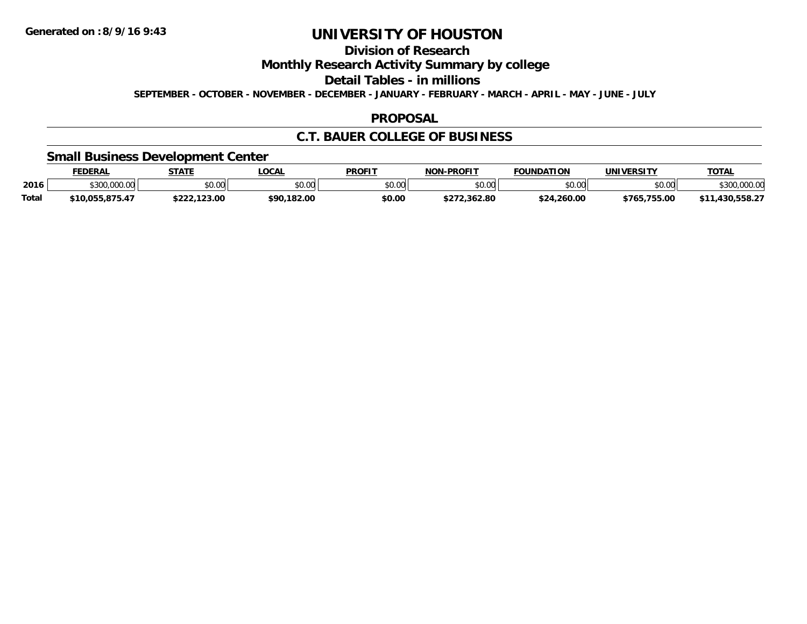## **Division of Research**

**Monthly Research Activity Summary by college**

**Detail Tables - in millions**

**SEPTEMBER - OCTOBER - NOVEMBER - DECEMBER - JANUARY - FEBRUARY - MARCH - APRIL - MAY - JUNE - JULY**

#### **PROPOSAL**

### **C.T. BAUER COLLEGE OF BUSINESS**

### **Small Business Development Center**

|              | <b>FEDERAL</b>                    | <b>STATE</b>   | LOCAL         | <b>PROFIT</b>  | <b>J-PROFIT</b><br>NON | <b>FOUNDATION</b> | UNIVERSITY       | <b>TOTAL</b>  |
|--------------|-----------------------------------|----------------|---------------|----------------|------------------------|-------------------|------------------|---------------|
| 2016         | 000.00<br>$\land$ $\land$ $\land$ | \$0.00         | 0.00<br>JU.UU | ልስ ሀህ<br>PO.OO | \$0.00                 | \$0.00            | \$0.00           | 00000         |
| <b>Total</b> | \$10.055.875.47                   | .123.00<br>nnn | \$90.182.00   | \$0.00         | /2.362.80              | 260.00 ،<br>くつん   | .755.00<br>\$765 | ににの つつ<br>חכו |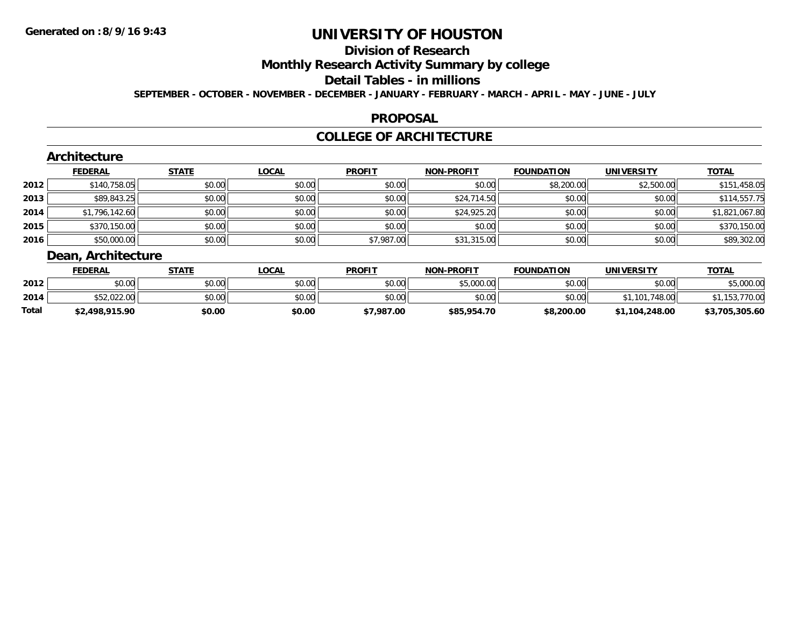### **Division of Research**

**Monthly Research Activity Summary by college**

### **Detail Tables - in millions**

**SEPTEMBER - OCTOBER - NOVEMBER - DECEMBER - JANUARY - FEBRUARY - MARCH - APRIL - MAY - JUNE - JULY**

#### **PROPOSAL**

### **COLLEGE OF ARCHITECTURE**

|      | Architecture      |              |              |               |                   |                   |                   |                |
|------|-------------------|--------------|--------------|---------------|-------------------|-------------------|-------------------|----------------|
|      | <b>FEDERAL</b>    | <b>STATE</b> | <b>LOCAL</b> | <b>PROFIT</b> | <b>NON-PROFIT</b> | <b>FOUNDATION</b> | <b>UNIVERSITY</b> | <u>TOTAL</u>   |
| 2012 | \$140,758.05      | \$0.00       | \$0.00       | \$0.00        | \$0.00            | \$8,200.00        | \$2,500.00        | \$151,458.05   |
| 2013 | \$89,843.25       | \$0.00       | \$0.00       | \$0.00        | \$24,714.50       | \$0.00            | \$0.00            | \$114,557.75   |
| 2014 | \$1,796,142.60    | \$0.00       | \$0.00       | \$0.00        | \$24,925.20       | \$0.00            | \$0.00            | \$1,821,067.80 |
| 2015 | \$370,150.00      | \$0.00       | \$0.00       | \$0.00        | \$0.00            | \$0.00            | \$0.00            | \$370,150.00   |
| 2016 | \$50,000.00       | \$0.00       | \$0.00       | \$7,987.00    | \$31,315.00       | \$0.00            | \$0.00            | \$89,302.00    |
|      | Doon Architocturo |              |              |               |                   |                   |                   |                |

**TOTAL** 

#### **Dean, Architecture FEDERAL STATE LOCAL PROFIT NON-PROFIT FOUNDATION UNIVERSITY TOTAL2012**2 | \$0.00| \$0.00| \$0.00| \$0.00| \$0.00| \$0.00| \$0.00| \$5,000.00| \$5,000.00| \$0.00| \$0.00| \$5,000.00 **2014**4 \$52,022.00|| \$0.00|| \$0.00|| \$0.00|| \$0.00|| \$0.00|| \$1,101,748.00|| \$1,153,770.00 **Total\$2,498,915.90 \$0.00 \$0.00 \$7,987.00 \$85,954.70 \$8,200.00 \$1,104,248.00 \$3,705,305.60**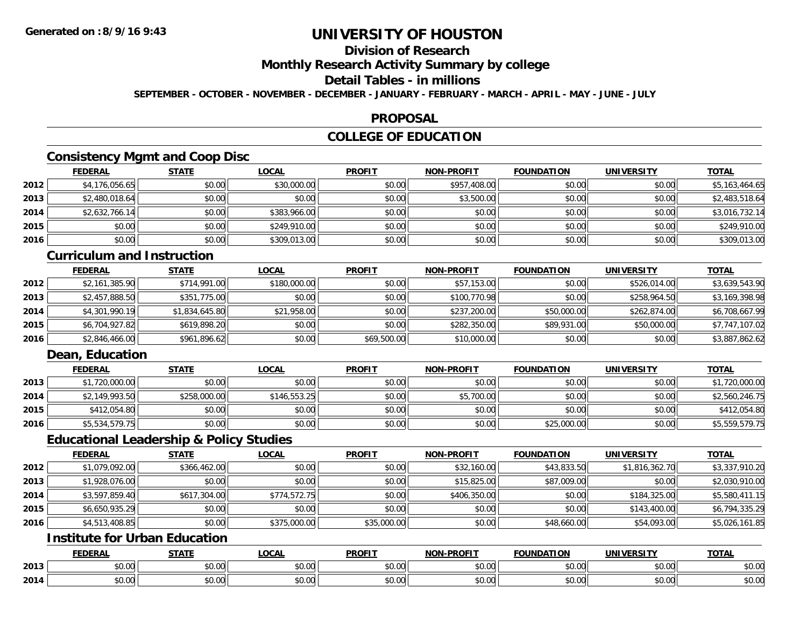## **Division of Research**

### **Monthly Research Activity Summary by college**

### **Detail Tables - in millions**

**SEPTEMBER - OCTOBER - NOVEMBER - DECEMBER - JANUARY - FEBRUARY - MARCH - APRIL - MAY - JUNE - JULY**

### **PROPOSAL**

### **COLLEGE OF EDUCATION**

### **Consistency Mgmt and Coop Disc**

|      | <b>FEDERAL</b> | <b>STATE</b> | <u>LOCAL</u> | <b>PROFIT</b> | <b>NON-PROFIT</b> | <b>FOUNDATION</b> | <b>UNIVERSITY</b> | <b>TOTAL</b>   |
|------|----------------|--------------|--------------|---------------|-------------------|-------------------|-------------------|----------------|
| 2012 | \$4,176,056.65 | \$0.00       | \$30,000.00  | \$0.00        | \$957,408.00      | \$0.00            | \$0.00            | \$5,163,464.65 |
| 2013 | \$2,480,018.64 | \$0.00       | \$0.00       | \$0.00        | \$3,500.00        | \$0.00            | \$0.00            | \$2,483,518.64 |
| 2014 | \$2,632,766.14 | \$0.00       | \$383,966.00 | \$0.00        | \$0.00            | \$0.00            | \$0.00            | \$3,016,732.14 |
| 2015 | \$0.00         | \$0.00       | \$249,910.00 | \$0.00        | \$0.00            | \$0.00            | \$0.00            | \$249,910.00   |
| 2016 | \$0.00         | \$0.00       | \$309,013.00 | \$0.00        | \$0.00            | \$0.00            | \$0.00            | \$309,013.00   |

### **Curriculum and Instruction**

|      | <b>FEDERAL</b> | <b>STATE</b>   | <u>LOCAL</u> | <b>PROFIT</b> | <b>NON-PROFIT</b> | <b>FOUNDATION</b> | <b>UNIVERSITY</b> | <b>TOTAL</b>   |
|------|----------------|----------------|--------------|---------------|-------------------|-------------------|-------------------|----------------|
| 2012 | \$2,161,385.90 | \$714,991.00   | \$180,000.00 | \$0.00        | \$57,153.00       | \$0.00            | \$526,014.00      | \$3,639,543.90 |
| 2013 | \$2,457,888.50 | \$351,775.00   | \$0.00       | \$0.00        | \$100,770.98      | \$0.00            | \$258,964.50      | \$3,169,398.98 |
| 2014 | \$4,301,990.19 | \$1,834,645.80 | \$21,958.00  | \$0.00        | \$237,200.00      | \$50,000.00       | \$262,874.00      | \$6,708,667.99 |
| 2015 | \$6,704,927.82 | \$619,898.20   | \$0.00       | \$0.00        | \$282,350.00      | \$89,931.00       | \$50,000.00       | \$7,747,107.02 |
| 2016 | \$2,846,466.00 | \$961,896.62   | \$0.00       | \$69,500.00   | \$10,000.00       | \$0.00            | \$0.00            | \$3,887,862.62 |

### **Dean, Education**

|      | <u>FEDERAL</u> | <b>STATE</b> | <u>LOCAL</u> | <b>PROFIT</b> | <b>NON-PROFIT</b> | <b>FOUNDATION</b> | UNIVERSITY | <b>TOTAL</b>   |
|------|----------------|--------------|--------------|---------------|-------------------|-------------------|------------|----------------|
| 2013 | \$1,720,000.00 | \$0.00       | \$0.00       | \$0.00        | \$0.00            | \$0.00            | \$0.00     | \$1,720,000.00 |
| 2014 | \$2,149,993.50 | \$258,000.00 | \$146.553.25 | \$0.00        | \$5,700.00        | \$0.00            | \$0.00     | \$2,560,246.75 |
| 2015 | \$412,054.80   | \$0.00       | \$0.00       | \$0.00        | \$0.00            | \$0.00            | \$0.00     | \$412,054.80   |
| 2016 | \$5,534,579.75 | \$0.00       | \$0.00       | \$0.00        | \$0.00            | \$25,000.00       | \$0.00     | \$5,559,579.75 |

### **Educational Leadership & Policy Studies**

|      | <b>FEDERAL</b> | <b>STATE</b> | <b>LOCAL</b> | <b>PROFIT</b> | <b>NON-PROFIT</b> | <b>FOUNDATION</b> | <b>UNIVERSITY</b> | <u>TOTAL</u>   |
|------|----------------|--------------|--------------|---------------|-------------------|-------------------|-------------------|----------------|
| 2012 | \$1,079,092.00 | \$366,462.00 | \$0.00       | \$0.00        | \$32,160.00       | \$43,833.50       | \$1,816,362.70    | \$3,337,910.20 |
| 2013 | \$1,928,076.00 | \$0.00       | \$0.00       | \$0.00        | \$15,825.00       | \$87,009.00       | \$0.00            | \$2,030,910.00 |
| 2014 | \$3,597,859.40 | \$617,304.00 | \$774,572.75 | \$0.00        | \$406,350.00      | \$0.00            | \$184,325.00      | \$5,580,411.15 |
| 2015 | \$6,650,935.29 | \$0.00       | \$0.00       | \$0.00        | \$0.00            | \$0.00            | \$143,400.00      | \$6,794,335.29 |
| 2016 | \$4,513,408.85 | \$0.00       | \$375,000.00 | \$35,000.00   | \$0.00            | \$48,660.00       | \$54,093.00       | \$5,026,161.85 |

### **Institute for Urban Education**

|      | <b>FEDERAI</b> | CTATI<br>.                   | $\bigcap_{n=1}^{\infty}$<br>.UUA | <b>PROFIT</b> | <b>DDAFIT</b><br><b>AIAB</b> | <b>COUNIDATION</b><br>I OP<br>. 1 I V 1 | UNIVERSITY | <b>TOTAL</b> |
|------|----------------|------------------------------|----------------------------------|---------------|------------------------------|-----------------------------------------|------------|--------------|
| 2013 | \$0.00         | 0000<br>JU.UU                | 0000<br>vv.vv                    | 0000<br>PO.OO | $\sim$ $\sim$<br>vv.vv       | $n \cap \Omega$<br>JU.UU                | \$0.00     | \$0.00       |
| 2014 | \$0.00         | $\sim$<br><b>↑∩</b><br>JU.UU | 0000<br>vu.vu                    | \$0.00        | vu.vu                        | \$0.00                                  | \$0.00     | \$0.00       |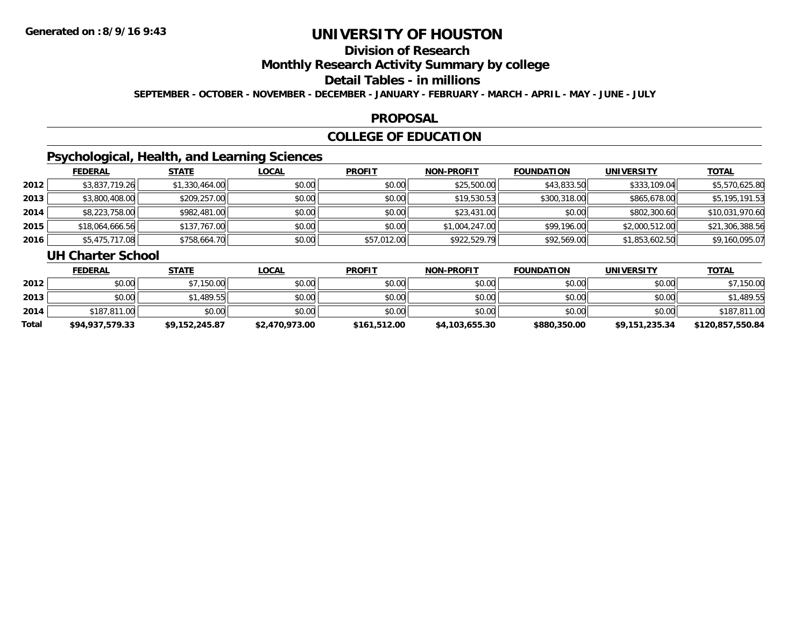# **Division of Research**

**Monthly Research Activity Summary by college**

#### **Detail Tables - in millions**

**SEPTEMBER - OCTOBER - NOVEMBER - DECEMBER - JANUARY - FEBRUARY - MARCH - APRIL - MAY - JUNE - JULY**

#### **PROPOSAL**

### **COLLEGE OF EDUCATION**

### **Psychological, Health, and Learning Sciences**

|      | <b>FEDERAL</b>  | <b>STATE</b>   | <b>LOCAL</b> | <b>PROFIT</b> | <b>NON-PROFIT</b> | <b>FOUNDATION</b> | <b>UNIVERSITY</b> | <b>TOTAL</b>    |
|------|-----------------|----------------|--------------|---------------|-------------------|-------------------|-------------------|-----------------|
| 2012 | \$3,837,719.26  | \$1,330,464.00 | \$0.00       | \$0.00        | \$25,500.00       | \$43,833.50       | \$333,109.04      | \$5,570,625.80  |
| 2013 | \$3,800,408.00  | \$209,257.00   | \$0.00       | \$0.00        | \$19,530.53       | \$300,318.00      | \$865,678.00      | \$5,195,191.53  |
| 2014 | \$8,223,758.00  | \$982,481.00   | \$0.00       | \$0.00        | \$23,431.00       | \$0.00            | \$802,300.60      | \$10,031,970.60 |
| 2015 | \$18,064,666.56 | \$137,767.00   | \$0.00       | \$0.00        | \$1,004,247.00    | \$99,196.00       | \$2,000,512.00    | \$21,306,388.56 |
| 2016 | \$5,475,717.08  | \$758,664.70   | \$0.00       | \$57,012.00   | \$922,529.79      | \$92,569.00       | \$1,853,602.50    | \$9,160,095.07  |

#### **UH Charter School**

|       | <b>FEDERAL</b>  | <u>STATE</u>   | <u>LOCAL</u>   | <b>PROFIT</b> | <b>NON-PROFIT</b> | <b>FOUNDATION</b> | UNIVERSITY     | <b>TOTAL</b>     |
|-------|-----------------|----------------|----------------|---------------|-------------------|-------------------|----------------|------------------|
| 2012  | \$0.00          | \$7,150.00     | \$0.00         | \$0.00        | \$0.00            | \$0.00            | \$0.00         | \$7,150.00       |
| 2013  | \$0.00          | \$1,489.55     | \$0.00         | \$0.00        | \$0.00            | \$0.00            | \$0.00         | \$1,489.55       |
| 2014  | \$187,811.00    | \$0.00         | \$0.00         | \$0.00        | \$0.00            | \$0.00            | \$0.00         | \$187,811.00     |
| Total | \$94,937,579.33 | \$9.152.245.87 | \$2,470,973.00 | \$161,512.00  | \$4,103,655.30    | \$880,350.00      | \$9,151,235.34 | \$120,857,550.84 |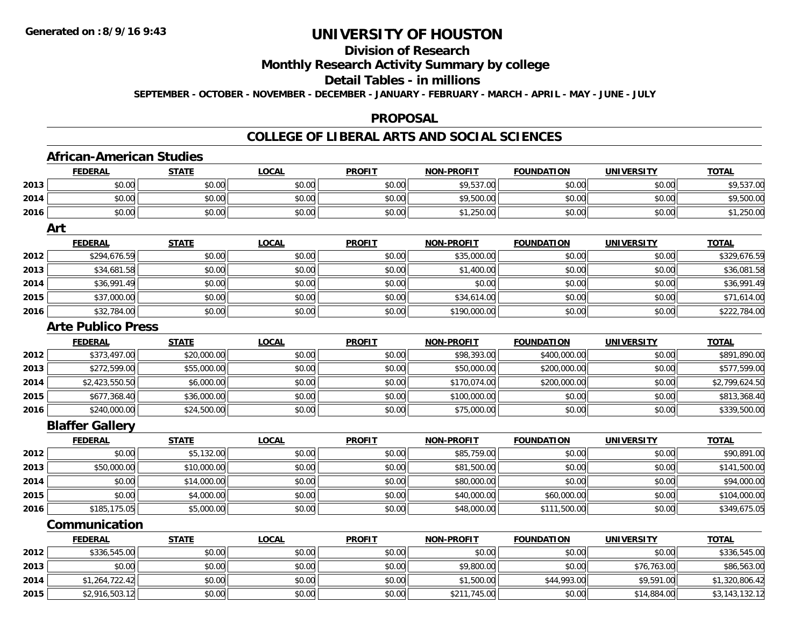**2014**

**2015**

# **UNIVERSITY OF HOUSTON**

## **Division of Research**

### **Monthly Research Activity Summary by college**

#### **Detail Tables - in millions**

**SEPTEMBER - OCTOBER - NOVEMBER - DECEMBER - JANUARY - FEBRUARY - MARCH - APRIL - MAY - JUNE - JULY**

#### **PROPOSAL**

#### **COLLEGE OF LIBERAL ARTS AND SOCIAL SCIENCES**

|      | <b>FEDERAL</b>            | <b>STATE</b> | <b>LOCAL</b> | <b>PROFIT</b> | <b>NON-PROFIT</b> | <b>FOUNDATION</b> | <b>UNIVERSITY</b> | <b>TOTAL</b>   |
|------|---------------------------|--------------|--------------|---------------|-------------------|-------------------|-------------------|----------------|
| 2013 | \$0.00                    | \$0.00       | \$0.00       | \$0.00        | \$9,537.00        | \$0.00            | \$0.00            | \$9,537.00     |
| 2014 | \$0.00                    | \$0.00       | \$0.00       | \$0.00        | \$9,500.00        | \$0.00            | \$0.00            | \$9,500.00     |
| 2016 | \$0.00                    | \$0.00       | \$0.00       | \$0.00        | \$1,250.00        | \$0.00            | \$0.00            | \$1,250.00     |
|      | Art                       |              |              |               |                   |                   |                   |                |
|      | <b>FEDERAL</b>            | <b>STATE</b> | <b>LOCAL</b> | <b>PROFIT</b> | <b>NON-PROFIT</b> | <b>FOUNDATION</b> | <b>UNIVERSITY</b> | <b>TOTAL</b>   |
| 2012 | \$294,676.59              | \$0.00       | \$0.00       | \$0.00        | \$35,000.00       | \$0.00            | \$0.00            | \$329,676.59   |
| 2013 | \$34,681.58               | \$0.00       | \$0.00       | \$0.00        | \$1,400.00        | \$0.00            | \$0.00            | \$36,081.58    |
| 2014 | \$36,991.49               | \$0.00       | \$0.00       | \$0.00        | \$0.00            | \$0.00            | \$0.00            | \$36,991.49    |
| 2015 | \$37,000.00               | \$0.00       | \$0.00       | \$0.00        | \$34,614.00       | \$0.00            | \$0.00            | \$71,614.00    |
| 2016 | \$32,784.00               | \$0.00       | \$0.00       | \$0.00        | \$190,000.00      | \$0.00            | \$0.00            | \$222,784.00   |
|      | <b>Arte Publico Press</b> |              |              |               |                   |                   |                   |                |
|      | <b>FEDERAL</b>            | <b>STATE</b> | <b>LOCAL</b> | <b>PROFIT</b> | <b>NON-PROFIT</b> | <b>FOUNDATION</b> | <b>UNIVERSITY</b> | <b>TOTAL</b>   |
| 2012 | \$373,497.00              | \$20,000.00  | \$0.00       | \$0.00        | \$98,393.00       | \$400,000.00      | \$0.00            | \$891,890.00   |
| 2013 | \$272,599.00              | \$55,000.00  | \$0.00       | \$0.00        | \$50,000.00       | \$200,000.00      | \$0.00            | \$577,599.00   |
| 2014 | \$2,423,550.50            | \$6,000.00   | \$0.00       | \$0.00        | \$170,074.00      | \$200,000.00      | \$0.00            | \$2,799,624.50 |
| 2015 | \$677,368.40              | \$36,000.00  | \$0.00       | \$0.00        | \$100,000.00      | \$0.00            | \$0.00            | \$813,368.40   |
| 2016 | \$240,000.00              | \$24,500.00  | \$0.00       | \$0.00        | \$75,000.00       | \$0.00            | \$0.00            | \$339,500.00   |
|      | <b>Blaffer Gallery</b>    |              |              |               |                   |                   |                   |                |
|      | <b>FEDERAL</b>            | <b>STATE</b> | <b>LOCAL</b> | <b>PROFIT</b> | <b>NON-PROFIT</b> | <b>FOUNDATION</b> | <b>UNIVERSITY</b> | <b>TOTAL</b>   |
| 2012 | \$0.00                    | \$5,132.00   | \$0.00       | \$0.00        | \$85,759.00       | \$0.00            | \$0.00            | \$90,891.00    |
| 2013 | \$50,000.00               | \$10,000.00  | \$0.00       | \$0.00        | \$81,500.00       | \$0.00            | \$0.00            | \$141,500.00   |
| 2014 | \$0.00                    | \$14,000.00  | \$0.00       | \$0.00        | \$80,000.00       | \$0.00            | \$0.00            | \$94,000.00    |
| 2015 | \$0.00                    | \$4,000.00   | \$0.00       | \$0.00        | \$40,000.00       | \$60,000.00       | \$0.00            | \$104,000.00   |
| 2016 | \$185,175.05              | \$5,000.00   | \$0.00       | \$0.00        | \$48,000.00       | \$111,500.00      | \$0.00            | \$349,675.05   |
|      | Communication             |              |              |               |                   |                   |                   |                |
|      | <b>FEDERAL</b>            | <b>STATE</b> | <b>LOCAL</b> | <b>PROFIT</b> | <b>NON-PROFIT</b> | <b>FOUNDATION</b> | <b>UNIVERSITY</b> | <b>TOTAL</b>   |
| 2012 | \$336,545.00              | \$0.00       | \$0.00       | \$0.00        | \$0.00            | \$0.00            | \$0.00            | \$336,545.00   |
| 2013 | \$0.00                    | \$0.00       | \$0.00       | \$0.00        | \$9,800.00        | \$0.00            | \$76,763.00       | \$86,563.00    |

4 \$1,264,722.42|| \$0.00|| \$0.00|| \$0.00|| \$1,500.00|| \$44,993.00|| \$9,591.00|| \$1,320,806.42

\$2,916,503.12 \$0.00 \$0.00 \$0.00 \$211,745.00 \$0.00 \$14,884.00 \$3,143,132.12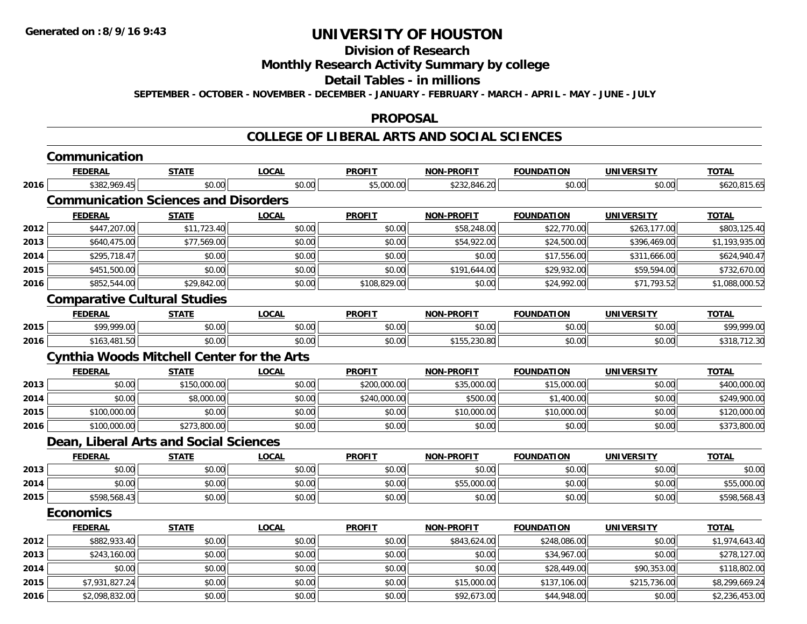## **Division of Research**

### **Monthly Research Activity Summary by college**

#### **Detail Tables - in millions**

**SEPTEMBER - OCTOBER - NOVEMBER - DECEMBER - JANUARY - FEBRUARY - MARCH - APRIL - MAY - JUNE - JULY**

#### **PROPOSAL**

#### **COLLEGE OF LIBERAL ARTS AND SOCIAL SCIENCES**

|      | Communication                                     |              |              |               |                   |                   |                   |                |
|------|---------------------------------------------------|--------------|--------------|---------------|-------------------|-------------------|-------------------|----------------|
|      | <b>FEDERAL</b>                                    | <b>STATE</b> | <b>LOCAL</b> | <b>PROFIT</b> | <b>NON-PROFIT</b> | <b>FOUNDATION</b> | <b>UNIVERSITY</b> | <b>TOTAL</b>   |
| 2016 | \$382,969.45                                      | \$0.00       | \$0.00       | \$5,000.00    | \$232,846.20      | \$0.00            | \$0.00            | \$620,815.65   |
|      | <b>Communication Sciences and Disorders</b>       |              |              |               |                   |                   |                   |                |
|      | <b>FEDERAL</b>                                    | <b>STATE</b> | <b>LOCAL</b> | <b>PROFIT</b> | <b>NON-PROFIT</b> | <b>FOUNDATION</b> | <b>UNIVERSITY</b> | <b>TOTAL</b>   |
| 2012 | \$447,207.00                                      | \$11,723.40  | \$0.00       | \$0.00        | \$58,248.00       | \$22,770.00       | \$263,177.00      | \$803,125.40   |
| 2013 | \$640,475.00                                      | \$77,569.00  | \$0.00       | \$0.00        | \$54,922.00       | \$24,500.00       | \$396,469.00      | \$1,193,935.00 |
| 2014 | \$295,718.47                                      | \$0.00       | \$0.00       | \$0.00        | \$0.00            | \$17,556.00       | \$311,666.00      | \$624,940.47   |
| 2015 | \$451,500.00                                      | \$0.00       | \$0.00       | \$0.00        | \$191,644.00      | \$29,932.00       | \$59,594.00       | \$732,670.00   |
| 2016 | \$852,544.00                                      | \$29,842.00  | \$0.00       | \$108,829.00  | \$0.00            | \$24,992.00       | \$71,793.52       | \$1,088,000.52 |
|      | <b>Comparative Cultural Studies</b>               |              |              |               |                   |                   |                   |                |
|      | <b>FEDERAL</b>                                    | <b>STATE</b> | <b>LOCAL</b> | <b>PROFIT</b> | <b>NON-PROFIT</b> | <b>FOUNDATION</b> | <b>UNIVERSITY</b> | <b>TOTAL</b>   |
| 2015 | \$99,999.00                                       | \$0.00       | \$0.00       | \$0.00        | \$0.00            | \$0.00            | \$0.00            | \$99,999.00    |
| 2016 | \$163,481.50                                      | \$0.00       | \$0.00       | \$0.00        | \$155,230.80      | \$0.00            | \$0.00            | \$318,712.30   |
|      | <b>Cynthia Woods Mitchell Center for the Arts</b> |              |              |               |                   |                   |                   |                |
|      | <b>FEDERAL</b>                                    | <b>STATE</b> | LOCAL        | <b>PROFIT</b> | <b>NON-PROFIT</b> | <b>FOUNDATION</b> | <b>UNIVERSITY</b> | <b>TOTAL</b>   |
| 2013 | \$0.00                                            | \$150,000.00 | \$0.00       | \$200,000.00  | \$35,000.00       | \$15,000.00       | \$0.00            | \$400,000.00   |
| 2014 | \$0.00                                            | \$8,000.00   | \$0.00       | \$240,000.00  | \$500.00          | \$1,400.00        | \$0.00            | \$249,900.00   |
| 2015 | \$100,000.00                                      | \$0.00       | \$0.00       | \$0.00        | \$10,000.00       | \$10,000.00       | \$0.00            | \$120,000.00   |
| 2016 | \$100,000.00                                      | \$273,800.00 | \$0.00       | \$0.00        | \$0.00            | \$0.00            | \$0.00            | \$373,800.00   |
|      | Dean, Liberal Arts and Social Sciences            |              |              |               |                   |                   |                   |                |
|      | <b>FEDERAL</b>                                    | <b>STATE</b> | <b>LOCAL</b> | <b>PROFIT</b> | <b>NON-PROFIT</b> | <b>FOUNDATION</b> | <b>UNIVERSITY</b> | <b>TOTAL</b>   |
| 2013 | \$0.00                                            | \$0.00       | \$0.00       | \$0.00        | \$0.00            | \$0.00            | \$0.00            | \$0.00         |
| 2014 | \$0.00                                            | \$0.00       | \$0.00       | \$0.00        | \$55,000.00       | \$0.00            | \$0.00            | \$55,000.00    |
| 2015 | \$598,568.43                                      | \$0.00       | \$0.00       | \$0.00        | \$0.00            | \$0.00            | \$0.00            | \$598,568.43   |
|      | <b>Economics</b>                                  |              |              |               |                   |                   |                   |                |
|      | <b>FEDERAL</b>                                    | <b>STATE</b> | <b>LOCAL</b> | <b>PROFIT</b> | <b>NON-PROFIT</b> | <b>FOUNDATION</b> | <b>UNIVERSITY</b> | <b>TOTAL</b>   |
| 2012 | \$882,933.40                                      | \$0.00       | \$0.00       | \$0.00        | \$843,624.00      | \$248,086.00      | \$0.00            | \$1,974,643.40 |
| 2013 | \$243,160.00                                      | \$0.00       | \$0.00       | \$0.00        | \$0.00            | \$34,967.00       | \$0.00            | \$278,127.00   |
| 2014 | \$0.00                                            | \$0.00       | \$0.00       | \$0.00        | \$0.00            | \$28,449.00       | \$90,353.00       | \$118,802.00   |
| 2015 | \$7,931,827.24                                    | \$0.00       | \$0.00       | \$0.00        | \$15,000.00       | \$137,106.00      | \$215,736.00      | \$8,299,669.24 |
| 2016 | \$2,098,832.00                                    | \$0.00       | \$0.00       | \$0.00        | \$92,673.00       | \$44,948.00       | \$0.00            | \$2,236,453.00 |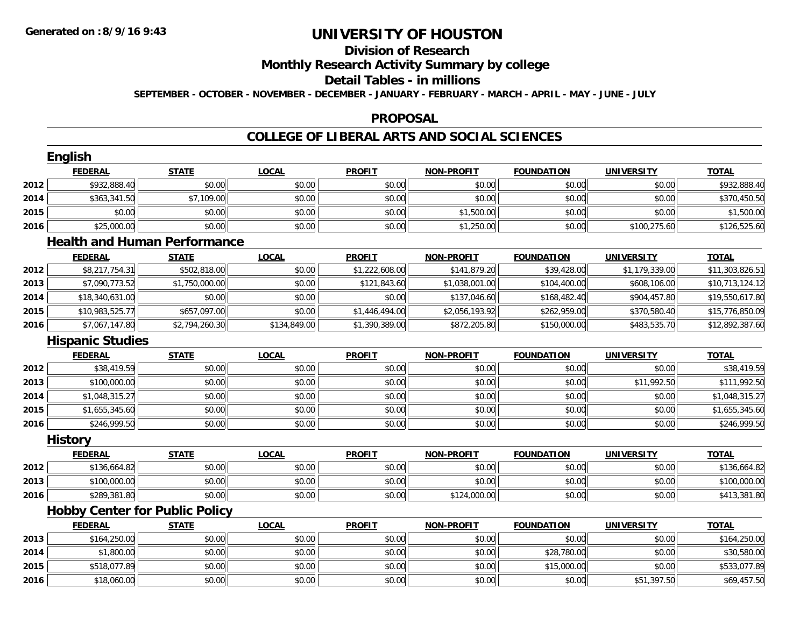## **Division of Research**

**Monthly Research Activity Summary by college**

#### **Detail Tables - in millions**

**SEPTEMBER - OCTOBER - NOVEMBER - DECEMBER - JANUARY - FEBRUARY - MARCH - APRIL - MAY - JUNE - JULY**

### **PROPOSAL**

### **COLLEGE OF LIBERAL ARTS AND SOCIAL SCIENCES**

|      | English                               |                |              |                |                   |                   |                   |                 |
|------|---------------------------------------|----------------|--------------|----------------|-------------------|-------------------|-------------------|-----------------|
|      | <b>FEDERAL</b>                        | <b>STATE</b>   | <b>LOCAL</b> | <b>PROFIT</b>  | <b>NON-PROFIT</b> | <b>FOUNDATION</b> | <b>UNIVERSITY</b> | <b>TOTAL</b>    |
| 2012 | \$932,888.40                          | \$0.00         | \$0.00       | \$0.00         | \$0.00            | \$0.00            | \$0.00            | \$932,888.40    |
| 2014 | \$363,341.50                          | \$7,109.00     | \$0.00       | \$0.00         | \$0.00            | \$0.00            | \$0.00            | \$370,450.50    |
| 2015 | \$0.00                                | \$0.00         | \$0.00       | \$0.00         | \$1,500.00        | \$0.00            | \$0.00            | \$1,500.00      |
| 2016 | \$25,000.00                           | \$0.00         | \$0.00       | \$0.00         | \$1,250.00        | \$0.00            | \$100,275.60      | \$126,525.60    |
|      | <b>Health and Human Performance</b>   |                |              |                |                   |                   |                   |                 |
|      | <b>FEDERAL</b>                        | <b>STATE</b>   | <b>LOCAL</b> | <b>PROFIT</b>  | <b>NON-PROFIT</b> | <b>FOUNDATION</b> | <b>UNIVERSITY</b> | <b>TOTAL</b>    |
| 2012 | \$8,217,754.31                        | \$502,818.00   | \$0.00       | \$1,222,608.00 | \$141,879.20      | \$39,428.00       | \$1,179,339.00    | \$11,303,826.51 |
| 2013 | \$7,090,773.52                        | \$1,750,000.00 | \$0.00       | \$121,843.60   | \$1,038,001.00    | \$104,400.00      | \$608,106.00      | \$10,713,124.12 |
| 2014 | \$18,340,631.00                       | \$0.00         | \$0.00       | \$0.00         | \$137,046.60      | \$168,482.40      | \$904,457.80      | \$19,550,617.80 |
| 2015 | \$10,983,525.77                       | \$657,097.00   | \$0.00       | \$1,446,494.00 | \$2,056,193.92    | \$262,959.00      | \$370,580.40      | \$15,776,850.09 |
| 2016 | \$7,067,147.80                        | \$2,794,260.30 | \$134,849.00 | \$1,390,389.00 | \$872,205.80      | \$150,000.00      | \$483,535.70      | \$12,892,387.60 |
|      | <b>Hispanic Studies</b>               |                |              |                |                   |                   |                   |                 |
|      | <b>FEDERAL</b>                        | <b>STATE</b>   | <b>LOCAL</b> | <b>PROFIT</b>  | <b>NON-PROFIT</b> | <b>FOUNDATION</b> | <b>UNIVERSITY</b> | <b>TOTAL</b>    |
| 2012 | \$38,419.59                           | \$0.00         | \$0.00       | \$0.00         | \$0.00            | \$0.00            | \$0.00            | \$38,419.59     |
| 2013 | \$100,000.00                          | \$0.00         | \$0.00       | \$0.00         | \$0.00            | \$0.00            | \$11,992.50       | \$111,992.50    |
| 2014 | \$1,048,315.27                        | \$0.00         | \$0.00       | \$0.00         | \$0.00            | \$0.00            | \$0.00            | \$1,048,315.27  |
| 2015 | \$1,655,345.60                        | \$0.00         | \$0.00       | \$0.00         | \$0.00            | \$0.00            | \$0.00            | \$1,655,345.60  |
| 2016 | \$246,999.50                          | \$0.00         | \$0.00       | \$0.00         | \$0.00            | \$0.00            | \$0.00            | \$246,999.50    |
|      | <b>History</b>                        |                |              |                |                   |                   |                   |                 |
|      | <b>FEDERAL</b>                        | <b>STATE</b>   | <b>LOCAL</b> | <b>PROFIT</b>  | <b>NON-PROFIT</b> | <b>FOUNDATION</b> | <b>UNIVERSITY</b> | <b>TOTAL</b>    |
| 2012 | \$136,664.82                          | \$0.00         | \$0.00       | \$0.00         | \$0.00            | \$0.00            | \$0.00            | \$136,664.82    |
| 2013 | \$100,000.00                          | \$0.00         | \$0.00       | \$0.00         | \$0.00            | \$0.00            | \$0.00            | \$100,000.00    |
| 2016 | \$289,381.80                          | \$0.00         | \$0.00       | \$0.00         | \$124,000.00      | \$0.00            | \$0.00            | \$413,381.80    |
|      | <b>Hobby Center for Public Policy</b> |                |              |                |                   |                   |                   |                 |
|      | <b>FEDERAL</b>                        | <b>STATE</b>   | <b>LOCAL</b> | <b>PROFIT</b>  | <b>NON-PROFIT</b> | <b>FOUNDATION</b> | <b>UNIVERSITY</b> | <b>TOTAL</b>    |
| 2013 | \$164,250.00                          | \$0.00         | \$0.00       | \$0.00         | \$0.00            | \$0.00            | \$0.00            | \$164,250.00    |
| 2014 | \$1,800.00                            | \$0.00         | \$0.00       | \$0.00         | \$0.00            | \$28,780.00       | \$0.00            | \$30,580.00     |
| 2015 | \$518,077.89                          | \$0.00         | \$0.00       | \$0.00         | \$0.00            | \$15,000.00       | \$0.00            | \$533,077.89    |
| 2016 | \$18,060.00                           | \$0.00         | \$0.00       | \$0.00         | \$0.00            | \$0.00            | \$51,397.50       | \$69,457.50     |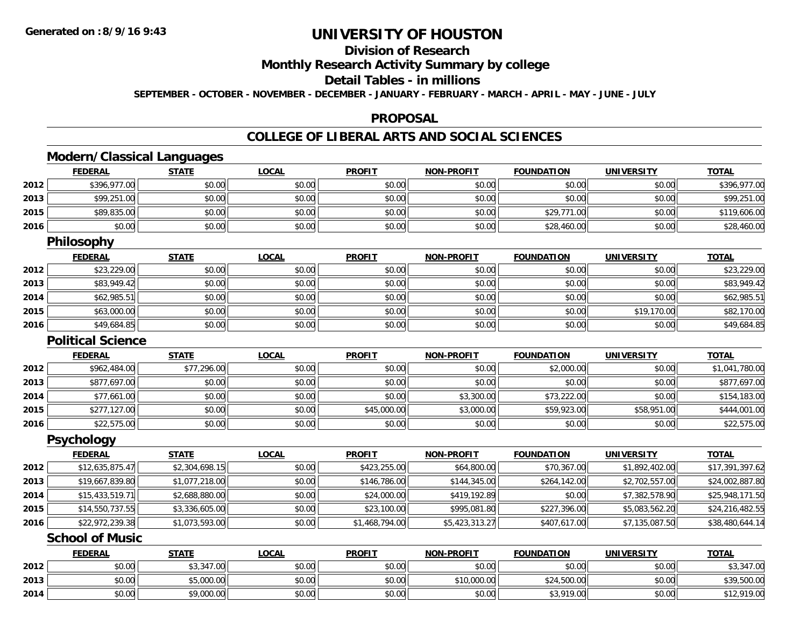**2014**

# **UNIVERSITY OF HOUSTON**

## **Division of Research**

**Monthly Research Activity Summary by college**

### **Detail Tables - in millions**

**SEPTEMBER - OCTOBER - NOVEMBER - DECEMBER - JANUARY - FEBRUARY - MARCH - APRIL - MAY - JUNE - JULY**

#### **PROPOSAL**

## **COLLEGE OF LIBERAL ARTS AND SOCIAL SCIENCES**

# **Modern/Classical Languages**

|      | <b>FEDERAL</b>           | <b>STATE</b>   | <b>LOCAL</b> | <b>PROFIT</b>  | <b>NON-PROFIT</b> | <b>FOUNDATION</b> | <b>UNIVERSITY</b> | <b>TOTAL</b>    |
|------|--------------------------|----------------|--------------|----------------|-------------------|-------------------|-------------------|-----------------|
| 2012 | \$396,977.00             | \$0.00         | \$0.00       | \$0.00         | \$0.00            | \$0.00            | \$0.00            | \$396,977.00    |
| 2013 | \$99,251.00              | \$0.00         | \$0.00       | \$0.00         | \$0.00            | \$0.00            | \$0.00            | \$99,251.00     |
| 2015 | \$89,835.00              | \$0.00         | \$0.00       | \$0.00         | \$0.00            | \$29,771.00       | \$0.00            | \$119,606.00    |
| 2016 | \$0.00                   | \$0.00         | \$0.00       | \$0.00         | \$0.00            | \$28,460.00       | \$0.00            | \$28,460.00     |
|      | Philosophy               |                |              |                |                   |                   |                   |                 |
|      | <b>FEDERAL</b>           | <b>STATE</b>   | <b>LOCAL</b> | <b>PROFIT</b>  | <b>NON-PROFIT</b> | <b>FOUNDATION</b> | <b>UNIVERSITY</b> | <b>TOTAL</b>    |
| 2012 | \$23,229.00              | \$0.00         | \$0.00       | \$0.00         | \$0.00            | \$0.00            | \$0.00            | \$23,229.00     |
| 2013 | \$83,949.42              | \$0.00         | \$0.00       | \$0.00         | \$0.00            | \$0.00            | \$0.00            | \$83,949.42     |
| 2014 | \$62,985.51              | \$0.00         | \$0.00       | \$0.00         | \$0.00            | \$0.00            | \$0.00            | \$62,985.51     |
| 2015 | \$63,000.00              | \$0.00         | \$0.00       | \$0.00         | \$0.00            | \$0.00            | \$19,170.00       | \$82,170.00     |
| 2016 | \$49,684.85              | \$0.00         | \$0.00       | \$0.00         | \$0.00            | \$0.00            | \$0.00            | \$49,684.85     |
|      | <b>Political Science</b> |                |              |                |                   |                   |                   |                 |
|      | <b>FEDERAL</b>           | <b>STATE</b>   | <b>LOCAL</b> | <b>PROFIT</b>  | <b>NON-PROFIT</b> | <b>FOUNDATION</b> | <b>UNIVERSITY</b> | <b>TOTAL</b>    |
| 2012 | \$962,484.00             | \$77,296.00    | \$0.00       | \$0.00         | \$0.00            | \$2,000.00        | \$0.00            | \$1,041,780.00  |
| 2013 | \$877,697.00             | \$0.00         | \$0.00       | \$0.00         | \$0.00            | \$0.00            | \$0.00            | \$877,697.00    |
| 2014 | \$77,661.00              | \$0.00         | \$0.00       | \$0.00         | \$3,300.00        | \$73,222.00       | \$0.00            | \$154,183.00    |
| 2015 | \$277,127.00             | \$0.00         | \$0.00       | \$45,000.00    | \$3,000.00        | \$59,923.00       | \$58,951.00       | \$444,001.00    |
| 2016 | \$22,575.00              | \$0.00         | \$0.00       | \$0.00         | \$0.00            | \$0.00            | \$0.00            | \$22,575.00     |
|      | <b>Psychology</b>        |                |              |                |                   |                   |                   |                 |
|      | <b>FEDERAL</b>           | <b>STATE</b>   | <b>LOCAL</b> | <b>PROFIT</b>  | <b>NON-PROFIT</b> | <b>FOUNDATION</b> | <b>UNIVERSITY</b> | <b>TOTAL</b>    |
| 2012 | \$12,635,875.47          | \$2,304,698.15 | \$0.00       | \$423,255.00   | \$64,800.00       | \$70,367.00       | \$1,892,402.00    | \$17,391,397.62 |
| 2013 | \$19,667,839.80          | \$1,077,218.00 | \$0.00       | \$146,786.00   | \$144,345.00      | \$264,142.00      | \$2,702,557.00    | \$24,002,887.80 |
| 2014 | \$15,433,519.71          | \$2,688,880.00 | \$0.00       | \$24,000.00    | \$419,192.89      | \$0.00            | \$7,382,578.90    | \$25,948,171.50 |
| 2015 | \$14,550,737.55          | \$3,336,605.00 | \$0.00       | \$23,100.00    | \$995,081.80      | \$227,396.00      | \$5,083,562.20    | \$24,216,482.55 |
| 2016 | \$22,972,239.38          | \$1,073,593.00 | \$0.00       | \$1,468,794.00 | \$5,423,313.27    | \$407,617.00      | \$7,135,087.50    | \$38,480,644.14 |
|      | <b>School of Music</b>   |                |              |                |                   |                   |                   |                 |
|      | <b>FEDERAL</b>           | <b>STATE</b>   | <b>LOCAL</b> | <b>PROFIT</b>  | <b>NON-PROFIT</b> | <b>FOUNDATION</b> | <b>UNIVERSITY</b> | <b>TOTAL</b>    |
| 2012 | \$0.00                   | \$3,347.00     | \$0.00       | \$0.00         | \$0.00            | \$0.00            | \$0.00            | \$3,347.00      |
| 2013 | \$0.00                   | \$5,000.00     | \$0.00       | \$0.00         | \$10,000.00       | \$24,500.00       | \$0.00            | \$39,500.00     |

4 \$0.00 \$0.00 \$0.00 \$9,000.00 \$0.00 \$0.00 \$0.00 \$0.00 \$0.00 \$0.00 \$3,919.00 \$3,919.00 \$0.00 \$12,919.00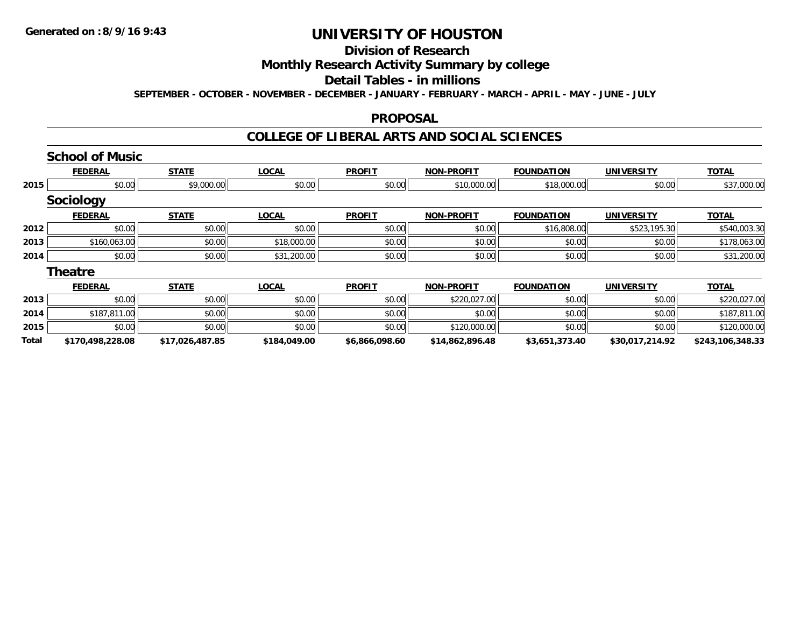#### **Division of Research**

# **Monthly Research Activity Summary by college**

#### **Detail Tables - in millions**

**SEPTEMBER - OCTOBER - NOVEMBER - DECEMBER - JANUARY - FEBRUARY - MARCH - APRIL - MAY - JUNE - JULY**

#### **PROPOSAL**

### **COLLEGE OF LIBERAL ARTS AND SOCIAL SCIENCES**

|       | <b>School of Music</b> |                 |              |                |                   |                   |                   |                  |
|-------|------------------------|-----------------|--------------|----------------|-------------------|-------------------|-------------------|------------------|
|       | <b>FEDERAL</b>         | <b>STATE</b>    | <b>LOCAL</b> | <b>PROFIT</b>  | <b>NON-PROFIT</b> | <b>FOUNDATION</b> | <b>UNIVERSITY</b> | <b>TOTAL</b>     |
| 2015  | \$0.00                 | \$9,000.00      | \$0.00       | \$0.00         | \$10,000.00       | \$18,000.00       | \$0.00            | \$37,000.00      |
|       | <b>Sociology</b>       |                 |              |                |                   |                   |                   |                  |
|       | <b>FEDERAL</b>         | <b>STATE</b>    | <b>LOCAL</b> | <b>PROFIT</b>  | <b>NON-PROFIT</b> | <b>FOUNDATION</b> | <b>UNIVERSITY</b> | <b>TOTAL</b>     |
| 2012  | \$0.00                 | \$0.00          | \$0.00       | \$0.00         | \$0.00            | \$16,808.00       | \$523,195.30      | \$540,003.30     |
| 2013  | \$160,063.00           | \$0.00          | \$18,000.00  | \$0.00         | \$0.00            | \$0.00            | \$0.00            | \$178,063.00     |
| 2014  | \$0.00                 | \$0.00          | \$31,200.00  | \$0.00         | \$0.00            | \$0.00            | \$0.00            | \$31,200.00      |
|       | <b>Theatre</b>         |                 |              |                |                   |                   |                   |                  |
|       | <b>FEDERAL</b>         | <b>STATE</b>    | <b>LOCAL</b> | <b>PROFIT</b>  | <b>NON-PROFIT</b> | <b>FOUNDATION</b> | <b>UNIVERSITY</b> | <b>TOTAL</b>     |
| 2013  | \$0.00                 | \$0.00          | \$0.00       | \$0.00         | \$220,027.00      | \$0.00            | \$0.00            | \$220,027.00     |
| 2014  | \$187,811.00           | \$0.00          | \$0.00       | \$0.00         | \$0.00            | \$0.00            | \$0.00            | \$187,811.00     |
| 2015  | \$0.00                 | \$0.00          | \$0.00       | \$0.00         | \$120,000.00      | \$0.00            | \$0.00            | \$120,000.00     |
| Total | \$170,498,228.08       | \$17,026,487.85 | \$184,049.00 | \$6,866,098.60 | \$14,862,896.48   | \$3,651,373.40    | \$30,017,214.92   | \$243,106,348.33 |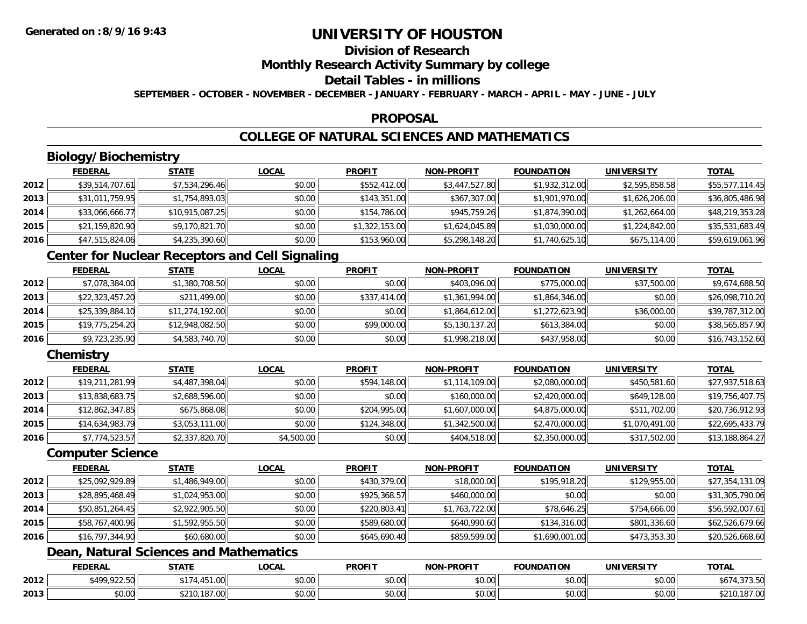## **Division of Research**

### **Monthly Research Activity Summary by college**

### **Detail Tables - in millions**

**SEPTEMBER - OCTOBER - NOVEMBER - DECEMBER - JANUARY - FEBRUARY - MARCH - APRIL - MAY - JUNE - JULY**

#### **PROPOSAL**

## **COLLEGE OF NATURAL SCIENCES AND MATHEMATICS**

## **Biology/Biochemistry**

|      | <b>FEDERAL</b>  | <u>STATE</u>    | <u>LOCAL</u> | <b>PROFIT</b>  | <b>NON-PROFIT</b> | <b>FOUNDATION</b> | <b>UNIVERSITY</b> | <b>TOTAL</b>    |
|------|-----------------|-----------------|--------------|----------------|-------------------|-------------------|-------------------|-----------------|
| 2012 | \$39,514,707.61 | \$7,534,296.46  | \$0.00       | \$552,412.00   | \$3,447,527.80    | \$1,932,312.00    | \$2,595,858.58    | \$55,577,114.45 |
| 2013 | \$31,011,759.95 | \$1,754,893.03  | \$0.00       | \$143,351.00   | \$367,307.00      | \$1,901,970.00    | \$1,626,206.00    | \$36,805,486.98 |
| 2014 | \$33,066,666.77 | \$10,915,087.25 | \$0.00       | \$154,786.00   | \$945,759.26      | \$1,874,390.00    | \$1,262,664.00    | \$48,219,353.28 |
| 2015 | \$21,159,820.90 | \$9,170,821.70  | \$0.00       | \$1,322,153.00 | \$1,624,045.89    | \$1,030,000.00    | \$1,224,842.00    | \$35,531,683.49 |
| 2016 | \$47,515,824.06 | \$4,235,390.60  | \$0.00       | \$153,960.00   | \$5,298,148.20    | \$1,740,625.10    | \$675,114.00      | \$59,619,061.96 |

### **Center for Nuclear Receptors and Cell Signaling**

|      | <b>FEDERAL</b>  | <b>STATE</b>    | <b>LOCAL</b> | <b>PROFIT</b> | <b>NON-PROFIT</b> | <b>FOUNDATION</b> | <b>UNIVERSITY</b> | <b>TOTAL</b>    |
|------|-----------------|-----------------|--------------|---------------|-------------------|-------------------|-------------------|-----------------|
| 2012 | \$7,078,384.00  | \$1,380,708.50  | \$0.00       | \$0.00        | \$403,096.00      | \$775,000.00      | \$37,500.00       | \$9,674,688.50  |
| 2013 | \$22,323,457.20 | \$211,499.00    | \$0.00       | \$337,414.00  | \$1,361,994.00    | \$1,864,346.00    | \$0.00            | \$26,098,710.20 |
| 2014 | \$25,339,884.10 | \$11,274,192.00 | \$0.00       | \$0.00        | \$1,864,612.00    | \$1,272,623.90    | \$36,000.00       | \$39,787,312.00 |
| 2015 | \$19,775,254.20 | \$12,948,082.50 | \$0.00       | \$99,000.00   | \$5,130,137.20    | \$613,384.00      | \$0.00            | \$38,565,857.90 |
| 2016 | \$9,723,235.90  | \$4,583,740.70  | \$0.00       | \$0.00        | \$1,998,218.00    | \$437,958.00      | \$0.00            | \$16,743,152.60 |

### **Chemistry**

|      | <b>FEDERAL</b>  | <b>STATE</b>   | <b>LOCAL</b> | <b>PROFIT</b> | <b>NON-PROFIT</b> | <b>FOUNDATION</b> | <b>UNIVERSITY</b> | <u>TOTAL</u>    |
|------|-----------------|----------------|--------------|---------------|-------------------|-------------------|-------------------|-----------------|
| 2012 | \$19,211,281.99 | \$4,487,398.04 | \$0.00       | \$594,148.00  | \$1,114,109.00    | \$2,080,000.00    | \$450,581.60      | \$27,937,518.63 |
| 2013 | \$13,838,683.75 | \$2,688,596.00 | \$0.00       | \$0.00        | \$160,000.00      | \$2,420,000.00    | \$649,128.00      | \$19,756,407.75 |
| 2014 | \$12,862,347.85 | \$675,868.08   | \$0.00       | \$204,995.00  | \$1,607,000.00    | \$4,875,000.00    | \$511,702.00      | \$20,736,912.93 |
| 2015 | \$14,634,983.79 | \$3,053,111.00 | \$0.00       | \$124,348.00  | \$1,342,500.00    | \$2,470,000.00    | \$1,070,491.00    | \$22,695,433.79 |
| 2016 | \$7,774,523.57  | \$2,337,820.70 | \$4,500.00   | \$0.00        | \$404,518.00      | \$2,350,000.00    | \$317,502.00      | \$13,188,864.27 |

### **Computer Science**

|      | <b>FEDERAL</b>  | <b>STATE</b>   | <b>LOCAL</b> | <b>PROFIT</b> | <b>NON-PROFIT</b> | <b>FOUNDATION</b> | <b>UNIVERSITY</b> | <b>TOTAL</b>    |
|------|-----------------|----------------|--------------|---------------|-------------------|-------------------|-------------------|-----------------|
| 2012 | \$25,092,929.89 | \$1,486,949.00 | \$0.00       | \$430,379.00  | \$18,000.00       | \$195,918.20      | \$129,955.00      | \$27,354,131.09 |
| 2013 | \$28,895,468.49 | \$1,024,953.00 | \$0.00       | \$925,368.57  | \$460,000.00      | \$0.00            | \$0.00            | \$31,305,790.06 |
| 2014 | \$50,851,264.45 | \$2,922,905.50 | \$0.00       | \$220,803.41  | \$1,763,722.00    | \$78,646.25       | \$754,666.00      | \$56,592,007.61 |
| 2015 | \$58,767,400.96 | \$1,592,955.50 | \$0.00       | \$589,680.00  | \$640,990.60      | \$134,316.00      | \$801,336.60      | \$62,526,679.66 |
| 2016 | \$16,797,344.90 | \$60,680.00    | \$0.00       | \$645,690.40  | \$859,599.00      | \$1,690,001.00    | \$473,353.30      | \$20,526,668.60 |

### **Dean, Natural Sciences and Mathematics**

|      | <b>FEDERAL</b>           | <b>STATE</b>            | .OCAL                  | <b>PROFIT</b>              | <b>M-PROF!</b><br><b>NICK</b>              | <b>FOUNDATION</b> | UNIVE<br>EDCITY    | <b>TOTAL</b>               |
|------|--------------------------|-------------------------|------------------------|----------------------------|--------------------------------------------|-------------------|--------------------|----------------------------|
| 2012 | * 400 022 50L<br>122.30  | 151<br><b>NAT</b><br>−… | ሐሴ ሰሰ<br>JU.UU         | $\sim$ $\sim$<br>טט.טע     | $\mathsf{A} \cap \mathsf{A} \cap$<br>vv.vv | \$0.00            | $\sim$ 00<br>JU.UU | $\sim$ $\sim$<br>.<br>ں. ن |
| 2013 | $n \cap \Omega$<br>DU.UG | 101<br>- 11             | ሐ ሴ<br>$\sim$<br>vu.uu | $*$ $\cap$ $\cap$<br>טט.טע | $\sim$ 00<br>JU.UU                         | \$0.00            | \$0.00             | $\sim$<br>7.UU<br>,,,,     |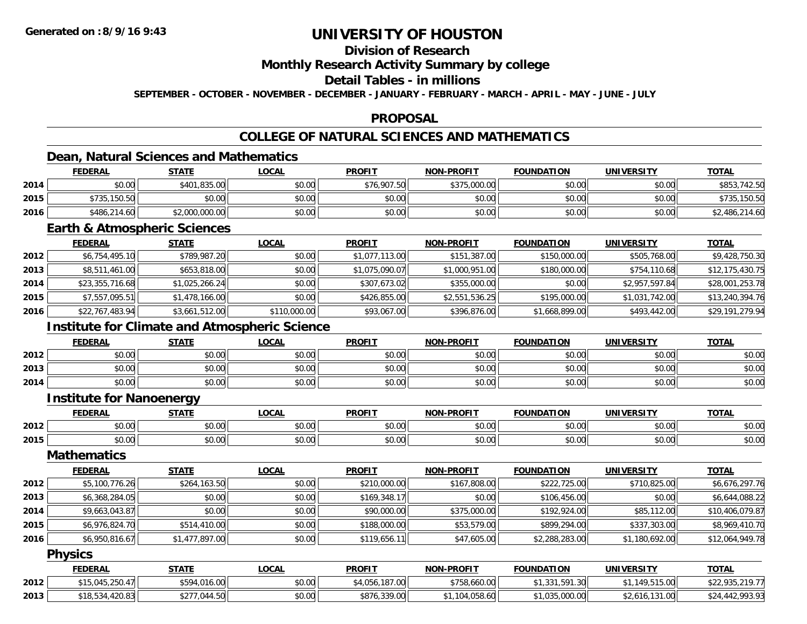## **Division of Research**

### **Monthly Research Activity Summary by college**

### **Detail Tables - in millions**

**SEPTEMBER - OCTOBER - NOVEMBER - DECEMBER - JANUARY - FEBRUARY - MARCH - APRIL - MAY - JUNE - JULY**

### **PROPOSAL**

## **COLLEGE OF NATURAL SCIENCES AND MATHEMATICS**

### **Dean, Natural Sciences and Mathematics**

|      | <b>FEDERAL</b> | <u>STATE</u>   | <u>LOCAL</u> | <b>PROFIT</b> | <b>NON-PROFIT</b> | <b>FOUNDATION</b> | UNIVERSITY | <b>TOTAL</b>   |
|------|----------------|----------------|--------------|---------------|-------------------|-------------------|------------|----------------|
| 2014 | \$0.00         | \$401,835.00   | \$0.00       | \$76,907.50   | \$375,000.00      | \$0.00            | \$0.00     | \$853,742.50   |
| 2015 | \$735,150.50   | \$0.00         | \$0.00       | \$0.00        | \$0.00            | \$0.00            | \$0.00     | \$735,150.50   |
| 2016 | \$486,214.60   | \$2,000,000.00 | \$0.00       | \$0.00        | \$0.00            | \$0.00            | \$0.00     | \$2,486,214.60 |

### **Earth & Atmospheric Sciences**

|      | <b>FEDERAL</b>  | <b>STATE</b>   | <b>LOCAL</b> | <b>PROFIT</b>  | <b>NON-PROFIT</b> | <b>FOUNDATION</b> | <b>UNIVERSITY</b> | <b>TOTAL</b>    |
|------|-----------------|----------------|--------------|----------------|-------------------|-------------------|-------------------|-----------------|
| 2012 | \$6,754,495.10  | \$789,987.20   | \$0.00       | \$1,077,113.00 | \$151,387.00      | \$150,000.00      | \$505,768.00      | \$9,428,750.30  |
| 2013 | \$8,511,461.00  | \$653,818.00   | \$0.00       | \$1,075,090.07 | \$1,000,951.00    | \$180,000.00      | \$754,110.68      | \$12,175,430.75 |
| 2014 | \$23,355,716.68 | \$1,025,266.24 | \$0.00       | \$307,673.02   | \$355,000.00      | \$0.00            | \$2,957,597.84    | \$28,001,253.78 |
| 2015 | \$7,557,095.51  | \$1,478,166.00 | \$0.00       | \$426,855.00   | \$2,551,536.25    | \$195,000.00      | \$1,031,742.00    | \$13,240,394.76 |
| 2016 | \$22,767,483.94 | \$3,661,512.00 | \$110,000.00 | \$93,067.00    | \$396,876.00      | \$1,668,899.00    | \$493,442.00      | \$29,191,279.94 |

### **Institute for Climate and Atmospheric Science**

|      | <b>FEDERAL</b> | <b>STATE</b> | LOCAL  | <b>PROFIT</b> | <b>NON-PROFIT</b> | <b>FOUNDATION</b> | UNIVERSITY | <b>TOTAL</b> |
|------|----------------|--------------|--------|---------------|-------------------|-------------------|------------|--------------|
| 2012 | \$0.00         | \$0.00       | \$0.00 | \$0.00        | \$0.00            | \$0.00            | \$0.00     | \$0.00       |
| 2013 | \$0.00         | \$0.00       | \$0.00 | \$0.00        | \$0.00            | \$0.00            | \$0.00     | \$0.00       |
| 2014 | \$0.00         | \$0.00       | \$0.00 | \$0.00        | \$0.00            | \$0.00            | \$0.00     | \$0.00       |

#### **Institute for Nanoenergy**

|      | <b>FEDEDA</b>                     | <b>CTATE</b>       | 00N<br>.      | <b>DDOEI</b> | <b>PROFIT</b><br>NON | TON<br>$F$ $N$ $F$ $F$ | HNI.<br>$T^*$         | <b>TOTAL</b>           |
|------|-----------------------------------|--------------------|---------------|--------------|----------------------|------------------------|-----------------------|------------------------|
| 2012 | $\mathsf{v}\mathsf{v}.\mathsf{v}$ | ሐሴ ሰሰ<br>JU.UU     | 0000<br>vv.vv | vv.v         | $\cdots$<br>vv.vv    | $\cdots$<br>$-0.00$    | 0000<br>JU.UU         | $\sim$ $\sim$<br>JU.UU |
| 2015 | ₽∪.∪⊌                             | $\sim$ 00<br>vv.vv | 0000<br>JU.UU | 40.00        | 0000<br>vv.vv        | $\sim$ $\sim$<br>JU.UU | ልስ ሰሰ<br><b>DU.UG</b> | \$0.00                 |

#### **Mathematics**

|      | <b>FEDERAL</b> | <b>STATE</b>   | <u>LOCAL</u> | <b>PROFIT</b> | <b>NON-PROFIT</b> | <b>FOUNDATION</b> | <b>UNIVERSITY</b> | <u>TOTAL</u>    |
|------|----------------|----------------|--------------|---------------|-------------------|-------------------|-------------------|-----------------|
| 2012 | \$5,100,776.26 | \$264,163.50   | \$0.00       | \$210,000.00  | \$167,808.00      | \$222,725.00      | \$710,825.00      | \$6,676,297.76  |
| 2013 | \$6,368,284.05 | \$0.00         | \$0.00       | \$169,348.17  | \$0.00            | \$106,456.00      | \$0.00            | \$6,644,088.22  |
| 2014 | \$9,663,043.87 | \$0.00         | \$0.00       | \$90,000.00   | \$375,000.00      | \$192,924.00      | \$85,112.00       | \$10,406,079.87 |
| 2015 | \$6,976,824.70 | \$514,410.00   | \$0.00       | \$188,000.00  | \$53,579.00       | \$899,294.00      | \$337,303.00      | \$8,969,410.70  |
| 2016 | \$6,950,816.67 | \$1,477,897.00 | \$0.00       | \$119,656.11  | \$47,605.00       | \$2,288,283.00    | \$1,180,692.00    | \$12,064,949.78 |

#### **Physics**

|      | <b>FEDERAL</b>  | <b>STATE</b>               | <u>LOCAL</u> | <b>PROFIT</b>  | <b>NON-PROFIT</b> | <b>FOUNDATION</b>    | UNIVERSITY     | <b>TOTAL</b>                                  |
|------|-----------------|----------------------------|--------------|----------------|-------------------|----------------------|----------------|-----------------------------------------------|
| 2012 | $*15.045.250.4$ | \$594,016.00               | \$0.00       | \$4,056,187,00 | \$758,660.00      | .331.591.30<br>ن ن ر | .149.515.00    | <b>\$22.035.210.77</b><br>922, 733.21<br>,,,, |
| 2013 | \$18,534,420.83 | 044.50<br>$+277$ .<br>JZ 1 | \$0.00       | \$876,339.00   | .104.058.60       | 1.035.000.00         | \$2,616,131.00 | \$24,442,993.93                               |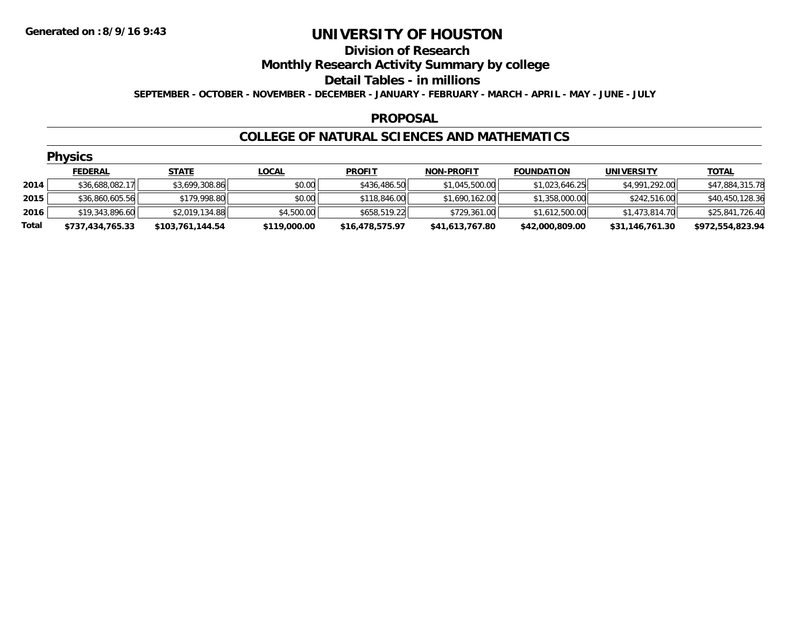#### **Division of Research**

**Monthly Research Activity Summary by college**

**Detail Tables - in millions**

**SEPTEMBER - OCTOBER - NOVEMBER - DECEMBER - JANUARY - FEBRUARY - MARCH - APRIL - MAY - JUNE - JULY**

#### **PROPOSAL**

#### **COLLEGE OF NATURAL SCIENCES AND MATHEMATICS**

|       | <b>Physics</b>   |                  |              |                 |                   |                   |                   |                  |  |  |  |  |  |
|-------|------------------|------------------|--------------|-----------------|-------------------|-------------------|-------------------|------------------|--|--|--|--|--|
|       | <b>FEDERAL</b>   | <b>STATE</b>     | <b>LOCAL</b> | <b>PROFIT</b>   | <b>NON-PROFIT</b> | <b>FOUNDATION</b> | <b>UNIVERSITY</b> | <b>TOTAL</b>     |  |  |  |  |  |
| 2014  | \$36,688,082.17  | \$3,699,308.86   | \$0.00       | \$436,486.50    | \$1,045,500.00    | \$1,023,646.25    | \$4,991,292.00    | \$47,884,315.78  |  |  |  |  |  |
| 2015  | \$36,860,605.56  | \$179,998.80     | \$0.00       | \$118,846.00    | \$1,690,162.00    | \$1,358,000.00    | \$242,516.00      | \$40,450,128.36  |  |  |  |  |  |
| 2016  | \$19,343,896.60  | \$2,019,134.88   | \$4,500.00   | \$658,519.22    | \$729,361.00      | \$1,612,500.00    | \$1,473,814.70    | \$25,841,726.40  |  |  |  |  |  |
| Total | \$737,434,765.33 | \$103,761,144.54 | \$119,000.00 | \$16,478,575.97 | \$41,613,767.80   | \$42,000,809.00   | \$31,146,761.30   | \$972,554,823.94 |  |  |  |  |  |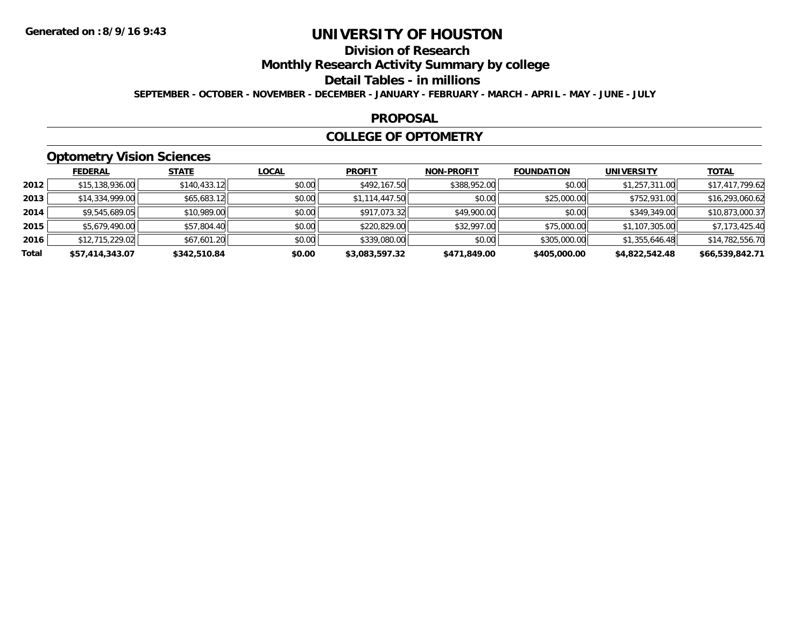## **Division of Research**

**Monthly Research Activity Summary by college**

**Detail Tables - in millions**

**SEPTEMBER - OCTOBER - NOVEMBER - DECEMBER - JANUARY - FEBRUARY - MARCH - APRIL - MAY - JUNE - JULY**

#### **PROPOSAL**

### **COLLEGE OF OPTOMETRY**

### **Optometry Vision Sciences**

|       | <b>FEDERAL</b>  | <b>STATE</b> | <b>LOCAL</b> | <b>PROFIT</b>  | <b>NON-PROFIT</b> | <b>FOUNDATION</b> | <b>UNIVERSITY</b> | <u>TOTAL</u>    |
|-------|-----------------|--------------|--------------|----------------|-------------------|-------------------|-------------------|-----------------|
| 2012  | \$15,138,936.00 | \$140,433.12 | \$0.00       | \$492,167.50   | \$388,952.00      | \$0.00            | \$1,257,311.00    | \$17,417,799.62 |
| 2013  | \$14.334.999.00 | \$65,683.12  | \$0.00       | \$1,114,447.50 | \$0.00            | \$25,000.00       | \$752,931.00      | \$16,293,060.62 |
| 2014  | \$9,545,689.05  | \$10,989.00  | \$0.00       | \$917,073.32   | \$49,900.00       | \$0.00            | \$349,349.00      | \$10,873,000.37 |
| 2015  | \$5,679,490.00  | \$57,804.40  | \$0.00       | \$220,829.00   | \$32,997.00       | \$75,000.00       | \$1,107,305.00    | \$7,173,425.40  |
| 2016  | \$12,715,229.02 | \$67,601.20  | \$0.00       | \$339,080.00   | \$0.00            | \$305,000.00      | \$1,355,646.48    | \$14,782,556.70 |
| Total | \$57,414,343.07 | \$342,510.84 | \$0.00       | \$3,083,597.32 | \$471,849.00      | \$405,000.00      | \$4,822,542.48    | \$66,539,842.71 |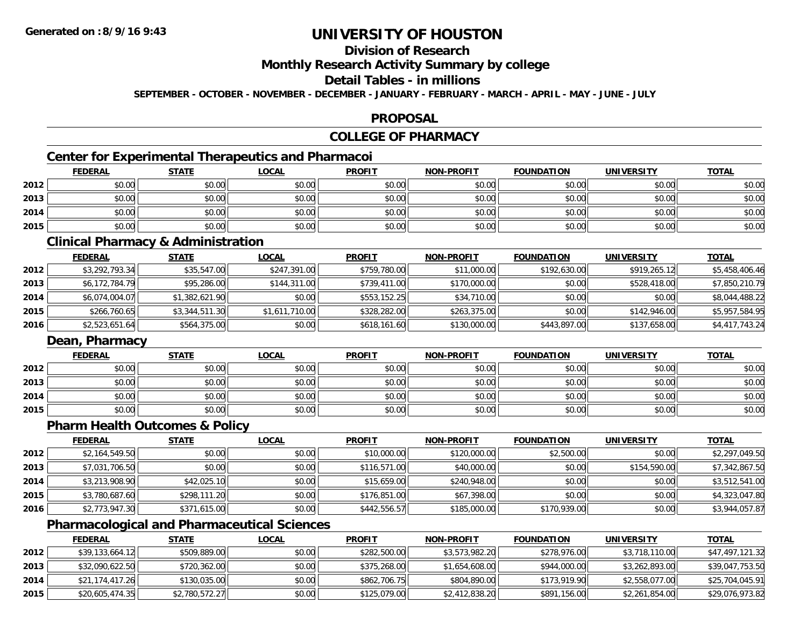## **Division of Research**

**Monthly Research Activity Summary by college**

### **Detail Tables - in millions**

**SEPTEMBER - OCTOBER - NOVEMBER - DECEMBER - JANUARY - FEBRUARY - MARCH - APRIL - MAY - JUNE - JULY**

### **PROPOSAL**

### **COLLEGE OF PHARMACY**

### **Center for Experimental Therapeutics and Pharmacoi**

|      | Center for Experimental Therapeutics and Pharmacol |              |              |               |                   |                   |                   |              |  |
|------|----------------------------------------------------|--------------|--------------|---------------|-------------------|-------------------|-------------------|--------------|--|
|      | <b>FEDERAL</b>                                     | <b>STATE</b> | <u>LOCAL</u> | <b>PROFIT</b> | <b>NON-PROFIT</b> | <b>FOUNDATION</b> | <b>UNIVERSITY</b> | <b>TOTAL</b> |  |
| 2012 | \$0.00                                             | \$0.00       | \$0.00       | \$0.00        | \$0.00            | \$0.00            | \$0.00            | \$0.00       |  |
| 2013 | \$0.00                                             | \$0.00       | \$0.00       | \$0.00        | \$0.00            | \$0.00            | \$0.00            | \$0.00       |  |
| 2014 | \$0.00                                             | \$0.00       | \$0.00       | \$0.00        | \$0.00            | \$0.00            | \$0.00            | \$0.00       |  |
| 2015 | \$0.00                                             | \$0.00       | \$0.00       | \$0.00        | \$0.00            | \$0.00            | \$0.00            | \$0.00       |  |

### **Clinical Pharmacy & Administration**

|      | <b>FEDERAL</b> | <b>STATE</b>   | <u>LOCAL</u>   | <b>PROFIT</b> | <b>NON-PROFIT</b> | <b>FOUNDATION</b> | <b>UNIVERSITY</b> | <b>TOTAL</b>   |
|------|----------------|----------------|----------------|---------------|-------------------|-------------------|-------------------|----------------|
| 2012 | \$3,292,793.34 | \$35,547.00    | \$247,391.00   | \$759,780.00  | \$11,000.00       | \$192,630.00      | \$919,265.12      | \$5,458,406.46 |
| 2013 | \$6,172,784.79 | \$95,286.00    | \$144,311,00   | \$739,411.00  | \$170,000.00      | \$0.00            | \$528,418.00      | \$7,850,210.79 |
| 2014 | \$6,074,004.07 | \$1,382,621.90 | \$0.00         | \$553,152.25  | \$34,710.00       | \$0.00            | \$0.00            | \$8,044,488.22 |
| 2015 | \$266,760.65   | \$3,344,511.30 | \$1,611,710.00 | \$328,282,00  | \$263,375.00      | \$0.00            | \$142,946,00      | \$5,957,584.95 |
| 2016 | \$2,523,651.64 | \$564,375.00   | \$0.00         | \$618,161.60  | \$130,000.00      | \$443,897.00      | \$137,658.00      | \$4,417,743.24 |

### **Dean, Pharmacy**

|      | <b>FEDERAL</b> | <b>STATE</b> | <u>LOCAL</u> | <b>PROFIT</b> | <b>NON-PROFIT</b> | <b>FOUNDATION</b> | <b>UNIVERSITY</b> | <b>TOTAL</b> |
|------|----------------|--------------|--------------|---------------|-------------------|-------------------|-------------------|--------------|
| 2012 | \$0.00         | \$0.00       | \$0.00       | \$0.00        | \$0.00            | \$0.00            | \$0.00            | \$0.00       |
| 2013 | \$0.00         | \$0.00       | \$0.00       | \$0.00        | \$0.00            | \$0.00            | \$0.00            | \$0.00       |
| 2014 | \$0.00         | \$0.00       | \$0.00       | \$0.00        | \$0.00            | \$0.00            | \$0.00            | \$0.00       |
| 2015 | \$0.00         | \$0.00       | \$0.00       | \$0.00        | \$0.00            | \$0.00            | \$0.00            | \$0.00       |

#### **Pharm Health Outcomes & Policy**

|      | <b>FEDERAL</b> | <b>STATE</b> | <u>LOCAL</u> | <b>PROFIT</b> | <b>NON-PROFIT</b> | <b>FOUNDATION</b> | <b>UNIVERSITY</b> | <b>TOTAL</b>   |
|------|----------------|--------------|--------------|---------------|-------------------|-------------------|-------------------|----------------|
| 2012 | \$2,164,549.50 | \$0.00       | \$0.00       | \$10,000.00   | \$120,000.00      | \$2,500.00        | \$0.00            | \$2,297,049.50 |
| 2013 | \$7,031,706.50 | \$0.00       | \$0.00       | \$116,571.00  | \$40,000.00       | \$0.00            | \$154,590.00      | \$7,342,867.50 |
| 2014 | \$3,213,908.90 | \$42,025.10  | \$0.00       | \$15,659.00   | \$240,948,00      | \$0.00            | \$0.00            | \$3,512,541.00 |
| 2015 | \$3,780,687.60 | \$298,111.20 | \$0.00       | \$176,851.00  | \$67,398.00       | \$0.00            | \$0.00            | \$4,323,047.80 |
| 2016 | \$2,773,947.30 | \$371,615.00 | \$0.00       | \$442,556.57  | \$185,000.00      | \$170,939.00      | \$0.00            | \$3,944,057.87 |

### **Pharmacological and Pharmaceutical Sciences**

|      | <b>FEDERAL</b>  | <u>STATE</u>   | <u>LOCAL</u> | <b>PROFIT</b> | <b>NON-PROFIT</b> | <b>FOUNDATION</b> | UNIVERSITY     | <b>TOTAL</b>    |
|------|-----------------|----------------|--------------|---------------|-------------------|-------------------|----------------|-----------------|
| 2012 | \$39,133,664.12 | \$509,889.00   | \$0.00       | \$282,500.00  | \$3,573,982.20    | \$278,976.00      | \$3,718,110.00 | \$47,497,121.32 |
| 2013 | \$32,090,622.50 | \$720,362.00   | \$0.00       | \$375,268,00  | \$1,654,608.00    | \$944,000.00      | \$3,262,893.00 | \$39,047,753.50 |
| 2014 | \$21,174,417.26 | \$130,035.00   | \$0.00       | \$862,706.75  | \$804,890.00      | \$173,919.90      | \$2,558,077.00 | \$25,704,045.91 |
| 2015 | \$20,605,474.35 | \$2,780,572.27 | \$0.00       | \$125,079.00  | \$2,412,838.20    | \$891,156.00      | \$2,261,854.00 | \$29,076,973.82 |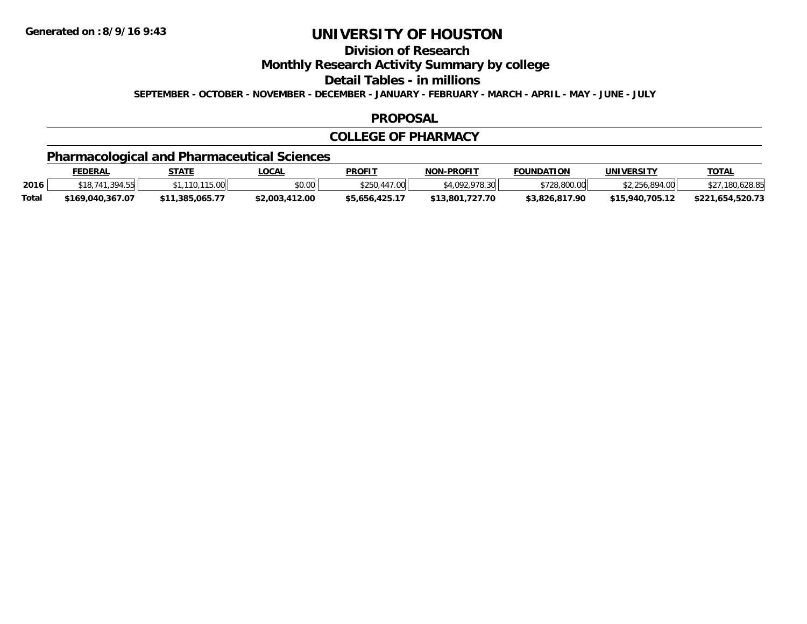**Division of Research**

**Monthly Research Activity Summary by college**

**Detail Tables - in millions**

**SEPTEMBER - OCTOBER - NOVEMBER - DECEMBER - JANUARY - FEBRUARY - MARCH - APRIL - MAY - JUNE - JULY**

#### **PROPOSAL**

#### **COLLEGE OF PHARMACY**

## **Pharmacological and Pharmaceutical Sciences**

|       | <b>FEDERAL</b>     | <b>STATE</b>    | _OCAL          | <b>PROFIT</b>  | <b>NON-PROFIT</b> | <b>FOUNDATION</b> | UNIVERSITY      | <b>TOTAL</b>     |
|-------|--------------------|-----------------|----------------|----------------|-------------------|-------------------|-----------------|------------------|
| 2016  | 394.55<br>\$18,741 | 110.115.00      | en uu<br>vv.vv | \$250,447.00   | \$4,092,978,30    | \$728,800.00      | \$2,256,894.00  | \$27,180,628.85  |
| Total | \$169.040.367.07   | \$11,385,065,77 | \$2,003,412.00 | \$5,656,425.17 | \$13,801,727.70   | \$3,826,817.90    | \$15.940.705.12 | \$221,654,520.73 |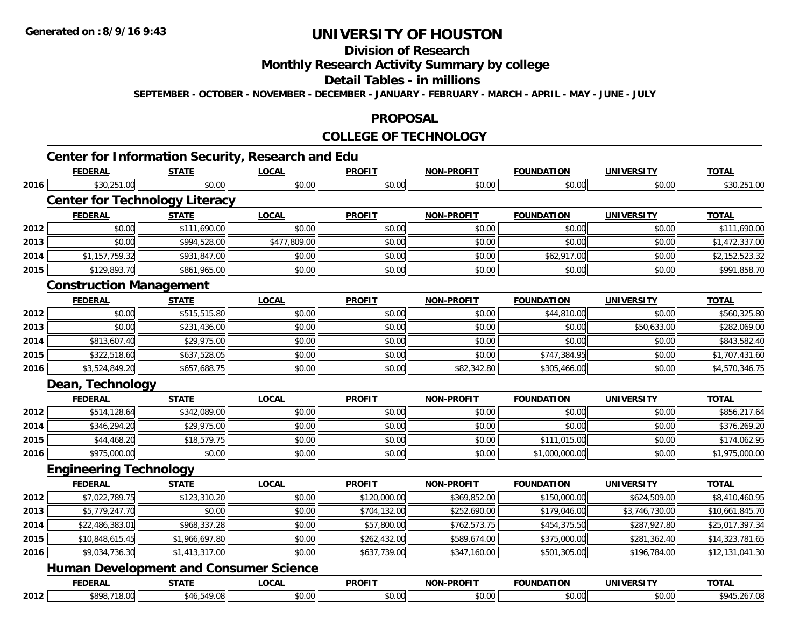# **Division of Research**

**Monthly Research Activity Summary by college**

**Detail Tables - in millions**

**SEPTEMBER - OCTOBER - NOVEMBER - DECEMBER - JANUARY - FEBRUARY - MARCH - APRIL - MAY - JUNE - JULY**

#### **PROPOSAL**

# **COLLEGE OF TECHNOLOGY**

# **Center for Information Security, Research and Edu**

|      | <b>FEDERAL</b>                                | <b>STATE</b>   | <b>LOCAL</b> | <b>PROFIT</b> | <b>NON-PROFIT</b> | <b>FOUNDATION</b> | <b>UNIVERSITY</b> | <b>TOTAL</b>    |
|------|-----------------------------------------------|----------------|--------------|---------------|-------------------|-------------------|-------------------|-----------------|
| 2016 | \$30,251.00                                   | \$0.00         | \$0.00       | \$0.00        | \$0.00            | \$0.00            | \$0.00            | \$30,251.00     |
|      | <b>Center for Technology Literacy</b>         |                |              |               |                   |                   |                   |                 |
|      | <b>FEDERAL</b>                                | <b>STATE</b>   | <b>LOCAL</b> | <b>PROFIT</b> | <b>NON-PROFIT</b> | <b>FOUNDATION</b> | <b>UNIVERSITY</b> | <b>TOTAL</b>    |
| 2012 | \$0.00                                        | \$111,690.00   | \$0.00       | \$0.00        | \$0.00            | \$0.00            | \$0.00            | \$111,690.00    |
| 2013 | \$0.00                                        | \$994,528.00   | \$477,809.00 | \$0.00        | \$0.00            | \$0.00            | \$0.00            | \$1,472,337.00  |
| 2014 | \$1,157,759.32                                | \$931,847.00   | \$0.00       | \$0.00        | \$0.00            | \$62,917.00       | \$0.00            | \$2,152,523.32  |
| 2015 | \$129,893.70                                  | \$861,965.00   | \$0.00       | \$0.00        | \$0.00            | \$0.00            | \$0.00            | \$991,858.70    |
|      | <b>Construction Management</b>                |                |              |               |                   |                   |                   |                 |
|      | <b>FEDERAL</b>                                | <b>STATE</b>   | <b>LOCAL</b> | <b>PROFIT</b> | <b>NON-PROFIT</b> | <b>FOUNDATION</b> | <b>UNIVERSITY</b> | <b>TOTAL</b>    |
| 2012 | \$0.00                                        | \$515,515.80   | \$0.00       | \$0.00        | \$0.00            | \$44,810.00       | \$0.00            | \$560,325.80    |
| 2013 | \$0.00                                        | \$231,436.00   | \$0.00       | \$0.00        | \$0.00            | \$0.00            | \$50,633.00       | \$282,069.00    |
| 2014 | \$813,607.40                                  | \$29,975.00    | \$0.00       | \$0.00        | \$0.00            | \$0.00            | \$0.00            | \$843,582.40    |
| 2015 | \$322,518.60                                  | \$637,528.05   | \$0.00       | \$0.00        | \$0.00            | \$747,384.95      | \$0.00            | \$1,707,431.60  |
| 2016 | \$3,524,849.20                                | \$657,688.75   | \$0.00       | \$0.00        | \$82,342.80       | \$305,466.00      | \$0.00            | \$4,570,346.75  |
|      | Dean, Technology                              |                |              |               |                   |                   |                   |                 |
|      | <b>FEDERAL</b>                                | <b>STATE</b>   | <b>LOCAL</b> | <b>PROFIT</b> | NON-PROFIT        | <b>FOUNDATION</b> | <b>UNIVERSITY</b> | <b>TOTAL</b>    |
| 2012 | \$514,128.64                                  | \$342,089.00   | \$0.00       | \$0.00        | \$0.00            | \$0.00            | \$0.00            | \$856,217.64    |
| 2014 | \$346,294.20                                  | \$29,975.00    | \$0.00       | \$0.00        | \$0.00            | \$0.00            | \$0.00            | \$376,269.20    |
| 2015 | \$44,468.20                                   | \$18,579.75    | \$0.00       | \$0.00        | \$0.00            | \$111,015.00      | \$0.00            | \$174,062.95    |
| 2016 | \$975,000.00                                  | \$0.00         | \$0.00       | \$0.00        | \$0.00            | \$1,000,000.00    | \$0.00            | \$1,975,000.00  |
|      | <b>Engineering Technology</b>                 |                |              |               |                   |                   |                   |                 |
|      | <b>FEDERAL</b>                                | <b>STATE</b>   | <b>LOCAL</b> | <b>PROFIT</b> | <b>NON-PROFIT</b> | <b>FOUNDATION</b> | <b>UNIVERSITY</b> | <b>TOTAL</b>    |
| 2012 | \$7,022,789.75                                | \$123,310.20   | \$0.00       | \$120,000.00  | \$369,852.00      | \$150,000.00      | \$624,509.00      | \$8,410,460.95  |
| 2013 | \$5,779,247.70                                | \$0.00         | \$0.00       | \$704,132.00  | \$252,690.00      | \$179,046.00      | \$3,746,730.00    | \$10,661,845.70 |
| 2014 | \$22,486,383.01                               | \$968,337.28   | \$0.00       | \$57,800.00   | \$762,573.75      | \$454,375.50      | \$287,927.80      | \$25,017,397.34 |
| 2015 | \$10,848,615.45                               | \$1,966,697.80 | \$0.00       | \$262,432.00  | \$589,674.00      | \$375,000.00      | \$281,362.40      | \$14,323,781.65 |
| 2016 | \$9,034,736.30                                | \$1,413,317.00 | \$0.00       | \$637,739.00  | \$347,160.00      | \$501,305.00      | \$196,784.00      | \$12,131,041.30 |
|      | <b>Human Development and Consumer Science</b> |                |              |               |                   |                   |                   |                 |
|      | <b>FEDERAL</b>                                | <b>STATE</b>   | <b>LOCAL</b> | <b>PROFIT</b> | <b>NON-PROFIT</b> | <b>FOUNDATION</b> | <b>UNIVERSITY</b> | <b>TOTAL</b>    |
| 2012 | \$898,718.00                                  | \$46,549.08    | \$0.00       | \$0.00        | \$0.00            | \$0.00            | \$0.00            | \$945,267.08    |

**2012**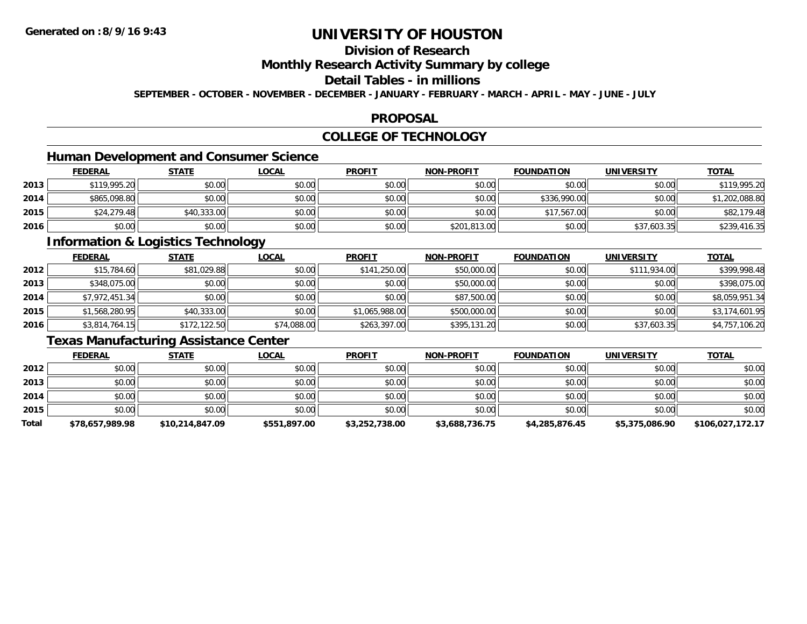## **Division of Research**

### **Monthly Research Activity Summary by college**

### **Detail Tables - in millions**

**SEPTEMBER - OCTOBER - NOVEMBER - DECEMBER - JANUARY - FEBRUARY - MARCH - APRIL - MAY - JUNE - JULY**

#### **PROPOSAL**

### **COLLEGE OF TECHNOLOGY**

# **Human Development and Consumer Science**

|      | <b>FEDERAL</b> | <u>STATE</u> | <u>LOCAL</u> | <b>PROFIT</b> | <b>NON-PROFIT</b> | <b>FOUNDATION</b> | <b>UNIVERSITY</b> | <b>TOTAL</b>   |
|------|----------------|--------------|--------------|---------------|-------------------|-------------------|-------------------|----------------|
| 2013 | \$119,995.20   | \$0.00       | \$0.00       | \$0.00        | \$0.00            | \$0.00            | \$0.00            | \$119,995.20   |
| 2014 | \$865,098.80   | \$0.00       | \$0.00       | \$0.00        | \$0.00            | \$336,990.00      | \$0.00            | \$1,202,088.80 |
| 2015 | \$24,279.48    | \$40,333.00  | \$0.00       | \$0.00        | \$0.00            | \$17,567.00       | \$0.00            | \$82,179.48    |
| 2016 | \$0.00         | \$0.00       | \$0.00       | \$0.00        | \$201,813.00      | \$0.00            | \$37,603.35       | \$239,416.35   |

### **Information & Logistics Technology**

|      | <b>FEDERAL</b> | <u>STATE</u> | <b>LOCAL</b> | <b>PROFIT</b>  | <b>NON-PROFIT</b> | <b>FOUNDATION</b> | <b>UNIVERSITY</b> | <b>TOTAL</b>   |
|------|----------------|--------------|--------------|----------------|-------------------|-------------------|-------------------|----------------|
| 2012 | \$15,784.60    | \$81,029.88  | \$0.00       | \$141,250.00   | \$50,000.00       | \$0.00            | \$111,934.00      | \$399,998.48   |
| 2013 | \$348,075.00   | \$0.00       | \$0.00       | \$0.00         | \$50,000.00       | \$0.00            | \$0.00            | \$398,075.00   |
| 2014 | \$7,972,451.34 | \$0.00       | \$0.00       | \$0.00         | \$87,500.00       | \$0.00            | \$0.00            | \$8,059,951.34 |
| 2015 | \$1,568,280.95 | \$40,333.00  | \$0.00       | \$1,065,988.00 | \$500,000.00      | \$0.00            | \$0.00            | \$3,174,601.95 |
| 2016 | \$3,814,764.15 | \$172,122.50 | \$74,088.00  | \$263,397.00   | \$395,131.20      | \$0.00            | \$37,603.35       | \$4,757,106.20 |

### **Texas Manufacturing Assistance Center**

|       | <b>FEDERAL</b>  | <b>STATE</b>    | <b>LOCAL</b> | <b>PROFIT</b>  | <b>NON-PROFIT</b> | <b>FOUNDATION</b> | <b>UNIVERSITY</b> | <b>TOTAL</b>     |
|-------|-----------------|-----------------|--------------|----------------|-------------------|-------------------|-------------------|------------------|
| 2012  | \$0.00          | \$0.00          | \$0.00       | \$0.00         | \$0.00            | \$0.00            | \$0.00            | \$0.00           |
| 2013  | \$0.00          | \$0.00          | \$0.00       | \$0.00         | \$0.00            | \$0.00            | \$0.00            | \$0.00           |
| 2014  | \$0.00          | \$0.00          | \$0.00       | \$0.00         | \$0.00            | \$0.00            | \$0.00            | \$0.00           |
| 2015  | \$0.00          | \$0.00          | \$0.00       | \$0.00         | \$0.00            | \$0.00            | \$0.00            | \$0.00           |
| Total | \$78,657,989.98 | \$10,214,847.09 | \$551,897.00 | \$3,252,738.00 | \$3,688,736.75    | \$4,285,876.45    | \$5,375,086.90    | \$106,027,172.17 |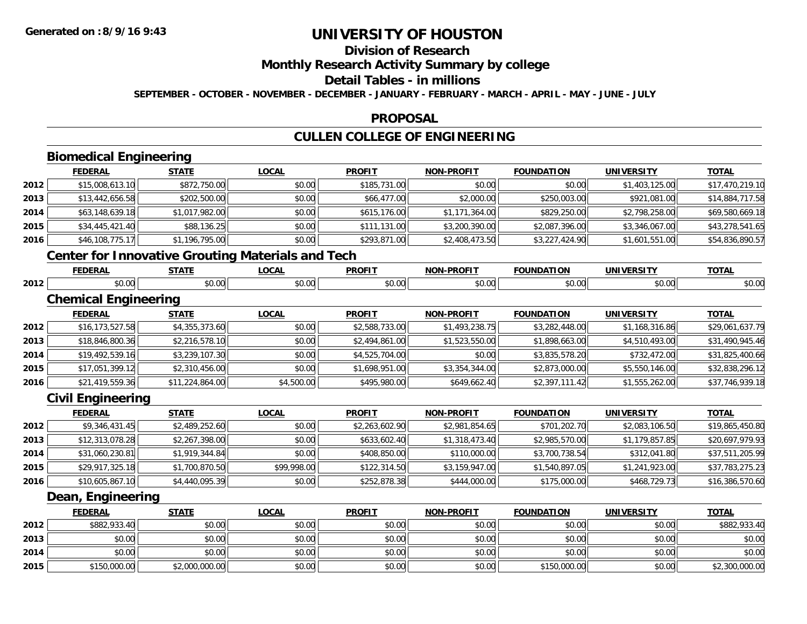**2015**

# **UNIVERSITY OF HOUSTON**

# **Division of Research**

# **Monthly Research Activity Summary by college**

#### **Detail Tables - in millions**

**SEPTEMBER - OCTOBER - NOVEMBER - DECEMBER - JANUARY - FEBRUARY - MARCH - APRIL - MAY - JUNE - JULY**

#### **PROPOSAL**

## **CULLEN COLLEGE OF ENGINEERING**

|      | <b>Biomedical Engineering</b> |                                                          |              |                |                   |                   |                   |                 |
|------|-------------------------------|----------------------------------------------------------|--------------|----------------|-------------------|-------------------|-------------------|-----------------|
|      | <b>FEDERAL</b>                | <b>STATE</b>                                             | <b>LOCAL</b> | <b>PROFIT</b>  | <b>NON-PROFIT</b> | <b>FOUNDATION</b> | <b>UNIVERSITY</b> | <b>TOTAL</b>    |
| 2012 | \$15,008,613.10               | \$872,750.00                                             | \$0.00       | \$185,731.00   | \$0.00            | \$0.00            | \$1,403,125.00    | \$17,470,219.10 |
| 2013 | \$13,442,656.58               | \$202,500.00                                             | \$0.00       | \$66,477.00    | \$2,000.00        | \$250,003.00      | \$921,081.00      | \$14,884,717.58 |
| 2014 | \$63,148,639.18               | \$1,017,982.00                                           | \$0.00       | \$615,176.00   | \$1,171,364.00    | \$829,250.00      | \$2,798,258.00    | \$69,580,669.18 |
| 2015 | \$34,445,421.40               | \$88,136.25                                              | \$0.00       | \$111,131.00   | \$3,200,390.00    | \$2,087,396.00    | \$3,346,067.00    | \$43,278,541.65 |
| 2016 | \$46,108,775.17               | \$1,196,795.00                                           | \$0.00       | \$293,871.00   | \$2,408,473.50    | \$3,227,424.90    | \$1,601,551.00    | \$54,836,890.57 |
|      |                               | <b>Center for Innovative Grouting Materials and Tech</b> |              |                |                   |                   |                   |                 |
|      | <b>FEDERAL</b>                | <b>STATE</b>                                             | <b>LOCAL</b> | <b>PROFIT</b>  | <b>NON-PROFIT</b> | <b>FOUNDATION</b> | <b>UNIVERSITY</b> | <b>TOTAL</b>    |
| 2012 | \$0.00                        | \$0.00                                                   | \$0.00       | \$0.00         | \$0.00            | \$0.00            | \$0.00            | \$0.00          |
|      | <b>Chemical Engineering</b>   |                                                          |              |                |                   |                   |                   |                 |
|      | <b>FEDERAL</b>                | <b>STATE</b>                                             | <b>LOCAL</b> | <b>PROFIT</b>  | <b>NON-PROFIT</b> | <b>FOUNDATION</b> | <b>UNIVERSITY</b> | <b>TOTAL</b>    |
| 2012 | \$16,173,527.58               | \$4,355,373.60                                           | \$0.00       | \$2,588,733.00 | \$1,493,238.75    | \$3,282,448.00    | \$1,168,316.86    | \$29,061,637.79 |
| 2013 | \$18,846,800.36               | \$2,216,578.10                                           | \$0.00       | \$2,494,861.00 | \$1,523,550.00    | \$1,898,663.00    | \$4,510,493.00    | \$31,490,945.46 |
| 2014 | \$19,492,539.16               | \$3,239,107.30                                           | \$0.00       | \$4,525,704.00 | \$0.00            | \$3,835,578.20    | \$732,472.00      | \$31,825,400.66 |
| 2015 | \$17,051,399.12               | \$2,310,456.00                                           | \$0.00       | \$1,698,951.00 | \$3,354,344.00    | \$2,873,000.00    | \$5,550,146.00    | \$32,838,296.12 |
| 2016 | \$21,419,559.36               | \$11,224,864.00                                          | \$4,500.00   | \$495,980.00   | \$649,662.40      | \$2,397,111.42    | \$1,555,262.00    | \$37,746,939.18 |
|      | <b>Civil Engineering</b>      |                                                          |              |                |                   |                   |                   |                 |
|      | <b>FEDERAL</b>                | <b>STATE</b>                                             | <b>LOCAL</b> | <b>PROFIT</b>  | <b>NON-PROFIT</b> | <b>FOUNDATION</b> | <b>UNIVERSITY</b> | <b>TOTAL</b>    |
| 2012 | \$9,346,431.45                | \$2,489,252.60                                           | \$0.00       | \$2,263,602.90 | \$2,981,854.65    | \$701,202.70      | \$2,083,106.50    | \$19,865,450.80 |
| 2013 | \$12,313,078.28               | \$2,267,398.00                                           | \$0.00       | \$633,602.40   | \$1,318,473.40    | \$2,985,570.00    | \$1,179,857.85    | \$20,697,979.93 |
| 2014 | \$31,060,230.81               | \$1,919,344.84                                           | \$0.00       | \$408,850.00   | \$110,000.00      | \$3,700,738.54    | \$312,041.80      | \$37,511,205.99 |
| 2015 | \$29,917,325.18               | \$1,700,870.50                                           | \$99,998.00  | \$122,314.50   | \$3,159,947.00    | \$1,540,897.05    | \$1,241,923.00    | \$37,783,275.23 |
| 2016 | \$10,605,867.10               | \$4,440,095.39                                           | \$0.00       | \$252,878.38   | \$444,000.00      | \$175,000.00      | \$468,729.73      | \$16,386,570.60 |
|      | Dean, Engineering             |                                                          |              |                |                   |                   |                   |                 |
|      | <b>FEDERAL</b>                | <b>STATE</b>                                             | <b>LOCAL</b> | <b>PROFIT</b>  | NON-PROFIT        | <b>FOUNDATION</b> | <b>UNIVERSITY</b> | <b>TOTAL</b>    |
| 2012 | \$882,933.40                  | \$0.00                                                   | \$0.00       | \$0.00         | \$0.00            | \$0.00            | \$0.00            | \$882,933.40    |
| 2013 | \$0.00                        | \$0.00                                                   | \$0.00       | \$0.00         | \$0.00            | \$0.00            | \$0.00            | \$0.00          |
| 2014 | \$0.00                        | \$0.00                                                   | \$0.00       | \$0.00         | \$0.00            | \$0.00            | \$0.00            | \$0.00          |

\$150,000.00 \$2,000,000.00 \$0.00 \$0.00 \$0.00 \$150,000.00 \$0.00 \$2,300,000.00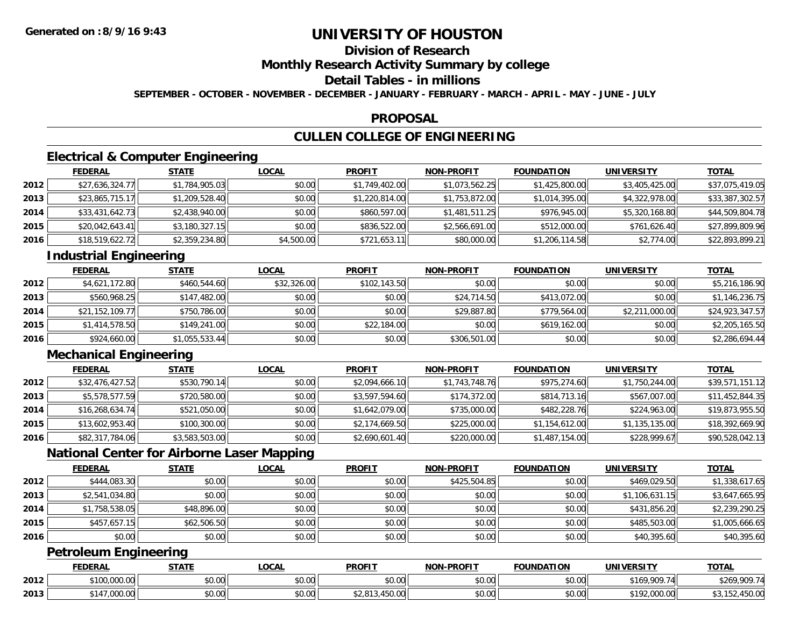## **Division of Research**

### **Monthly Research Activity Summary by college**

### **Detail Tables - in millions**

**SEPTEMBER - OCTOBER - NOVEMBER - DECEMBER - JANUARY - FEBRUARY - MARCH - APRIL - MAY - JUNE - JULY**

#### **PROPOSAL**

## **CULLEN COLLEGE OF ENGINEERING**

### **Electrical & Computer Engineering**

|      | <b>FEDERAL</b>  | <b>STATE</b>   | <u>LOCAL</u> | <b>PROFIT</b>  | <b>NON-PROFIT</b> | <b>FOUNDATION</b> | <b>UNIVERSITY</b> | <b>TOTAL</b>    |
|------|-----------------|----------------|--------------|----------------|-------------------|-------------------|-------------------|-----------------|
| 2012 | \$27,636,324.77 | \$1,784,905.03 | \$0.00       | \$1,749,402.00 | \$1,073,562.25    | \$1,425,800.00    | \$3,405,425.00    | \$37,075,419.05 |
| 2013 | \$23,865,715.17 | \$1,209,528.40 | \$0.00       | \$1,220,814.00 | \$1,753,872.00    | \$1,014,395.00    | \$4,322,978.00    | \$33,387,302.57 |
| 2014 | \$33,431,642.73 | \$2,438,940.00 | \$0.00       | \$860,597.00   | \$1,481,511.25    | \$976,945.00      | \$5,320,168.80    | \$44,509,804.78 |
| 2015 | \$20,042,643.41 | \$3,180,327.15 | \$0.00       | \$836,522.00   | \$2,566,691.00    | \$512,000.00      | \$761,626.40      | \$27,899,809.96 |
| 2016 | \$18,519,622.72 | \$2,359,234.80 | \$4,500.00   | \$721,653.11   | \$80,000.00       | \$1,206,114.58    | \$2,774.00        | \$22,893,899.21 |

### **Industrial Engineering**

|      | <b>FEDERAL</b>  | <u>STATE</u>   | <u>LOCAL</u> | <b>PROFIT</b> | <b>NON-PROFIT</b> | <b>FOUNDATION</b> | <b>UNIVERSITY</b> | <b>TOTAL</b>    |
|------|-----------------|----------------|--------------|---------------|-------------------|-------------------|-------------------|-----------------|
| 2012 | \$4,621,172.80  | \$460,544.60   | \$32,326.00  | \$102,143.50  | \$0.00            | \$0.00            | \$0.00            | \$5,216,186.90  |
| 2013 | \$560,968.25    | \$147,482.00   | \$0.00       | \$0.00        | \$24,714.50       | \$413,072,00      | \$0.00            | \$1,146,236.75  |
| 2014 | \$21,152,109.77 | \$750,786.00   | \$0.00       | \$0.00        | \$29,887.80       | \$779,564,00      | \$2,211,000.00    | \$24,923,347.57 |
| 2015 | \$1,414,578.50  | \$149,241.00   | \$0.00       | \$22,184.00   | \$0.00            | \$619,162.00      | \$0.00            | \$2,205,165.50  |
| 2016 | \$924,660.00    | \$1,055,533.44 | \$0.00       | \$0.00        | \$306,501.00      | \$0.00            | \$0.00            | \$2,286,694.44  |

### **Mechanical Engineering**

|      | <b>FEDERAL</b>  | <b>STATE</b>   | <b>LOCAL</b> | <b>PROFIT</b>  | <b>NON-PROFIT</b> | <b>FOUNDATION</b> | <b>UNIVERSITY</b> | <b>TOTAL</b>    |
|------|-----------------|----------------|--------------|----------------|-------------------|-------------------|-------------------|-----------------|
| 2012 | \$32,476,427.52 | \$530,790.14   | \$0.00       | \$2,094,666.10 | \$1,743,748.76    | \$975,274.60      | \$1,750,244.00    | \$39,571,151.12 |
| 2013 | \$5,578,577.59  | \$720,580.00   | \$0.00       | \$3,597,594.60 | \$174,372.00      | \$814,713.16      | \$567,007.00      | \$11,452,844.35 |
| 2014 | \$16,268,634.74 | \$521,050.00   | \$0.00       | \$1,642,079.00 | \$735,000.00      | \$482,228.76      | \$224,963.00      | \$19,873,955.50 |
| 2015 | \$13,602,953.40 | \$100,300.00   | \$0.00       | \$2,174,669.50 | \$225,000.00      | \$1,154,612.00    | \$1,135,135.00    | \$18,392,669.90 |
| 2016 | \$82,317,784.06 | \$3,583,503.00 | \$0.00       | \$2,690,601.40 | \$220,000.00      | \$1,487,154.00    | \$228,999.67      | \$90,528,042.13 |

### **National Center for Airborne Laser Mapping**

|      | <b>FEDERAL</b> | <b>STATE</b> | <u>LOCAL</u> | <b>PROFIT</b> | <b>NON-PROFIT</b> | <b>FOUNDATION</b> | <b>UNIVERSITY</b> | <b>TOTAL</b>   |
|------|----------------|--------------|--------------|---------------|-------------------|-------------------|-------------------|----------------|
| 2012 | \$444,083.30   | \$0.00       | \$0.00       | \$0.00        | \$425,504.85      | \$0.00            | \$469,029.50      | \$1,338,617.65 |
| 2013 | \$2,541,034.80 | \$0.00       | \$0.00       | \$0.00        | \$0.00            | \$0.00            | \$1,106,631.15    | \$3,647,665.95 |
| 2014 | \$1,758,538.05 | \$48,896.00  | \$0.00       | \$0.00        | \$0.00            | \$0.00            | \$431,856.20      | \$2,239,290.25 |
| 2015 | \$457,657.15   | \$62,506.50  | \$0.00       | \$0.00        | \$0.00            | \$0.00            | \$485,503.00      | \$1,005,666.65 |
| 2016 | \$0.00         | \$0.00       | \$0.00       | \$0.00        | \$0.00            | \$0.00            | \$40,395.60       | \$40,395.60    |

### **Petroleum Engineering**

|      | <b>FEDERAL</b>                      | <b>STATE</b> | <b>_OCAL</b>                     | <b>PROFIT</b>              | -PROFIT<br><b>MONE</b> | <b>FOUNDATION</b> | UNIVERSITY                               | <b>TOTAL</b>               |
|------|-------------------------------------|--------------|----------------------------------|----------------------------|------------------------|-------------------|------------------------------------------|----------------------------|
| 2012 | 0.10000<br>$\sim$<br>D I UU,UUU.UUI | \$0.00       | <b>ሰጣ</b><br>$\sim$<br>₽∪.∪∪     | \$0.00                     | ტი იი<br>JU.UU         | ልስ ለሰ<br>JU.UU    | 000.74<br>\$169<br>717                   | $\cdots$<br>,909.7<br>לס∠  |
| 2013 | 0.1170000<br>14 ב<br>,uuu.uu        | \$0.00       | $\sim$<br>$\sim$ $\sim$<br>טט.טע | $1 - 0$<br>$\sim$<br>1.100 | ሶስ ስስ<br>JU.UU         | ልስ ሰሰ<br>JU.UU    | \$102,000,00<br>- , JUU.UU<br>$\epsilon$ | $1 - 0.00$<br>. 152.450.00 |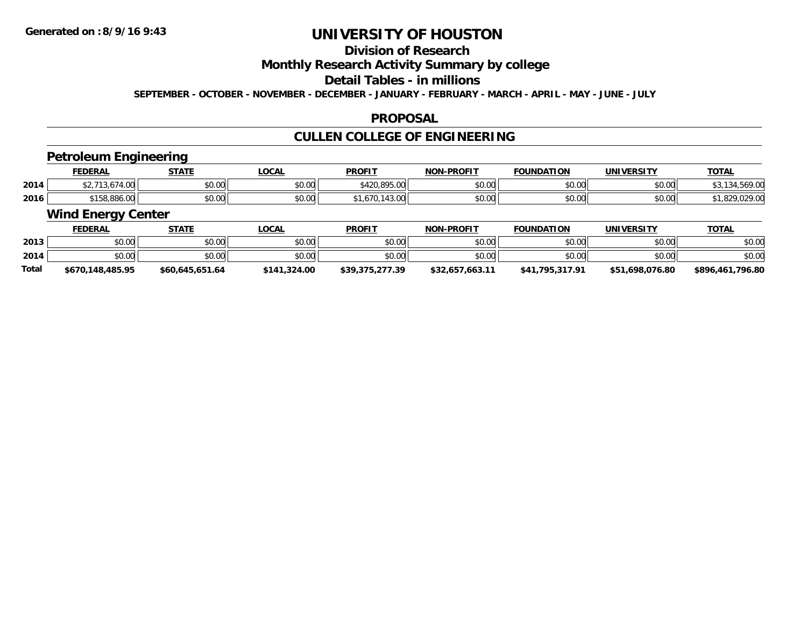# **Division of Research**

### **Monthly Research Activity Summary by college**

#### **Detail Tables - in millions**

**SEPTEMBER - OCTOBER - NOVEMBER - DECEMBER - JANUARY - FEBRUARY - MARCH - APRIL - MAY - JUNE - JULY**

#### **PROPOSAL**

## **CULLEN COLLEGE OF ENGINEERING**

### **Petroleum Engineering**

|      | <b>FEDERAL</b>                   | <b>STATE</b><br>,,,,,, | LOCAL  | <b>PROFIT</b>             | <b>NON-PROFIT</b>    | <b>FOUNDATION</b> | UNIVERSITY | <b>TOTA.</b> |
|------|----------------------------------|------------------------|--------|---------------------------|----------------------|-------------------|------------|--------------|
| 2014 | $\sim$ $\sim$<br>9.UU            | \$0.00                 | \$0.00 | 0.895.00<br>A             | 0000<br><b>JU.UU</b> | \$0.00            | \$0.00     | $\cdots$     |
| 2016 | 0.150, 0.02, 0.0<br>, 198,880.00 | \$0.00                 | \$0.00 | $\sim$<br>07۱.<br>74.J.UV | 0000<br>PO.OO        | \$0.00            | \$0.00     | .829.029.00  |

### **Wind Energy Center**

|       | <b>FEDERAL</b>   | STATE           | <u>LOCAL</u> | <b>PROFIT</b>   | <b>NON-PROFIT</b> | <b>FOUNDATION</b> | <b>UNIVERSITY</b> | <u>TOTAL</u>     |
|-------|------------------|-----------------|--------------|-----------------|-------------------|-------------------|-------------------|------------------|
| 2013  | \$0.00           | \$0.00          | \$0.00       | \$0.00          | \$0.00            | \$0.00            | \$0.00            | \$0.00           |
| 2014  | \$0.00           | \$0.00          | \$0.00       | \$0.00          | \$0.00            | \$0.00            | \$0.00            | \$0.00           |
| Total | \$670,148,485.95 | \$60.645.651.64 | \$141,324.00 | \$39,375,277.39 | \$32.657.663.11   | \$41.795.317.91   | \$51,698,076.80   | \$896,461,796.80 |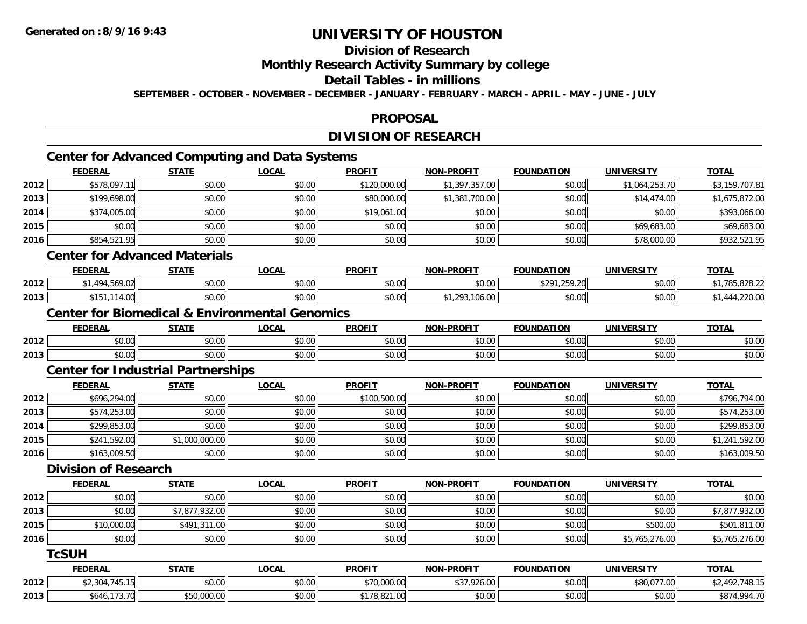## **Division of Research**

**Monthly Research Activity Summary by college**

**Detail Tables - in millions**

**SEPTEMBER - OCTOBER - NOVEMBER - DECEMBER - JANUARY - FEBRUARY - MARCH - APRIL - MAY - JUNE - JULY**

#### **PROPOSAL**

### **DIVISION OF RESEARCH**

## **Center for Advanced Computing and Data Systems**

|      | <b>FEDERAL</b> | <b>STATE</b>                         | <b>LOCAL</b> | <b>PROFIT</b> | <b>NON-PROFIT</b> | <b>FOUNDATION</b> | <b>UNIVERSITY</b> | <b>TOTAL</b>   |
|------|----------------|--------------------------------------|--------------|---------------|-------------------|-------------------|-------------------|----------------|
| 2012 | \$578,097.11   | \$0.00                               | \$0.00       | \$120,000.00  | \$1,397,357.00    | \$0.00            | \$1,064,253.70    | \$3,159,707.81 |
| 2013 | \$199,698.00   | \$0.00                               | \$0.00       | \$80,000.00   | \$1,381,700.00    | \$0.00            | \$14,474.00       | \$1,675,872.00 |
| 2014 | \$374,005.00   | \$0.00                               | \$0.00       | \$19,061.00   | \$0.00            | \$0.00            | \$0.00            | \$393,066.00   |
| 2015 | \$0.00         | \$0.00                               | \$0.00       | \$0.00        | \$0.00            | \$0.00            | \$69,683.00       | \$69,683.00    |
| 2016 | \$854,521.95   | \$0.00                               | \$0.00       | \$0.00        | \$0.00            | \$0.00            | \$78,000.00       | \$932,521.95   |
|      |                | <b>Center for Advanced Materials</b> |              |               |                   |                   |                   |                |
|      | <b>FEDERAL</b> | <b>STATE</b>                         | <b>LOCAL</b> | <b>PROFIT</b> | <b>NON-PROFIT</b> | <b>FOUNDATION</b> | <b>UNIVERSITY</b> | <b>TOTAL</b>   |
| 2012 | \$1,494,569.02 | \$0.00                               | \$0.00       | \$0.00        | \$0.00            | \$291,259.20      | \$0.00            | \$1,785,828.22 |
| 2013 | \$151,114.00   | \$0.00                               | \$0.00       | \$0.00        | \$1,293,106.00    | \$0.00            | \$0.00            | \$1,444,220.00 |

### **Center for Biomedical & Environmental Genomics**

|      | <b>FEDERAI</b>         | <b>CTATE</b>     | <b>_OCAI</b>       | <b>PROFIT</b> | <b>PROFIT</b><br>NON- | ΓΙΟΝ<br><b>FAUNIDAT</b> | UNIVERSITY | $T^{\sim}$<br><b>OIA</b> |
|------|------------------------|------------------|--------------------|---------------|-----------------------|-------------------------|------------|--------------------------|
| 2012 | 0000<br>DU.UU          | <b>↑∩</b><br>しいい | $\sim$ 00<br>vv.vv | 0.00<br>JU.UU | 0000<br>PO.OO         | \$0.00                  | \$0.00     | $\sim$ $\sim$<br>งบ.บเ   |
| 2013 | $\sim$ $\sim$<br>DU.UU | ô۸<br>JU.UU      | 0000<br>JU.UU      | 0.00<br>JU.UU | 0000<br>PO.OO         | $n \cap \neg$<br>JU.UU  | \$0.00     | $\sim$ $\sim$<br>YO.UG   |

### **Center for Industrial Partnerships**

|      | <b>FEDERAL</b> | <b>STATE</b>   | <u>LOCAL</u> | <b>PROFIT</b> | <b>NON-PROFIT</b> | <b>FOUNDATION</b> | <b>UNIVERSITY</b> | <b>TOTAL</b>   |
|------|----------------|----------------|--------------|---------------|-------------------|-------------------|-------------------|----------------|
| 2012 | \$696,294.00   | \$0.00         | \$0.00       | \$100,500.00  | \$0.00            | \$0.00            | \$0.00            | \$796,794.00   |
| 2013 | \$574,253.00   | \$0.00         | \$0.00       | \$0.00        | \$0.00            | \$0.00            | \$0.00            | \$574,253.00   |
| 2014 | \$299,853.00   | \$0.00         | \$0.00       | \$0.00        | \$0.00            | \$0.00            | \$0.00            | \$299,853.00   |
| 2015 | \$241,592.00   | \$1,000,000.00 | \$0.00       | \$0.00        | \$0.00            | \$0.00            | \$0.00            | \$1,241,592.00 |
| 2016 | \$163,009.50   | \$0.00         | \$0.00       | \$0.00        | \$0.00            | \$0.00            | \$0.00            | \$163,009.50   |

### **Division of Research**

|      | <b>FEDERAL</b> | <b>STATE</b>   | <b>LOCAL</b> | <b>PROFIT</b> | <b>NON-PROFIT</b> | <b>FOUNDATION</b>  | <b>UNIVERSITY</b> | <b>TOTAL</b>   |
|------|----------------|----------------|--------------|---------------|-------------------|--------------------|-------------------|----------------|
| 2012 | \$0.00         | \$0.00         | \$0.00       | \$0.00        | \$0.00            | \$0.00             | \$0.00            | \$0.00         |
| 2013 | \$0.00         | \$7,877,932.00 | \$0.00       | \$0.00        | \$0.00            | \$0.00             | \$0.00            | \$7,877,932.00 |
| 2015 | \$10,000.00    | \$491,311.00   | \$0.00       | \$0.00        | \$0.00            | \$0.00             | \$500.00          | \$501,811.00   |
| 2016 | \$0.00         | \$0.00         | \$0.00       | \$0.00        | \$0.00            | \$0.00             | \$5,765,276.00    | \$5,765,276.00 |
|      | <b>TcSUH</b>   |                |              |               |                   |                    |                   |                |
|      | <b>FEBEBAL</b> | C T A T T      | 10011        | <b>DDOFIT</b> | NAN BRAFIT        | <b>FAURIDATIAN</b> | 1111111100171     | <b>TOTAL</b>   |

|      | <b>FEDERAL</b>                             | - ТАТ               | _OCAL         | <b>PROFI</b>                            | 1101 L<br><b>M-PROFI</b>                    | <b>FOUNDATION</b> | UNIVERSITY                                | <b>TOTAL</b>    |
|------|--------------------------------------------|---------------------|---------------|-----------------------------------------|---------------------------------------------|-------------------|-------------------------------------------|-----------------|
| 2012 | .                                          | nn na<br>DU.UU      | 0.00<br>DU.UU | 0.70,000,00<br>,,,,,,,,,,,,             | $\sim$<br>$\overline{\phantom{a}}$<br>740.V | \$0.00            | $\sim$ $\sim$<br>0.277.00<br>.uu<br>. U I | .<br>'40.1.     |
| 2013 | $\overline{\phantom{a}}$<br>აი4ი.<br>73.70 | 00000<br>JUJJUJJJUJ | \$0.00        | $\sim$ $\sim$ $\sim$<br>$A -$<br>$\sim$ | $\sim$ 00<br>vv.vv                          | \$0.00            | \$0.00                                    | \$874<br>.40017 |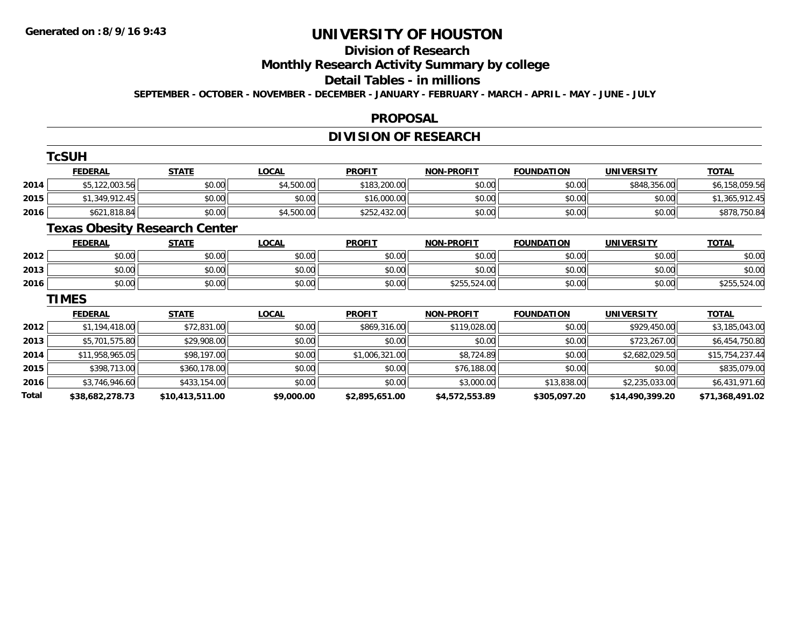# **Division of Research**

**Monthly Research Activity Summary by college**

#### **Detail Tables - in millions**

**SEPTEMBER - OCTOBER - NOVEMBER - DECEMBER - JANUARY - FEBRUARY - MARCH - APRIL - MAY - JUNE - JULY**

#### **PROPOSAL**

## **DIVISION OF RESEARCH**

|       | <b>TcSUH</b>                         |                 |              |                |                   |                   |                   |                 |
|-------|--------------------------------------|-----------------|--------------|----------------|-------------------|-------------------|-------------------|-----------------|
|       | <b>FEDERAL</b>                       | <b>STATE</b>    | <b>LOCAL</b> | <b>PROFIT</b>  | <b>NON-PROFIT</b> | <b>FOUNDATION</b> | <b>UNIVERSITY</b> | <b>TOTAL</b>    |
| 2014  | \$5,122,003.56                       | \$0.00          | \$4,500.00   | \$183,200.00   | \$0.00            | \$0.00            | \$848,356.00      | \$6,158,059.56  |
| 2015  | \$1,349,912.45                       | \$0.00          | \$0.00       | \$16,000.00    | \$0.00            | \$0.00            | \$0.00            | \$1,365,912.45  |
| 2016  | \$621,818.84                         | \$0.00          | \$4,500.00   | \$252,432.00   | \$0.00            | \$0.00            | \$0.00            | \$878,750.84    |
|       | <b>Texas Obesity Research Center</b> |                 |              |                |                   |                   |                   |                 |
|       | <b>FEDERAL</b>                       | <b>STATE</b>    | <b>LOCAL</b> | <b>PROFIT</b>  | <b>NON-PROFIT</b> | <b>FOUNDATION</b> | <b>UNIVERSITY</b> | <b>TOTAL</b>    |
| 2012  | \$0.00                               | \$0.00          | \$0.00       | \$0.00         | \$0.00            | \$0.00            | \$0.00            | \$0.00          |
| 2013  | \$0.00                               | \$0.00          | \$0.00       | \$0.00         | \$0.00            | \$0.00            | \$0.00            | \$0.00          |
| 2016  | \$0.00                               | \$0.00          | \$0.00       | \$0.00         | \$255,524.00      | \$0.00            | \$0.00            | \$255,524.00    |
|       | <b>TIMES</b>                         |                 |              |                |                   |                   |                   |                 |
|       | <b>FEDERAL</b>                       | <b>STATE</b>    | <b>LOCAL</b> | <b>PROFIT</b>  | <b>NON-PROFIT</b> | <b>FOUNDATION</b> | <b>UNIVERSITY</b> | <b>TOTAL</b>    |
| 2012  | \$1,194,418.00                       | \$72,831.00     | \$0.00       | \$869,316.00   | \$119,028.00      | \$0.00            | \$929,450.00      | \$3,185,043.00  |
| 2013  | \$5,701,575.80                       | \$29,908.00     | \$0.00       | \$0.00         | \$0.00            | \$0.00            | \$723,267.00      | \$6,454,750.80  |
| 2014  | \$11,958,965.05                      | \$98,197.00     | \$0.00       | \$1,006,321.00 | \$8,724.89        | \$0.00            | \$2,682,029.50    | \$15,754,237.44 |
| 2015  | \$398,713.00                         | \$360,178.00    | \$0.00       | \$0.00         | \$76,188.00       | \$0.00            | \$0.00            | \$835,079.00    |
| 2016  | \$3,746,946.60                       | \$433,154.00    | \$0.00       | \$0.00         | \$3,000.00        | \$13,838.00       | \$2,235,033.00    | \$6,431,971.60  |
| Total | \$38,682,278.73                      | \$10,413,511.00 | \$9,000.00   | \$2,895,651.00 | \$4,572,553.89    | \$305,097.20      | \$14,490,399.20   | \$71,368,491.02 |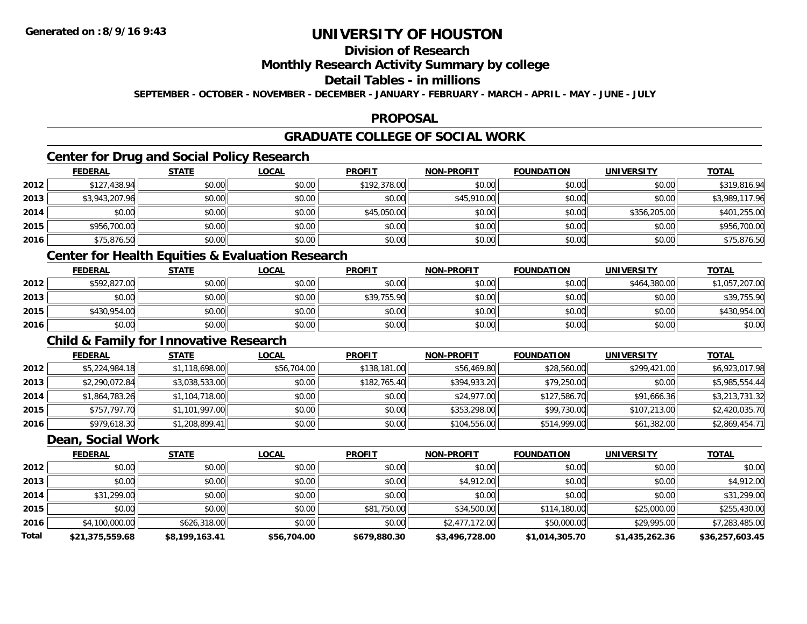## **Division of Research**

### **Monthly Research Activity Summary by college**

#### **Detail Tables - in millions**

**SEPTEMBER - OCTOBER - NOVEMBER - DECEMBER - JANUARY - FEBRUARY - MARCH - APRIL - MAY - JUNE - JULY**

#### **PROPOSAL**

## **GRADUATE COLLEGE OF SOCIAL WORK**

## **Center for Drug and Social Policy Research**

|      | <b>FEDERAL</b> | <b>STATE</b> | <u>LOCAL</u> | <b>PROFIT</b> | <b>NON-PROFIT</b> | <b>FOUNDATION</b> | <b>UNIVERSITY</b> | <b>TOTAL</b>   |
|------|----------------|--------------|--------------|---------------|-------------------|-------------------|-------------------|----------------|
| 2012 | \$127,438.94   | \$0.00       | \$0.00       | \$192,378.00  | \$0.00            | \$0.00            | \$0.00            | \$319,816.94   |
| 2013 | \$3,943,207.96 | \$0.00       | \$0.00       | \$0.00        | \$45,910.00       | \$0.00            | \$0.00            | \$3,989,117.96 |
| 2014 | \$0.00         | \$0.00       | \$0.00       | \$45,050.00   | \$0.00            | \$0.00            | \$356,205.00      | \$401,255.00   |
| 2015 | \$956,700.00   | \$0.00       | \$0.00       | \$0.00        | \$0.00            | \$0.00            | \$0.00            | \$956,700.00   |
| 2016 | \$75,876.50    | \$0.00       | \$0.00       | \$0.00        | \$0.00            | \$0.00            | \$0.00            | \$75,876.50    |

## **Center for Health Equities & Evaluation Research**

|      | <u>FEDERAL</u> | <u>STATE</u> | <u>LOCAL</u> | <b>PROFIT</b> | <b>NON-PROFIT</b> | <b>FOUNDATION</b> | UNIVERSITY   | <b>TOTAL</b>   |
|------|----------------|--------------|--------------|---------------|-------------------|-------------------|--------------|----------------|
| 2012 | \$592,827.00   | \$0.00       | \$0.00       | \$0.00        | \$0.00            | \$0.00            | \$464,380.00 | \$1,057,207.00 |
| 2013 | \$0.00         | \$0.00       | \$0.00       | \$39,755.90   | \$0.00            | \$0.00            | \$0.00       | \$39,755.90    |
| 2015 | \$430,954,00   | \$0.00       | \$0.00       | \$0.00        | \$0.00            | \$0.00            | \$0.00       | \$430,954.00   |
| 2016 | \$0.00         | \$0.00       | \$0.00       | \$0.00        | \$0.00            | \$0.00            | \$0.00       | \$0.00         |

### **Child & Family for Innovative Research**

|      | <b>FEDERAL</b> | <u>STATE</u>   | <b>LOCAL</b> | <b>PROFIT</b> | <b>NON-PROFIT</b> | <b>FOUNDATION</b> | <b>UNIVERSITY</b> | <u>TOTAL</u>   |
|------|----------------|----------------|--------------|---------------|-------------------|-------------------|-------------------|----------------|
| 2012 | \$5,224,984.18 | \$1,118,698.00 | \$56,704.00  | \$138,181.00  | \$56,469.80       | \$28,560.00       | \$299,421.00      | \$6,923,017.98 |
| 2013 | \$2,290,072.84 | \$3,038,533.00 | \$0.00       | \$182,765.40  | \$394,933.20      | \$79,250.00       | \$0.00            | \$5,985,554.44 |
| 2014 | \$1,864,783.26 | \$1,104,718.00 | \$0.00       | \$0.00        | \$24,977.00       | \$127,586.70      | \$91,666.36       | \$3,213,731.32 |
| 2015 | \$757,797.70   | \$1,101,997.00 | \$0.00       | \$0.00        | \$353,298.00      | \$99,730.00       | \$107,213.00      | \$2,420,035.70 |
| 2016 | \$979,618.30   | \$1,208,899.41 | \$0.00       | \$0.00        | \$104,556.00      | \$514,999.00      | \$61,382.00       | \$2,869,454.71 |

#### **Dean, Social Work**

|              | <b>FEDERAL</b>  | <b>STATE</b>   | <b>LOCAL</b> | <b>PROFIT</b> | <b>NON-PROFIT</b> | <b>FOUNDATION</b> | <b>UNIVERSITY</b> | <b>TOTAL</b>    |
|--------------|-----------------|----------------|--------------|---------------|-------------------|-------------------|-------------------|-----------------|
| 2012         | \$0.00          | \$0.00         | \$0.00       | \$0.00        | \$0.00            | \$0.00            | \$0.00            | \$0.00          |
| 2013         | \$0.00          | \$0.00         | \$0.00       | \$0.00        | \$4,912.00        | \$0.00            | \$0.00            | \$4,912.00      |
| 2014         | \$31,299.00     | \$0.00         | \$0.00       | \$0.00        | \$0.00            | \$0.00            | \$0.00            | \$31,299.00     |
| 2015         | \$0.00          | \$0.00         | \$0.00       | \$81,750.00   | \$34,500.00       | \$114,180.00      | \$25,000.00       | \$255,430.00    |
| 2016         | \$4,100,000.00  | \$626,318.00   | \$0.00       | \$0.00        | \$2,477,172.00    | \$50,000.00       | \$29,995.00       | \$7,283,485.00  |
| <b>Total</b> | \$21,375,559.68 | \$8,199,163.41 | \$56,704.00  | \$679,880.30  | \$3,496,728.00    | \$1,014,305.70    | \$1,435,262.36    | \$36,257,603.45 |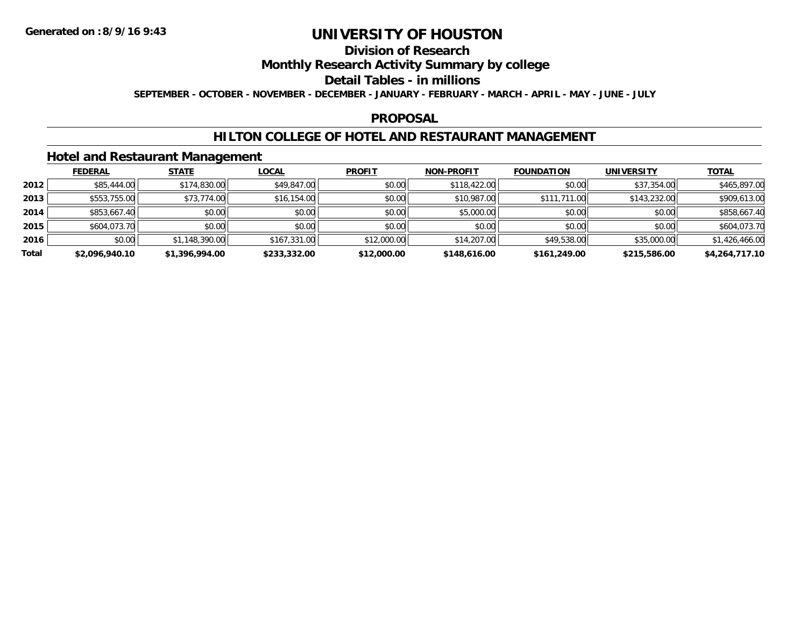## **Division of Research**

### **Monthly Research Activity Summary by college**

#### **Detail Tables - in millions**

**SEPTEMBER - OCTOBER - NOVEMBER - DECEMBER - JANUARY - FEBRUARY - MARCH - APRIL - MAY - JUNE - JULY**

#### **PROPOSAL**

### **HILTON COLLEGE OF HOTEL AND RESTAURANT MANAGEMENT**

### **Hotel and Restaurant Management**

|       | <b>FEDERAL</b> | <b>STATE</b>   | <b>LOCAL</b> | <b>PROFIT</b> | <b>NON-PROFIT</b> | <b>FOUNDATION</b> | <b>UNIVERSITY</b> | <b>TOTAL</b>   |
|-------|----------------|----------------|--------------|---------------|-------------------|-------------------|-------------------|----------------|
| 2012  | \$85,444.00    | \$174,830.00   | \$49,847.00  | \$0.00        | \$118,422.00      | \$0.00            | \$37,354.00       | \$465,897.00   |
| 2013  | \$553,755.00   | \$73,774.00    | \$16,154.00  | \$0.00        | \$10,987.00       | \$111,711.00      | \$143,232.00      | \$909,613.00   |
| 2014  | \$853,667.40   | \$0.00         | \$0.00       | \$0.00        | \$5,000.00        | \$0.00            | \$0.00            | \$858,667.40   |
| 2015  | \$604,073.70   | \$0.00         | \$0.00       | \$0.00        | \$0.00            | \$0.00            | \$0.00            | \$604,073.70   |
| 2016  | \$0.00         | \$1,148,390.00 | \$167,331.00 | \$12,000.00   | \$14,207.00       | \$49,538.00       | \$35,000.00       | \$1,426,466.00 |
| Total | \$2,096,940.10 | \$1,396,994.00 | \$233,332.00 | \$12,000.00   | \$148,616.00      | \$161,249.00      | \$215,586.00      | \$4,264,717.10 |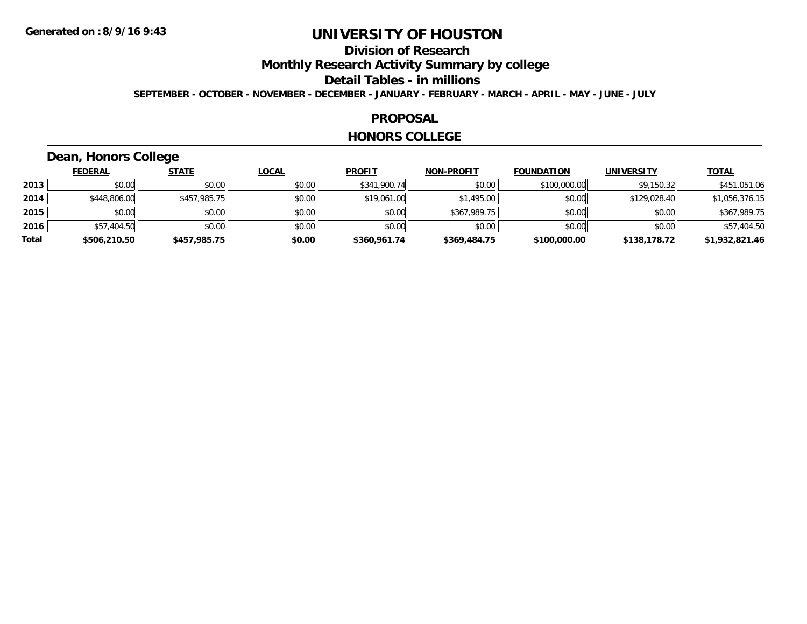## **Division of Research**

**Monthly Research Activity Summary by college**

**Detail Tables - in millions**

**SEPTEMBER - OCTOBER - NOVEMBER - DECEMBER - JANUARY - FEBRUARY - MARCH - APRIL - MAY - JUNE - JULY**

#### **PROPOSAL**

#### **HONORS COLLEGE**

### **Dean, Honors College**

|       | <b>FEDERAL</b> | <b>STATE</b> | <u>LOCAL</u> | <b>PROFIT</b> | <b>NON-PROFIT</b> | <b>FOUNDATION</b> | <b>UNIVERSITY</b> | <b>TOTAL</b>   |
|-------|----------------|--------------|--------------|---------------|-------------------|-------------------|-------------------|----------------|
| 2013  | \$0.00         | \$0.00       | \$0.00       | \$341,900.74  | \$0.00            | \$100,000.00      | \$9,150.32        | \$451,051.06   |
| 2014  | \$448,806.00   | \$457,985.75 | \$0.00       | \$19,061.00   | \$1,495.00        | \$0.00            | \$129,028.40      | \$1,056,376.15 |
| 2015  | \$0.00         | \$0.00       | \$0.00       | \$0.00        | \$367,989.75      | \$0.00            | \$0.00            | \$367,989.75   |
| 2016  | \$57,404.50    | \$0.00       | \$0.00       | \$0.00        | \$0.00            | \$0.00            | \$0.00            | \$57,404.50    |
| Total | \$506,210.50   | \$457,985.75 | \$0.00       | \$360,961.74  | \$369,484.75      | \$100,000.00      | \$138,178.72      | \$1,932,821.46 |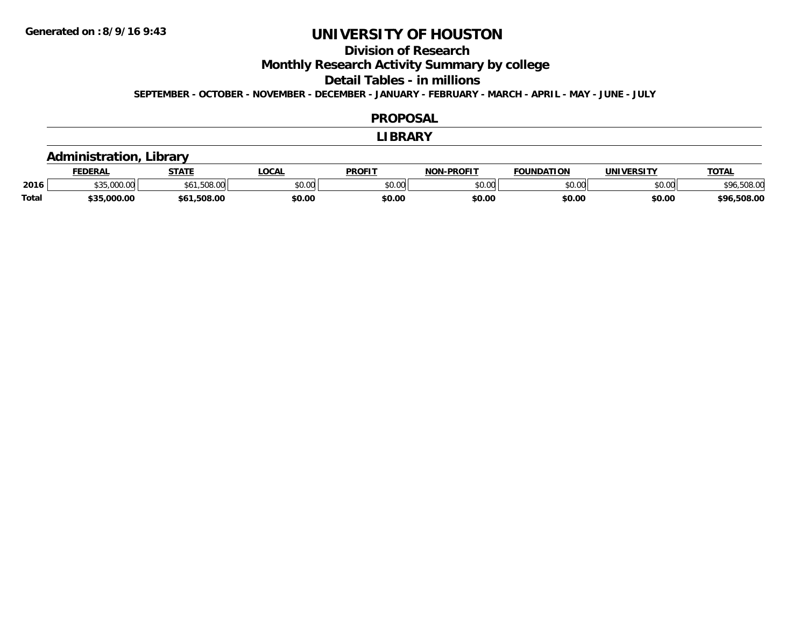### **Division of Research**

**Monthly Research Activity Summary by college**

**Detail Tables - in millions**

**SEPTEMBER - OCTOBER - NOVEMBER - DECEMBER - JANUARY - FEBRUARY - MARCH - APRIL - MAY - JUNE - JULY**

#### **PROPOSAL**

#### **LIBRARY**

### **Administration, Library**

|       | <b>FEDERAL</b> | <b>STATE</b>       | <b>OCAL</b> | <b>PROFIT</b> | -PROFIT<br>NON | <b>FOUNDATION</b> | UNIVERSITY     | TOTA.       |
|-------|----------------|--------------------|-------------|---------------|----------------|-------------------|----------------|-------------|
| 2016  |                | $\sim$<br>.JUQ.UUL | JU.UU       | \$0.00        | 0000<br>JU.UU  | \$0.00            | nn no<br>DU.UU | \$96,508.00 |
| Total | \$35.000.00    | .508.00            | \$0.00      | \$0.00        | \$0.OC         | \$0.00            | \$0.00         | \$96,508.00 |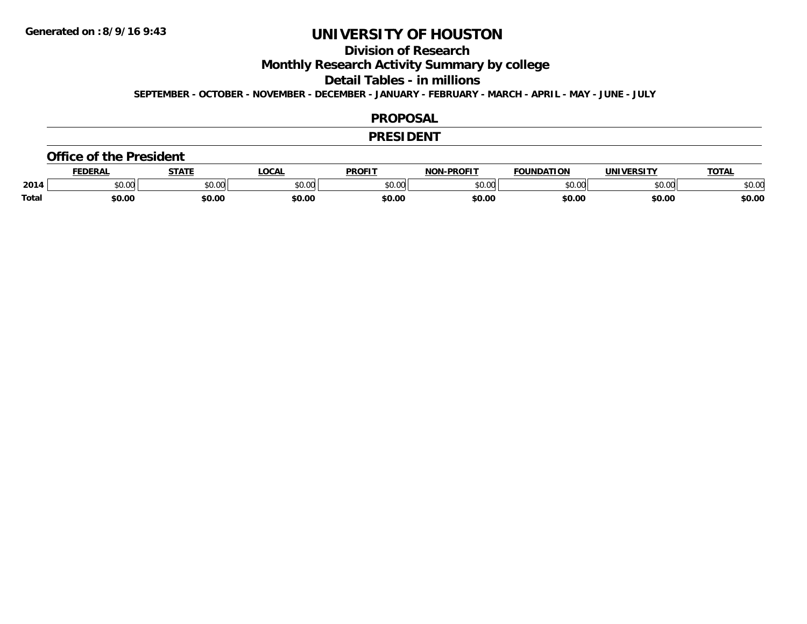### **Division of Research**

**Monthly Research Activity Summary by college**

**Detail Tables - in millions**

**SEPTEMBER - OCTOBER - NOVEMBER - DECEMBER - JANUARY - FEBRUARY - MARCH - APRIL - MAY - JUNE - JULY**

#### **PROPOSAL**

#### **PRESIDENT**

#### **Office of the President**

|              | FFDFDA<br>-nn | <b>STATE</b> | <b>LOCAL</b>            | <b>PROFIT</b> | <b>LPROFIT</b><br>חחו | <b>FALIB</b><br><b>NDATION</b> | UNIVERSITY    | TOTA.  |
|--------------|---------------|--------------|-------------------------|---------------|-----------------------|--------------------------------|---------------|--------|
| 2014         | JU.UU         | \$0.00       | 0 <sup>n</sup><br>JU.UU | 0000<br>טט.טע | 0000<br>ט.טע          | 0000                           | 0000<br>⊸∪.∪⊌ | \$0.00 |
| <b>Total</b> | \$0.00        | \$0.00       | \$0.00                  | \$0.00        | \$0.00                | \$0.00                         | \$0.00        | \$0.00 |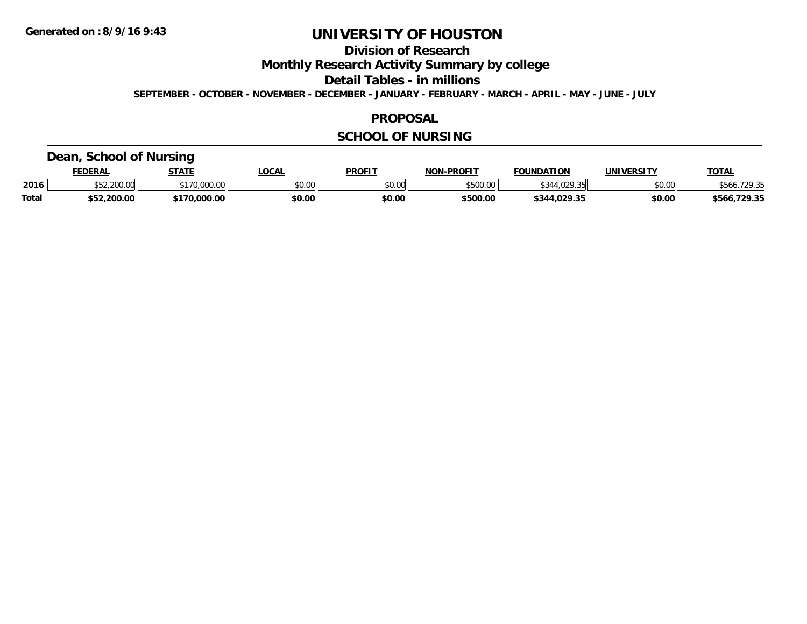## **Division of Research**

**Monthly Research Activity Summary by college**

**Detail Tables - in millions**

**SEPTEMBER - OCTOBER - NOVEMBER - DECEMBER - JANUARY - FEBRUARY - MARCH - APRIL - MAY - JUNE - JULY**

#### **PROPOSAL**

### **SCHOOL OF NURSING**

### **Dean, School of Nursing**

|              | <b>FEDERAL</b>   | <b>STATE</b> | <b>OCAL</b>                               | <b>PROFIT</b> | <b>NON-PROFIT</b> | <b>FOUNDATION</b>                   | UNIVERSITY | <b>TOTAL</b>      |
|--------------|------------------|--------------|-------------------------------------------|---------------|-------------------|-------------------------------------|------------|-------------------|
| 2016         | 200.00<br>700.00 | 00.000.00    | $\uparrow$ $\uparrow$ $\uparrow$<br>JU.UU | \$0.00        | \$500.00          | $\overline{11000}$<br>$\sim$ $\sim$ | \$0.00     | '70 25            |
| <b>Total</b> | \$52,200.00      | 70,000.00    | \$0.00                                    | \$0.00        | \$500.00          | \$344.029.35                        | \$0.00     | .729.35<br>\$566. |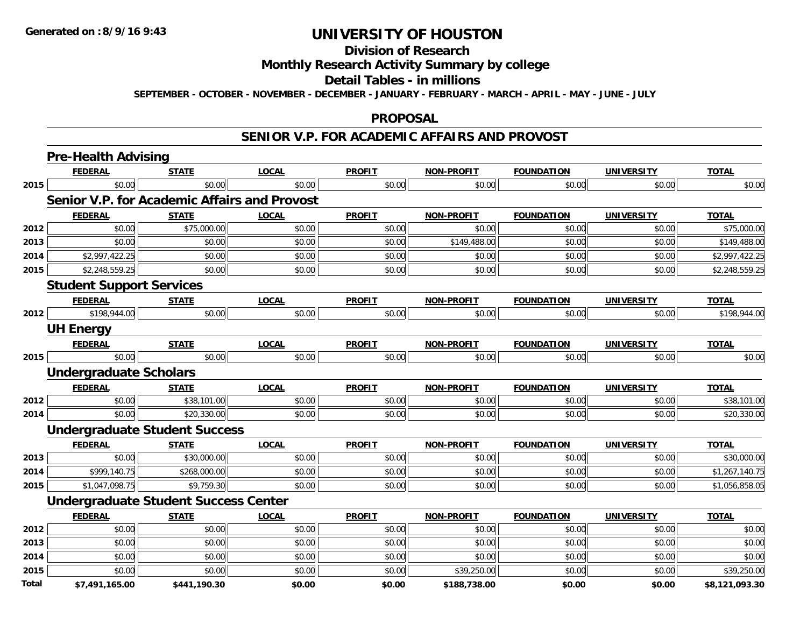## **Division of Research**

### **Monthly Research Activity Summary by college**

#### **Detail Tables - in millions**

**SEPTEMBER - OCTOBER - NOVEMBER - DECEMBER - JANUARY - FEBRUARY - MARCH - APRIL - MAY - JUNE - JULY**

#### **PROPOSAL**

#### **SENIOR V.P. FOR ACADEMIC AFFAIRS AND PROVOST**

|              | <b>Pre-Health Advising</b>                   |              |              |               |                   |                   |                   |                |
|--------------|----------------------------------------------|--------------|--------------|---------------|-------------------|-------------------|-------------------|----------------|
|              | <b>FEDERAL</b>                               | <b>STATE</b> | <b>LOCAL</b> | <b>PROFIT</b> | NON-PROFIT        | <b>FOUNDATION</b> | <b>UNIVERSITY</b> | <b>TOTAL</b>   |
| 2015         | \$0.00                                       | \$0.00       | \$0.00       | \$0.00        | \$0.00            | \$0.00            | \$0.00            | \$0.00         |
|              | Senior V.P. for Academic Affairs and Provost |              |              |               |                   |                   |                   |                |
|              | <b>FEDERAL</b>                               | <b>STATE</b> | <b>LOCAL</b> | <b>PROFIT</b> | <b>NON-PROFIT</b> | <b>FOUNDATION</b> | <b>UNIVERSITY</b> | <b>TOTAL</b>   |
| 2012         | \$0.00                                       | \$75,000.00  | \$0.00       | \$0.00        | \$0.00            | \$0.00            | \$0.00            | \$75,000.00    |
| 2013         | \$0.00                                       | \$0.00       | \$0.00       | \$0.00        | \$149,488.00      | \$0.00            | \$0.00            | \$149,488.00   |
| 2014         | \$2,997,422.25                               | \$0.00       | \$0.00       | \$0.00        | \$0.00            | \$0.00            | \$0.00            | \$2,997,422.25 |
| 2015         | \$2,248,559.25                               | \$0.00       | \$0.00       | \$0.00        | \$0.00            | \$0.00            | \$0.00            | \$2,248,559.25 |
|              | <b>Student Support Services</b>              |              |              |               |                   |                   |                   |                |
|              | <b>FEDERAL</b>                               | <b>STATE</b> | <b>LOCAL</b> | <b>PROFIT</b> | <b>NON-PROFIT</b> | <b>FOUNDATION</b> | <b>UNIVERSITY</b> | <b>TOTAL</b>   |
| 2012         | \$198,944.00                                 | \$0.00       | \$0.00       | \$0.00        | \$0.00            | \$0.00            | \$0.00            | \$198,944.00   |
|              | <b>UH Energy</b>                             |              |              |               |                   |                   |                   |                |
|              | <b>FEDERAL</b>                               | <b>STATE</b> | <b>LOCAL</b> | <b>PROFIT</b> | <b>NON-PROFIT</b> | <b>FOUNDATION</b> | <b>UNIVERSITY</b> | <b>TOTAL</b>   |
| 2015         | \$0.00                                       | \$0.00       | \$0.00       | \$0.00        | \$0.00            | \$0.00            | \$0.00            | \$0.00         |
|              | <b>Undergraduate Scholars</b>                |              |              |               |                   |                   |                   |                |
|              | <b>FEDERAL</b>                               | <b>STATE</b> | <b>LOCAL</b> | <b>PROFIT</b> | <b>NON-PROFIT</b> | <b>FOUNDATION</b> | <b>UNIVERSITY</b> | <b>TOTAL</b>   |
| 2012         | \$0.00                                       | \$38,101.00  | \$0.00       | \$0.00        | \$0.00            | \$0.00            | \$0.00            | \$38,101.00    |
| 2014         | \$0.00                                       | \$20,330.00  | \$0.00       | \$0.00        | \$0.00            | \$0.00            | \$0.00            | \$20,330.00    |
|              | <b>Undergraduate Student Success</b>         |              |              |               |                   |                   |                   |                |
|              | <b>FEDERAL</b>                               | <b>STATE</b> | <b>LOCAL</b> | <b>PROFIT</b> | <b>NON-PROFIT</b> | <b>FOUNDATION</b> | <b>UNIVERSITY</b> | <b>TOTAL</b>   |
| 2013         | \$0.00                                       | \$30,000.00  | \$0.00       | \$0.00        | \$0.00            | \$0.00            | \$0.00            | \$30,000.00    |
| 2014         | \$999,140.75                                 | \$268,000.00 | \$0.00       | \$0.00        | \$0.00            | \$0.00            | \$0.00            | \$1,267,140.75 |
| 2015         | \$1,047,098.75                               | \$9,759.30   | \$0.00       | \$0.00        | \$0.00            | \$0.00            | \$0.00            | \$1,056,858.05 |
|              | <b>Undergraduate Student Success Center</b>  |              |              |               |                   |                   |                   |                |
|              | <b>FEDERAL</b>                               | <b>STATE</b> | <b>LOCAL</b> | <b>PROFIT</b> | <b>NON-PROFIT</b> | <b>FOUNDATION</b> | <b>UNIVERSITY</b> | <b>TOTAL</b>   |
| 2012         | \$0.00                                       | \$0.00       | \$0.00       | \$0.00        | \$0.00            | \$0.00            | \$0.00            | \$0.00         |
| 2013         | \$0.00                                       | \$0.00       | \$0.00       | \$0.00        | \$0.00            | \$0.00            | \$0.00            | \$0.00         |
| 2014         | \$0.00                                       | \$0.00       | \$0.00       | \$0.00        | \$0.00            | \$0.00            | \$0.00            | \$0.00         |
| 2015         | \$0.00                                       | \$0.00       | \$0.00       | \$0.00        | \$39,250.00       | \$0.00            | \$0.00            | \$39,250.00    |
| <b>Total</b> | \$7.491.165.00                               | \$441.190.30 | \$0.00       | \$0.00        | \$188.738.00      | \$0.00            | \$0.00            | \$8.121.093.30 |

**\$7,491,165.00 \$441,190.30 \$0.00 \$0.00 \$188,738.00 \$0.00 \$0.00 \$8,121,093.30**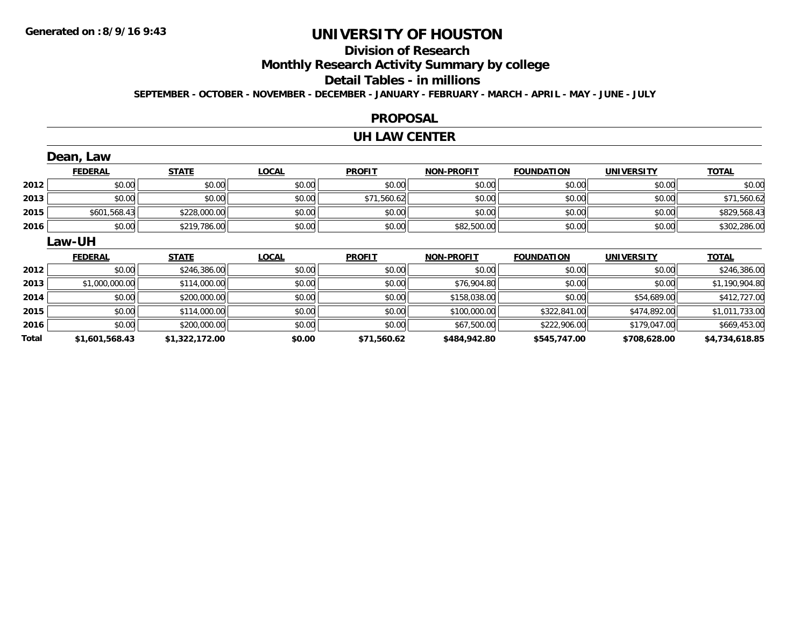## **Division of Research**

**Monthly Research Activity Summary by college**

#### **Detail Tables - in millions**

**SEPTEMBER - OCTOBER - NOVEMBER - DECEMBER - JANUARY - FEBRUARY - MARCH - APRIL - MAY - JUNE - JULY**

#### **PROPOSAL**

#### **UH LAW CENTER**

|      | Dean, Law      |              |              |               |                   |                   |                   |                |
|------|----------------|--------------|--------------|---------------|-------------------|-------------------|-------------------|----------------|
|      | <b>FEDERAL</b> | <b>STATE</b> | <b>LOCAL</b> | <b>PROFIT</b> | <b>NON-PROFIT</b> | <b>FOUNDATION</b> | <b>UNIVERSITY</b> | <b>TOTAL</b>   |
| 2012 | \$0.00         | \$0.00       | \$0.00       | \$0.00        | \$0.00            | \$0.00            | \$0.00            | \$0.00         |
| 2013 | \$0.00         | \$0.00       | \$0.00       | \$71,560.62   | \$0.00            | \$0.00            | \$0.00            | \$71,560.62    |
| 2015 | \$601,568.43   | \$228,000.00 | \$0.00       | \$0.00        | \$0.00            | \$0.00            | \$0.00            | \$829,568.43   |
| 2016 | \$0.00         | \$219,786.00 | \$0.00       | \$0.00        | \$82,500.00       | \$0.00            | \$0.00            | \$302,286.00   |
|      | Law-UH         |              |              |               |                   |                   |                   |                |
|      |                |              |              |               |                   |                   |                   |                |
|      | <b>FEDERAL</b> | <b>STATE</b> | <b>LOCAL</b> | <b>PROFIT</b> | <b>NON-PROFIT</b> | <b>FOUNDATION</b> | <b>UNIVERSITY</b> | <b>TOTAL</b>   |
| 2012 | \$0.00         | \$246,386.00 | \$0.00       | \$0.00        | \$0.00            | \$0.00            | \$0.00            | \$246,386.00   |
| 2013 | \$1,000,000.00 | \$114,000.00 | \$0.00       | \$0.00        | \$76,904.80       | \$0.00            | \$0.00            | \$1,190,904.80 |
| 2014 | \$0.00         | \$200,000.00 | \$0.00       | \$0.00        | \$158,038.00      | \$0.00            | \$54,689.00       | \$412,727.00   |
| 2015 | \$0.00         | \$114,000.00 | \$0.00       | \$0.00        | \$100,000.00      | \$322,841.00      | \$474,892.00      | \$1,011,733.00 |
| 2016 | \$0.00         | \$200,000.00 | \$0.00       | \$0.00        | \$67,500.00       | \$222,906.00      | \$179,047.00      | \$669,453.00   |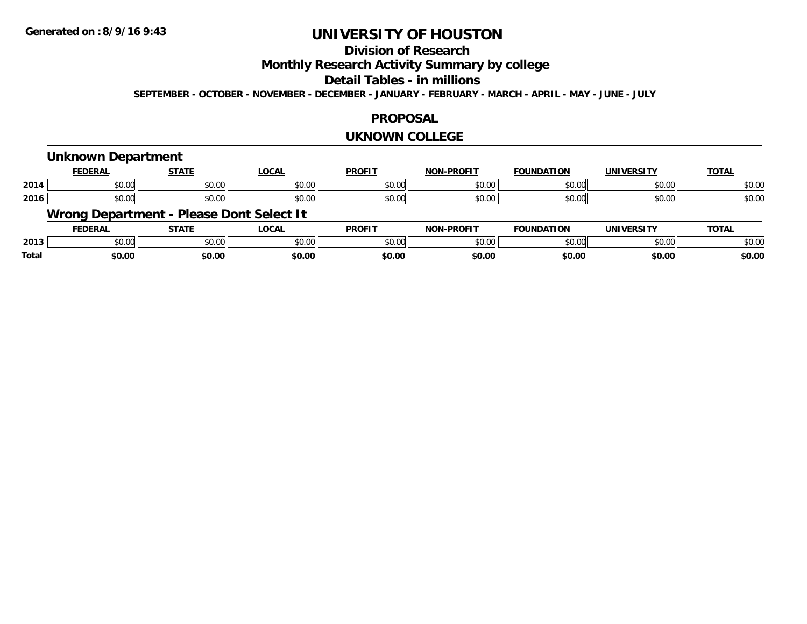### **Division of Research**

**Monthly Research Activity Summary by college**

### **Detail Tables - in millions**

**SEPTEMBER - OCTOBER - NOVEMBER - DECEMBER - JANUARY - FEBRUARY - MARCH - APRIL - MAY - JUNE - JULY**

#### **PROPOSAL**

#### **UKNOWN COLLEGE**

#### **Unknown Department FEDERAL STATE LOCAL PROFIT NON-PROFIT FOUNDATION UNIVERSITY TOTALTOTAL 2014**4 \$0.00 \$0.00 \$0.00 \$0.00 \$0.00 \$0.00 \$0.00 \$0.00 \$0.00 \$0.00 \$0.00 \$0.00 \$0.00 \$0.00 \$0.00 \$0.00 \$0.00 \$0.00 **2016**6 \$0.00 \$0.00 \$0.00 \$0.00 \$0.00 \$0.00 \$0.00 \$0.00 \$0.00 \$0.00 \$0.00 \$0.00 \$0.00 \$0.00 \$0.00 \$0.00 \$0.00 \$0.00 **Wrong Department - Please Dont Select It FEDERAL STATE LOCAL PROFIT NON-PROFIT FOUNDATION UNIVERSITY TOTAL**

|              | LVLNAL | 3 I A I I     | ∟∪∪ค∟         | FINVI I       | .<br>FN VIII | <b>UUIVUATIUN</b> | <u>UNIVERJIII</u> | ושו           |
|--------------|--------|---------------|---------------|---------------|--------------|-------------------|-------------------|---------------|
| 2013         | 10.001 | 0.00<br>JU.UU | 0000<br>DU.UU | 0000<br>JU.UU | \$0.00       | \$0.00            | \$0.00            | n or<br>DU.UU |
| <b>Total</b> | 60.00  | \$0.00        | \$0.00        | \$0.OC        | \$0.00       | \$0.00            | \$0.00            | \$0.00        |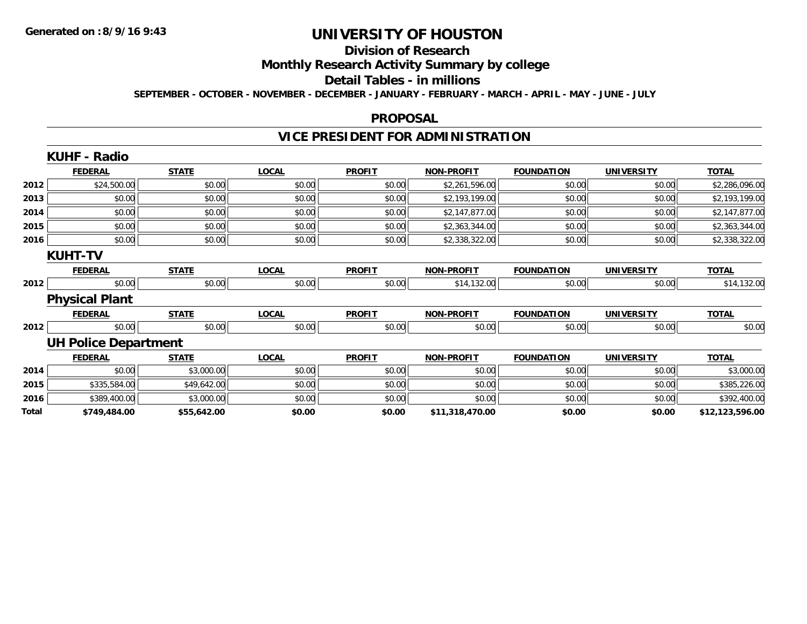#### **Division of Research**

**Monthly Research Activity Summary by college**

**Detail Tables - in millions**

**SEPTEMBER - OCTOBER - NOVEMBER - DECEMBER - JANUARY - FEBRUARY - MARCH - APRIL - MAY - JUNE - JULY**

#### **PROPOSAL**

## **VICE PRESIDENT FOR ADMINISTRATION**

|       | <b>KUHF - Radio</b>         |              |              |               |                   |                   |                   |                 |
|-------|-----------------------------|--------------|--------------|---------------|-------------------|-------------------|-------------------|-----------------|
|       | <b>FEDERAL</b>              | <b>STATE</b> | <b>LOCAL</b> | <b>PROFIT</b> | <b>NON-PROFIT</b> | <b>FOUNDATION</b> | <b>UNIVERSITY</b> | <b>TOTAL</b>    |
| 2012  | \$24,500.00                 | \$0.00       | \$0.00       | \$0.00        | \$2,261,596.00    | \$0.00            | \$0.00            | \$2,286,096.00  |
| 2013  | \$0.00                      | \$0.00       | \$0.00       | \$0.00        | \$2,193,199.00    | \$0.00            | \$0.00            | \$2,193,199.00  |
| 2014  | \$0.00                      | \$0.00       | \$0.00       | \$0.00        | \$2,147,877.00    | \$0.00            | \$0.00            | \$2,147,877.00  |
| 2015  | \$0.00                      | \$0.00       | \$0.00       | \$0.00        | \$2,363,344.00    | \$0.00            | \$0.00            | \$2,363,344.00  |
| 2016  | \$0.00                      | \$0.00       | \$0.00       | \$0.00        | \$2,338,322.00    | \$0.00            | \$0.00            | \$2,338,322.00  |
|       | <b>KUHT-TV</b>              |              |              |               |                   |                   |                   |                 |
|       | <b>FEDERAL</b>              | <b>STATE</b> | <b>LOCAL</b> | <b>PROFIT</b> | <b>NON-PROFIT</b> | <b>FOUNDATION</b> | <b>UNIVERSITY</b> | <b>TOTAL</b>    |
| 2012  | \$0.00                      | \$0.00       | \$0.00       | \$0.00        | \$14,132.00       | \$0.00            | \$0.00            | \$14,132.00     |
|       | <b>Physical Plant</b>       |              |              |               |                   |                   |                   |                 |
|       | <b>FEDERAL</b>              | <b>STATE</b> | <b>LOCAL</b> | <b>PROFIT</b> | <b>NON-PROFIT</b> | <b>FOUNDATION</b> | <b>UNIVERSITY</b> | <b>TOTAL</b>    |
| 2012  | \$0.00                      | \$0.00       | \$0.00       | \$0.00        | \$0.00            | \$0.00            | \$0.00            | \$0.00          |
|       | <b>UH Police Department</b> |              |              |               |                   |                   |                   |                 |
|       | <b>FEDERAL</b>              | <b>STATE</b> | <b>LOCAL</b> | <b>PROFIT</b> | <b>NON-PROFIT</b> | <b>FOUNDATION</b> | <b>UNIVERSITY</b> | <b>TOTAL</b>    |
| 2014  | \$0.00                      | \$3,000.00   | \$0.00       | \$0.00        | \$0.00            | \$0.00            | \$0.00            | \$3,000.00      |
| 2015  | \$335,584.00                | \$49,642.00  | \$0.00       | \$0.00        | \$0.00            | \$0.00            | \$0.00            | \$385,226.00    |
| 2016  | \$389,400.00                | \$3,000.00   | \$0.00       | \$0.00        | \$0.00            | \$0.00            | \$0.00            | \$392,400.00    |
| Total | \$749,484.00                | \$55,642.00  | \$0.00       | \$0.00        | \$11,318,470.00   | \$0.00            | \$0.00            | \$12,123,596.00 |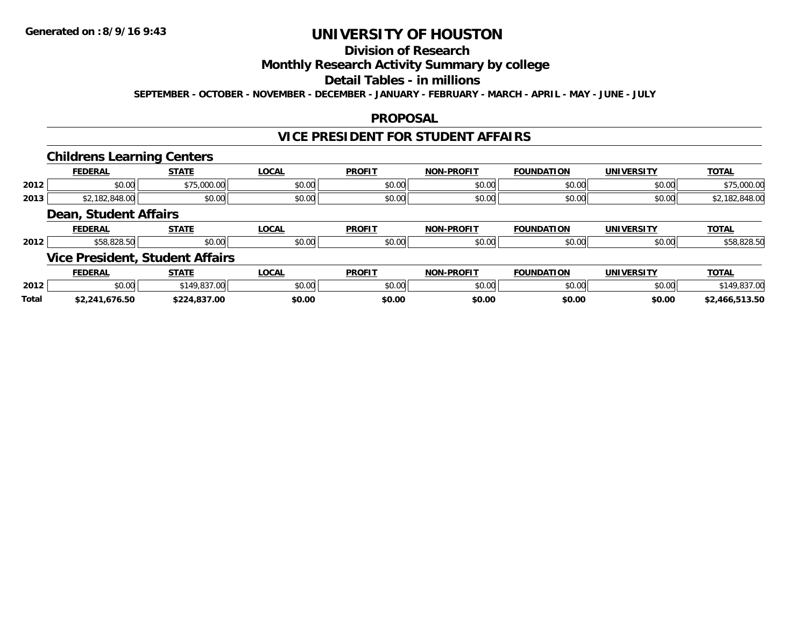## **Division of Research**

### **Monthly Research Activity Summary by college**

### **Detail Tables - in millions**

**SEPTEMBER - OCTOBER - NOVEMBER - DECEMBER - JANUARY - FEBRUARY - MARCH - APRIL - MAY - JUNE - JULY**

### **PROPOSAL**

### **VICE PRESIDENT FOR STUDENT AFFAIRS**

#### **Childrens Learning Centers**

|      | <b>FEDERAL</b>        | <b>STATE</b> | <b>LOCAL</b> | <b>PROFIT</b> | NON-PROFIT | <b>FOUNDATION</b> | <b>UNIVERSITY</b> | <b>TOTAL</b> |
|------|-----------------------|--------------|--------------|---------------|------------|-------------------|-------------------|--------------|
| 2012 | \$0.00                | \$75,000.00  | \$0.00       | \$0.00        | \$0.00     | \$0.00            | \$0.00            | \$75,000.00  |
| 2013 | 10.02<br>– ∍∪+0.∪∪ –  | \$0.00       | \$0.00       | \$0.00        | \$0.00     | \$0.00            | \$0.00            | 0.10,00      |
|      | Doon Cturdont Affoire |              |              |               |            |                   |                   |              |

#### **Dean, Student Affairs**

|      | <b>FEDERAL</b>                      | <b>СТЛТЕ</b><br>.                | LOCAL  | <b>PROFIT</b>   | -PROFIT<br>NON- | <b>FOUNDATION</b> | UNIVERSITY | TOTA.                              |
|------|-------------------------------------|----------------------------------|--------|-----------------|-----------------|-------------------|------------|------------------------------------|
| 2012 | . JZU. JU .                         | $\circ$ $\circ$ $\circ$<br>DU.UU | \$0.00 | \$0.01<br>JU.UL | 0000<br>PO.OO   | \$0.00            | \$0.00     | $\sim$ $\sim$ $\sim$<br>ა⊃ŏ.ŏ∠ŏ.ɔ∪ |
|      | --<br>$I$ )rocidont<br>$\mathbf{u}$ | $C+11AOM+MffOl$                  |        |                 |                 |                   |            |                                    |

#### **Vice President, Student Affairs**

|              | <b>EDERAI</b> | <b>STATE</b>                       | <b>LOCAL</b>  | <b>DDAEIT</b> | <b>-PROFIT</b><br>NON | FOUNDATION | <b>'INIVEDSITY</b> | <b>TOTAL</b> |
|--------------|---------------|------------------------------------|---------------|---------------|-----------------------|------------|--------------------|--------------|
| 2012         | 0000<br>ט.טע  | $\sim$ $\sim$ $\sim$<br>. <i>.</i> | 0000<br>JU.UL | 0.00          | 0000                  | $\sim$ 00  | 0000<br>PU.UU      |              |
| <b>Total</b> | ^^<br>טכ.סי   |                                    | \$0.00        | \$0.00        | \$0.00                | \$0.00     | \$0.00             | <b>3.50</b>  |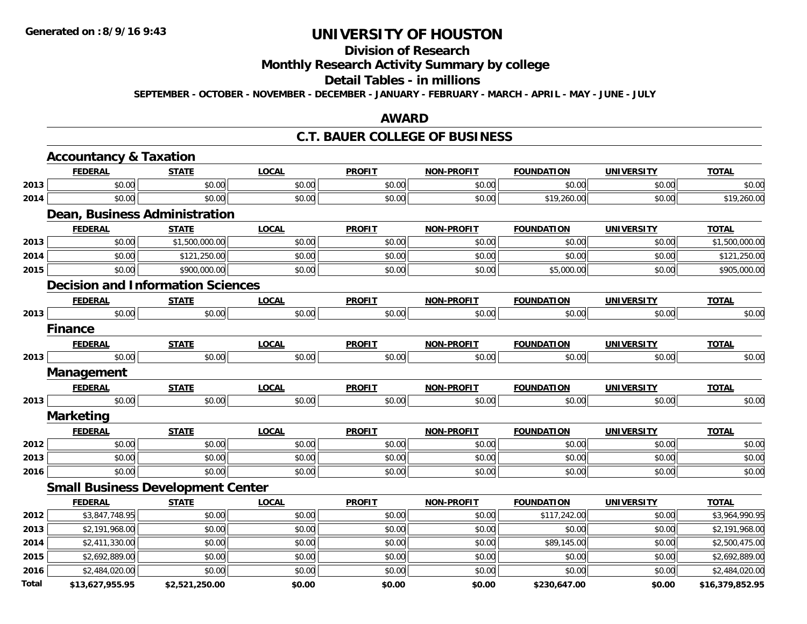# **Division of Research**

## **Monthly Research Activity Summary by college**

#### **Detail Tables - in millions**

**SEPTEMBER - OCTOBER - NOVEMBER - DECEMBER - JANUARY - FEBRUARY - MARCH - APRIL - MAY - JUNE - JULY**

### **AWARD**

#### **C.T. BAUER COLLEGE OF BUSINESS**

|              | <b>Accountancy &amp; Taxation</b>        |                |              |               |                   |                   |                   |                 |
|--------------|------------------------------------------|----------------|--------------|---------------|-------------------|-------------------|-------------------|-----------------|
|              | <b>FEDERAL</b>                           | <b>STATE</b>   | <b>LOCAL</b> | <b>PROFIT</b> | <b>NON-PROFIT</b> | <b>FOUNDATION</b> | <b>UNIVERSITY</b> | <b>TOTAL</b>    |
| 2013         | \$0.00                                   | \$0.00         | \$0.00       | \$0.00        | \$0.00            | \$0.00            | \$0.00            | \$0.00          |
| 2014         | \$0.00                                   | \$0.00         | \$0.00       | \$0.00        | \$0.00            | \$19,260.00       | \$0.00            | \$19,260.00     |
|              | Dean, Business Administration            |                |              |               |                   |                   |                   |                 |
|              | <b>FEDERAL</b>                           | <b>STATE</b>   | <b>LOCAL</b> | <b>PROFIT</b> | <b>NON-PROFIT</b> | <b>FOUNDATION</b> | <b>UNIVERSITY</b> | <b>TOTAL</b>    |
| 2013         | \$0.00                                   | \$1,500,000.00 | \$0.00       | \$0.00        | \$0.00            | \$0.00            | \$0.00            | \$1,500,000.00  |
| 2014         | \$0.00                                   | \$121,250.00   | \$0.00       | \$0.00        | \$0.00            | \$0.00            | \$0.00            | \$121,250.00    |
| 2015         | \$0.00                                   | \$900,000.00   | \$0.00       | \$0.00        | \$0.00            | \$5,000.00        | \$0.00            | \$905,000.00    |
|              | <b>Decision and Information Sciences</b> |                |              |               |                   |                   |                   |                 |
|              | <b>FEDERAL</b>                           | <b>STATE</b>   | <b>LOCAL</b> | <b>PROFIT</b> | <b>NON-PROFIT</b> | <b>FOUNDATION</b> | <b>UNIVERSITY</b> | <b>TOTAL</b>    |
| 2013         | \$0.00                                   | \$0.00         | \$0.00       | \$0.00        | \$0.00            | \$0.00            | \$0.00            | \$0.00          |
|              | <b>Finance</b>                           |                |              |               |                   |                   |                   |                 |
|              | <b>FEDERAL</b>                           | <b>STATE</b>   | <b>LOCAL</b> | <b>PROFIT</b> | <b>NON-PROFIT</b> | <b>FOUNDATION</b> | <b>UNIVERSITY</b> | <b>TOTAL</b>    |
| 2013         | \$0.00                                   | \$0.00         | \$0.00       | \$0.00        | \$0.00            | \$0.00            | \$0.00            | \$0.00          |
|              | <b>Management</b>                        |                |              |               |                   |                   |                   |                 |
|              | <b>FEDERAL</b>                           | <b>STATE</b>   | <b>LOCAL</b> | <b>PROFIT</b> | <b>NON-PROFIT</b> | <b>FOUNDATION</b> | <b>UNIVERSITY</b> | <b>TOTAL</b>    |
| 2013         | \$0.00                                   | \$0.00         | \$0.00       | \$0.00        | \$0.00            | \$0.00            | \$0.00            | \$0.00          |
|              | <b>Marketing</b>                         |                |              |               |                   |                   |                   |                 |
|              | <b>FEDERAL</b>                           | <b>STATE</b>   | <b>LOCAL</b> | <b>PROFIT</b> | <b>NON-PROFIT</b> | <b>FOUNDATION</b> | <b>UNIVERSITY</b> | <b>TOTAL</b>    |
| 2012         | \$0.00                                   | \$0.00         | \$0.00       | \$0.00        | \$0.00            | \$0.00            | \$0.00            | \$0.00          |
| 2013         | \$0.00                                   | \$0.00         | \$0.00       | \$0.00        | \$0.00            | \$0.00            | \$0.00            | \$0.00          |
| 2016         | \$0.00                                   | \$0.00         | \$0.00       | \$0.00        | \$0.00            | \$0.00            | \$0.00            | \$0.00          |
|              | <b>Small Business Development Center</b> |                |              |               |                   |                   |                   |                 |
|              | <b>FEDERAL</b>                           | <b>STATE</b>   | <b>LOCAL</b> | <b>PROFIT</b> | <b>NON-PROFIT</b> | <b>FOUNDATION</b> | <b>UNIVERSITY</b> | <b>TOTAL</b>    |
| 2012         | \$3,847,748.95                           | \$0.00         | \$0.00       | \$0.00        | \$0.00            | \$117,242.00      | \$0.00            | \$3,964,990.95  |
| 2013         | \$2,191,968.00                           | \$0.00         | \$0.00       | \$0.00        | \$0.00            | \$0.00            | \$0.00            | \$2,191,968.00  |
| 2014         | \$2,411,330.00                           | \$0.00         | \$0.00       | \$0.00        | \$0.00            | \$89,145.00       | \$0.00            | \$2,500,475.00  |
| 2015         | \$2,692,889.00                           | \$0.00         | \$0.00       | \$0.00        | \$0.00            | \$0.00            | \$0.00            | \$2,692,889.00  |
| 2016         | \$2,484,020.00                           | \$0.00         | \$0.00       | \$0.00        | \$0.00            | \$0.00            | \$0.00            | \$2,484,020.00  |
| <b>Total</b> | \$13,627,955.95                          | \$2,521,250.00 | \$0.00       | \$0.00        | \$0.00            | \$230,647.00      | \$0.00            | \$16,379,852.95 |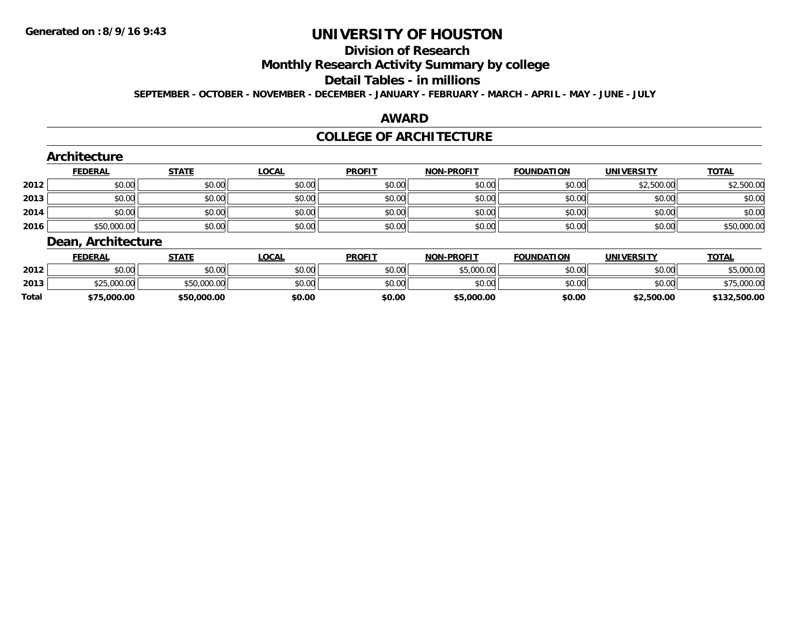#### **Division of Research**

**Monthly Research Activity Summary by college**

#### **Detail Tables - in millions**

**SEPTEMBER - OCTOBER - NOVEMBER - DECEMBER - JANUARY - FEBRUARY - MARCH - APRIL - MAY - JUNE - JULY**

#### **AWARD**

### **COLLEGE OF ARCHITECTURE**

|      | Architecture       |              |              |               |                   |                    |                    |              |
|------|--------------------|--------------|--------------|---------------|-------------------|--------------------|--------------------|--------------|
|      | <b>FEDERAL</b>     | <b>STATE</b> | <b>LOCAL</b> | <b>PROFIT</b> | <b>NON-PROFIT</b> | <b>FOUNDATION</b>  | <b>UNIVERSITY</b>  | <b>TOTAL</b> |
| 2012 | \$0.00             | \$0.00       | \$0.00       | \$0.00        | \$0.00            | \$0.00             | \$2,500.00         | \$2,500.00   |
| 2013 | \$0.00             | \$0.00       | \$0.00       | \$0.00        | \$0.00            | \$0.00             | \$0.00             | \$0.00       |
| 2014 | \$0.00             | \$0.00       | \$0.00       | \$0.00        | \$0.00            | \$0.00             | \$0.00             | \$0.00       |
| 2016 | \$50,000.00        | \$0.00       | \$0.00       | \$0.00        | \$0.00            | \$0.00             | \$0.00             | \$50,000.00  |
|      | Dean, Architecture |              |              |               |                   |                    |                    |              |
|      | <b>FFDFDAI</b>     | <b>STATE</b> | I OCAL       | <b>DDOFIT</b> | MON_PPOELT        | <b>EQUINDATION</b> | <b>IINIVEDSITY</b> | <b>TOTAL</b> |

|              | FEDERAL                          | STATE       | LOCAI  | <b>PROFI1</b> | <b>NON-PROFIT</b>           | <b>FOUNDATION</b> | UNIVERSITY | <b>TOTAL</b>     |
|--------------|----------------------------------|-------------|--------|---------------|-----------------------------|-------------------|------------|------------------|
| 2012         | \$0.00                           | \$0.00      | \$0.00 | \$0.00        | <b>CE OOO OO</b><br>.uuu.uu | \$0.00            | \$0.00     | nnn nr           |
| 2013         | <b>COR OOO OOL</b><br>DU.UUU.CSG | \$50,000.00 | \$0.00 | \$0.00        | mn n¢<br>JU.UU              | \$0.00            | \$0.00     | 75.000.00        |
| <b>Total</b> | \$75,000.00                      | \$50,000.00 | \$0.00 | \$0.00        | \$5,000.00                  | \$0.00            | \$2,500.00 | .500.00<br>1 J Z |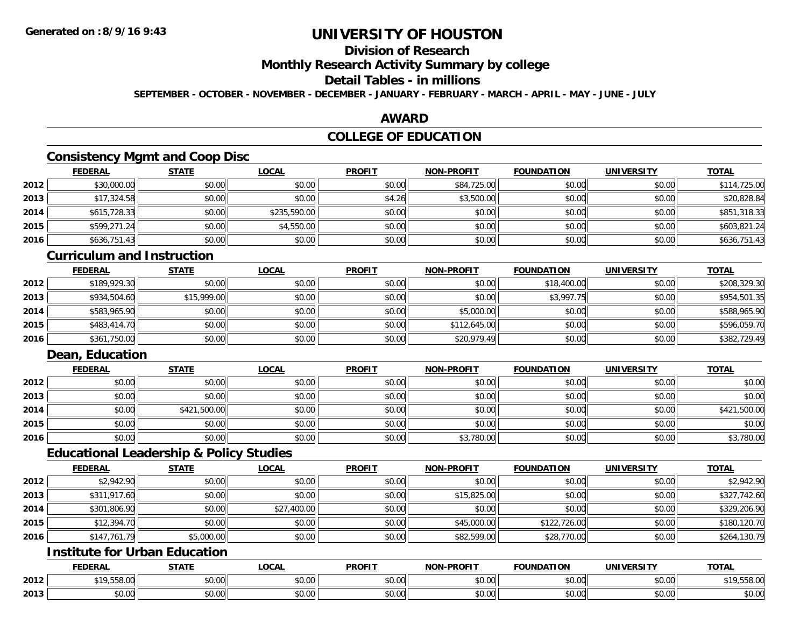## **Division of Research**

**Monthly Research Activity Summary by college**

## **Detail Tables - in millions**

**SEPTEMBER - OCTOBER - NOVEMBER - DECEMBER - JANUARY - FEBRUARY - MARCH - APRIL - MAY - JUNE - JULY**

### **AWARD**

## **COLLEGE OF EDUCATION**

## **Consistency Mgmt and Coop Disc**

|      | <b>FEDERAL</b> | <b>STATE</b> | <u>LOCAL</u> | <b>PROFIT</b> | <b>NON-PROFIT</b> | <b>FOUNDATION</b> | <b>UNIVERSITY</b> | <b>TOTAL</b> |
|------|----------------|--------------|--------------|---------------|-------------------|-------------------|-------------------|--------------|
| 2012 | \$30,000.00    | \$0.00       | \$0.00       | \$0.00        | \$84,725.00       | \$0.00            | \$0.00            | \$114,725.00 |
| 2013 | \$17,324.58    | \$0.00       | \$0.00       | \$4.26        | \$3,500.00        | \$0.00            | \$0.00            | \$20,828.84  |
| 2014 | \$615,728.33   | \$0.00       | \$235,590.00 | \$0.00        | \$0.00            | \$0.00            | \$0.00            | \$851,318.33 |
| 2015 | \$599,271.24   | \$0.00       | \$4,550.00   | \$0.00        | \$0.00            | \$0.00            | \$0.00            | \$603,821.24 |
| 2016 | \$636,751.43   | \$0.00       | \$0.00       | \$0.00        | \$0.00            | \$0.00            | \$0.00            | \$636,751.43 |

#### **Curriculum and Instruction**

|      | <b>FEDERAL</b> | <b>STATE</b> | <u>LOCAL</u> | <b>PROFIT</b> | <b>NON-PROFIT</b> | <b>FOUNDATION</b> | <b>UNIVERSITY</b> | <b>TOTAL</b> |
|------|----------------|--------------|--------------|---------------|-------------------|-------------------|-------------------|--------------|
| 2012 | \$189,929.30   | \$0.00       | \$0.00       | \$0.00        | \$0.00            | \$18,400.00       | \$0.00            | \$208,329.30 |
| 2013 | \$934,504.60   | \$15,999.00  | \$0.00       | \$0.00        | \$0.00            | \$3,997.75        | \$0.00            | \$954,501.35 |
| 2014 | \$583,965.90   | \$0.00       | \$0.00       | \$0.00        | \$5,000.00        | \$0.00            | \$0.00            | \$588,965.90 |
| 2015 | \$483,414.70   | \$0.00       | \$0.00       | \$0.00        | \$112,645.00      | \$0.00            | \$0.00            | \$596,059.70 |
| 2016 | \$361,750.00   | \$0.00       | \$0.00       | \$0.00        | \$20,979.49       | \$0.00            | \$0.00            | \$382,729.49 |

## **Dean, Education**

|      | <b>FEDERAL</b> | <b>STATE</b> | <u>LOCAL</u> | <b>PROFIT</b> | <b>NON-PROFIT</b> | <b>FOUNDATION</b> | <b>UNIVERSITY</b> | <b>TOTAL</b> |
|------|----------------|--------------|--------------|---------------|-------------------|-------------------|-------------------|--------------|
| 2012 | \$0.00         | \$0.00       | \$0.00       | \$0.00        | \$0.00            | \$0.00            | \$0.00            | \$0.00       |
| 2013 | \$0.00         | \$0.00       | \$0.00       | \$0.00        | \$0.00            | \$0.00            | \$0.00            | \$0.00       |
| 2014 | \$0.00         | \$421,500.00 | \$0.00       | \$0.00        | \$0.00            | \$0.00            | \$0.00            | \$421,500.00 |
| 2015 | \$0.00         | \$0.00       | \$0.00       | \$0.00        | \$0.00            | \$0.00            | \$0.00            | \$0.00       |
| 2016 | \$0.00         | \$0.00       | \$0.00       | \$0.00        | \$3,780.00        | \$0.00            | \$0.00            | \$3,780.00   |

### **Educational Leadership & Policy Studies**

|      | <b>FEDERAL</b> | <b>STATE</b> | <u>LOCAL</u> | <b>PROFIT</b> | <b>NON-PROFIT</b> | <b>FOUNDATION</b> | <b>UNIVERSITY</b> | <b>TOTAL</b> |
|------|----------------|--------------|--------------|---------------|-------------------|-------------------|-------------------|--------------|
| 2012 | \$2,942.90     | \$0.00       | \$0.00       | \$0.00        | \$0.00            | \$0.00            | \$0.00            | \$2,942.90   |
| 2013 | \$311,917.60   | \$0.00       | \$0.00       | \$0.00        | \$15,825.00       | \$0.00            | \$0.00            | \$327,742.60 |
| 2014 | \$301,806.90   | \$0.00       | \$27,400.00  | \$0.00        | \$0.00            | \$0.00            | \$0.00            | \$329,206.90 |
| 2015 | \$12,394.70    | \$0.00       | \$0.00       | \$0.00        | \$45,000.00       | \$122,726.00      | \$0.00            | \$180,120.70 |
| 2016 | \$147,761.79   | \$5,000.00   | \$0.00       | \$0.00        | \$82,599.00       | \$28,770.00       | \$0.00            | \$264,130.79 |

# **Institute for Urban Education**

|      | <b>FEDERAL</b>                      | 27.77<br>1711                           | <b>_OCAL</b>              | <b>PROFIT</b>          | <b>J-PROFIT</b><br><b>AION'</b> | <b>FOUNDATION</b> | <b>UNIVERSITY</b>    | <b>TOTAL</b> |
|------|-------------------------------------|-----------------------------------------|---------------------------|------------------------|---------------------------------|-------------------|----------------------|--------------|
| 2012 | <b>৫</b> 1 በ<br>$\sim$<br>, JJU. UU | \$0.00                                  | $\sim$<br>$\sim$<br>JU.UU | ሐሴ ሰሰ<br>JU.UU         | 0000<br>PU.UU                   | \$0.00            | 0000<br>vu.vu        | 19,558.00    |
| 2013 | 0 <sub>0</sub><br>PU.UU             | $\sim$ $\sim$<br>$\cap$ $\cap$<br>,u.uu | $\sim$ 00<br>vv.vv        | ሖ ∩<br>$\sim$<br>JU.UU | 0000<br>PO.OO                   | \$0.00            | 0000<br><b>JU.UU</b> | \$0.00       |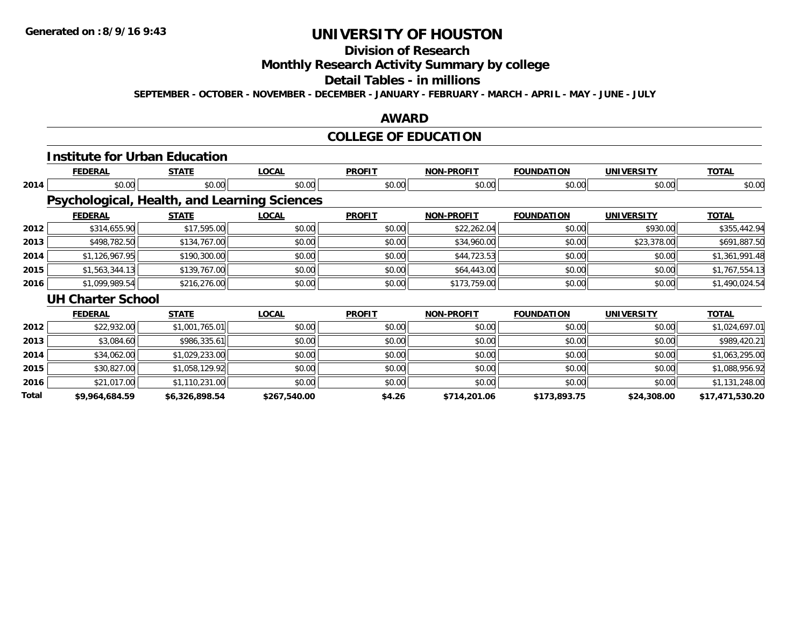# **Division of Research**

**Monthly Research Activity Summary by college**

#### **Detail Tables - in millions**

**SEPTEMBER - OCTOBER - NOVEMBER - DECEMBER - JANUARY - FEBRUARY - MARCH - APRIL - MAY - JUNE - JULY**

### **AWARD**

## **COLLEGE OF EDUCATION**

|       | <b>Institute for Urban Education</b>         |                |              |               |                   |                   |                   |                 |
|-------|----------------------------------------------|----------------|--------------|---------------|-------------------|-------------------|-------------------|-----------------|
|       | <b>FEDERAL</b>                               | <b>STATE</b>   | <b>LOCAL</b> | <b>PROFIT</b> | <b>NON-PROFIT</b> | <b>FOUNDATION</b> | <b>UNIVERSITY</b> | <b>TOTAL</b>    |
| 2014  | \$0.00                                       | \$0.00         | \$0.00       | \$0.00        | \$0.00            | \$0.00            | \$0.00            | \$0.00          |
|       | Psychological, Health, and Learning Sciences |                |              |               |                   |                   |                   |                 |
|       | <b>FEDERAL</b>                               | <b>STATE</b>   | <b>LOCAL</b> | <b>PROFIT</b> | <b>NON-PROFIT</b> | <b>FOUNDATION</b> | <b>UNIVERSITY</b> | <b>TOTAL</b>    |
| 2012  | \$314,655.90                                 | \$17,595.00    | \$0.00       | \$0.00        | \$22,262.04       | \$0.00            | \$930.00          | \$355,442.94    |
| 2013  | \$498,782.50                                 | \$134,767.00   | \$0.00       | \$0.00        | \$34,960.00       | \$0.00            | \$23,378.00       | \$691,887.50    |
| 2014  | \$1,126,967.95                               | \$190,300.00   | \$0.00       | \$0.00        | \$44,723.53       | \$0.00            | \$0.00            | \$1,361,991.48  |
| 2015  | \$1,563,344.13                               | \$139,767.00   | \$0.00       | \$0.00        | \$64,443.00       | \$0.00            | \$0.00            | \$1,767,554.13  |
| 2016  | \$1,099,989.54                               | \$216,276.00   | \$0.00       | \$0.00        | \$173,759.00      | \$0.00            | \$0.00            | \$1,490,024.54  |
|       | <b>UH Charter School</b>                     |                |              |               |                   |                   |                   |                 |
|       | <b>FEDERAL</b>                               | <b>STATE</b>   | <b>LOCAL</b> | <b>PROFIT</b> | <b>NON-PROFIT</b> | <b>FOUNDATION</b> | <b>UNIVERSITY</b> | <b>TOTAL</b>    |
| 2012  | \$22,932.00                                  | \$1,001,765.01 | \$0.00       | \$0.00        | \$0.00            | \$0.00            | \$0.00            | \$1,024,697.01  |
| 2013  | \$3,084.60                                   | \$986,335.61   | \$0.00       | \$0.00        | \$0.00            | \$0.00            | \$0.00            | \$989,420.21    |
| 2014  | \$34,062.00                                  | \$1,029,233.00 | \$0.00       | \$0.00        | \$0.00            | \$0.00            | \$0.00            | \$1,063,295.00  |
| 2015  | \$30,827.00                                  | \$1,058,129.92 | \$0.00       | \$0.00        | \$0.00            | \$0.00            | \$0.00            | \$1,088,956.92  |
| 2016  | \$21,017.00                                  | \$1,110,231.00 | \$0.00       | \$0.00        | \$0.00            | \$0.00            | \$0.00            | \$1,131,248.00  |
| Total | \$9,964,684.59                               | \$6,326,898.54 | \$267,540.00 | \$4.26        | \$714,201.06      | \$173,893.75      | \$24,308.00       | \$17,471,530.20 |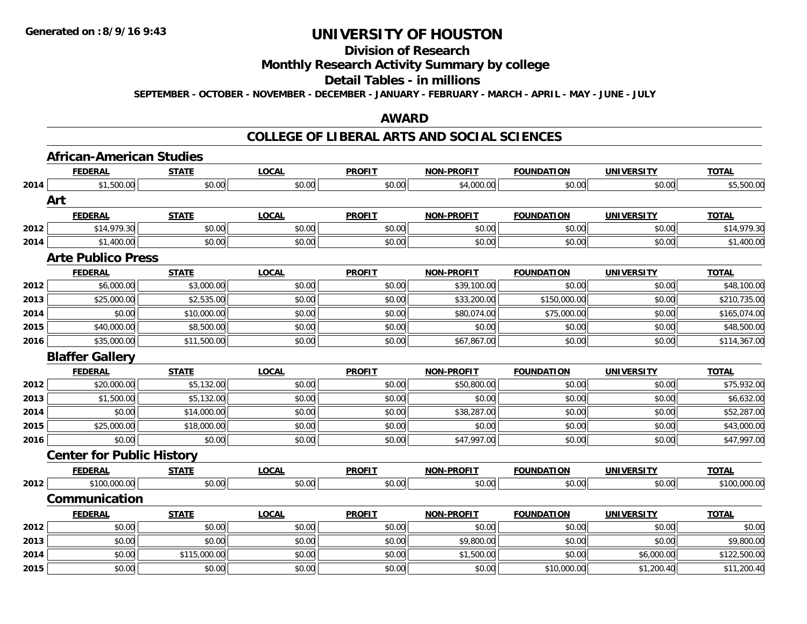## **Division of Research**

### **Monthly Research Activity Summary by college**

#### **Detail Tables - in millions**

**SEPTEMBER - OCTOBER - NOVEMBER - DECEMBER - JANUARY - FEBRUARY - MARCH - APRIL - MAY - JUNE - JULY**

## **AWARD**

#### **COLLEGE OF LIBERAL ARTS AND SOCIAL SCIENCES**

|      | <b>African-American Studies</b>  |              |              |               |                   |                   |                   |              |
|------|----------------------------------|--------------|--------------|---------------|-------------------|-------------------|-------------------|--------------|
|      | <b>FEDERAL</b>                   | <b>STATE</b> | <b>LOCAL</b> | <b>PROFIT</b> | <b>NON-PROFIT</b> | <b>FOUNDATION</b> | <b>UNIVERSITY</b> | <b>TOTAL</b> |
| 2014 | \$1,500.00                       | \$0.00       | \$0.00       | \$0.00        | \$4,000.00        | \$0.00            | \$0.00            | \$5,500.00   |
|      | Art                              |              |              |               |                   |                   |                   |              |
|      | <b>FEDERAL</b>                   | <b>STATE</b> | <b>LOCAL</b> | <b>PROFIT</b> | <b>NON-PROFIT</b> | <b>FOUNDATION</b> | <b>UNIVERSITY</b> | <b>TOTAL</b> |
| 2012 | \$14,979.30                      | \$0.00       | \$0.00       | \$0.00        | \$0.00            | \$0.00            | \$0.00            | \$14,979.30  |
| 2014 | \$1,400.00                       | \$0.00       | \$0.00       | \$0.00        | \$0.00            | \$0.00            | \$0.00            | \$1,400.00   |
|      | <b>Arte Publico Press</b>        |              |              |               |                   |                   |                   |              |
|      | <b>FEDERAL</b>                   | <b>STATE</b> | <b>LOCAL</b> | <b>PROFIT</b> | <b>NON-PROFIT</b> | <b>FOUNDATION</b> | <b>UNIVERSITY</b> | <b>TOTAL</b> |
| 2012 | \$6,000.00                       | \$3,000.00   | \$0.00       | \$0.00        | \$39,100.00       | \$0.00            | \$0.00            | \$48,100.00  |
| 2013 | \$25,000.00                      | \$2,535.00   | \$0.00       | \$0.00        | \$33,200.00       | \$150,000.00      | \$0.00            | \$210,735.00 |
| 2014 | \$0.00                           | \$10,000.00  | \$0.00       | \$0.00        | \$80,074.00       | \$75,000.00       | \$0.00            | \$165,074.00 |
| 2015 | \$40,000.00                      | \$8,500.00   | \$0.00       | \$0.00        | \$0.00            | \$0.00            | \$0.00            | \$48,500.00  |
| 2016 | \$35,000.00                      | \$11,500.00  | \$0.00       | \$0.00        | \$67,867.00       | \$0.00            | \$0.00            | \$114,367.00 |
|      | <b>Blaffer Gallery</b>           |              |              |               |                   |                   |                   |              |
|      | <b>FEDERAL</b>                   | <b>STATE</b> | <b>LOCAL</b> | <b>PROFIT</b> | <b>NON-PROFIT</b> | <b>FOUNDATION</b> | <b>UNIVERSITY</b> | <b>TOTAL</b> |
| 2012 | \$20,000.00                      | \$5,132.00   | \$0.00       | \$0.00        | \$50,800.00       | \$0.00            | \$0.00            | \$75,932.00  |
| 2013 | \$1,500.00                       | \$5,132.00   | \$0.00       | \$0.00        | \$0.00            | \$0.00            | \$0.00            | \$6,632.00   |
| 2014 | \$0.00                           | \$14,000.00  | \$0.00       | \$0.00        | \$38,287.00       | \$0.00            | \$0.00            | \$52,287.00  |
| 2015 | \$25,000.00                      | \$18,000.00  | \$0.00       | \$0.00        | \$0.00            | \$0.00            | \$0.00            | \$43,000.00  |
| 2016 | \$0.00                           | \$0.00       | \$0.00       | \$0.00        | \$47,997.00       | \$0.00            | \$0.00            | \$47,997.00  |
|      | <b>Center for Public History</b> |              |              |               |                   |                   |                   |              |
|      | <b>FEDERAL</b>                   | <b>STATE</b> | <b>LOCAL</b> | <b>PROFIT</b> | <b>NON-PROFIT</b> | <b>FOUNDATION</b> | <b>UNIVERSITY</b> | <b>TOTAL</b> |
| 2012 | \$100,000.00                     | \$0.00       | \$0.00       | \$0.00        | \$0.00            | \$0.00            | \$0.00            | \$100,000.00 |
|      | Communication                    |              |              |               |                   |                   |                   |              |
|      | <b>FEDERAL</b>                   | <b>STATE</b> | <b>LOCAL</b> | <b>PROFIT</b> | <b>NON-PROFIT</b> | <b>FOUNDATION</b> | <b>UNIVERSITY</b> | <b>TOTAL</b> |
| 2012 | \$0.00                           | \$0.00       | \$0.00       | \$0.00        | \$0.00            | \$0.00            | \$0.00            | \$0.00       |
| 2013 | \$0.00                           | \$0.00       | \$0.00       | \$0.00        | \$9,800.00        | \$0.00            | \$0.00            | \$9,800.00   |
| 2014 | \$0.00                           | \$115,000.00 | \$0.00       | \$0.00        | \$1,500.00        | \$0.00            | \$6,000.00        | \$122,500.00 |
| 2015 | \$0.00                           | \$0.00       | \$0.00       | \$0.00        | \$0.00            | \$10,000.00       | \$1,200.40        | \$11,200.40  |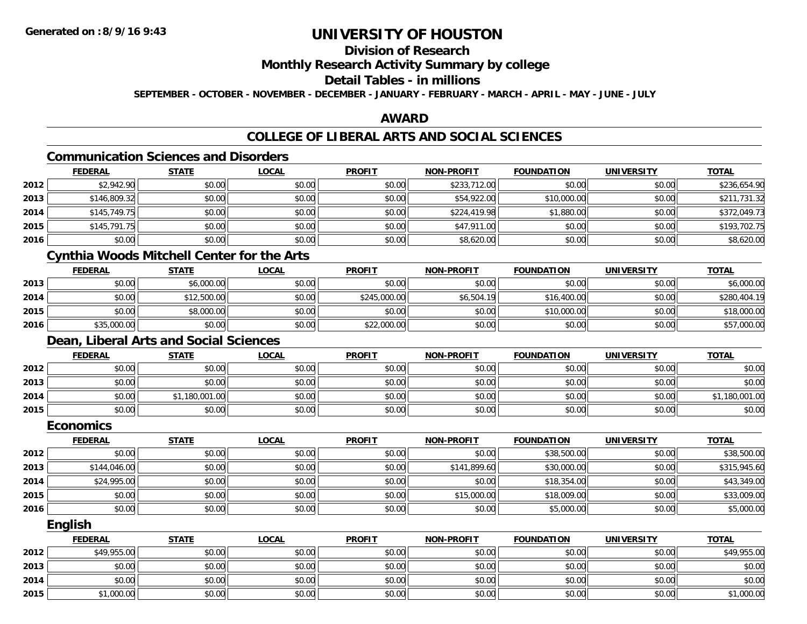## **Division of Research**

### **Monthly Research Activity Summary by college**

#### **Detail Tables - in millions**

**SEPTEMBER - OCTOBER - NOVEMBER - DECEMBER - JANUARY - FEBRUARY - MARCH - APRIL - MAY - JUNE - JULY**

### **AWARD**

## **COLLEGE OF LIBERAL ARTS AND SOCIAL SCIENCES**

## **Communication Sciences and Disorders**

|      | <b>FEDERAL</b> | <b>STATE</b> | <b>LOCAL</b> | <b>PROFIT</b> | <b>NON-PROFIT</b> | <b>FOUNDATION</b> | <b>UNIVERSITY</b> | <b>TOTAL</b> |
|------|----------------|--------------|--------------|---------------|-------------------|-------------------|-------------------|--------------|
| 2012 | \$2,942.90     | \$0.00       | \$0.00       | \$0.00        | \$233,712.00      | \$0.00            | \$0.00            | \$236,654.90 |
| 2013 | \$146,809.32   | \$0.00       | \$0.00       | \$0.00        | \$54,922.00       | \$10,000.00       | \$0.00            | \$211,731.32 |
| 2014 | \$145,749.75   | \$0.00       | \$0.00       | \$0.00        | \$224,419.98      | \$1,880.00        | \$0.00            | \$372,049.73 |
| 2015 | \$145,791.75   | \$0.00       | \$0.00       | \$0.00        | \$47,911.00       | \$0.00            | \$0.00            | \$193,702.75 |
| 2016 | \$0.00         | \$0.00       | \$0.00       | \$0.00        | \$8,620.00        | \$0.00            | \$0.00            | \$8,620.00   |

## **Cynthia Woods Mitchell Center for the Arts**

|      | <u>FEDERAL</u> | <u>STATE</u> | <u>LOCAL</u> | <b>PROFIT</b> | <b>NON-PROFIT</b> | <b>FOUNDATION</b> | UNIVERSITY | <b>TOTAL</b> |
|------|----------------|--------------|--------------|---------------|-------------------|-------------------|------------|--------------|
| 2013 | \$0.00         | \$6,000.00   | \$0.00       | \$0.00        | \$0.00            | \$0.00            | \$0.00     | \$6,000.00   |
| 2014 | \$0.00         | \$12,500.00  | \$0.00       | \$245,000.00  | \$6,504.19        | \$16,400.00       | \$0.00     | \$280,404.19 |
| 2015 | \$0.00         | \$8,000.00   | \$0.00       | \$0.00        | \$0.00            | \$10,000.00       | \$0.00     | \$18,000.00  |
| 2016 | \$35,000.00    | \$0.00       | \$0.00       | \$22,000.00   | \$0.00            | \$0.00            | \$0.00     | \$57,000.00  |

## **Dean, Liberal Arts and Social Sciences**

|      | <u>FEDERAL</u> | <b>STATE</b> | <u>LOCAL</u> | <b>PROFIT</b> | <b>NON-PROFIT</b> | <b>FOUNDATION</b> | <b>UNIVERSITY</b> | <b>TOTAL</b>   |
|------|----------------|--------------|--------------|---------------|-------------------|-------------------|-------------------|----------------|
| 2012 | \$0.00         | \$0.00       | \$0.00       | \$0.00        | \$0.00            | \$0.00            | \$0.00            | \$0.00         |
| 2013 | \$0.00         | \$0.00       | \$0.00       | \$0.00        | \$0.00            | \$0.00            | \$0.00            | \$0.00         |
| 2014 | \$0.00         | ,180,001.00  | \$0.00       | \$0.00        | \$0.00            | \$0.00            | \$0.00            | \$1,180,001.00 |
| 2015 | \$0.00         | \$0.00       | \$0.00       | \$0.00        | \$0.00            | \$0.00            | \$0.00            | \$0.00         |

#### **Economics**

|      | <b>FEDERAL</b> | <b>STATE</b> | <u>LOCAL</u> | <b>PROFIT</b> | <b>NON-PROFIT</b> | <b>FOUNDATION</b> | <b>UNIVERSITY</b> | <b>TOTAL</b> |
|------|----------------|--------------|--------------|---------------|-------------------|-------------------|-------------------|--------------|
| 2012 | \$0.00         | \$0.00       | \$0.00       | \$0.00        | \$0.00            | \$38,500.00       | \$0.00            | \$38,500.00  |
| 2013 | \$144,046.00   | \$0.00       | \$0.00       | \$0.00        | \$141,899.60      | \$30,000.00       | \$0.00            | \$315,945.60 |
| 2014 | \$24,995.00    | \$0.00       | \$0.00       | \$0.00        | \$0.00            | \$18,354.00       | \$0.00            | \$43,349.00  |
| 2015 | \$0.00         | \$0.00       | \$0.00       | \$0.00        | \$15,000.00       | \$18,009.00       | \$0.00            | \$33,009.00  |
| 2016 | \$0.00         | \$0.00       | \$0.00       | \$0.00        | \$0.00            | \$5,000.00        | \$0.00            | \$5,000.00   |

#### **English**

|      | <b>FEDERAL</b> | <b>STATE</b> | <u>LOCAL</u> | <b>PROFIT</b> | <b>NON-PROFIT</b> | <b>FOUNDATION</b> | <b>UNIVERSITY</b> | <b>TOTAL</b> |
|------|----------------|--------------|--------------|---------------|-------------------|-------------------|-------------------|--------------|
| 2012 | \$49,955.00    | \$0.00       | \$0.00       | \$0.00        | \$0.00            | \$0.00            | \$0.00            | \$49,955.00  |
| 2013 | \$0.00         | \$0.00       | \$0.00       | \$0.00        | \$0.00            | \$0.00            | \$0.00            | \$0.00       |
| 2014 | \$0.00         | \$0.00       | \$0.00       | \$0.00        | \$0.00            | \$0.00            | \$0.00            | \$0.00       |
| 2015 | \$1,000.00     | \$0.00       | \$0.00       | \$0.00        | \$0.00            | \$0.00            | \$0.00            | \$1,000.00   |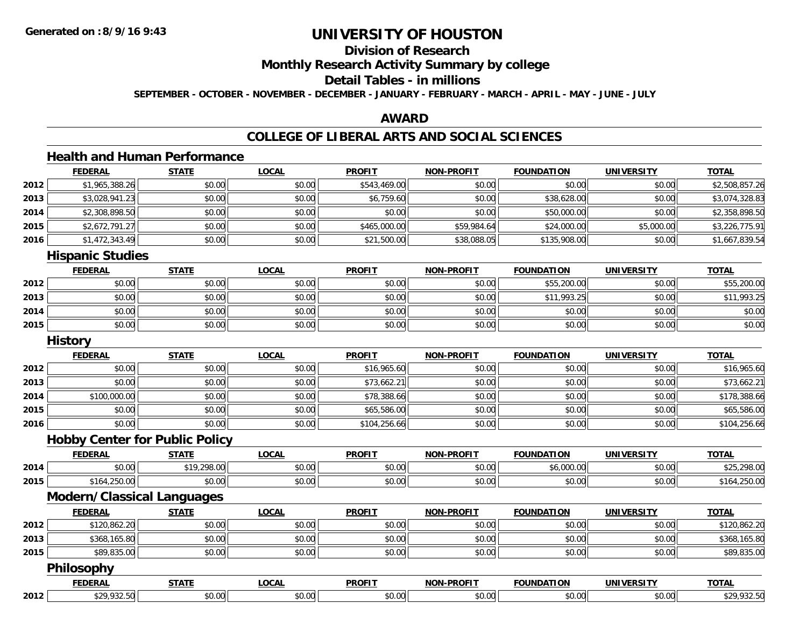## **Division of Research**

**Monthly Research Activity Summary by college**

### **Detail Tables - in millions**

**SEPTEMBER - OCTOBER - NOVEMBER - DECEMBER - JANUARY - FEBRUARY - MARCH - APRIL - MAY - JUNE - JULY**

#### **AWARD**

# **COLLEGE OF LIBERAL ARTS AND SOCIAL SCIENCES**

## **Health and Human Performance**

|      | <b>FEDERAL</b>                        | <b>STATE</b> | <b>LOCAL</b> | <b>PROFIT</b> | <b>NON-PROFIT</b> | <b>FOUNDATION</b> | <b>UNIVERSITY</b> | <b>TOTAL</b>   |
|------|---------------------------------------|--------------|--------------|---------------|-------------------|-------------------|-------------------|----------------|
| 2012 | \$1,965,388.26                        | \$0.00       | \$0.00       | \$543,469.00  | \$0.00            | \$0.00            | \$0.00            | \$2,508,857.26 |
| 2013 | \$3,028,941.23                        | \$0.00       | \$0.00       | \$6,759.60    | \$0.00            | \$38,628.00       | \$0.00            | \$3,074,328.83 |
| 2014 | \$2,308,898.50                        | \$0.00       | \$0.00       | \$0.00        | \$0.00            | \$50,000.00       | \$0.00            | \$2,358,898.50 |
| 2015 | \$2,672,791.27                        | \$0.00       | \$0.00       | \$465,000.00  | \$59,984.64       | \$24,000.00       | \$5,000.00        | \$3,226,775.91 |
| 2016 | \$1,472,343.49                        | \$0.00       | \$0.00       | \$21,500.00   | \$38,088.05       | \$135,908.00      | \$0.00            | \$1,667,839.54 |
|      | <b>Hispanic Studies</b>               |              |              |               |                   |                   |                   |                |
|      | <b>FEDERAL</b>                        | <b>STATE</b> | <b>LOCAL</b> | <b>PROFIT</b> | <b>NON-PROFIT</b> | <b>FOUNDATION</b> | <b>UNIVERSITY</b> | <b>TOTAL</b>   |
| 2012 | \$0.00                                | \$0.00       | \$0.00       | \$0.00        | \$0.00            | \$55,200.00       | \$0.00            | \$55,200.00    |
| 2013 | \$0.00                                | \$0.00       | \$0.00       | \$0.00        | \$0.00            | \$11,993.25       | \$0.00            | \$11,993.25    |
| 2014 | \$0.00                                | \$0.00       | \$0.00       | \$0.00        | \$0.00            | \$0.00            | \$0.00            | \$0.00         |
| 2015 | \$0.00                                | \$0.00       | \$0.00       | \$0.00        | \$0.00            | \$0.00            | \$0.00            | \$0.00         |
|      | <b>History</b>                        |              |              |               |                   |                   |                   |                |
|      | <b>FEDERAL</b>                        | <b>STATE</b> | <b>LOCAL</b> | <b>PROFIT</b> | <b>NON-PROFIT</b> | <b>FOUNDATION</b> | <b>UNIVERSITY</b> | <b>TOTAL</b>   |
| 2012 | \$0.00                                | \$0.00       | \$0.00       | \$16,965.60   | \$0.00            | \$0.00            | \$0.00            | \$16,965.60    |
| 2013 | \$0.00                                | \$0.00       | \$0.00       | \$73,662.21   | \$0.00            | \$0.00            | \$0.00            | \$73,662.21    |
| 2014 | \$100,000.00                          | \$0.00       | \$0.00       | \$78,388.66   | \$0.00            | \$0.00            | \$0.00            | \$178,388.66   |
| 2015 | \$0.00                                | \$0.00       | \$0.00       | \$65,586.00   | \$0.00            | \$0.00            | \$0.00            | \$65,586.00    |
| 2016 | \$0.00                                | \$0.00       | \$0.00       | \$104,256.66  | \$0.00            | \$0.00            | \$0.00            | \$104,256.66   |
|      | <b>Hobby Center for Public Policy</b> |              |              |               |                   |                   |                   |                |
|      | <b>FEDERAL</b>                        | <b>STATE</b> | <b>LOCAL</b> | <b>PROFIT</b> | <b>NON-PROFIT</b> | <b>FOUNDATION</b> | <b>UNIVERSITY</b> | <b>TOTAL</b>   |
| 2014 | \$0.00                                | \$19,298.00  | \$0.00       | \$0.00        | \$0.00            | \$6,000.00        | \$0.00            | \$25,298.00    |
| 2015 | \$164,250.00                          | \$0.00       | \$0.00       | \$0.00        | \$0.00            | \$0.00            | \$0.00            | \$164,250.00   |
|      | <b>Modern/Classical Languages</b>     |              |              |               |                   |                   |                   |                |
|      | <b>FEDERAL</b>                        | <b>STATE</b> | <b>LOCAL</b> | <b>PROFIT</b> | <b>NON-PROFIT</b> | <b>FOUNDATION</b> | <b>UNIVERSITY</b> | <b>TOTAL</b>   |
| 2012 | \$120,862.20                          | \$0.00       | \$0.00       | \$0.00        | \$0.00            | \$0.00            | \$0.00            | \$120,862.20   |
| 2013 | \$368,165.80                          | \$0.00       | \$0.00       | \$0.00        | \$0.00            | \$0.00            | \$0.00            | \$368,165.80   |
| 2015 | \$89,835.00                           | \$0.00       | \$0.00       | \$0.00        | \$0.00            | \$0.00            | \$0.00            | \$89,835.00    |
|      | Philosophy                            |              |              |               |                   |                   |                   |                |
|      | <b>FEDERAL</b>                        | <b>STATE</b> | <b>LOCAL</b> | <b>PROFIT</b> | <b>NON-PROFIT</b> | <b>FOUNDATION</b> | <b>UNIVERSITY</b> | <b>TOTAL</b>   |

**2012**2 \$29,932.50 \$0.00 \$0.00 \$0.00 \$0.00 \$0.00 \$0.00 \$0.00 \$0.00 \$0.00 \$0.00 \$1.00 \$0.00 \$1.00 \$29,932.50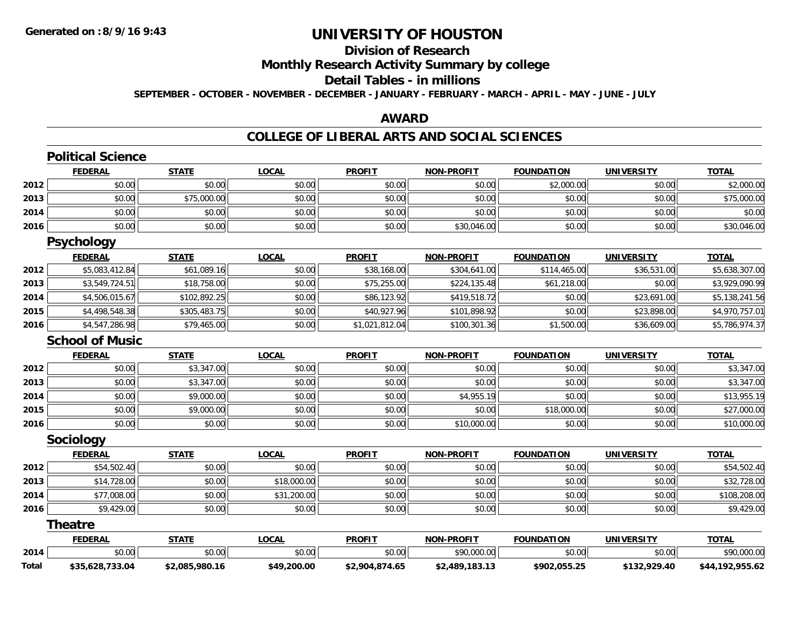## **Division of Research**

**Monthly Research Activity Summary by college**

### **Detail Tables - in millions**

**SEPTEMBER - OCTOBER - NOVEMBER - DECEMBER - JANUARY - FEBRUARY - MARCH - APRIL - MAY - JUNE - JULY**

#### **AWARD**

#### **COLLEGE OF LIBERAL ARTS AND SOCIAL SCIENCES**

|              | <b>Political Science</b> |                |              |                |                   |                   |                   |                 |
|--------------|--------------------------|----------------|--------------|----------------|-------------------|-------------------|-------------------|-----------------|
|              | <b>FEDERAL</b>           | <b>STATE</b>   | <b>LOCAL</b> | <b>PROFIT</b>  | <b>NON-PROFIT</b> | <b>FOUNDATION</b> | <b>UNIVERSITY</b> | <b>TOTAL</b>    |
| 2012         | \$0.00                   | \$0.00         | \$0.00       | \$0.00         | \$0.00            | \$2,000.00        | \$0.00            | \$2,000.00      |
| 2013         | \$0.00                   | \$75,000.00    | \$0.00       | \$0.00         | \$0.00            | \$0.00            | \$0.00            | \$75,000.00     |
| 2014         | \$0.00                   | \$0.00         | \$0.00       | \$0.00         | \$0.00            | \$0.00            | \$0.00            | \$0.00          |
| 2016         | \$0.00                   | \$0.00         | \$0.00       | \$0.00         | \$30,046.00       | \$0.00            | \$0.00            | \$30,046.00     |
|              | <b>Psychology</b>        |                |              |                |                   |                   |                   |                 |
|              | <b>FEDERAL</b>           | <b>STATE</b>   | <b>LOCAL</b> | <b>PROFIT</b>  | <b>NON-PROFIT</b> | <b>FOUNDATION</b> | <b>UNIVERSITY</b> | <b>TOTAL</b>    |
| 2012         | \$5,083,412.84           | \$61,089.16    | \$0.00       | \$38,168.00    | \$304,641.00      | \$114,465.00      | \$36,531.00       | \$5,638,307.00  |
| 2013         | \$3,549,724.51           | \$18,758.00    | \$0.00       | \$75,255.00    | \$224,135.48      | \$61,218.00       | \$0.00            | \$3,929,090.99  |
| 2014         | \$4,506,015.67           | \$102,892.25   | \$0.00       | \$86,123.92    | \$419,518.72      | \$0.00            | \$23,691.00       | \$5,138,241.56  |
| 2015         | \$4,498,548.38           | \$305,483.75   | \$0.00       | \$40,927.96    | \$101,898.92      | \$0.00            | \$23,898.00       | \$4,970,757.01  |
| 2016         | \$4,547,286.98           | \$79,465.00    | \$0.00       | \$1,021,812.04 | \$100,301.36      | \$1,500.00        | \$36,609.00       | \$5,786,974.37  |
|              | <b>School of Music</b>   |                |              |                |                   |                   |                   |                 |
|              | <b>FEDERAL</b>           | <b>STATE</b>   | <b>LOCAL</b> | <b>PROFIT</b>  | <b>NON-PROFIT</b> | <b>FOUNDATION</b> | <b>UNIVERSITY</b> | <b>TOTAL</b>    |
| 2012         | \$0.00                   | \$3,347.00     | \$0.00       | \$0.00         | \$0.00            | \$0.00            | \$0.00            | \$3,347.00      |
| 2013         | \$0.00                   | \$3,347.00     | \$0.00       | \$0.00         | \$0.00            | \$0.00            | \$0.00            | \$3,347.00      |
| 2014         | \$0.00                   | \$9,000.00     | \$0.00       | \$0.00         | \$4,955.19        | \$0.00            | \$0.00            | \$13,955.19     |
| 2015         | \$0.00                   | \$9,000.00     | \$0.00       | \$0.00         | \$0.00            | \$18,000.00       | \$0.00            | \$27,000.00     |
| 2016         | \$0.00                   | \$0.00         | \$0.00       | \$0.00         | \$10,000.00       | \$0.00            | \$0.00            | \$10,000.00     |
|              | Sociology                |                |              |                |                   |                   |                   |                 |
|              | <b>FEDERAL</b>           | <b>STATE</b>   | <b>LOCAL</b> | <b>PROFIT</b>  | <b>NON-PROFIT</b> | <b>FOUNDATION</b> | <b>UNIVERSITY</b> | <b>TOTAL</b>    |
| 2012         | \$54,502.40              | \$0.00         | \$0.00       | \$0.00         | \$0.00            | \$0.00            | \$0.00            | \$54,502.40     |
| 2013         | \$14,728.00              | \$0.00         | \$18,000.00  | \$0.00         | \$0.00            | \$0.00            | \$0.00            | \$32,728.00     |
| 2014         | \$77,008.00              | \$0.00         | \$31,200.00  | \$0.00         | \$0.00            | \$0.00            | \$0.00            | \$108,208.00    |
| 2016         | \$9,429.00               | \$0.00         | \$0.00       | \$0.00         | \$0.00            | \$0.00            | \$0.00            | \$9,429.00      |
|              | <b>Theatre</b>           |                |              |                |                   |                   |                   |                 |
|              | <b>FEDERAL</b>           | <b>STATE</b>   | <b>LOCAL</b> | <b>PROFIT</b>  | <b>NON-PROFIT</b> | <b>FOUNDATION</b> | <b>UNIVERSITY</b> | <b>TOTAL</b>    |
| 2014         | \$0.00                   | \$0.00         | \$0.00       | \$0.00         | \$90,000.00       | \$0.00            | \$0.00            | \$90,000.00     |
| <b>Total</b> | \$35,628,733.04          | \$2,085,980.16 | \$49,200.00  | \$2,904,874.65 | \$2,489,183.13    | \$902,055.25      | \$132,929.40      | \$44,192,955.62 |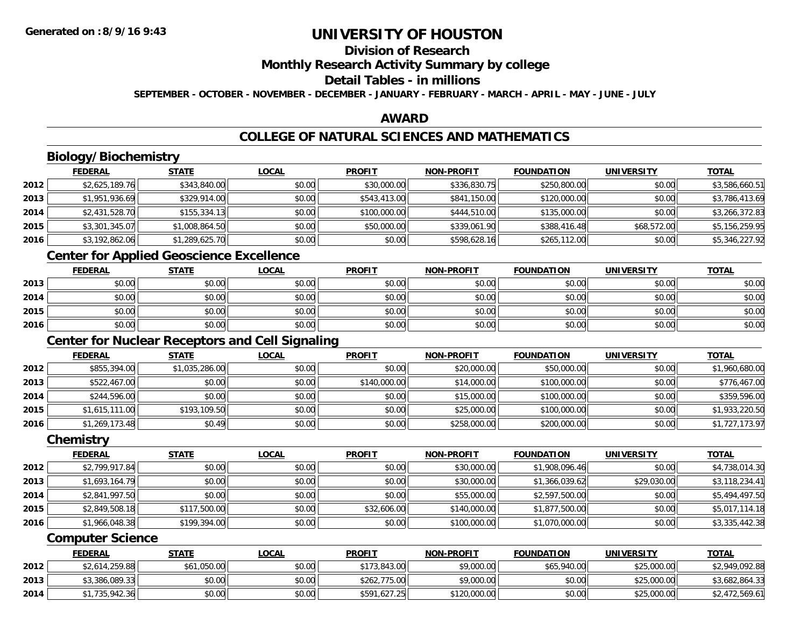## **Division of Research**

**Monthly Research Activity Summary by college**

#### **Detail Tables - in millions**

**SEPTEMBER - OCTOBER - NOVEMBER - DECEMBER - JANUARY - FEBRUARY - MARCH - APRIL - MAY - JUNE - JULY**

### **AWARD**

## **COLLEGE OF NATURAL SCIENCES AND MATHEMATICS**

## **Biology/Biochemistry**

|      | <b>FEDERAL</b> | <b>STATE</b>   | <b>LOCAL</b> | <b>PROFIT</b> | <b>NON-PROFIT</b> | <b>FOUNDATION</b> | <b>UNIVERSITY</b> | <b>TOTAL</b>   |
|------|----------------|----------------|--------------|---------------|-------------------|-------------------|-------------------|----------------|
| 2012 | \$2,625,189.76 | \$343,840.00   | \$0.00       | \$30,000.00   | \$336,830.75      | \$250,800.00      | \$0.00            | \$3,586,660.51 |
| 2013 | \$1,951,936.69 | \$329,914.00   | \$0.00       | \$543,413.00  | \$841,150.00      | \$120,000.00      | \$0.00            | \$3,786,413.69 |
| 2014 | \$2,431,528.70 | \$155,334.13   | \$0.00       | \$100,000.00  | \$444,510.00      | \$135,000.00      | \$0.00            | \$3,266,372.83 |
| 2015 | \$3,301,345.07 | \$1,008,864.50 | \$0.00       | \$50,000.00   | \$339,061.90      | \$388,416.48      | \$68,572.00       | \$5,156,259.95 |
| 2016 | \$3,192,862.06 | \$1,289,625.70 | \$0.00       | \$0.00        | \$598,628.16      | \$265,112.00      | \$0.00            | \$5,346,227.92 |

## **Center for Applied Geoscience Excellence**

|      | <b>FEDERAL</b> | <u>STATE</u> | <b>LOCAL</b> | <b>PROFIT</b> | <b>NON-PROFIT</b> | <b>FOUNDATION</b> | <b>UNIVERSITY</b> | <u>TOTAL</u> |
|------|----------------|--------------|--------------|---------------|-------------------|-------------------|-------------------|--------------|
| 2013 | \$0.00         | \$0.00       | \$0.00       | \$0.00        | \$0.00            | \$0.00            | \$0.00            | \$0.00       |
| 2014 | \$0.00         | \$0.00       | \$0.00       | \$0.00        | \$0.00            | \$0.00            | \$0.00            | \$0.00       |
| 2015 | \$0.00         | \$0.00       | \$0.00       | \$0.00        | \$0.00            | \$0.00            | \$0.00            | \$0.00       |
| 2016 | \$0.00         | \$0.00       | \$0.00       | \$0.00        | \$0.00            | \$0.00            | \$0.00            | \$0.00       |

## **Center for Nuclear Receptors and Cell Signaling**

|      | <b>FEDERAL</b> | <u>STATE</u>   | <b>LOCAL</b> | <b>PROFIT</b> | <b>NON-PROFIT</b> | <b>FOUNDATION</b> | <b>UNIVERSITY</b> | <b>TOTAL</b>   |
|------|----------------|----------------|--------------|---------------|-------------------|-------------------|-------------------|----------------|
| 2012 | \$855,394.00   | \$1,035,286.00 | \$0.00       | \$0.00        | \$20,000.00       | \$50,000.00       | \$0.00            | \$1,960,680.00 |
| 2013 | \$522,467.00   | \$0.00         | \$0.00       | \$140,000.00  | \$14,000.00       | \$100,000.00      | \$0.00            | \$776,467.00   |
| 2014 | \$244,596.00   | \$0.00         | \$0.00       | \$0.00        | \$15,000.00       | \$100,000.00      | \$0.00            | \$359,596.00   |
| 2015 | \$1,615,111.00 | \$193,109.50   | \$0.00       | \$0.00        | \$25,000.00       | \$100,000.00      | \$0.00            | \$1,933,220.50 |
| 2016 | \$1,269,173.48 | \$0.49         | \$0.00       | \$0.00        | \$258,000.00      | \$200,000.00      | \$0.00            | \$1,727,173.97 |

#### **Chemistry**

|      | <b>FEDERAL</b> | <b>STATE</b> | <b>LOCAL</b> | <b>PROFIT</b> | <b>NON-PROFIT</b> | <b>FOUNDATION</b> | <b>UNIVERSITY</b> | <b>TOTAL</b>   |
|------|----------------|--------------|--------------|---------------|-------------------|-------------------|-------------------|----------------|
| 2012 | \$2,799,917.84 | \$0.00       | \$0.00       | \$0.00        | \$30,000.00       | \$1,908,096.46    | \$0.00            | \$4,738,014.30 |
| 2013 | \$1,693,164.79 | \$0.00       | \$0.00       | \$0.00        | \$30,000.00       | \$1,366,039.62    | \$29,030.00       | \$3,118,234.41 |
| 2014 | \$2,841,997.50 | \$0.00       | \$0.00       | \$0.00        | \$55,000.00       | \$2,597,500.00    | \$0.00            | \$5,494,497.50 |
| 2015 | \$2,849,508.18 | \$117,500.00 | \$0.00       | \$32,606.00   | \$140,000.00      | \$1,877,500.00    | \$0.00            | \$5,017,114.18 |
| 2016 | \$1,966,048.38 | \$199,394.00 | \$0.00       | \$0.00        | \$100,000.00      | \$1,070,000.00    | \$0.00            | \$3,335,442.38 |

#### **Computer Science**

|      | <b>FEDERAL</b> | <u>STATE</u> | <u>LOCAL</u> | <b>PROFIT</b> | <b>NON-PROFIT</b> | <b>FOUNDATION</b> | UNIVERSITY  | <b>TOTAL</b>   |
|------|----------------|--------------|--------------|---------------|-------------------|-------------------|-------------|----------------|
| 2012 | \$2,614,259.88 | \$61,050.00  | \$0.00       | \$173,843.00  | \$9,000.00        | \$65,940.00       | \$25,000.00 | \$2,949,092.88 |
| 2013 | \$3,386,089.33 | \$0.00       | \$0.00       | \$262,775.00  | \$9,000.00        | \$0.00            | \$25,000.00 | \$3,682,864.33 |
| 2014 | \$1,735,942.36 | \$0.00       | \$0.00       | \$591,627.25  | \$120,000.00      | \$0.00            | \$25,000.00 | \$2,472,569.61 |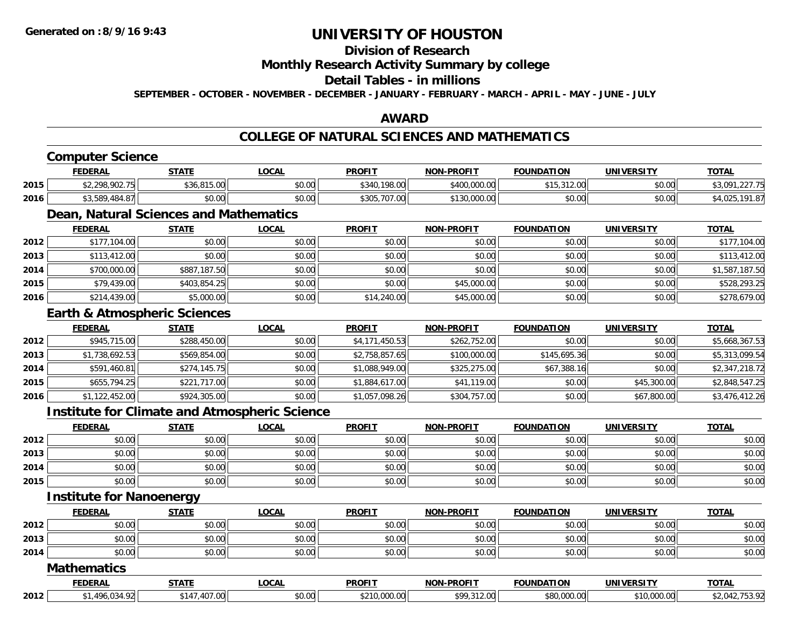## **Division of Research**

**Monthly Research Activity Summary by college**

#### **Detail Tables - in millions**

**SEPTEMBER - OCTOBER - NOVEMBER - DECEMBER - JANUARY - FEBRUARY - MARCH - APRIL - MAY - JUNE - JULY**

## **AWARD**

## **COLLEGE OF NATURAL SCIENCES AND MATHEMATICS**

## **Computer Science**

|      | <b>FEDERAL</b>              | <b>STATE</b>                    | LOCAI           | <b>PROFIT</b>                          | <b>NON-PROFIT</b>               | <b>FOUNDATION</b>                   | UNIVERSITY | <u>TOTAL</u>                   |
|------|-----------------------------|---------------------------------|-----------------|----------------------------------------|---------------------------------|-------------------------------------|------------|--------------------------------|
| 2015 | \$2,298,902.75              | 0.4500<br>$+26$<br>JU,U I J,UUI | 0.00<br>DU.UU   | .198.00<br>\$340                       | \$400,000,00                    | $0.15$ $0.00$<br>12.VV<br>, , , , , | \$0.00     | 0.077<br>$\sim$ $\sim$<br>もしいし |
| 2016 | <b>RQ</b><br>$\sim$<br>+.O/ | $\sim$ $\sim$<br>JU.UU          | nn na<br>\$U.UU | $0.205$ $707$<br>.uu<br>. <i>.</i> U . | 0.0000<br>$A \cap C$<br>,UUU.UU | \$0.00                              | \$0.00     | 101                            |

## **Dean, Natural Sciences and Mathematics**

|      | <b>FEDERAL</b> | <b>STATE</b> | <u>LOCAL</u> | <b>PROFIT</b> | <b>NON-PROFIT</b> | <b>FOUNDATION</b> | <b>UNIVERSITY</b> | <b>TOTAL</b>   |
|------|----------------|--------------|--------------|---------------|-------------------|-------------------|-------------------|----------------|
| 2012 | \$177,104.00   | \$0.00       | \$0.00       | \$0.00        | \$0.00            | \$0.00            | \$0.00            | \$177,104.00   |
| 2013 | \$113,412.00   | \$0.00       | \$0.00       | \$0.00        | \$0.00            | \$0.00            | \$0.00            | \$113,412.00   |
| 2014 | \$700,000.00   | \$887,187.50 | \$0.00       | \$0.00        | \$0.00            | \$0.00            | \$0.00            | \$1,587,187.50 |
| 2015 | \$79,439.00    | \$403,854.25 | \$0.00       | \$0.00        | \$45,000.00       | \$0.00            | \$0.00            | \$528,293.25   |
| 2016 | \$214,439.00   | \$5,000.00   | \$0.00       | \$14,240.00   | \$45,000.00       | \$0.00            | \$0.00            | \$278,679.00   |

#### **Earth & Atmospheric Sciences**

|      | <b>FEDERAL</b> | <b>STATE</b> | <b>LOCAL</b> | <b>PROFIT</b>  | <b>NON-PROFIT</b> | <b>FOUNDATION</b> | <b>UNIVERSITY</b> | <b>TOTAL</b>   |
|------|----------------|--------------|--------------|----------------|-------------------|-------------------|-------------------|----------------|
| 2012 | \$945,715.00   | \$288,450.00 | \$0.00       | \$4,171,450.53 | \$262,752.00      | \$0.00            | \$0.00            | \$5,668,367.53 |
| 2013 | \$1,738,692.53 | \$569,854.00 | \$0.00       | \$2,758,857.65 | \$100,000.00      | \$145,695.36      | \$0.00            | \$5,313,099.54 |
| 2014 | \$591,460.81   | \$274,145.75 | \$0.00       | \$1,088,949.00 | \$325,275.00      | \$67,388.16       | \$0.00            | \$2,347,218.72 |
| 2015 | \$655,794.25   | \$221,717.00 | \$0.00       | \$1,884,617.00 | \$41,119.00       | \$0.00            | \$45,300.00       | \$2,848,547.25 |
| 2016 | \$1,122,452.00 | \$924,305.00 | \$0.00       | \$1,057,098.26 | \$304,757.00      | \$0.00            | \$67,800.00       | \$3,476,412.26 |

### **Institute for Climate and Atmospheric Science**

|      | <b>FEDERAL</b> | <u>STATE</u> | <b>LOCAL</b> | <b>PROFIT</b> | <b>NON-PROFIT</b> | <b>FOUNDATION</b> | <b>UNIVERSITY</b> | <b>TOTAL</b> |
|------|----------------|--------------|--------------|---------------|-------------------|-------------------|-------------------|--------------|
| 2012 | \$0.00         | \$0.00       | \$0.00       | \$0.00        | \$0.00            | \$0.00            | \$0.00            | \$0.00       |
| 2013 | \$0.00         | \$0.00       | \$0.00       | \$0.00        | \$0.00            | \$0.00            | \$0.00            | \$0.00       |
| 2014 | \$0.00         | \$0.00       | \$0.00       | \$0.00        | \$0.00            | \$0.00            | \$0.00            | \$0.00       |
| 2015 | \$0.00         | \$0.00       | \$0.00       | \$0.00        | \$0.00            | \$0.00            | \$0.00            | \$0.00       |

#### **Institute for Nanoenergy**

|      | <b>FEDERAL</b> | <b>STATE</b> | <u>LOCAL</u> | <b>PROFIT</b> | <b>NON-PROFIT</b> | <b>FOUNDATION</b> | <b>UNIVERSITY</b> | <b>TOTAL</b> |
|------|----------------|--------------|--------------|---------------|-------------------|-------------------|-------------------|--------------|
| 2012 | \$0.00         | \$0.00       | \$0.00       | \$0.00        | \$0.00            | \$0.00            | \$0.00            | \$0.00       |
| 2013 | \$0.00         | \$0.00       | \$0.00       | \$0.00        | \$0.00            | \$0.00            | \$0.00            | \$0.00       |
| 2014 | \$0.00         | \$0.00       | \$0.00       | \$0.00        | \$0.00            | \$0.00            | \$0.00            | \$0.00       |
|      | .<br>. .       |              |              |               |                   |                   |                   |              |

#### **Mathematics**

|      | FEDERAL           | 27.77                  | <b>LOCAL</b> | <b>PROFIT</b>  | <b>NON-PROFIT</b> | <b>FOUNDATION</b><br>11 O N | <b>UNIVERSIT</b> | <b>TOTAL</b>                       |
|------|-------------------|------------------------|--------------|----------------|-------------------|-----------------------------|------------------|------------------------------------|
| 2012 | $\sqrt{2}$<br>771 | $\overline{14}$<br>.UU | \$0.00       | 0.00000<br>៱៱៹ |                   | \$80,000.00                 | 000.00           | $\sim$<br>$\overline{\phantom{a}}$ |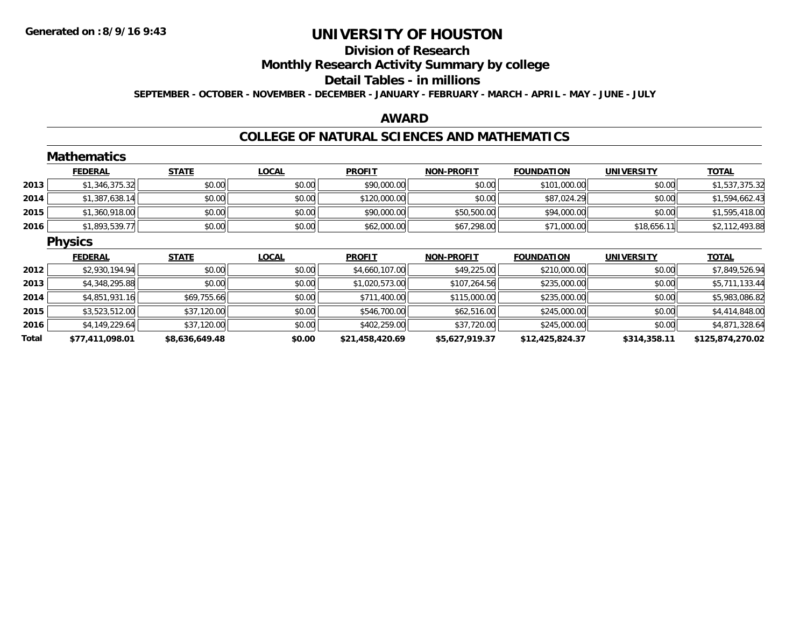# **Division of Research**

**Monthly Research Activity Summary by college**

#### **Detail Tables - in millions**

**SEPTEMBER - OCTOBER - NOVEMBER - DECEMBER - JANUARY - FEBRUARY - MARCH - APRIL - MAY - JUNE - JULY**

### **AWARD**

#### **COLLEGE OF NATURAL SCIENCES AND MATHEMATICS**

|      | <b>Mathematics</b> |              |              |                |                   |                   |                   |                |
|------|--------------------|--------------|--------------|----------------|-------------------|-------------------|-------------------|----------------|
|      | <b>FEDERAL</b>     | <b>STATE</b> | <b>LOCAL</b> | <b>PROFIT</b>  | NON-PROFIT        | <b>FOUNDATION</b> | <b>UNIVERSITY</b> | <b>TOTAL</b>   |
| 2013 | \$1,346,375.32     | \$0.00       | \$0.00       | \$90,000.00    | \$0.00            | \$101,000.00      | \$0.00            | \$1,537,375.32 |
| 2014 | \$1,387,638.14     | \$0.00       | \$0.00       | \$120,000.00   | \$0.00            | \$87,024.29       | \$0.00            | \$1,594,662.43 |
| 2015 | \$1,360,918.00     | \$0.00       | \$0.00       | \$90,000.00    | \$50,500.00       | \$94,000.00       | \$0.00            | \$1,595,418.00 |
| 2016 | \$1,893,539.77     | \$0.00       | \$0.00       | \$62,000.00    | \$67,298.00       | \$71,000.00       | \$18,656.11       | \$2,112,493.88 |
|      | <b>Physics</b>     |              |              |                |                   |                   |                   |                |
|      | <b>FEDERAL</b>     | <b>STATE</b> | <b>LOCAL</b> | <b>PROFIT</b>  | <b>NON-PROFIT</b> | <b>FOUNDATION</b> | <b>UNIVERSITY</b> | <b>TOTAL</b>   |
| 2012 | \$2,930,194.94     | \$0.00       | \$0.00       | \$4,660,107.00 | \$49,225.00       | \$210,000.00      | \$0.00            | \$7,849,526.94 |
| 2013 | \$4,348,295.88     | \$0.00       | \$0.00       | \$1,020,573.00 | \$107,264.56      | \$235,000.00      | \$0.00            | \$5,711,133.44 |
| 2014 | \$4,851,931.16     | \$69,755.66  | \$0.00       | \$711,400.00   | \$115,000.00      | \$235,000.00      | \$0.00            | \$5,983,086.82 |
| 2015 | \$3,523,512.00     | \$37,120.00  | \$0.00       | \$546,700.00   | \$62,516.00       | \$245,000.00      | \$0.00            | \$4,414,848.00 |
| 2016 | \$4,149,229.64     | \$37,120.00  | \$0.00       | \$402,259.00   | \$37,720.00       | \$245,000.00      | \$0.00            | \$4,871,328.64 |
|      |                    |              |              |                |                   |                   |                   |                |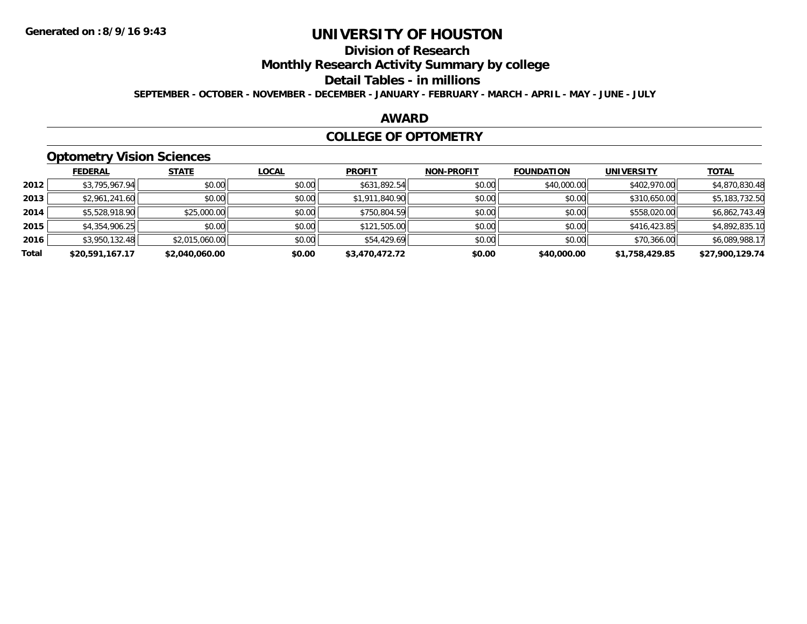# **Division of Research**

**Monthly Research Activity Summary by college**

#### **Detail Tables - in millions**

**SEPTEMBER - OCTOBER - NOVEMBER - DECEMBER - JANUARY - FEBRUARY - MARCH - APRIL - MAY - JUNE - JULY**

### **AWARD**

#### **COLLEGE OF OPTOMETRY**

## **Optometry Vision Sciences**

|       | <b>FEDERAL</b>  | <b>STATE</b>   | <b>LOCAL</b> | <b>PROFIT</b>  | <b>NON-PROFIT</b> | <b>FOUNDATION</b> | <b>UNIVERSITY</b> | <u>TOTAL</u>    |
|-------|-----------------|----------------|--------------|----------------|-------------------|-------------------|-------------------|-----------------|
| 2012  | \$3,795,967.94  | \$0.00         | \$0.00       | \$631,892.54   | \$0.00            | \$40,000.00       | \$402,970.00      | \$4,870,830.48  |
| 2013  | \$2,961,241.60  | \$0.00         | \$0.00       | \$1,911,840.90 | \$0.00            | \$0.00            | \$310,650.00      | \$5,183,732.50  |
| 2014  | \$5,528,918.90  | \$25,000.00    | \$0.00       | \$750,804.59   | \$0.00            | \$0.00            | \$558,020.00      | \$6,862,743.49  |
| 2015  | \$4,354,906.25  | \$0.00         | \$0.00       | \$121,505.00   | \$0.00            | \$0.00            | \$416,423.85      | \$4,892,835.10  |
| 2016  | \$3,950,132.48  | \$2,015,060.00 | \$0.00       | \$54,429.69    | \$0.00            | \$0.00            | \$70,366.00       | \$6,089,988.17  |
| Total | \$20,591,167.17 | \$2,040,060.00 | \$0.00       | \$3,470,472.72 | \$0.00            | \$40,000.00       | \$1,758,429.85    | \$27,900,129.74 |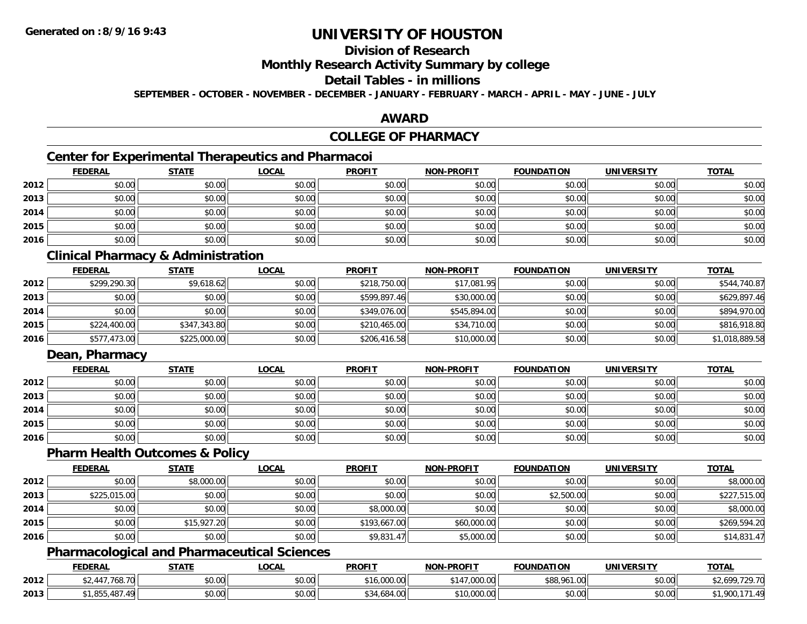# **Division of Research**

**Monthly Research Activity Summary by college**

## **Detail Tables - in millions**

**SEPTEMBER - OCTOBER - NOVEMBER - DECEMBER - JANUARY - FEBRUARY - MARCH - APRIL - MAY - JUNE - JULY**

### **AWARD**

## **COLLEGE OF PHARMACY**

## **Center for Experimental Therapeutics and Pharmacoi**

|      | <b>FEDERAL</b> | <b>STATE</b> | <b>LOCAL</b> | <b>PROFIT</b> | <b>NON-PROFIT</b> | <b>FOUNDATION</b> | <b>UNIVERSITY</b> | <b>TOTAL</b> |
|------|----------------|--------------|--------------|---------------|-------------------|-------------------|-------------------|--------------|
| 2012 | \$0.00         | \$0.00       | \$0.00       | \$0.00        | \$0.00            | \$0.00            | \$0.00            | \$0.00       |
| 2013 | \$0.00         | \$0.00       | \$0.00       | \$0.00        | \$0.00            | \$0.00            | \$0.00            | \$0.00       |
| 2014 | \$0.00         | \$0.00       | \$0.00       | \$0.00        | \$0.00            | \$0.00            | \$0.00            | \$0.00       |
| 2015 | \$0.00         | \$0.00       | \$0.00       | \$0.00        | \$0.00            | \$0.00            | \$0.00            | \$0.00       |
| 2016 | \$0.00         | \$0.00       | \$0.00       | \$0.00        | \$0.00            | \$0.00            | \$0.00            | \$0.00       |

## **Clinical Pharmacy & Administration**

|      | <b>FEDERAL</b> | <b>STATE</b> | <u>LOCAL</u> | <b>PROFIT</b> | <b>NON-PROFIT</b> | <b>FOUNDATION</b> | <b>UNIVERSITY</b> | <b>TOTAL</b>   |
|------|----------------|--------------|--------------|---------------|-------------------|-------------------|-------------------|----------------|
| 2012 | \$299,290.30   | \$9,618.62   | \$0.00       | \$218,750.00  | \$17,081.95       | \$0.00            | \$0.00            | \$544,740.87   |
| 2013 | \$0.00         | \$0.00       | \$0.00       | \$599,897.46  | \$30,000.00       | \$0.00            | \$0.00            | \$629,897.46   |
| 2014 | \$0.00         | \$0.00       | \$0.00       | \$349,076.00  | \$545,894.00      | \$0.00            | \$0.00            | \$894,970.00   |
| 2015 | \$224,400.00   | \$347,343.80 | \$0.00       | \$210,465.00  | \$34,710.00       | \$0.00            | \$0.00            | \$816,918.80   |
| 2016 | \$577,473.00   | \$225,000.00 | \$0.00       | \$206,416.58  | \$10,000.00       | \$0.00            | \$0.00            | \$1,018,889.58 |

## **Dean, Pharmacy**

|      | <b>FEDERAL</b> | <b>STATE</b> | <u>LOCAL</u> | <b>PROFIT</b> | <b>NON-PROFIT</b> | <b>FOUNDATION</b> | <b>UNIVERSITY</b> | <b>TOTAL</b> |
|------|----------------|--------------|--------------|---------------|-------------------|-------------------|-------------------|--------------|
| 2012 | \$0.00         | \$0.00       | \$0.00       | \$0.00        | \$0.00            | \$0.00            | \$0.00            | \$0.00       |
| 2013 | \$0.00         | \$0.00       | \$0.00       | \$0.00        | \$0.00            | \$0.00            | \$0.00            | \$0.00       |
| 2014 | \$0.00         | \$0.00       | \$0.00       | \$0.00        | \$0.00            | \$0.00            | \$0.00            | \$0.00       |
| 2015 | \$0.00         | \$0.00       | \$0.00       | \$0.00        | \$0.00            | \$0.00            | \$0.00            | \$0.00       |
| 2016 | \$0.00         | \$0.00       | \$0.00       | \$0.00        | \$0.00            | \$0.00            | \$0.00            | \$0.00       |

#### **Pharm Health Outcomes & Policy**

|      | <b>FEDERAL</b> | <b>STATE</b> | <u>LOCAL</u> | <b>PROFIT</b> | <b>NON-PROFIT</b> | <b>FOUNDATION</b> | <b>UNIVERSITY</b> | <b>TOTAL</b> |
|------|----------------|--------------|--------------|---------------|-------------------|-------------------|-------------------|--------------|
| 2012 | \$0.00         | \$8,000.00   | \$0.00       | \$0.00        | \$0.00            | \$0.00            | \$0.00            | \$8,000.00   |
| 2013 | \$225,015.00   | \$0.00       | \$0.00       | \$0.00        | \$0.00            | \$2,500.00        | \$0.00            | \$227,515.00 |
| 2014 | \$0.00         | \$0.00       | \$0.00       | \$8,000.00    | \$0.00            | \$0.00            | \$0.00            | \$8,000.00   |
| 2015 | \$0.00         | \$15,927.20  | \$0.00       | \$193,667.00  | \$60,000.00       | \$0.00            | \$0.00            | \$269,594.20 |
| 2016 | \$0.00         | \$0.00       | \$0.00       | \$9,831.47    | \$5,000.00        | \$0.00            | \$0.00            | \$14,831.47  |

### **Pharmacological and Pharmaceutical Sciences**

|      | <b>FEDERAI</b>                                 | <b>STATE</b>  | <b>LOCAL</b> | <b>PROFIT</b>             | NON-PROFIT                 | <b>FOUNDATION</b> | UNIVERSITY                | <b>TOTAL</b>  |
|------|------------------------------------------------|---------------|--------------|---------------------------|----------------------------|-------------------|---------------------------|---------------|
| 2012 | $\overline{\phantom{a}}$<br>. 768. 70          | 0.00<br>,u.uu | \$0.00       | non or<br>₼ ⊿<br>, UUU.U. | 00000<br>- 14              | \$88,961,00       | no ooll<br>งง.บบ          | 729.70<br>600 |
| 2013 | $\sim$ 10 <sup>-</sup><br>$\lambda$<br>40<br>. | 0000<br>DU.UU | \$0.00       | $+$<br>* 14.684.uu        | $\sim$<br><b>UU.UUU.UU</b> | \$0.00            | $\sim$ 00<br><b>PU.UU</b> | 49<br>w       |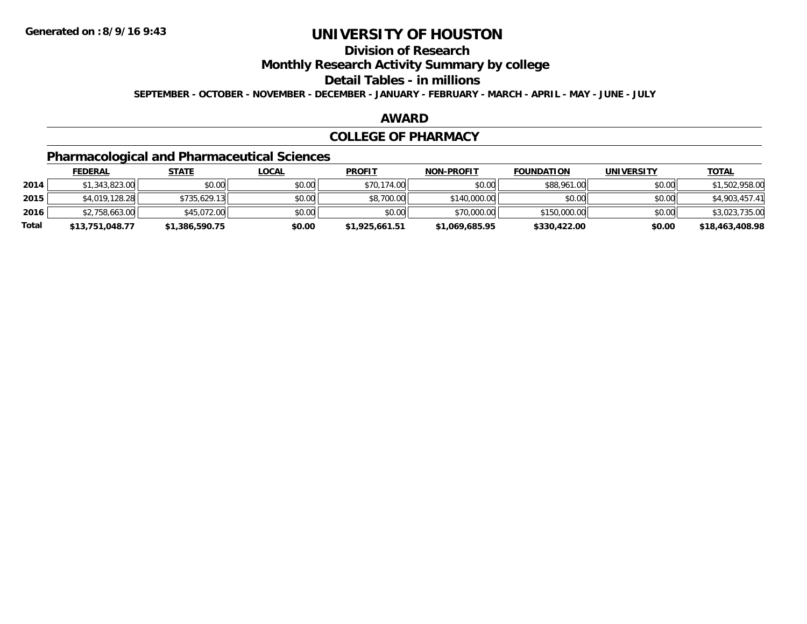## **Division of Research**

**Monthly Research Activity Summary by college**

**Detail Tables - in millions**

**SEPTEMBER - OCTOBER - NOVEMBER - DECEMBER - JANUARY - FEBRUARY - MARCH - APRIL - MAY - JUNE - JULY**

#### **AWARD**

#### **COLLEGE OF PHARMACY**

# **Pharmacological and Pharmaceutical Sciences**

|       | <b>FEDERAL</b>  | <u>STATE</u>   | <u>LOCAL</u> | <b>PROFIT</b>  | <b>NON-PROFIT</b> | <b>FOUNDATION</b> | <b>UNIVERSITY</b> | <b>TOTAL</b>    |
|-------|-----------------|----------------|--------------|----------------|-------------------|-------------------|-------------------|-----------------|
| 2014  | \$1,343,823.00  | \$0.00         | \$0.00       | \$70,174.00    | \$0.00            | \$88,961.00       | \$0.00            | \$1,502,958.00  |
| 2015  | \$4,019,128,28  | \$735.629.13   | \$0.00       | \$8,700.00     | \$140,000.00      | \$0.00            | \$0.00            | \$4,903,457.41  |
| 2016  | \$2,758,663.00  | \$45,072.00    | \$0.00       | \$0.00         | \$70,000.00       | \$150,000.00      | \$0.00            | \$3,023,735.00  |
| Total | \$13,751,048.77 | \$1,386,590.75 | \$0.00       | \$1,925,661.51 | \$1,069,685.95    | \$330,422.00      | \$0.00            | \$18,463,408.98 |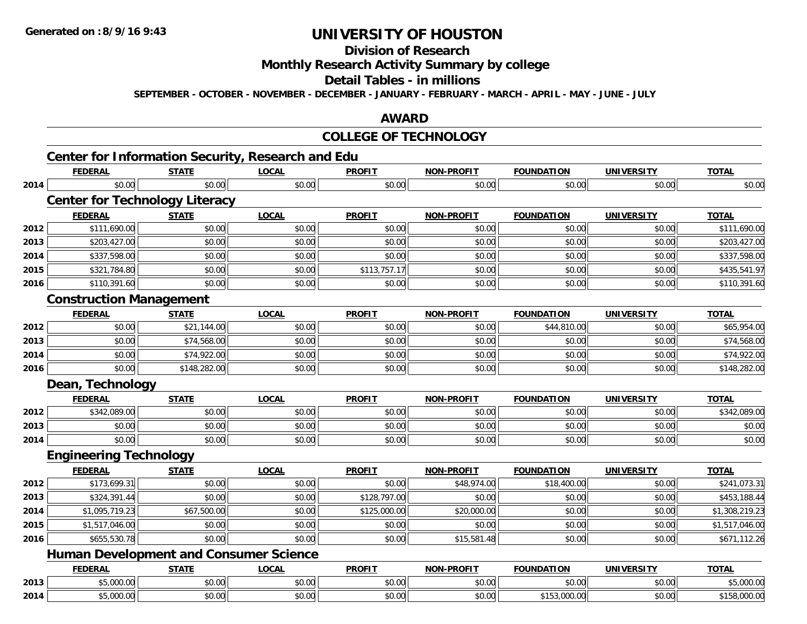#### **Division of Research**

**Monthly Research Activity Summary by college**

#### **Detail Tables - in millions**

**SEPTEMBER - OCTOBER - NOVEMBER - DECEMBER - JANUARY - FEBRUARY - MARCH - APRIL - MAY - JUNE - JULY**

### **AWARD**

#### **COLLEGE OF TECHNOLOGY**

|      |                                       |              | <b>Center for Information Security, Research and Edu</b> |               |                   |                   |                   |                |
|------|---------------------------------------|--------------|----------------------------------------------------------|---------------|-------------------|-------------------|-------------------|----------------|
|      | <b>FEDERAL</b>                        | <b>STATE</b> | <b>LOCAL</b>                                             | <b>PROFIT</b> | <b>NON-PROFIT</b> | <b>FOUNDATION</b> | <b>UNIVERSITY</b> | <b>TOTAL</b>   |
| 2014 | \$0.00                                | \$0.00       | \$0.00                                                   | \$0.00        | \$0.00            | \$0.00            | \$0.00            | \$0.00         |
|      | <b>Center for Technology Literacy</b> |              |                                                          |               |                   |                   |                   |                |
|      | <b>FEDERAL</b>                        | <b>STATE</b> | <b>LOCAL</b>                                             | <b>PROFIT</b> | <b>NON-PROFIT</b> | <b>FOUNDATION</b> | <b>UNIVERSITY</b> | <b>TOTAL</b>   |
| 2012 | \$111,690.00                          | \$0.00       | \$0.00                                                   | \$0.00        | \$0.00            | \$0.00            | \$0.00            | \$111,690.00   |
| 2013 | \$203,427.00                          | \$0.00       | \$0.00                                                   | \$0.00        | \$0.00            | \$0.00            | \$0.00            | \$203,427.00   |
| 2014 | \$337,598.00                          | \$0.00       | \$0.00                                                   | \$0.00        | \$0.00            | \$0.00            | \$0.00            | \$337,598.00   |
| 2015 | \$321,784.80                          | \$0.00       | \$0.00                                                   | \$113,757.17  | \$0.00            | \$0.00            | \$0.00            | \$435,541.97   |
| 2016 | \$110,391.60                          | \$0.00       | \$0.00                                                   | \$0.00        | \$0.00            | \$0.00            | \$0.00            | \$110,391.60   |
|      | <b>Construction Management</b>        |              |                                                          |               |                   |                   |                   |                |
|      | <b>FEDERAL</b>                        | <b>STATE</b> | <b>LOCAL</b>                                             | <b>PROFIT</b> | <b>NON-PROFIT</b> | <b>FOUNDATION</b> | <b>UNIVERSITY</b> | <b>TOTAL</b>   |
| 2012 | \$0.00                                | \$21,144.00  | \$0.00                                                   | \$0.00        | \$0.00            | \$44,810.00       | \$0.00            | \$65,954.00    |
| 2013 | \$0.00                                | \$74,568.00  | \$0.00                                                   | \$0.00        | \$0.00            | \$0.00            | \$0.00            | \$74,568.00    |
| 2014 | \$0.00                                | \$74,922.00  | \$0.00                                                   | \$0.00        | \$0.00            | \$0.00            | \$0.00            | \$74,922.00    |
| 2016 | \$0.00                                | \$148,282.00 | \$0.00                                                   | \$0.00        | \$0.00            | \$0.00            | \$0.00            | \$148,282.00   |
|      | Dean, Technology                      |              |                                                          |               |                   |                   |                   |                |
|      | <b>FEDERAL</b>                        | <b>STATE</b> | <b>LOCAL</b>                                             | <b>PROFIT</b> | <b>NON-PROFIT</b> | <b>FOUNDATION</b> | <b>UNIVERSITY</b> | <b>TOTAL</b>   |
| 2012 | \$342,089.00                          | \$0.00       | \$0.00                                                   | \$0.00        | \$0.00            | \$0.00            | \$0.00            | \$342,089.00   |
| 2013 | \$0.00                                | \$0.00       | \$0.00                                                   | \$0.00        | \$0.00            | \$0.00            | \$0.00            | \$0.00         |
| 2014 | \$0.00                                | \$0.00       | \$0.00                                                   | \$0.00        | \$0.00            | \$0.00            | \$0.00            | \$0.00         |
|      | <b>Engineering Technology</b>         |              |                                                          |               |                   |                   |                   |                |
|      | <b>FEDERAL</b>                        | <b>STATE</b> | <b>LOCAL</b>                                             | <b>PROFIT</b> | <b>NON-PROFIT</b> | <b>FOUNDATION</b> | <b>UNIVERSITY</b> | <b>TOTAL</b>   |
| 2012 | \$173,699.31                          | \$0.00       | \$0.00                                                   | \$0.00        | \$48,974.00       | \$18,400.00       | \$0.00            | \$241,073.31   |
| 2013 | \$324,391.44                          | \$0.00       | \$0.00                                                   | \$128,797.00  | \$0.00            | \$0.00            | \$0.00            | \$453,188.44   |
| 2014 | \$1,095,719.23                        | \$67,500.00  | \$0.00                                                   | \$125,000.00  | \$20,000.00       | \$0.00            | \$0.00            | \$1,308,219.23 |
| 2015 | \$1,517,046.00                        | \$0.00       | \$0.00                                                   | \$0.00        | \$0.00            | \$0.00            | \$0.00            | \$1,517,046.00 |
| 2016 | \$655,530.78                          | \$0.00       | \$0.00                                                   | \$0.00        | \$15,581.48       | \$0.00            | \$0.00            | \$671,112.26   |
|      |                                       |              | <b>Human Development and Consumer Science</b>            |               |                   |                   |                   |                |
|      | <b>FEDERAL</b>                        | <b>STATE</b> | <b>LOCAL</b>                                             | <b>PROFIT</b> | <b>NON-PROFIT</b> | <b>FOUNDATION</b> | <b>UNIVERSITY</b> | <b>TOTAL</b>   |
| 2013 | \$5,000.00                            | \$0.00       | \$0.00                                                   | \$0.00        | \$0.00            | \$0.00            | \$0.00            | \$5,000.00     |
| 2014 | \$5,000.00                            | \$0.00       | \$0.00                                                   | \$0.00        | \$0.00            | \$153,000.00      | \$0.00            | \$158,000.00   |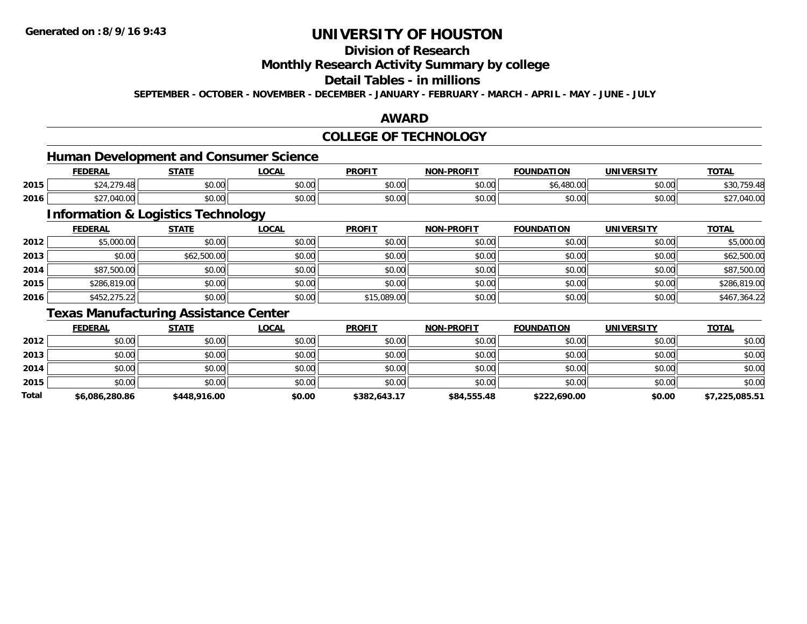## **Division of Research**

**Monthly Research Activity Summary by college**

## **Detail Tables - in millions**

**SEPTEMBER - OCTOBER - NOVEMBER - DECEMBER - JANUARY - FEBRUARY - MARCH - APRIL - MAY - JUNE - JULY**

### **AWARD**

## **COLLEGE OF TECHNOLOGY**

## **Human Development and Consumer Science**

|      | <b>FEDERAL</b>                         | <b>STATE</b><br>,,,,,, | .OCAL                               | <b>PROFIT</b>          | <b>NON-PROFIT</b> | <b>FOUNDATION</b> | <b>UNIVERSITY</b> | <b>TOTAL</b> |
|------|----------------------------------------|------------------------|-------------------------------------|------------------------|-------------------|-------------------|-------------------|--------------|
| 2015 | $\sim$ $\sim$<br>$\uparrow$ $\uparrow$ | ደስ ሰሰ<br>vu.vu         | $\theta$ $\theta$ $\theta$<br>pu.uu | $\sim$ $\sim$<br>vu.vu | 0000<br>PO.OO     | $\sim$<br>J.OC    | \$0.00            | 0.007        |
| 2016 | -40.00                                 | ደስ ሰስ<br>JU.UU         | $\theta$ $\theta$ $\theta$<br>DU.UU | $\sim$ $\sim$<br>JU.UU | 0000<br>\$U.UU    | \$0.00            | \$0.00            | \$27,040.00  |

<u> 1989 - Johann Stein, fransk politik (d. 1989)</u>

## **Information & Logistics Technology**

|      | <b>FEDERAL</b> | <b>STATE</b> | <b>LOCAL</b> | <b>PROFIT</b> | <b>NON-PROFIT</b> | <b>FOUNDATION</b> | <b>UNIVERSITY</b> | <b>TOTAL</b> |
|------|----------------|--------------|--------------|---------------|-------------------|-------------------|-------------------|--------------|
| 2012 | \$5,000.00     | \$0.00       | \$0.00       | \$0.00        | \$0.00            | \$0.00            | \$0.00            | \$5,000.00   |
| 2013 | \$0.00         | \$62,500.00  | \$0.00       | \$0.00        | \$0.00            | \$0.00            | \$0.00            | \$62,500.00  |
| 2014 | \$87,500.00    | \$0.00       | \$0.00       | \$0.00        | \$0.00            | \$0.00            | \$0.00            | \$87,500.00  |
| 2015 | \$286,819.00   | \$0.00       | \$0.00       | \$0.00        | \$0.00            | \$0.00            | \$0.00            | \$286,819.00 |
| 2016 | \$452,275.22   | \$0.00       | \$0.00       | \$15,089.00   | \$0.00            | \$0.00            | \$0.00            | \$467,364.22 |

## **Texas Manufacturing Assistance Center**

|       | <b>FEDERAL</b> | <u>STATE</u> | <b>LOCAL</b> | <b>PROFIT</b> | <b>NON-PROFIT</b> | <b>FOUNDATION</b> | <b>UNIVERSITY</b> | <b>TOTAL</b>   |
|-------|----------------|--------------|--------------|---------------|-------------------|-------------------|-------------------|----------------|
| 2012  | \$0.00         | \$0.00       | \$0.00       | \$0.00        | \$0.00            | \$0.00            | \$0.00            | \$0.00         |
| 2013  | \$0.00         | \$0.00       | \$0.00       | \$0.00        | \$0.00            | \$0.00            | \$0.00            | \$0.00         |
| 2014  | \$0.00         | \$0.00       | \$0.00       | \$0.00        | \$0.00            | \$0.00            | \$0.00            | \$0.00         |
| 2015  | \$0.00         | \$0.00       | \$0.00       | \$0.00        | \$0.00            | \$0.00            | \$0.00            | \$0.00         |
| Total | \$6,086,280.86 | \$448,916.00 | \$0.00       | \$382,643.17  | \$84,555.48       | \$222,690.00      | \$0.00            | \$7,225,085.51 |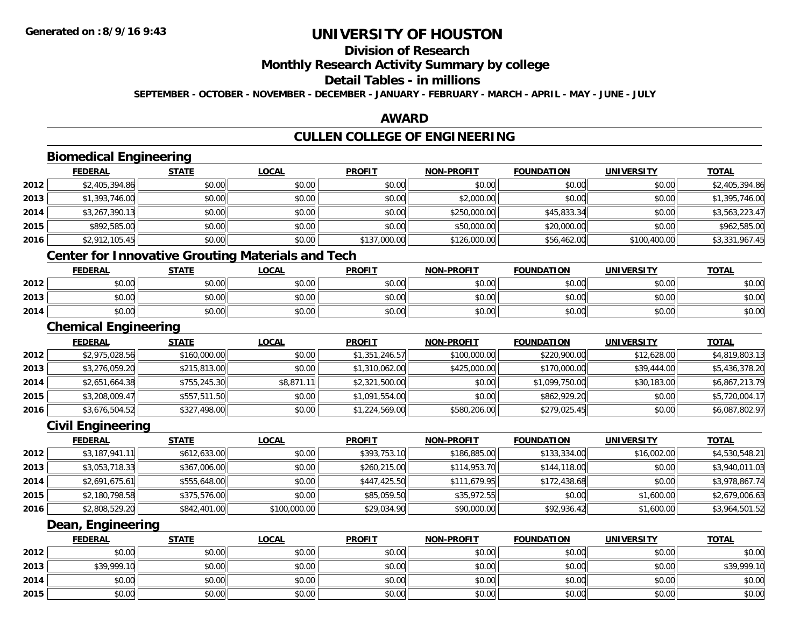#### **Division of Research**

**Monthly Research Activity Summary by college**

#### **Detail Tables - in millions**

**SEPTEMBER - OCTOBER - NOVEMBER - DECEMBER - JANUARY - FEBRUARY - MARCH - APRIL - MAY - JUNE - JULY**

### **AWARD**

# **CULLEN COLLEGE OF ENGINEERING**

|      | <b>Biomedical Engineering</b>                            |                |                |                |                   |                   |                   |                |
|------|----------------------------------------------------------|----------------|----------------|----------------|-------------------|-------------------|-------------------|----------------|
|      | <b>FEDERAL</b>                                           | <b>STATE</b>   | <b>LOCAL</b>   | <b>PROFIT</b>  | <b>NON-PROFIT</b> | <b>FOUNDATION</b> | <b>UNIVERSITY</b> | <b>TOTAL</b>   |
| 2012 | \$2,405,394.86                                           | \$0.00         | \$0.00         | \$0.00         | \$0.00            | \$0.00            | \$0.00            | \$2,405,394.86 |
| 2013 | \$1,393,746.00                                           | \$0.00         | \$0.00         | \$0.00         | \$2,000.00        | \$0.00            | \$0.00            | \$1,395,746.00 |
| 2014 | \$3,267,390.13                                           | \$0.00         | \$0.00         | \$0.00         | \$250,000.00      | \$45,833.34       | \$0.00            | \$3,563,223.47 |
| 2015 | \$892,585.00                                             | \$0.00         | \$0.00         | \$0.00         | \$50,000.00       | \$20,000.00       | \$0.00            | \$962,585.00   |
| 2016 | \$2,912,105.45                                           | \$0.00         | \$0.00         | \$137,000.00   | \$126,000.00      | \$56,462.00       | \$100,400.00      | \$3,331,967.45 |
|      | <b>Center for Innovative Grouting Materials and Tech</b> |                |                |                |                   |                   |                   |                |
|      | <b>FEDERAL</b>                                           | <b>STATE</b>   | <b>LOCAL</b>   | <b>PROFIT</b>  | <b>NON-PROFIT</b> | <b>FOUNDATION</b> | <b>UNIVERSITY</b> | <b>TOTAL</b>   |
| 2012 | \$0.00                                                   | \$0.00         | \$0.00         | \$0.00         | \$0.00            | \$0.00            | \$0.00            | \$0.00         |
| 2013 | \$0.00                                                   | \$0.00         | \$0.00         | \$0.00         | \$0.00            | \$0.00            | \$0.00            | \$0.00         |
| 2014 | \$0.00                                                   | \$0.00         | \$0.00         | \$0.00         | \$0.00            | \$0.00            | \$0.00            | \$0.00         |
|      | <b>Chemical Engineering</b>                              |                |                |                |                   |                   |                   |                |
|      | <b>FEDERAL</b>                                           | <b>STATE</b>   | <b>LOCAL</b>   | <b>PROFIT</b>  | <b>NON-PROFIT</b> | <b>FOUNDATION</b> | <b>UNIVERSITY</b> | <b>TOTAL</b>   |
| 2012 | \$2,975,028.56                                           | \$160,000.00   | \$0.00         | \$1,351,246.57 | \$100,000.00      | \$220,900.00      | \$12,628.00       | \$4,819,803.13 |
| 2013 | \$3,276,059.20                                           | \$215,813.00   | \$0.00         | \$1,310,062.00 | \$425,000.00      | \$170,000.00      | \$39,444.00       | \$5,436,378.20 |
| 2014 | \$2,651,664.38                                           | \$755,245.30   | \$8,871.11     | \$2,321,500.00 | \$0.00            | \$1,099,750.00    | \$30,183.00       | \$6,867,213.79 |
| 2015 | \$3,208,009.47                                           | \$557,511.50   | \$0.00         | \$1,091,554.00 | \$0.00            | \$862,929.20      | \$0.00            | \$5,720,004.17 |
| 2016 | \$3,676,504.52                                           | \$327,498.00   | \$0.00         | \$1,224,569.00 | \$580,206.00      | \$279,025.45      | \$0.00            | \$6,087,802.97 |
|      | <b>Civil Engineering</b>                                 |                |                |                |                   |                   |                   |                |
|      | <b>FEDERAL</b>                                           | <b>STATE</b>   | <b>LOCAL</b>   | <b>PROFIT</b>  | <b>NON-PROFIT</b> | <b>FOUNDATION</b> | <b>UNIVERSITY</b> | <b>TOTAL</b>   |
| 2012 | \$3,187,941.11                                           | \$612,633.00   | \$0.00         | \$393,753.10   | \$186,885.00      | \$133,334.00      | \$16,002.00       | \$4,530,548.21 |
| 2013 | \$3,053,718.33                                           | \$367,006.00   | \$0.00         | \$260,215.00   | \$114,953.70      | \$144,118.00      | \$0.00            | \$3,940,011.03 |
| 2014 | \$2,691,675.61                                           | \$555,648.00   | \$0.00         | \$447,425.50   | \$111,679.95      | \$172,438.68      | \$0.00            | \$3,978,867.74 |
| 2015 | \$2,180,798.58                                           | \$375,576.00   | \$0.00         | \$85,059.50    | \$35,972.55       | \$0.00            | \$1,600.00        | \$2,679,006.63 |
| 2016 | \$2,808,529.20                                           | \$842,401.00   | \$100,000.00   | \$29,034.90    | \$90,000.00       | \$92,936.42       | \$1,600.00        | \$3,964,501.52 |
|      | Dean, Engineering                                        |                |                |                |                   |                   |                   |                |
|      | <b>FEDERAL</b>                                           | <b>STATE</b>   | <b>LOCAL</b>   | <b>PROFIT</b>  | <b>NON-PROFIT</b> | <b>FOUNDATION</b> | <b>UNIVERSITY</b> | <b>TOTAL</b>   |
|      | $\overline{a}$                                           | $\overline{a}$ | $\overline{a}$ | $\overline{a}$ | $\overline{a}$    | المممم            | $\sim$ $\sim$     |                |

|      | <u>ILDLNAL</u> | <u><math>3171L</math></u> | <u>LUUNL</u> | <b>FNVIII</b> | <b>IVOIV-FROLII</b> | ייטויוטעוניט | <b>UNIVLRJIII</b> | 1017L       |
|------|----------------|---------------------------|--------------|---------------|---------------------|--------------|-------------------|-------------|
| 2012 | \$0.00         | \$0.00                    | \$0.00       | \$0.00        | \$0.00              | \$0.00       | \$0.00            | \$0.00      |
| 2013 | \$39,999.10    | \$0.00                    | \$0.00       | \$0.00        | \$0.00              | \$0.00       | \$0.00            | \$39,999.10 |
| 2014 | \$0.00         | \$0.00                    | \$0.00       | \$0.00        | \$0.00              | \$0.00       | \$0.00            | \$0.00      |
| 2015 | \$0.00         | \$0.00                    | \$0.00       | \$0.00        | \$0.00              | \$0.00       | \$0.00            | \$0.00      |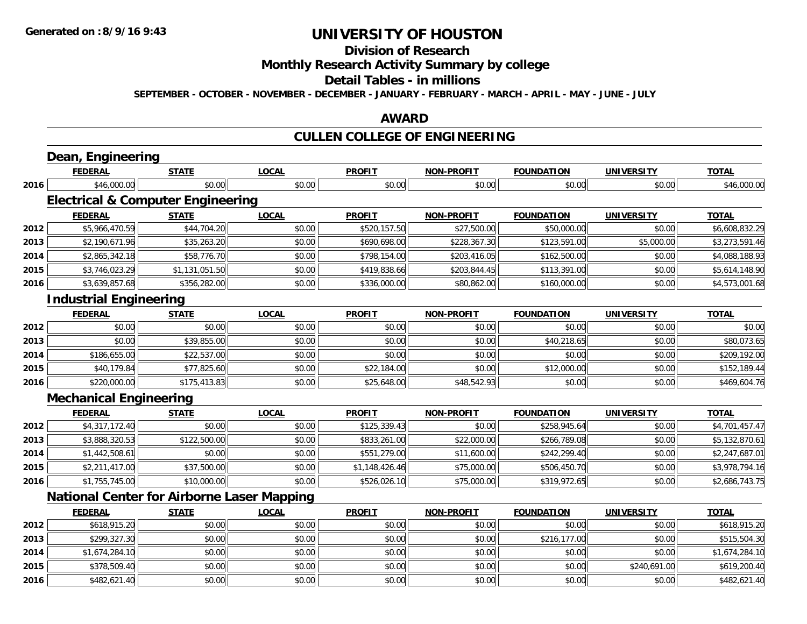**2016**

# **UNIVERSITY OF HOUSTON**

# **Division of Research**

# **Monthly Research Activity Summary by college**

#### **Detail Tables - in millions**

**SEPTEMBER - OCTOBER - NOVEMBER - DECEMBER - JANUARY - FEBRUARY - MARCH - APRIL - MAY - JUNE - JULY**

### **AWARD**

# **CULLEN COLLEGE OF ENGINEERING**

|      | <b>FEDERAL</b>                                    | <b>STATE</b>   | <b>LOCAL</b> | <b>PROFIT</b>  | <b>NON-PROFIT</b> | <b>FOUNDATION</b> | <b>UNIVERSITY</b> | <b>TOTAL</b>   |
|------|---------------------------------------------------|----------------|--------------|----------------|-------------------|-------------------|-------------------|----------------|
| 2016 | \$46,000.00                                       | \$0.00         | \$0.00       | \$0.00         | \$0.00            | \$0.00            | \$0.00            | \$46,000.00    |
|      | <b>Electrical &amp; Computer Engineering</b>      |                |              |                |                   |                   |                   |                |
|      | <b>FEDERAL</b>                                    | <b>STATE</b>   | <b>LOCAL</b> | <b>PROFIT</b>  | <b>NON-PROFIT</b> | <b>FOUNDATION</b> | <b>UNIVERSITY</b> | <b>TOTAL</b>   |
| 2012 | \$5,966,470.59                                    | \$44,704.20    | \$0.00       | \$520,157.50   | \$27,500.00       | \$50,000.00       | \$0.00            | \$6,608,832.29 |
| 2013 | \$2,190,671.96                                    | \$35,263.20    | \$0.00       | \$690,698.00   | \$228,367.30      | \$123,591.00      | \$5,000.00        | \$3,273,591.46 |
| 2014 | \$2,865,342.18                                    | \$58,776.70    | \$0.00       | \$798,154.00   | \$203,416.05      | \$162,500.00      | \$0.00            | \$4,088,188.93 |
| 2015 | \$3,746,023.29                                    | \$1,131,051.50 | \$0.00       | \$419,838.66   | \$203,844.45      | \$113,391.00      | \$0.00            | \$5,614,148.90 |
| 2016 | \$3,639,857.68                                    | \$356,282.00   | \$0.00       | \$336,000.00   | \$80,862.00       | \$160,000.00      | \$0.00            | \$4,573,001.68 |
|      | <b>Industrial Engineering</b>                     |                |              |                |                   |                   |                   |                |
|      | <b>FEDERAL</b>                                    | <b>STATE</b>   | <b>LOCAL</b> | <b>PROFIT</b>  | <b>NON-PROFIT</b> | <b>FOUNDATION</b> | <b>UNIVERSITY</b> | <b>TOTAL</b>   |
| 2012 | \$0.00                                            | \$0.00         | \$0.00       | \$0.00         | \$0.00            | \$0.00            | \$0.00            | \$0.00         |
| 2013 | \$0.00                                            | \$39,855.00    | \$0.00       | \$0.00         | \$0.00            | \$40,218.65       | \$0.00            | \$80,073.65    |
| 2014 | \$186,655.00                                      | \$22,537.00    | \$0.00       | \$0.00         | \$0.00            | \$0.00            | \$0.00            | \$209,192.00   |
| 2015 | \$40,179.84                                       | \$77,825.60    | \$0.00       | \$22,184.00    | \$0.00            | \$12,000.00       | \$0.00            | \$152,189.44   |
| 2016 | \$220,000.00                                      | \$175,413.83   | \$0.00       | \$25,648.00    | \$48,542.93       | \$0.00            | \$0.00            | \$469,604.76   |
|      | <b>Mechanical Engineering</b>                     |                |              |                |                   |                   |                   |                |
|      | <b>FEDERAL</b>                                    | <b>STATE</b>   | <b>LOCAL</b> | <b>PROFIT</b>  | <b>NON-PROFIT</b> | <b>FOUNDATION</b> | <b>UNIVERSITY</b> | <b>TOTAL</b>   |
| 2012 | \$4,317,172.40                                    | \$0.00         | \$0.00       | \$125,339.43   | \$0.00            | \$258,945.64      | \$0.00            | \$4,701,457.47 |
| 2013 | \$3,888,320.53                                    | \$122,500.00   | \$0.00       | \$833,261.00   | \$22,000.00       | \$266,789.08      | \$0.00            | \$5,132,870.61 |
| 2014 | \$1,442,508.61                                    | \$0.00         | \$0.00       | \$551,279.00   | \$11,600.00       | \$242,299.40      | \$0.00            | \$2,247,687.01 |
| 2015 | \$2,211,417.00                                    | \$37,500.00    | \$0.00       | \$1,148,426.46 | \$75,000.00       | \$506,450.70      | \$0.00            | \$3,978,794.16 |
| 2016 | \$1,755,745.00                                    | \$10,000.00    | \$0.00       | \$526,026.10   | \$75,000.00       | \$319,972.65      | \$0.00            | \$2,686,743.75 |
|      | <b>National Center for Airborne Laser Mapping</b> |                |              |                |                   |                   |                   |                |
|      | <b>FEDERAL</b>                                    | <b>STATE</b>   | LOCAL        | <b>PROFIT</b>  | <b>NON-PROFIT</b> | <b>FOUNDATION</b> | <b>UNIVERSITY</b> | <b>TOTAL</b>   |
| 2012 | \$618,915.20                                      | \$0.00         | \$0.00       | \$0.00         | \$0.00            | \$0.00            | \$0.00            | \$618,915.20   |
| 2013 | \$299,327.30                                      | \$0.00         | \$0.00       | \$0.00         | \$0.00            | \$216,177.00      | \$0.00            | \$515,504.30   |
| 2014 | \$1,674,284.10                                    | \$0.00         | \$0.00       | \$0.00         | \$0.00            | \$0.00            | \$0.00            | \$1,674,284.10 |
| 2015 | \$378,509.40                                      | \$0.00         | \$0.00       | \$0.00         | \$0.00            | \$0.00            | \$240,691.00      | \$619,200.40   |

\$482,621.40 \$0.00 \$0.00 \$0.00 \$0.00 \$0.00 \$0.00 \$482,621.40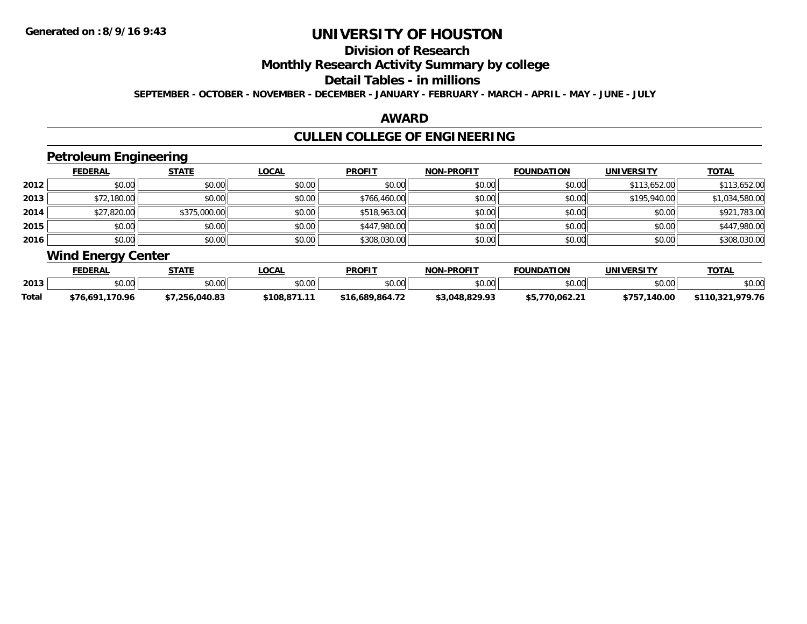# **Division of Research**

### **Monthly Research Activity Summary by college**

#### **Detail Tables - in millions**

**SEPTEMBER - OCTOBER - NOVEMBER - DECEMBER - JANUARY - FEBRUARY - MARCH - APRIL - MAY - JUNE - JULY**

### **AWARD**

# **CULLEN COLLEGE OF ENGINEERING**

## **Petroleum Engineering**

|      | <b>FEDERAL</b> | <b>STATE</b> | <b>LOCAL</b> | <b>PROFIT</b> | <b>NON-PROFIT</b> | <b>FOUNDATION</b> | <b>UNIVERSITY</b> | <b>TOTAL</b>   |
|------|----------------|--------------|--------------|---------------|-------------------|-------------------|-------------------|----------------|
| 2012 | \$0.00         | \$0.00       | \$0.00       | \$0.00        | \$0.00            | \$0.00            | \$113,652.00      | \$113,652.00   |
| 2013 | \$72,180.00    | \$0.00       | \$0.00       | \$766,460.00  | \$0.00            | \$0.00            | \$195,940.00      | \$1,034,580.00 |
| 2014 | \$27,820.00    | \$375,000.00 | \$0.00       | \$518,963.00  | \$0.00            | \$0.00            | \$0.00            | \$921,783.00   |
| 2015 | \$0.00         | \$0.00       | \$0.00       | \$447,980.00  | \$0.00            | \$0.00            | \$0.00            | \$447,980.00   |
| 2016 | \$0.00         | \$0.00       | \$0.00       | \$308,030.00  | \$0.00            | \$0.00            | \$0.00            | \$308,030.00   |

## **Wind Energy Center**

|       | <b>FEDERAL</b>    | <b>STATE</b> | <b>_OCAL</b> | <b>PROFIT</b>   | <b>NON-PROFIT</b> | <b>FOUNDATION</b> | UNIVERSITY   | <b>TOTAL</b>         |
|-------|-------------------|--------------|--------------|-----------------|-------------------|-------------------|--------------|----------------------|
| 2013  | $\cdots$<br>JU.UU | \$0.00       | \$0.00       | \$0.00          | ልስ ሰሰ<br>pv.uu    | \$0.00            | \$0.00       | \$0.00               |
| Total | \$76.691.170.96   | 7.256.040.83 | \$108.871.11 | \$16,689,864.72 | \$3.048.829.93    | \$5.770.062.21    | \$757,140.00 | .979.76<br>\$110.321 |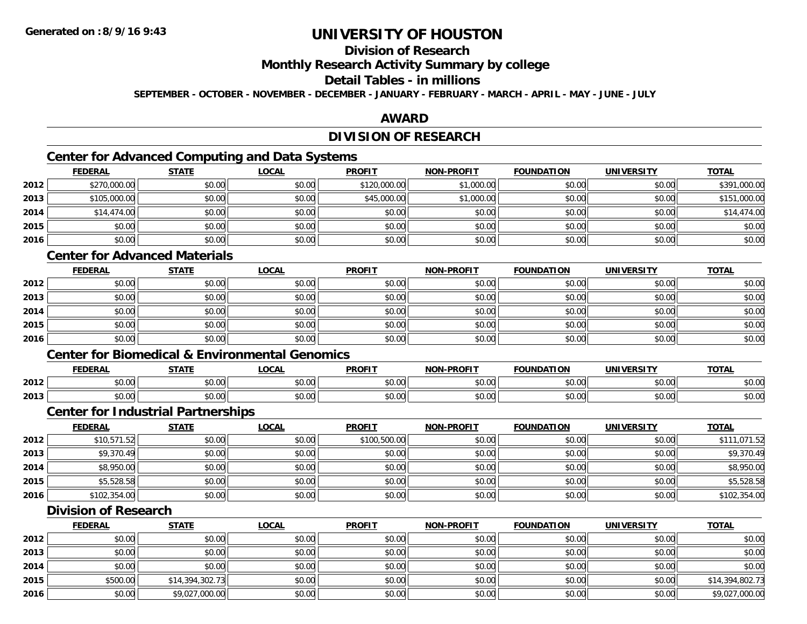## **Division of Research**

**Monthly Research Activity Summary by college**

## **Detail Tables - in millions**

**SEPTEMBER - OCTOBER - NOVEMBER - DECEMBER - JANUARY - FEBRUARY - MARCH - APRIL - MAY - JUNE - JULY**

### **AWARD**

## **DIVISION OF RESEARCH**

## **Center for Advanced Computing and Data Systems**

|      | Center for Advanced Computing and Data Systems |              |              |               |                   |                   |                   |              |  |  |  |  |
|------|------------------------------------------------|--------------|--------------|---------------|-------------------|-------------------|-------------------|--------------|--|--|--|--|
|      | <b>FEDERAL</b>                                 | <b>STATE</b> | <u>LOCAL</u> | <b>PROFIT</b> | <b>NON-PROFIT</b> | <b>FOUNDATION</b> | <b>UNIVERSITY</b> | <b>TOTAL</b> |  |  |  |  |
| 2012 | \$270,000.00                                   | \$0.00       | \$0.00       | \$120,000.00  | \$1,000.00        | \$0.00            | \$0.00            | \$391,000.00 |  |  |  |  |
| 2013 | \$105,000.00                                   | \$0.00       | \$0.00       | \$45,000.00   | \$1,000.00        | \$0.00            | \$0.00            | \$151,000.00 |  |  |  |  |
| 2014 | \$14,474.00                                    | \$0.00       | \$0.00       | \$0.00        | \$0.00            | \$0.00            | \$0.00            | \$14,474.00  |  |  |  |  |
| 2015 | \$0.00                                         | \$0.00       | \$0.00       | \$0.00        | \$0.00            | \$0.00            | \$0.00            | \$0.00       |  |  |  |  |
| 2016 | \$0.00                                         | \$0.00       | \$0.00       | \$0.00        | \$0.00            | \$0.00            | \$0.00            | \$0.00       |  |  |  |  |

### **Center for Advanced Materials**

|      | <b>FEDERAL</b> | <b>STATE</b> | <u>LOCAL</u> | <b>PROFIT</b> | <b>NON-PROFIT</b> | <b>FOUNDATION</b> | <b>UNIVERSITY</b> | <b>TOTAL</b> |
|------|----------------|--------------|--------------|---------------|-------------------|-------------------|-------------------|--------------|
| 2012 | \$0.00         | \$0.00       | \$0.00       | \$0.00        | \$0.00            | \$0.00            | \$0.00            | \$0.00       |
| 2013 | \$0.00         | \$0.00       | \$0.00       | \$0.00        | \$0.00            | \$0.00            | \$0.00            | \$0.00       |
| 2014 | \$0.00         | \$0.00       | \$0.00       | \$0.00        | \$0.00            | \$0.00            | \$0.00            | \$0.00       |
| 2015 | \$0.00         | \$0.00       | \$0.00       | \$0.00        | \$0.00            | \$0.00            | \$0.00            | \$0.00       |
| 2016 | \$0.00         | \$0.00       | \$0.00       | \$0.00        | \$0.00            | \$0.00            | \$0.00            | \$0.00       |

#### **Center for Biomedical & Environmental Genomics**

|      | <b>FEDERAL</b> | <b>CTATE</b>        | .OCAI              | <b>PROFIT</b>                   | <b>PROFIT</b><br><b>NION</b> | דמחוחוה<br>ΓΙΟΝ | UNIVERSITY           | <b>TOTAL</b>  |
|------|----------------|---------------------|--------------------|---------------------------------|------------------------------|-----------------|----------------------|---------------|
| 2012 | 0000<br>טט.טע  | $\uparrow$<br>טט.טע | ሶስ ሰሰ<br>vu.vu     | $\sim$ $\sim$<br>$\cap$<br>ט.טע | 0000<br>งบ.บเ                | 0000<br>,u.uu   | 0000<br>JU.UU        | \$0.00        |
| 2013 | 0000<br>DU.UU  | $\sim$<br>JU.UU     | $\sim$ 00<br>JU.UU | \$0.00                          | \$0.00                       | \$0.00          | 0000<br><b>DU.UU</b> | 0000<br>ນບ.ບປ |

#### **Center for Industrial Partnerships**

|      | <b>FEDERAL</b> | <b>STATE</b> | <u>LOCAL</u> | <b>PROFIT</b> | <b>NON-PROFIT</b> | <b>FOUNDATION</b> | <b>UNIVERSITY</b> | <b>TOTAL</b> |
|------|----------------|--------------|--------------|---------------|-------------------|-------------------|-------------------|--------------|
| 2012 | \$10,571.52    | \$0.00       | \$0.00       | \$100,500.00  | \$0.00            | \$0.00            | \$0.00            | \$111,071.52 |
| 2013 | \$9,370.49     | \$0.00       | \$0.00       | \$0.00        | \$0.00            | \$0.00            | \$0.00            | \$9,370.49   |
| 2014 | \$8,950.00     | \$0.00       | \$0.00       | \$0.00        | \$0.00            | \$0.00            | \$0.00            | \$8,950.00   |
| 2015 | \$5,528.58     | \$0.00       | \$0.00       | \$0.00        | \$0.00            | \$0.00            | \$0.00            | \$5,528.58   |
| 2016 | \$102,354.00   | \$0.00       | \$0.00       | \$0.00        | \$0.00            | \$0.00            | \$0.00            | \$102,354.00 |

### **Division of Research**

|      | <b>FEDERAL</b> | <b>STATE</b>    | <u>LOCAL</u> | <b>PROFIT</b> | <b>NON-PROFIT</b> | <b>FOUNDATION</b> | <b>UNIVERSITY</b> | <b>TOTAL</b>    |
|------|----------------|-----------------|--------------|---------------|-------------------|-------------------|-------------------|-----------------|
| 2012 | \$0.00         | \$0.00          | \$0.00       | \$0.00        | \$0.00            | \$0.00            | \$0.00            | \$0.00          |
| 2013 | \$0.00         | \$0.00          | \$0.00       | \$0.00        | \$0.00            | \$0.00            | \$0.00            | \$0.00          |
| 2014 | \$0.00         | \$0.00          | \$0.00       | \$0.00        | \$0.00            | \$0.00            | \$0.00            | \$0.00          |
| 2015 | \$500.00       | \$14,394,302.73 | \$0.00       | \$0.00        | \$0.00            | \$0.00            | \$0.00            | \$14,394,802.73 |
| 2016 | \$0.00         | \$9,027,000.00  | \$0.00       | \$0.00        | \$0.00            | \$0.00            | \$0.00            | \$9,027,000.00  |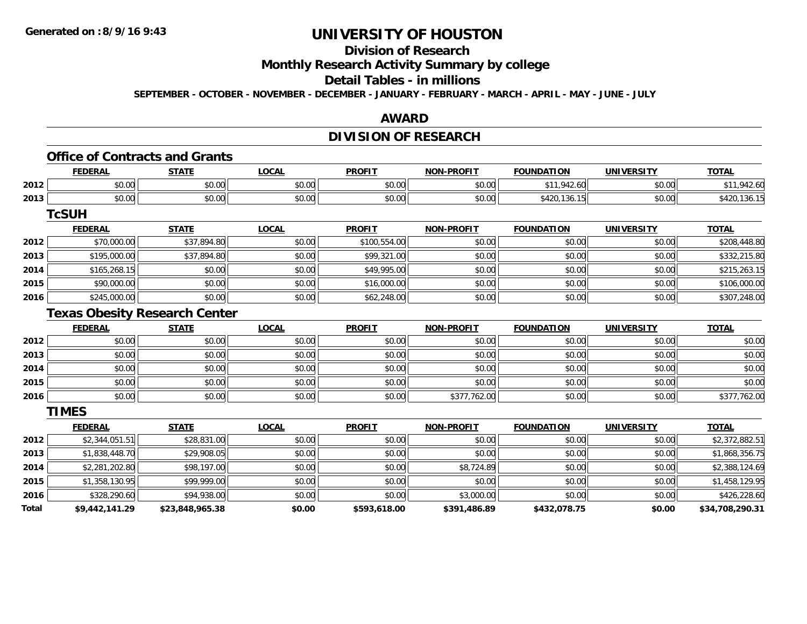## **Division of Research**

**Monthly Research Activity Summary by college**

## **Detail Tables - in millions**

**SEPTEMBER - OCTOBER - NOVEMBER - DECEMBER - JANUARY - FEBRUARY - MARCH - APRIL - MAY - JUNE - JULY**

### **AWARD**

## **DIVISION OF RESEARCH**

## **Office of Contracts and Grants**

|      | <b>FEDERAL</b> | <b>STATL</b>       | $\sim$<br>.UUAI                         | <b>PROFIT</b>          | <b>-PROFIT</b><br>NON- | <b>FOUNDATION</b>        | UNIVERSITY    | $T^{\prime}$<br>uuln. |
|------|----------------|--------------------|-----------------------------------------|------------------------|------------------------|--------------------------|---------------|-----------------------|
| 2012 | 0000<br>,u.uu  | 0000<br>vu.vu      | $\uparrow$ $\wedge$ $\uparrow$<br>vu.vu | $\sim$ $\sim$<br>vv.vv | 0000<br>vv.vv          | . .                      | 0000<br>DU.UU |                       |
| 2013 | 0000<br>JU.UU  | <b>↑∩</b><br>JU.UU | nn nn<br>JU.UU                          | $\sim$ $\sim$<br>JU.UU | 0000<br>JU.UU          | .10<br>ັ⊤∠∪<br><b>∪∪</b> | \$0.00        | 130.                  |

**TcSUH**

|      | <u>FEDERAL</u> | <u>STATE</u> | <u>LOCAL</u> | <b>PROFIT</b> | <b>NON-PROFIT</b> | <b>FOUNDATION</b> | <b>UNIVERSITY</b> | <b>TOTAL</b> |
|------|----------------|--------------|--------------|---------------|-------------------|-------------------|-------------------|--------------|
| 2012 | \$70,000.00    | \$37,894.80  | \$0.00       | \$100,554.00  | \$0.00            | \$0.00            | \$0.00            | \$208,448.80 |
| 2013 | \$195,000.00   | \$37,894.80  | \$0.00       | \$99,321.00   | \$0.00            | \$0.00            | \$0.00            | \$332,215.80 |
| 2014 | \$165,268.15   | \$0.00       | \$0.00       | \$49,995.00   | \$0.00            | \$0.00            | \$0.00            | \$215,263.15 |
| 2015 | \$90,000.00    | \$0.00       | \$0.00       | \$16,000.00   | \$0.00            | \$0.00            | \$0.00            | \$106,000.00 |
| 2016 | \$245,000.00   | \$0.00       | \$0.00       | \$62,248.00   | \$0.00            | \$0.00            | \$0.00            | \$307,248.00 |

### **Texas Obesity Research Center**

|      | <b>FEDERAL</b> | <b>STATE</b> | <b>LOCAL</b> | <b>PROFIT</b> | <b>NON-PROFIT</b> | <b>FOUNDATION</b> | <b>UNIVERSITY</b> | <b>TOTAL</b> |
|------|----------------|--------------|--------------|---------------|-------------------|-------------------|-------------------|--------------|
| 2012 | \$0.00         | \$0.00       | \$0.00       | \$0.00        | \$0.00            | \$0.00            | \$0.00            | \$0.00       |
| 2013 | \$0.00         | \$0.00       | \$0.00       | \$0.00        | \$0.00            | \$0.00            | \$0.00            | \$0.00       |
| 2014 | \$0.00         | \$0.00       | \$0.00       | \$0.00        | \$0.00            | \$0.00            | \$0.00            | \$0.00       |
| 2015 | \$0.00         | \$0.00       | \$0.00       | \$0.00        | \$0.00            | \$0.00            | \$0.00            | \$0.00       |
| 2016 | \$0.00         | \$0.00       | \$0.00       | \$0.00        | \$377,762.00      | \$0.00            | \$0.00            | \$377,762.00 |

**TIMES**

|              | <b>FEDERAL</b> | <b>STATE</b>    | <b>LOCAL</b> | <b>PROFIT</b> | <b>NON-PROFIT</b> | <b>FOUNDATION</b> | UNIVERSITY | <b>TOTAL</b>    |
|--------------|----------------|-----------------|--------------|---------------|-------------------|-------------------|------------|-----------------|
| 2012         | \$2,344,051.51 | \$28,831.00     | \$0.00       | \$0.00        | \$0.00            | \$0.00            | \$0.00     | \$2,372,882.51  |
| 2013         | \$1,838,448.70 | \$29,908.05     | \$0.00       | \$0.00        | \$0.00            | \$0.00            | \$0.00     | \$1,868,356.75  |
| 2014         | \$2,281,202.80 | \$98,197.00     | \$0.00       | \$0.00        | \$8,724.89        | \$0.00            | \$0.00     | \$2,388,124.69  |
| 2015         | \$1,358,130.95 | \$99,999.00     | \$0.00       | \$0.00        | \$0.00            | \$0.00            | \$0.00     | \$1,458,129.95  |
| 2016         | \$328,290.60   | \$94,938.00     | \$0.00       | \$0.00        | \$3,000.00        | \$0.00            | \$0.00     | \$426,228.60    |
| <b>Total</b> | \$9,442,141.29 | \$23,848,965.38 | \$0.00       | \$593,618.00  | \$391,486.89      | \$432,078.75      | \$0.00     | \$34,708,290.31 |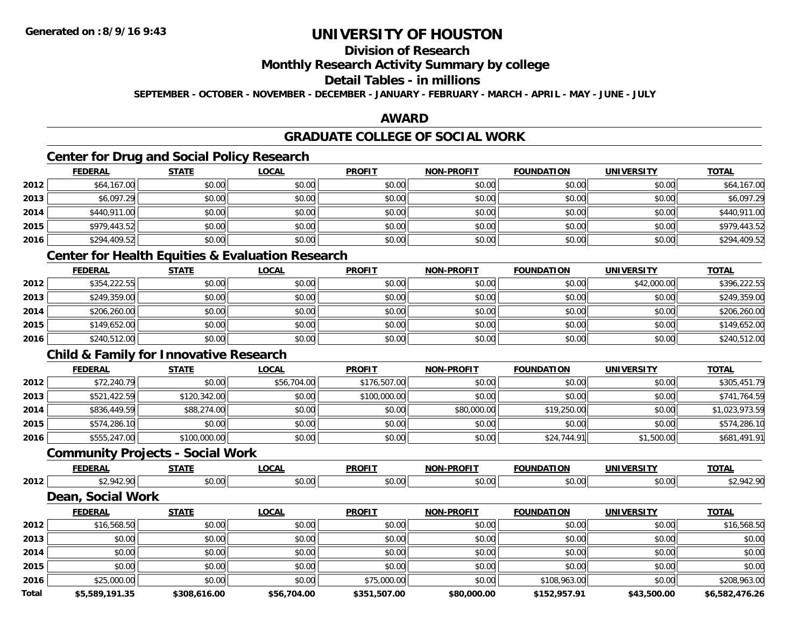## **Division of Research**

### **Monthly Research Activity Summary by college**

#### **Detail Tables - in millions**

**SEPTEMBER - OCTOBER - NOVEMBER - DECEMBER - JANUARY - FEBRUARY - MARCH - APRIL - MAY - JUNE - JULY**

## **AWARD**

#### **GRADUATE COLLEGE OF SOCIAL WORK**

## **Center for Drug and Social Policy Research**

|      | <b>FEDERAL</b> | <b>STATE</b> | <u>LOCAL</u> | <b>PROFIT</b> | <b>NON-PROFIT</b> | <b>FOUNDATION</b> | <b>UNIVERSITY</b> | <b>TOTAL</b> |
|------|----------------|--------------|--------------|---------------|-------------------|-------------------|-------------------|--------------|
| 2012 | \$64,167.00    | \$0.00       | \$0.00       | \$0.00        | \$0.00            | \$0.00            | \$0.00            | \$64,167.00  |
| 2013 | \$6,097.29     | \$0.00       | \$0.00       | \$0.00        | \$0.00            | \$0.00            | \$0.00            | \$6,097.29   |
| 2014 | \$440,911.00   | \$0.00       | \$0.00       | \$0.00        | \$0.00            | \$0.00            | \$0.00            | \$440,911.00 |
| 2015 | \$979,443.52   | \$0.00       | \$0.00       | \$0.00        | \$0.00            | \$0.00            | \$0.00            | \$979,443.52 |
| 2016 | \$294,409.52   | \$0.00       | \$0.00       | \$0.00        | \$0.00            | \$0.00            | \$0.00            | \$294,409.52 |

### **Center for Health Equities & Evaluation Research**

|      | <b>FEDERAL</b> | <b>STATE</b> | <b>LOCAL</b> | <b>PROFIT</b> | <b>NON-PROFIT</b> | <b>FOUNDATION</b> | <b>UNIVERSITY</b> | <b>TOTAL</b> |
|------|----------------|--------------|--------------|---------------|-------------------|-------------------|-------------------|--------------|
| 2012 | \$354,222.55   | \$0.00       | \$0.00       | \$0.00        | \$0.00            | \$0.00            | \$42,000.00       | \$396,222.55 |
| 2013 | \$249,359.00   | \$0.00       | \$0.00       | \$0.00        | \$0.00            | \$0.00            | \$0.00            | \$249,359.00 |
| 2014 | \$206,260.00   | \$0.00       | \$0.00       | \$0.00        | \$0.00            | \$0.00            | \$0.00            | \$206,260.00 |
| 2015 | \$149,652.00   | \$0.00       | \$0.00       | \$0.00        | \$0.00            | \$0.00            | \$0.00            | \$149,652.00 |
| 2016 | \$240,512.00   | \$0.00       | \$0.00       | \$0.00        | \$0.00            | \$0.00            | \$0.00            | \$240,512.00 |

## **Child & Family for Innovative Research**

|      | <b>FEDERAL</b> | <b>STATE</b> | <u>LOCAL</u> | <b>PROFIT</b> | <b>NON-PROFIT</b> | <b>FOUNDATION</b> | UNIVERSITY | <b>TOTAL</b>   |
|------|----------------|--------------|--------------|---------------|-------------------|-------------------|------------|----------------|
| 2012 | \$72,240.79    | \$0.00       | \$56,704.00  | \$176,507.00  | \$0.00            | \$0.00            | \$0.00     | \$305,451.79   |
| 2013 | \$521,422.59   | \$120,342.00 | \$0.00       | \$100,000.00  | \$0.00            | \$0.00            | \$0.00     | \$741,764.59   |
| 2014 | \$836,449.59   | \$88,274.00  | \$0.00       | \$0.00        | \$80,000.00       | \$19,250.00       | \$0.00     | \$1,023,973.59 |
| 2015 | \$574,286.10   | \$0.00       | \$0.00       | \$0.00        | \$0.00            | \$0.00            | \$0.00     | \$574,286.10   |
| 2016 | \$555,247.00   | \$100,000.00 | \$0.00       | \$0.00        | \$0.00            | \$24,744.91       | \$1,500.00 | \$681,491.91   |

### **Community Projects - Social Work**

|      | LINA | 27.77             | $\sim$<br>. UUA. | <b>PROFIT</b> | $\cdots$ DDOF:<br>. | ר4חוחו         | INIVE<br>ne r | <b>TOTAL</b> |
|------|------|-------------------|------------------|---------------|---------------------|----------------|---------------|--------------|
| 2012 | 012  | $\sim$ 00<br>ט.טע | 0.00             | 0.00<br>wu.uu | vv.vv               | 40.00<br>JU.UL | ッし・           |              |

#### **Dean, Social Work**

|              | <b>FEDERAL</b> | <b>STATE</b> | <u>LOCAL</u> | <b>PROFIT</b> | <b>NON-PROFIT</b> | <b>FOUNDATION</b> | <b>UNIVERSITY</b> | <b>TOTAL</b>   |
|--------------|----------------|--------------|--------------|---------------|-------------------|-------------------|-------------------|----------------|
| 2012         | \$16,568.50    | \$0.00       | \$0.00       | \$0.00        | \$0.00            | \$0.00            | \$0.00            | \$16,568.50    |
| 2013         | \$0.00         | \$0.00       | \$0.00       | \$0.00        | \$0.00            | \$0.00            | \$0.00            | \$0.00         |
| 2014         | \$0.00         | \$0.00       | \$0.00       | \$0.00        | \$0.00            | \$0.00            | \$0.00            | \$0.00         |
| 2015         | \$0.00         | \$0.00       | \$0.00       | \$0.00        | \$0.00            | \$0.00            | \$0.00            | \$0.00         |
| 2016         | \$25,000.00    | \$0.00       | \$0.00       | \$75,000.00   | \$0.00            | \$108,963.00      | \$0.00            | \$208,963.00   |
| <b>Total</b> | \$5,589,191.35 | \$308,616.00 | \$56,704.00  | \$351,507.00  | \$80,000.00       | \$152,957.91      | \$43,500.00       | \$6.582.476.26 |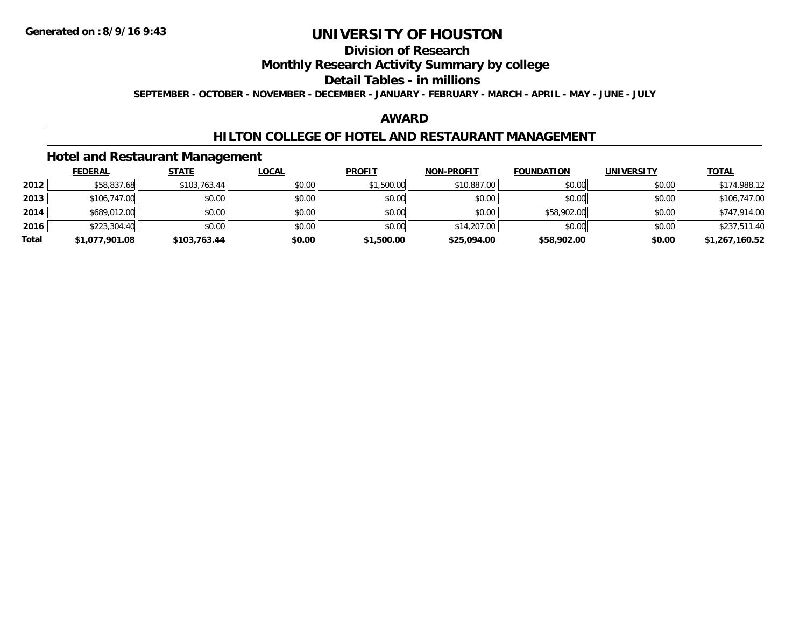## **Division of Research**

### **Monthly Research Activity Summary by college**

#### **Detail Tables - in millions**

**SEPTEMBER - OCTOBER - NOVEMBER - DECEMBER - JANUARY - FEBRUARY - MARCH - APRIL - MAY - JUNE - JULY**

### **AWARD**

### **HILTON COLLEGE OF HOTEL AND RESTAURANT MANAGEMENT**

#### **Hotel and Restaurant Management**

|       | <b>FEDERAL</b> | <b>STATE</b> | <u>LOCAL</u> | <b>PROFIT</b> | <b>NON-PROFIT</b> | <b>FOUNDATION</b> | <b>UNIVERSITY</b> | <u>TOTAL</u>   |
|-------|----------------|--------------|--------------|---------------|-------------------|-------------------|-------------------|----------------|
| 2012  | \$58,837.68    | \$103,763.44 | \$0.00       | \$1,500.00    | \$10,887.00       | \$0.00            | \$0.00            | \$174,988.12   |
| 2013  | \$106,747.00   | \$0.00       | \$0.00       | \$0.00        | \$0.00            | \$0.00            | \$0.00            | \$106,747.00   |
| 2014  | \$689,012.00   | \$0.00       | \$0.00       | \$0.00        | \$0.00            | \$58,902.00       | \$0.00            | \$747,914.00   |
| 2016  | \$223,304.40   | \$0.00       | \$0.00       | \$0.00        | \$14,207.00       | \$0.00            | \$0.00            | \$237,511.40   |
| Total | \$1,077,901.08 | \$103,763.44 | \$0.00       | \$1,500.00    | \$25,094.00       | \$58,902.00       | \$0.00            | \$1,267,160.52 |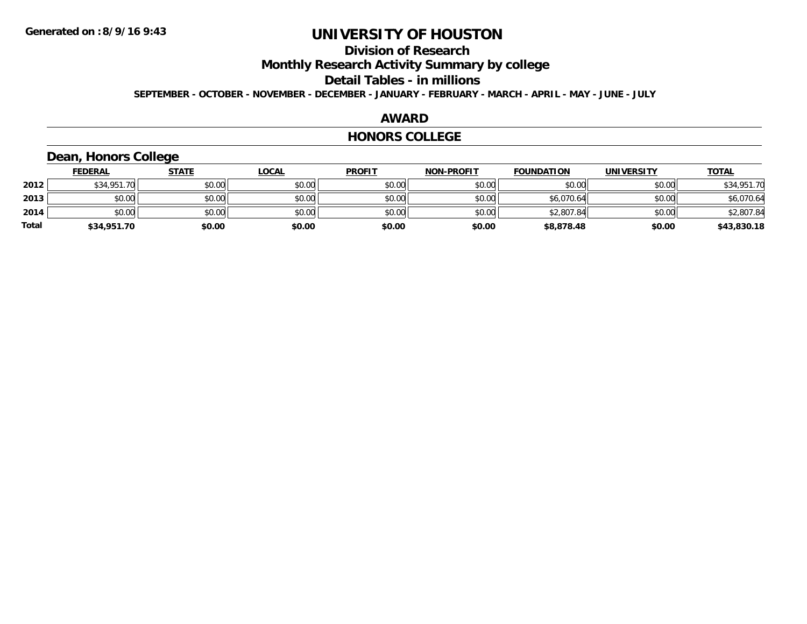## **Division of Research**

**Monthly Research Activity Summary by college**

**Detail Tables - in millions**

**SEPTEMBER - OCTOBER - NOVEMBER - DECEMBER - JANUARY - FEBRUARY - MARCH - APRIL - MAY - JUNE - JULY**

#### **AWARD**

#### **HONORS COLLEGE**

### **Dean, Honors College**

|              | <b>FEDERAL</b> | <b>STATE</b> | <u>LOCAL</u> | <b>PROFIT</b> | <b>NON-PROFIT</b> | <b>FOUNDATION</b> | <b>UNIVERSITY</b> | <b>TOTAL</b> |
|--------------|----------------|--------------|--------------|---------------|-------------------|-------------------|-------------------|--------------|
| 2012         | \$34,951.70    | \$0.00       | \$0.00       | \$0.00        | \$0.00            | \$0.00            | \$0.00            | \$34,951.70  |
| 2013         | \$0.00         | \$0.00       | \$0.00       | \$0.00        | \$0.00            | \$6,070.64        | \$0.00            | \$6,070.64   |
| 2014         | \$0.00         | \$0.00       | \$0.00       | \$0.00        | \$0.00            | \$2,807.84        | \$0.00            | \$2,807.84   |
| <b>Total</b> | \$34,951.70    | \$0.00       | \$0.00       | \$0.00        | \$0.00            | \$8,878.48        | \$0.00            | \$43,830.18  |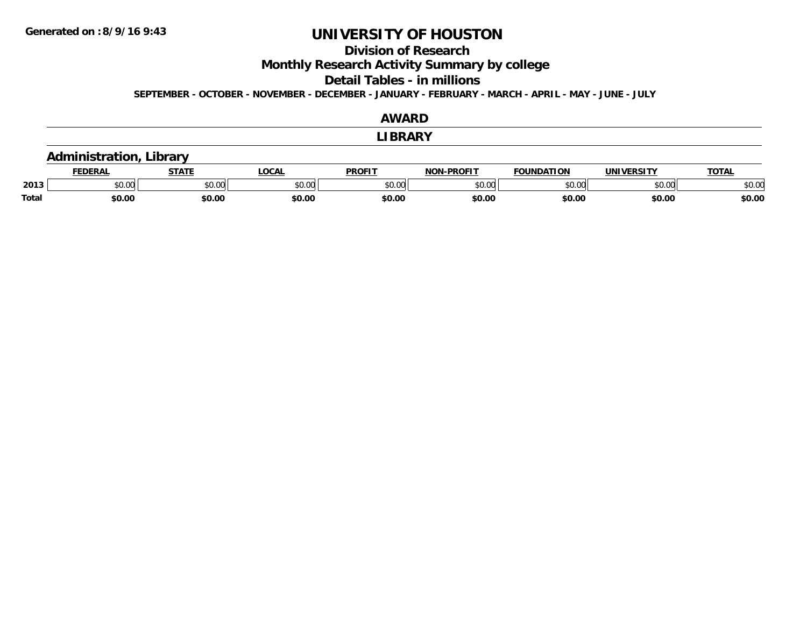## **Division of Research**

**Monthly Research Activity Summary by college**

**Detail Tables - in millions**

**SEPTEMBER - OCTOBER - NOVEMBER - DECEMBER - JANUARY - FEBRUARY - MARCH - APRIL - MAY - JUNE - JULY**

|              |                                |              |              | <b>AWARD</b>   |                   |                   |            |              |  |
|--------------|--------------------------------|--------------|--------------|----------------|-------------------|-------------------|------------|--------------|--|
|              |                                |              |              | <b>LIBRARY</b> |                   |                   |            |              |  |
|              | <b>Administration, Library</b> |              |              |                |                   |                   |            |              |  |
|              | <b>FEDERAL</b>                 | <b>STATE</b> | <b>LOCAL</b> | <b>PROFIT</b>  | <b>NON-PROFIT</b> | <b>FOUNDATION</b> | UNIVERSITY | <b>TOTAL</b> |  |
| 2013         | \$0.00                         | \$0.00       | \$0.00       | \$0.00         | \$0.00            | \$0.00            | \$0.00     | \$0.00       |  |
| <b>Total</b> | \$0.00                         | \$0.00       | \$0.00       | \$0.00         | \$0.00            | \$0.00            | \$0.00     | \$0.00       |  |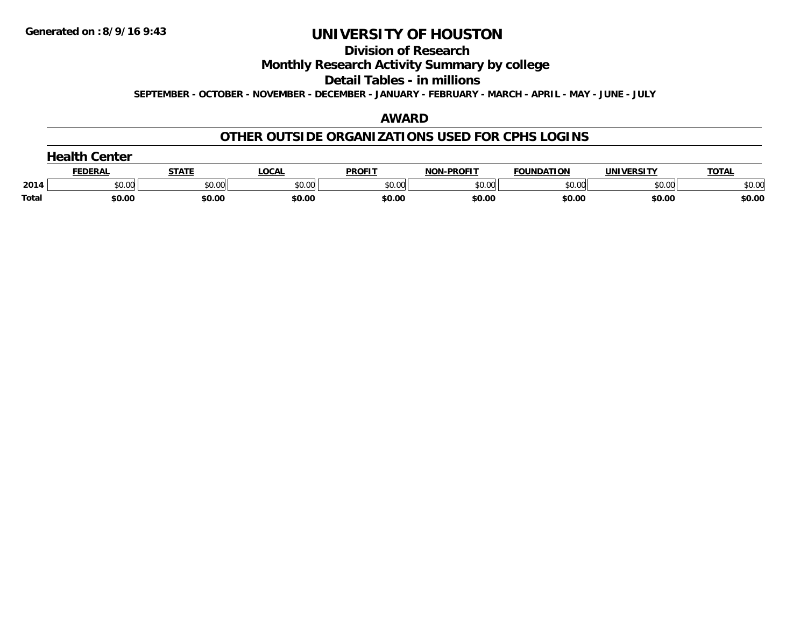#### **Division of Research**

### **Monthly Research Activity Summary by college**

#### **Detail Tables - in millions**

**SEPTEMBER - OCTOBER - NOVEMBER - DECEMBER - JANUARY - FEBRUARY - MARCH - APRIL - MAY - JUNE - JULY**

### **AWARD**

### **OTHER OUTSIDE ORGANIZATIONS USED FOR CPHS LOGINS**

| <b>Health Center</b> |  |  |
|----------------------|--|--|
|----------------------|--|--|

|       | <b>FEDERAL</b>     | <b>STATI</b>       | .OCA               | <b>PROFIT</b>      | NAN BBAFIT         | <b>FOUNDATION</b>  | UNIVERSITY                       | TOTA.  |
|-------|--------------------|--------------------|--------------------|--------------------|--------------------|--------------------|----------------------------------|--------|
| 2014  | $\sim$ 00<br>pu.uu | $\sim$ 00<br>JU.UU | $\sim$ 00<br>pu.uu | $\sim$ 00<br>טע.טע | $\sim$ 00<br>ง∪.∪บ | $\sim$ 00<br>DU.UU | $\circ$ $\circ$ $\circ$<br>ັ∿∪∪∪ | \$0.00 |
| Total | \$0.00             | \$0.00             | \$0.00             | \$0.00             | \$0.00             | \$0.00             | \$0.00                           | \$0.00 |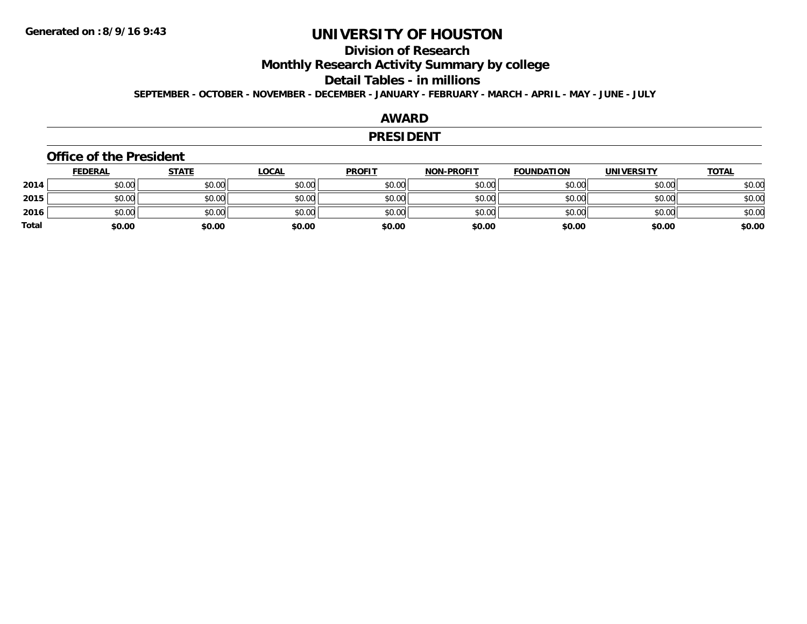## **Division of Research**

**Monthly Research Activity Summary by college**

**Detail Tables - in millions**

**SEPTEMBER - OCTOBER - NOVEMBER - DECEMBER - JANUARY - FEBRUARY - MARCH - APRIL - MAY - JUNE - JULY**

### **AWARD**

#### **PRESIDENT**

#### **Office of the President**

|              | <u>FEDERAL</u> | <u>STATE</u> | <u>LOCAL</u> | <b>PROFIT</b> | <b>NON-PROFIT</b> | <b>FOUNDATION</b> | <b>UNIVERSITY</b> | <b>TOTAL</b> |
|--------------|----------------|--------------|--------------|---------------|-------------------|-------------------|-------------------|--------------|
| 2014         | \$0.00         | \$0.00       | \$0.00       | \$0.00        | \$0.00            | \$0.00            | \$0.00            | \$0.00       |
| 2015         | \$0.00         | \$0.00       | \$0.00       | \$0.00        | \$0.00            | \$0.00            | \$0.00            | \$0.00       |
| 2016         | \$0.00         | \$0.00       | \$0.00       | \$0.00        | \$0.00            | \$0.00            | \$0.00            | \$0.00       |
| <b>Total</b> | \$0.00         | \$0.00       | \$0.00       | \$0.00        | \$0.00            | \$0.00            | \$0.00            | \$0.00       |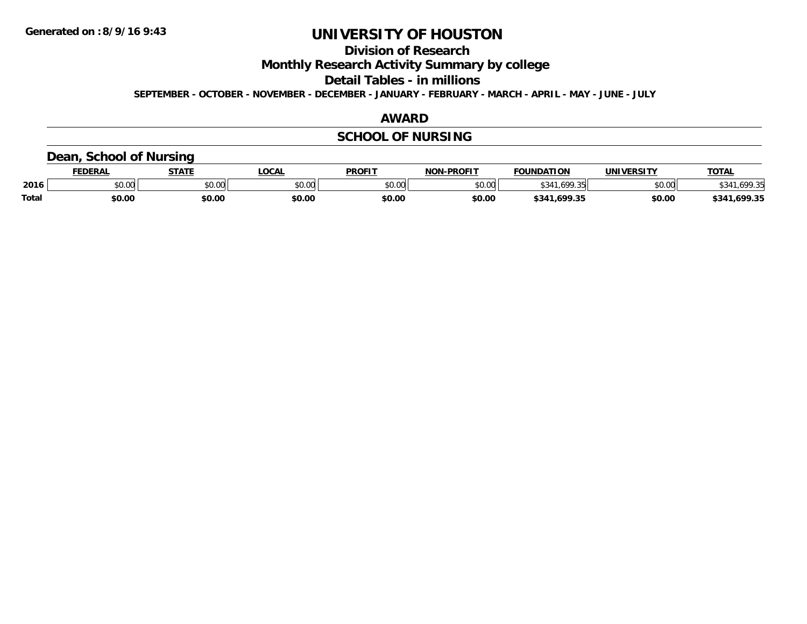**Division of Research**

**Monthly Research Activity Summary by college**

**Detail Tables - in millions**

**SEPTEMBER - OCTOBER - NOVEMBER - DECEMBER - JANUARY - FEBRUARY - MARCH - APRIL - MAY - JUNE - JULY**

### **AWARD**

## **SCHOOL OF NURSING**

### **Dean, School of Nursing**

|              | EDERAI                              | <b>STATE</b> | OCAL   | <b>PROFIT</b> | -PROFIT<br>ש∩ו | FOUNDATION        | <b>UNIVERSITY</b> | <b>TOTAL</b>      |
|--------------|-------------------------------------|--------------|--------|---------------|----------------|-------------------|-------------------|-------------------|
| 2016         | $\theta$ $\theta$ $\theta$<br>JU.UU | \$0.00       | JU.UU  | \$0.00        | \$0.00         |                   | \$0.00            | 100 3日<br>.       |
| <b>Total</b> | \$0.00                              | \$0.00       | \$0.00 | \$0.00        | \$0.00         | .699.35<br>\$341. | \$0.00            | .699.35<br>\$341. |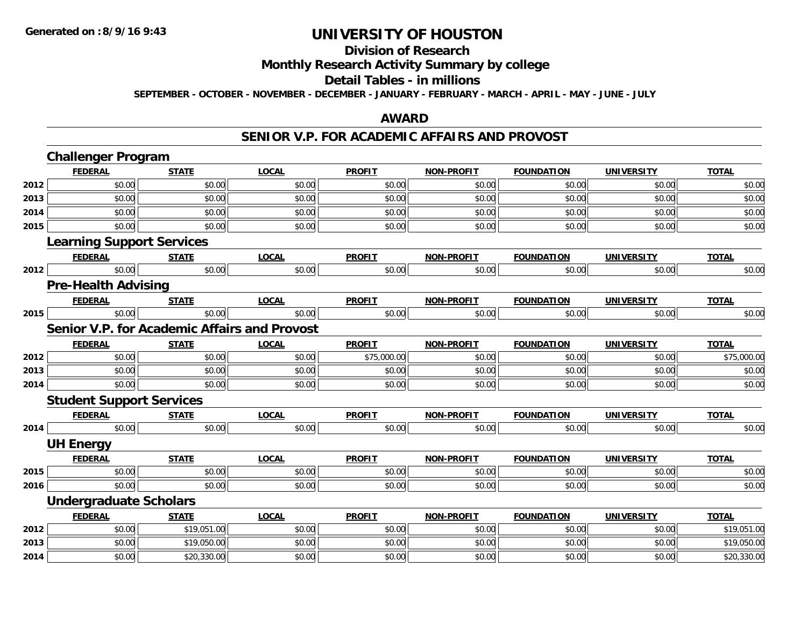# **Division of Research**

**Monthly Research Activity Summary by college**

#### **Detail Tables - in millions**

**SEPTEMBER - OCTOBER - NOVEMBER - DECEMBER - JANUARY - FEBRUARY - MARCH - APRIL - MAY - JUNE - JULY**

### **AWARD**

#### **SENIOR V.P. FOR ACADEMIC AFFAIRS AND PROVOST**

|      | <b>Challenger Program</b>                           |              |              |               |                   |                   |                   |              |
|------|-----------------------------------------------------|--------------|--------------|---------------|-------------------|-------------------|-------------------|--------------|
|      | <b>FEDERAL</b>                                      | <b>STATE</b> | <b>LOCAL</b> | <b>PROFIT</b> | <b>NON-PROFIT</b> | <b>FOUNDATION</b> | <b>UNIVERSITY</b> | <b>TOTAL</b> |
| 2012 | \$0.00                                              | \$0.00       | \$0.00       | \$0.00        | \$0.00            | \$0.00            | \$0.00            | \$0.00       |
| 2013 | \$0.00                                              | \$0.00       | \$0.00       | \$0.00        | \$0.00            | \$0.00            | \$0.00            | \$0.00       |
| 2014 | \$0.00                                              | \$0.00       | \$0.00       | \$0.00        | \$0.00            | \$0.00            | \$0.00            | \$0.00       |
| 2015 | \$0.00                                              | \$0.00       | \$0.00       | \$0.00        | \$0.00            | \$0.00            | \$0.00            | \$0.00       |
|      | <b>Learning Support Services</b>                    |              |              |               |                   |                   |                   |              |
|      | <b>FEDERAL</b>                                      | <b>STATE</b> | <b>LOCAL</b> | <b>PROFIT</b> | <b>NON-PROFIT</b> | <b>FOUNDATION</b> | <b>UNIVERSITY</b> | <b>TOTAL</b> |
| 2012 | \$0.00                                              | \$0.00       | \$0.00       | \$0.00        | \$0.00            | \$0.00            | \$0.00            | \$0.00       |
|      | <b>Pre-Health Advising</b>                          |              |              |               |                   |                   |                   |              |
|      | <b>FEDERAL</b>                                      | <b>STATE</b> | <b>LOCAL</b> | <b>PROFIT</b> | <b>NON-PROFIT</b> | <b>FOUNDATION</b> | <b>UNIVERSITY</b> | <b>TOTAL</b> |
| 2015 | \$0.00                                              | \$0.00       | \$0.00       | \$0.00        | \$0.00            | \$0.00            | \$0.00            | \$0.00       |
|      | <b>Senior V.P. for Academic Affairs and Provost</b> |              |              |               |                   |                   |                   |              |
|      | <b>FEDERAL</b>                                      | <b>STATE</b> | <b>LOCAL</b> | <b>PROFIT</b> | <b>NON-PROFIT</b> | <b>FOUNDATION</b> | <b>UNIVERSITY</b> | <b>TOTAL</b> |
| 2012 | \$0.00                                              | \$0.00       | \$0.00       | \$75,000.00   | \$0.00            | \$0.00            | \$0.00            | \$75,000.00  |
| 2013 | \$0.00                                              | \$0.00       | \$0.00       | \$0.00        | \$0.00            | \$0.00            | \$0.00            | \$0.00       |
| 2014 | \$0.00                                              | \$0.00       | \$0.00       | \$0.00        | \$0.00            | \$0.00            | \$0.00            | \$0.00       |
|      | <b>Student Support Services</b>                     |              |              |               |                   |                   |                   |              |
|      | <b>FEDERAL</b>                                      | <b>STATE</b> | <b>LOCAL</b> | <b>PROFIT</b> | <b>NON-PROFIT</b> | <b>FOUNDATION</b> | <b>UNIVERSITY</b> | <b>TOTAL</b> |
| 2014 | \$0.00                                              | \$0.00       | \$0.00       | \$0.00        | \$0.00            | \$0.00            | \$0.00            | \$0.00       |
|      | <b>UH Energy</b>                                    |              |              |               |                   |                   |                   |              |
|      | <b>FEDERAL</b>                                      | <b>STATE</b> | <b>LOCAL</b> | <b>PROFIT</b> | <b>NON-PROFIT</b> | <b>FOUNDATION</b> | <b>UNIVERSITY</b> | <b>TOTAL</b> |
| 2015 | \$0.00                                              | \$0.00       | \$0.00       | \$0.00        | \$0.00            | \$0.00            | \$0.00            | \$0.00       |
| 2016 | \$0.00                                              | \$0.00       | \$0.00       | \$0.00        | \$0.00            | \$0.00            | \$0.00            | \$0.00       |
|      | <b>Undergraduate Scholars</b>                       |              |              |               |                   |                   |                   |              |
|      | <b>FEDERAL</b>                                      | <b>STATE</b> | <b>LOCAL</b> | <b>PROFIT</b> | <b>NON-PROFIT</b> | <b>FOUNDATION</b> | <b>UNIVERSITY</b> | <b>TOTAL</b> |
| 2012 | \$0.00                                              | \$19,051.00  | \$0.00       | \$0.00        | \$0.00            | \$0.00            | \$0.00            | \$19,051.00  |
| 2013 | \$0.00                                              | \$19,050.00  | \$0.00       | \$0.00        | \$0.00            | \$0.00            | \$0.00            | \$19,050.00  |
| 2014 | \$0.00                                              | \$20,330.00  | \$0.00       | \$0.00        | \$0.00            | \$0.00            | \$0.00            | \$20,330.00  |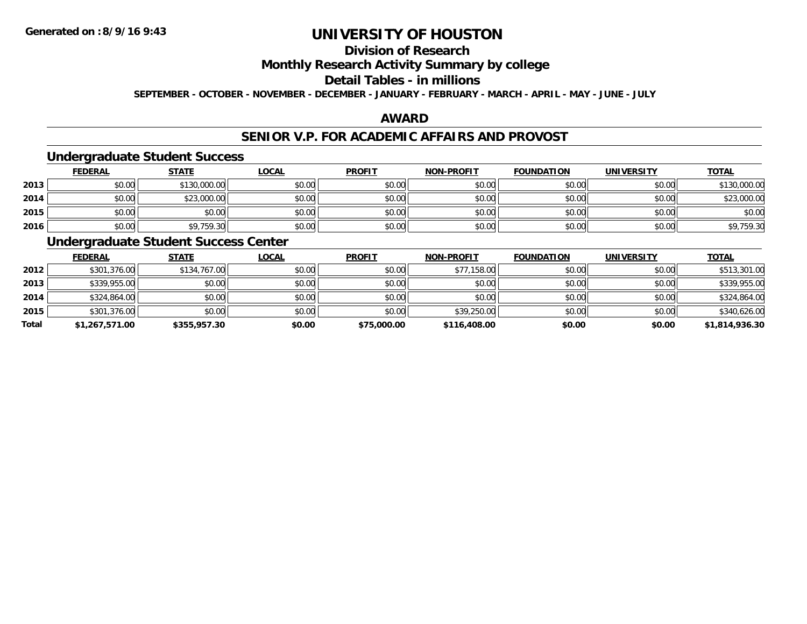## **Division of Research**

### **Monthly Research Activity Summary by college**

#### **Detail Tables - in millions**

**SEPTEMBER - OCTOBER - NOVEMBER - DECEMBER - JANUARY - FEBRUARY - MARCH - APRIL - MAY - JUNE - JULY**

### **AWARD**

### **SENIOR V.P. FOR ACADEMIC AFFAIRS AND PROVOST**

#### **Undergraduate Student Success**

|      | <b>FEDERAL</b> | <b>STATE</b> | <u>LOCAL</u> | <b>PROFIT</b> | <b>NON-PROFIT</b> | <b>FOUNDATION</b> | <b>UNIVERSITY</b> | <b>TOTAL</b> |
|------|----------------|--------------|--------------|---------------|-------------------|-------------------|-------------------|--------------|
| 2013 | \$0.00         | \$130,000.00 | \$0.00       | \$0.00        | \$0.00            | \$0.00            | \$0.00            | \$130,000.00 |
| 2014 | \$0.00         | \$23,000.00  | \$0.00       | \$0.00        | \$0.00            | \$0.00            | \$0.00            | \$23,000.00  |
| 2015 | \$0.00         | \$0.00       | \$0.00       | \$0.00        | \$0.00            | \$0.00            | \$0.00            | \$0.00       |
| 2016 | \$0.00         | \$9,759.30   | \$0.00       | \$0.00        | \$0.00            | \$0.00            | \$0.00            | \$9,759.30   |

### **Undergraduate Student Success Center**

|              | <u>FEDERAL</u> | <b>STATE</b> | <b>LOCAL</b> | <b>PROFIT</b> | <b>NON-PROFIT</b> | <b>FOUNDATION</b> | <b>UNIVERSITY</b> | <b>TOTAL</b>   |
|--------------|----------------|--------------|--------------|---------------|-------------------|-------------------|-------------------|----------------|
| 2012         | \$301,376.00   | \$134,767.00 | \$0.00       | \$0.00        | \$77,158.00       | \$0.00            | \$0.00            | \$513,301.00   |
| 2013         | \$339,955.00   | \$0.00       | \$0.00       | \$0.00        | \$0.00            | \$0.00            | \$0.00            | \$339,955.00   |
| 2014         | \$324,864.00   | \$0.00       | \$0.00       | \$0.00        | \$0.00            | \$0.00            | \$0.00            | \$324,864.00   |
| 2015         | \$301,376.00   | \$0.00       | \$0.00       | \$0.00        | \$39,250.00       | \$0.00            | \$0.00            | \$340,626.00   |
| <b>Total</b> | \$1,267,571.00 | \$355,957.30 | \$0.00       | \$75,000.00   | \$116,408.00      | \$0.00            | \$0.00            | \$1,814,936.30 |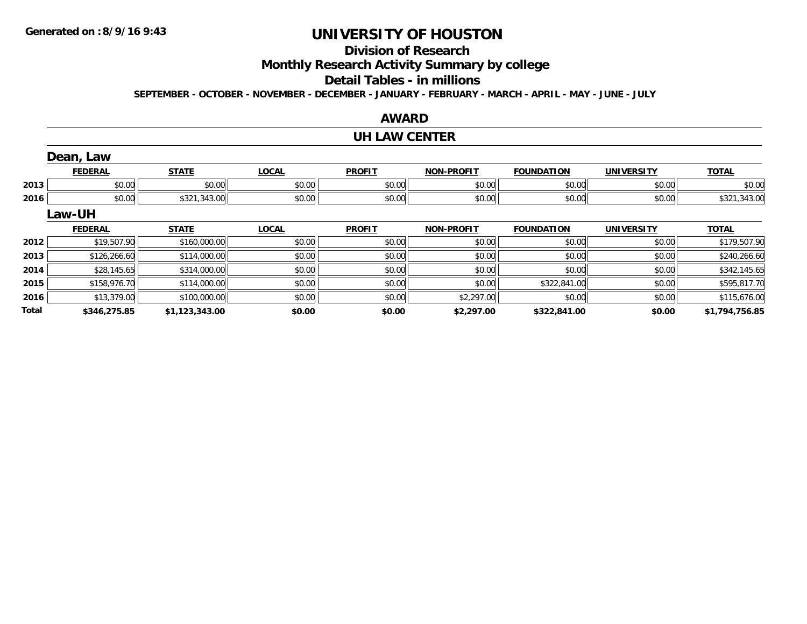**Total**

# **UNIVERSITY OF HOUSTON**

# **Division of Research**

**Monthly Research Activity Summary by college**

#### **Detail Tables - in millions**

**SEPTEMBER - OCTOBER - NOVEMBER - DECEMBER - JANUARY - FEBRUARY - MARCH - APRIL - MAY - JUNE - JULY**

# **AWARDUH LAW CENTER**

|      | Dean, Law      |              |              |               |                   |                   |                   |              |
|------|----------------|--------------|--------------|---------------|-------------------|-------------------|-------------------|--------------|
|      | <b>FEDERAL</b> | <b>STATE</b> | <b>LOCAL</b> | <b>PROFIT</b> | <b>NON-PROFIT</b> | <b>FOUNDATION</b> | <b>UNIVERSITY</b> | <b>TOTAL</b> |
| 2013 | \$0.00         | \$0.00       | \$0.00       | \$0.00        | \$0.00            | \$0.00            | \$0.00            | \$0.00       |
| 2016 | \$0.00         | \$321,343.00 | \$0.00       | \$0.00        | \$0.00            | \$0.00            | \$0.00            | \$321,343.00 |
|      | Law-UH         |              |              |               |                   |                   |                   |              |
|      | <b>FEDERAL</b> | <b>STATE</b> | <b>LOCAL</b> | <b>PROFIT</b> | <b>NON-PROFIT</b> | <b>FOUNDATION</b> | <b>UNIVERSITY</b> | <b>TOTAL</b> |
| 2012 | \$19,507.90    | \$160,000.00 | \$0.00       | \$0.00        | \$0.00            | \$0.00            | \$0.00            | \$179,507.90 |
| 2013 | \$126,266.60   | \$114,000.00 | \$0.00       | \$0.00        | \$0.00            | \$0.00            | \$0.00            | \$240,266.60 |
| 2014 | \$28,145.65    | \$314,000.00 | \$0.00       | \$0.00        | \$0.00            | \$0.00            | \$0.00            | \$342,145.65 |
| 2015 | \$158,976.70   | \$114,000.00 | \$0.00       | \$0.00        | \$0.00            | \$322,841.00      | \$0.00            | \$595,817.70 |
| 2016 | \$13,379.00    | \$100,000.00 | \$0.00       | \$0.00        | \$2,297.00        | \$0.00            | \$0.00            | \$115,676.00 |

**\$346,275.85 \$1,123,343.00 \$0.00 \$0.00 \$2,297.00 \$322,841.00 \$0.00 \$1,794,756.85**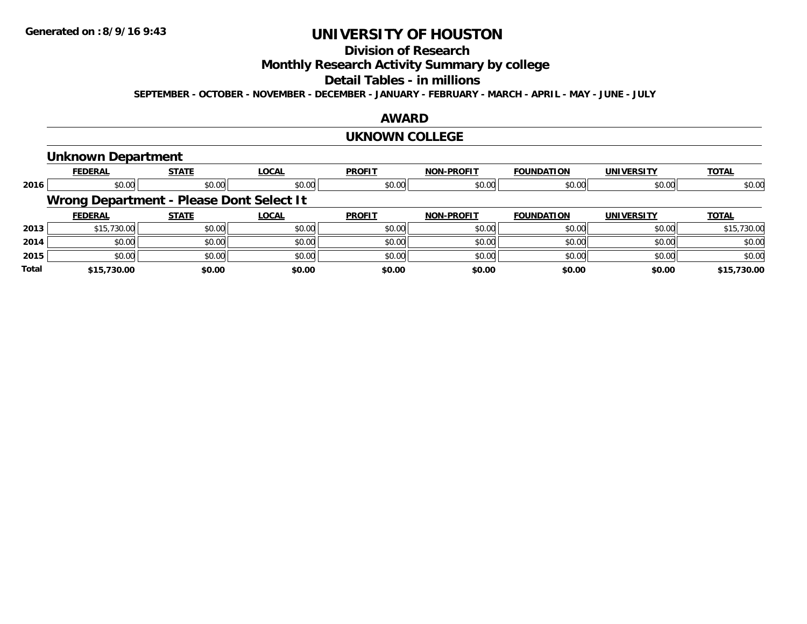# **Division of Research**

**Monthly Research Activity Summary by college**

#### **Detail Tables - in millions**

**SEPTEMBER - OCTOBER - NOVEMBER - DECEMBER - JANUARY - FEBRUARY - MARCH - APRIL - MAY - JUNE - JULY**

#### **AWARD**

#### **UKNOWN COLLEGE**

### **Unknown Department**

|              | <b>FEDERAL</b> | <b>STATE</b>                             | <b>LOCAL</b> | <b>PROFIT</b> | <b>NON-PROFIT</b> | <b>FOUNDATION</b> | <b>UNIVERSITY</b> | <b>TOTAL</b> |
|--------------|----------------|------------------------------------------|--------------|---------------|-------------------|-------------------|-------------------|--------------|
| 2016         | \$0.00         | \$0.00                                   | \$0.00       | \$0.00        | \$0.00            | \$0.00            | \$0.00            | \$0.00       |
|              |                | Wrong Department - Please Dont Select It |              |               |                   |                   |                   |              |
|              | <b>FEDERAL</b> | <b>STATE</b>                             | <b>LOCAL</b> | <b>PROFIT</b> | <b>NON-PROFIT</b> | <b>FOUNDATION</b> | <b>UNIVERSITY</b> | <b>TOTAL</b> |
| 2013         | \$15,730.00    | \$0.00                                   | \$0.00       | \$0.00        | \$0.00            | \$0.00            | \$0.00            | \$15,730.00  |
| 2014         | \$0.00         | \$0.00                                   | \$0.00       | \$0.00        | \$0.00            | \$0.00            | \$0.00            | \$0.00       |
| 2015         | \$0.00         | \$0.00                                   | \$0.00       | \$0.00        | \$0.00            | \$0.00            | \$0.00            | \$0.00       |
| <b>Total</b> | \$15,730.00    | \$0.00                                   | \$0.00       | \$0.00        | \$0.00            | \$0.00            | \$0.00            | \$15,730.00  |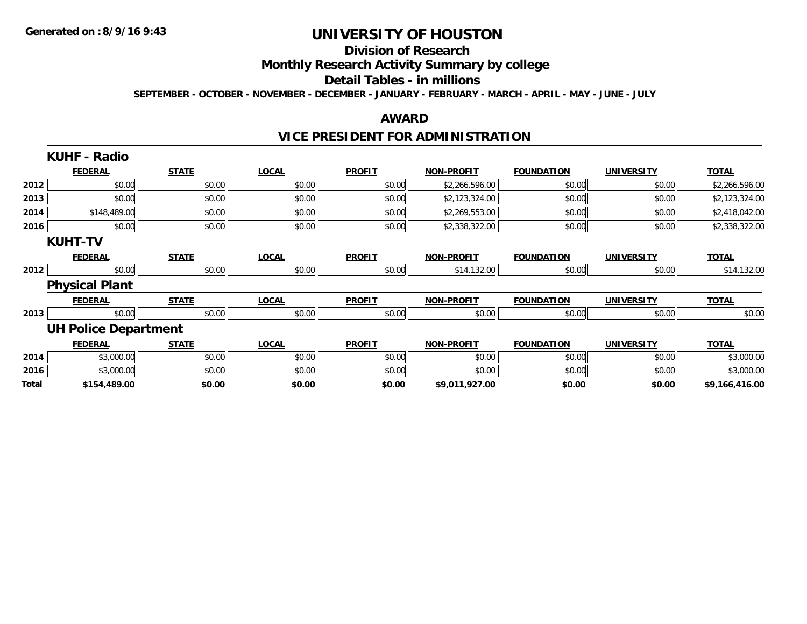#### **Division of Research**

**Monthly Research Activity Summary by college**

#### **Detail Tables - in millions**

**SEPTEMBER - OCTOBER - NOVEMBER - DECEMBER - JANUARY - FEBRUARY - MARCH - APRIL - MAY - JUNE - JULY**

#### **AWARD**

# **VICE PRESIDENT FOR ADMINISTRATION**

|       | <b>KUHF - Radio</b>         |              |              |               |                   |                   |                   |                |
|-------|-----------------------------|--------------|--------------|---------------|-------------------|-------------------|-------------------|----------------|
|       | <b>FEDERAL</b>              | <b>STATE</b> | <b>LOCAL</b> | <b>PROFIT</b> | <b>NON-PROFIT</b> | <b>FOUNDATION</b> | <b>UNIVERSITY</b> | <b>TOTAL</b>   |
| 2012  | \$0.00                      | \$0.00       | \$0.00       | \$0.00        | \$2,266,596.00    | \$0.00            | \$0.00            | \$2,266,596.00 |
| 2013  | \$0.00                      | \$0.00       | \$0.00       | \$0.00        | \$2,123,324.00    | \$0.00            | \$0.00            | \$2,123,324.00 |
| 2014  | \$148,489.00                | \$0.00       | \$0.00       | \$0.00        | \$2,269,553.00    | \$0.00            | \$0.00            | \$2,418,042.00 |
| 2016  | \$0.00                      | \$0.00       | \$0.00       | \$0.00        | \$2,338,322.00    | \$0.00            | \$0.00            | \$2,338,322.00 |
|       | <b>KUHT-TV</b>              |              |              |               |                   |                   |                   |                |
|       | <b>FEDERAL</b>              | <b>STATE</b> | <b>LOCAL</b> | <b>PROFIT</b> | <b>NON-PROFIT</b> | <b>FOUNDATION</b> | <b>UNIVERSITY</b> | <b>TOTAL</b>   |
| 2012  | \$0.00                      | \$0.00       | \$0.00       | \$0.00        | \$14,132.00       | \$0.00            | \$0.00            | \$14,132.00    |
|       | <b>Physical Plant</b>       |              |              |               |                   |                   |                   |                |
|       | <b>FEDERAL</b>              | <b>STATE</b> | <b>LOCAL</b> | <b>PROFIT</b> | <b>NON-PROFIT</b> | <b>FOUNDATION</b> | <b>UNIVERSITY</b> | <b>TOTAL</b>   |
| 2013  | \$0.00                      | \$0.00       | \$0.00       | \$0.00        | \$0.00            | \$0.00            | \$0.00            | \$0.00         |
|       | <b>UH Police Department</b> |              |              |               |                   |                   |                   |                |
|       | <b>FEDERAL</b>              | <b>STATE</b> | <b>LOCAL</b> | <b>PROFIT</b> | <b>NON-PROFIT</b> | <b>FOUNDATION</b> | <b>UNIVERSITY</b> | <b>TOTAL</b>   |
| 2014  | \$3,000.00                  | \$0.00       | \$0.00       | \$0.00        | \$0.00            | \$0.00            | \$0.00            | \$3,000.00     |
| 2016  | \$3,000.00                  | \$0.00       | \$0.00       | \$0.00        | \$0.00            | \$0.00            | \$0.00            | \$3,000.00     |
| Total | \$154,489.00                | \$0.00       | \$0.00       | \$0.00        | \$9,011,927.00    | \$0.00            | \$0.00            | \$9,166,416.00 |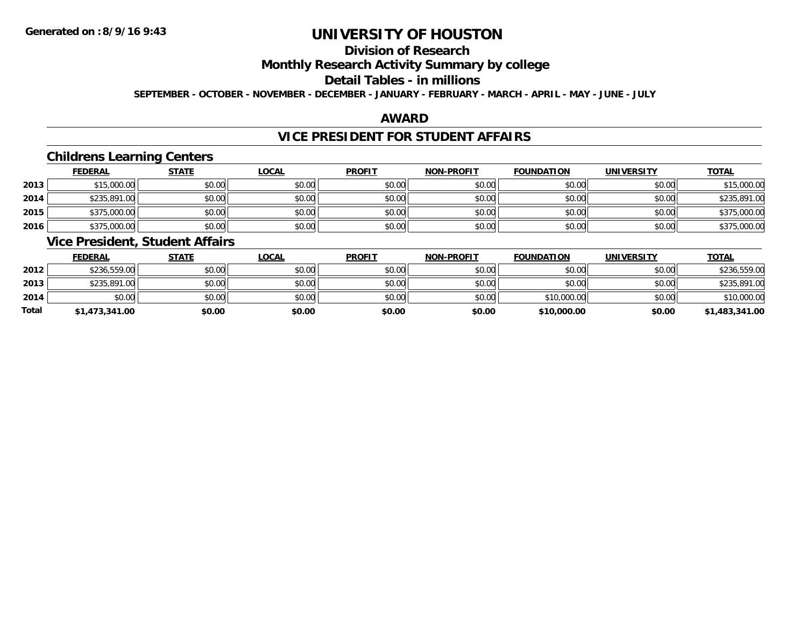## **Division of Research**

### **Monthly Research Activity Summary by college**

#### **Detail Tables - in millions**

**SEPTEMBER - OCTOBER - NOVEMBER - DECEMBER - JANUARY - FEBRUARY - MARCH - APRIL - MAY - JUNE - JULY**

### **AWARD**

### **VICE PRESIDENT FOR STUDENT AFFAIRS**

### **Childrens Learning Centers**

|      | <b>FEDERAL</b> | <b>STATE</b> | <u>LOCAL</u> | <b>PROFIT</b> | <b>NON-PROFIT</b> | <b>FOUNDATION</b> | <b>UNIVERSITY</b> | <b>TOTAL</b> |
|------|----------------|--------------|--------------|---------------|-------------------|-------------------|-------------------|--------------|
| 2013 | \$15,000.00    | \$0.00       | \$0.00       | \$0.00        | \$0.00            | \$0.00            | \$0.00            | \$15,000.00  |
| 2014 | \$235,891.00   | \$0.00       | \$0.00       | \$0.00        | \$0.00            | \$0.00            | \$0.00            | \$235,891.00 |
| 2015 | \$375,000.00   | \$0.00       | \$0.00       | \$0.00        | \$0.00            | \$0.00            | \$0.00            | \$375,000.00 |
| 2016 | \$375,000.00   | \$0.00       | \$0.00       | \$0.00        | \$0.00            | \$0.00            | \$0.00            | \$375,000.00 |

### **Vice President, Student Affairs**

|       | <b>FEDERAL</b> | <u>STATE</u> | <b>LOCAL</b> | <b>PROFIT</b> | <b>NON-PROFIT</b> | <b>FOUNDATION</b> | <b>UNIVERSITY</b> | <b>TOTAL</b>   |
|-------|----------------|--------------|--------------|---------------|-------------------|-------------------|-------------------|----------------|
| 2012  | \$236,559.00   | \$0.00       | \$0.00       | \$0.00        | \$0.00            | \$0.00            | \$0.00            | \$236,559.00   |
| 2013  | \$235,891,00   | \$0.00       | \$0.00       | \$0.00        | \$0.00            | \$0.00            | \$0.00            | \$235,891.00   |
| 2014  | \$0.00         | \$0.00       | \$0.00       | \$0.00        | \$0.00            | \$10,000.00       | \$0.00            | \$10,000.00    |
| Total | \$1,473,341.00 | \$0.00       | \$0.00       | \$0.00        | \$0.00            | \$10,000.00       | \$0.00            | \$1,483,341.00 |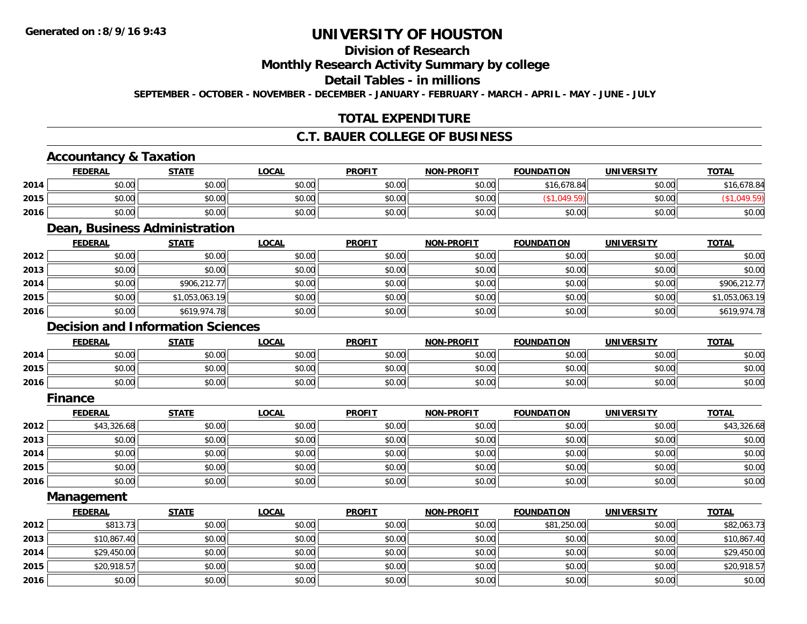## **Division of Research**

**Monthly Research Activity Summary by college**

**Detail Tables - in millions**

**SEPTEMBER - OCTOBER - NOVEMBER - DECEMBER - JANUARY - FEBRUARY - MARCH - APRIL - MAY - JUNE - JULY**

## **TOTAL EXPENDITURE**

## **C.T. BAUER COLLEGE OF BUSINESS**

## **Accountancy & Taxation**

|      | <b>FEDERAL</b> | <u>STATE</u> | <b>LOCAL</b> | <b>PROFIT</b> | <b>NON-PROFIT</b> | <b>FOUNDATION</b> | <b>UNIVERSITY</b> | <b>TOTAL</b> |
|------|----------------|--------------|--------------|---------------|-------------------|-------------------|-------------------|--------------|
| 2014 | \$0.00         | \$0.00       | \$0.00       | \$0.00        | \$0.00            | \$16,678.84       | \$0.00            | 16,678.84    |
| 2015 | \$0.00         | \$0.00       | \$0.00       | \$0.00        | \$0.00            |                   | \$0.00            |              |
| 2016 | \$0.00         | \$0.00       | \$0.00       | \$0.00        | \$0.00            | \$0.00            | \$0.00            | \$0.00       |

#### **Dean, Business Administration**

|      | <b>FEDERAL</b> | <b>STATE</b>   | <u>LOCAL</u> | <b>PROFIT</b> | <b>NON-PROFIT</b> | <b>FOUNDATION</b> | <b>UNIVERSITY</b> | <b>TOTAL</b>   |
|------|----------------|----------------|--------------|---------------|-------------------|-------------------|-------------------|----------------|
| 2012 | \$0.00         | \$0.00         | \$0.00       | \$0.00        | \$0.00            | \$0.00            | \$0.00            | \$0.00         |
| 2013 | \$0.00         | \$0.00         | \$0.00       | \$0.00        | \$0.00            | \$0.00            | \$0.00            | \$0.00         |
| 2014 | \$0.00         | \$906,212.77   | \$0.00       | \$0.00        | \$0.00            | \$0.00            | \$0.00            | \$906,212.77   |
| 2015 | \$0.00         | \$1,053,063.19 | \$0.00       | \$0.00        | \$0.00            | \$0.00            | \$0.00            | \$1,053,063.19 |
| 2016 | \$0.00         | \$619,974.78   | \$0.00       | \$0.00        | \$0.00            | \$0.00            | \$0.00            | \$619,974.78   |

### **Decision and Information Sciences**

|      | <b>FEDERAL</b>     | <b>STATE</b> | <b>LOCAL</b>          | <b>PROFIT</b> | <b>NON-PROFIT</b> | <b>FOUNDATION</b> | UNIVERSITY | <u>TOTAL</u> |
|------|--------------------|--------------|-----------------------|---------------|-------------------|-------------------|------------|--------------|
| 2014 | $\sim$ 00<br>JU.UU | \$0.00       | \$0.00                | \$0.00        | \$0.00            | \$0.00            | \$0.00     | \$0.00       |
| 2015 | 0000<br>DU.UU      | \$0.00       | 40.00<br><b>DU.UG</b> | \$0.00        | \$0.00            | \$0.00            | \$0.00     | \$0.00       |
| 2016 | 0000<br>DU.UG      | \$0.00       | \$0.00                | \$0.00        | \$0.00            | \$0.00            | \$0.00     | \$0.00       |

#### **Finance**

|      | <b>FEDERAL</b> | <b>STATE</b> | <b>LOCAL</b> | <b>PROFIT</b> | <b>NON-PROFIT</b> | <b>FOUNDATION</b> | <b>UNIVERSITY</b> | <b>TOTAL</b> |
|------|----------------|--------------|--------------|---------------|-------------------|-------------------|-------------------|--------------|
| 2012 | \$43,326.68    | \$0.00       | \$0.00       | \$0.00        | \$0.00            | \$0.00            | \$0.00            | \$43,326.68  |
| 2013 | \$0.00         | \$0.00       | \$0.00       | \$0.00        | \$0.00            | \$0.00            | \$0.00            | \$0.00       |
| 2014 | \$0.00         | \$0.00       | \$0.00       | \$0.00        | \$0.00            | \$0.00            | \$0.00            | \$0.00       |
| 2015 | \$0.00         | \$0.00       | \$0.00       | \$0.00        | \$0.00            | \$0.00            | \$0.00            | \$0.00       |
| 2016 | \$0.00         | \$0.00       | \$0.00       | \$0.00        | \$0.00            | \$0.00            | \$0.00            | \$0.00       |

**Management**

|      | <b>FEDERAL</b> | <b>STATE</b> | <b>LOCAL</b> | <b>PROFIT</b> | <b>NON-PROFIT</b> | <b>FOUNDATION</b> | <b>UNIVERSITY</b> | <b>TOTAL</b> |
|------|----------------|--------------|--------------|---------------|-------------------|-------------------|-------------------|--------------|
| 2012 | \$813.73       | \$0.00       | \$0.00       | \$0.00        | \$0.00            | \$81,250.00       | \$0.00            | \$82,063.73  |
| 2013 | \$10,867.40    | \$0.00       | \$0.00       | \$0.00        | \$0.00            | \$0.00            | \$0.00            | \$10,867.40  |
| 2014 | \$29,450.00    | \$0.00       | \$0.00       | \$0.00        | \$0.00            | \$0.00            | \$0.00            | \$29,450.00  |
| 2015 | \$20,918.57    | \$0.00       | \$0.00       | \$0.00        | \$0.00            | \$0.00            | \$0.00            | \$20,918.57  |
| 2016 | \$0.00         | \$0.00       | \$0.00       | \$0.00        | \$0.00            | \$0.00            | \$0.00            | \$0.00       |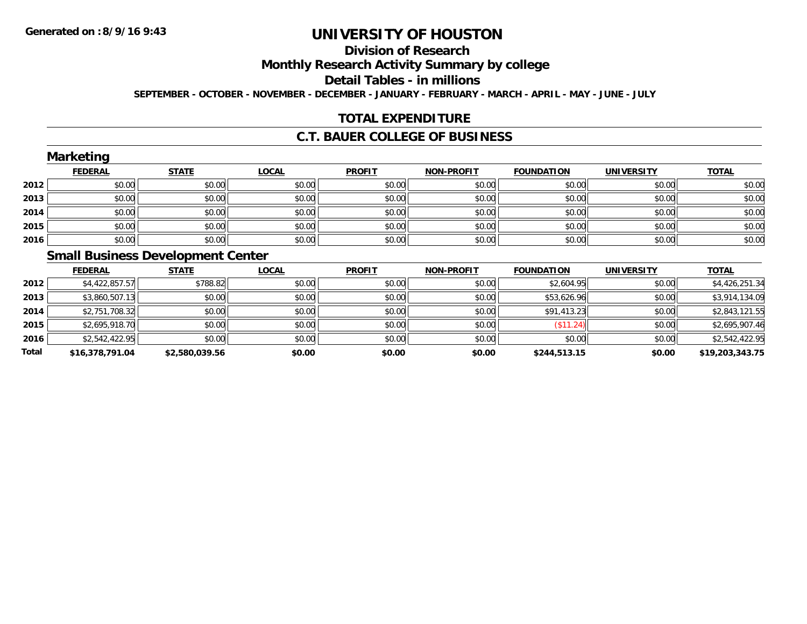# **Division of Research**

**Monthly Research Activity Summary by college**

**Detail Tables - in millions**

**SEPTEMBER - OCTOBER - NOVEMBER - DECEMBER - JANUARY - FEBRUARY - MARCH - APRIL - MAY - JUNE - JULY**

## **TOTAL EXPENDITURE**

#### **C.T. BAUER COLLEGE OF BUSINESS**

|      | <b>Marketing</b>                         |              |              |               |                   |                   |                   |              |
|------|------------------------------------------|--------------|--------------|---------------|-------------------|-------------------|-------------------|--------------|
|      | <b>FEDERAL</b>                           | <b>STATE</b> | <b>LOCAL</b> | <b>PROFIT</b> | <b>NON-PROFIT</b> | <b>FOUNDATION</b> | <b>UNIVERSITY</b> | <b>TOTAL</b> |
| 2012 | \$0.00                                   | \$0.00       | \$0.00       | \$0.00        | \$0.00            | \$0.00            | \$0.00            | \$0.00       |
| 2013 | \$0.00                                   | \$0.00       | \$0.00       | \$0.00        | \$0.00            | \$0.00            | \$0.00            | \$0.00       |
| 2014 | \$0.00                                   | \$0.00       | \$0.00       | \$0.00        | \$0.00            | \$0.00            | \$0.00            | \$0.00       |
| 2015 | \$0.00                                   | \$0.00       | \$0.00       | \$0.00        | \$0.00            | \$0.00            | \$0.00            | \$0.00       |
| 2016 | \$0.00                                   | \$0.00       | \$0.00       | \$0.00        | \$0.00            | \$0.00            | \$0.00            | \$0.00       |
|      | <b>Small Pusingss Dovelopment Contor</b> |              |              |               |                   |                   |                   |              |

#### **Small Business Development Center**

|       | <b>FEDERAL</b>  | <b>STATE</b>   | <b>LOCAL</b> | <b>PROFIT</b> | <b>NON-PROFIT</b> | <b>FOUNDATION</b> | <b>UNIVERSITY</b> | <u>TOTAL</u>    |
|-------|-----------------|----------------|--------------|---------------|-------------------|-------------------|-------------------|-----------------|
| 2012  | \$4,422,857.57  | \$788.82       | \$0.00       | \$0.00        | \$0.00            | \$2,604.95        | \$0.00            | \$4,426,251.34  |
| 2013  | \$3,860,507.13  | \$0.00         | \$0.00       | \$0.00        | \$0.00            | \$53,626.96       | \$0.00            | \$3,914,134.09  |
| 2014  | \$2,751,708.32  | \$0.00         | \$0.00       | \$0.00        | \$0.00            | \$91,413.23       | \$0.00            | \$2,843,121.55  |
| 2015  | \$2,695,918.70  | \$0.00         | \$0.00       | \$0.00        | \$0.00            | (\$11.24)         | \$0.00            | \$2,695,907.46  |
| 2016  | \$2,542,422.95  | \$0.00         | \$0.00       | \$0.00        | \$0.00            | \$0.00            | \$0.00            | \$2,542,422.95  |
| Total | \$16,378,791.04 | \$2,580,039.56 | \$0.00       | \$0.00        | \$0.00            | \$244,513.15      | \$0.00            | \$19,203,343.75 |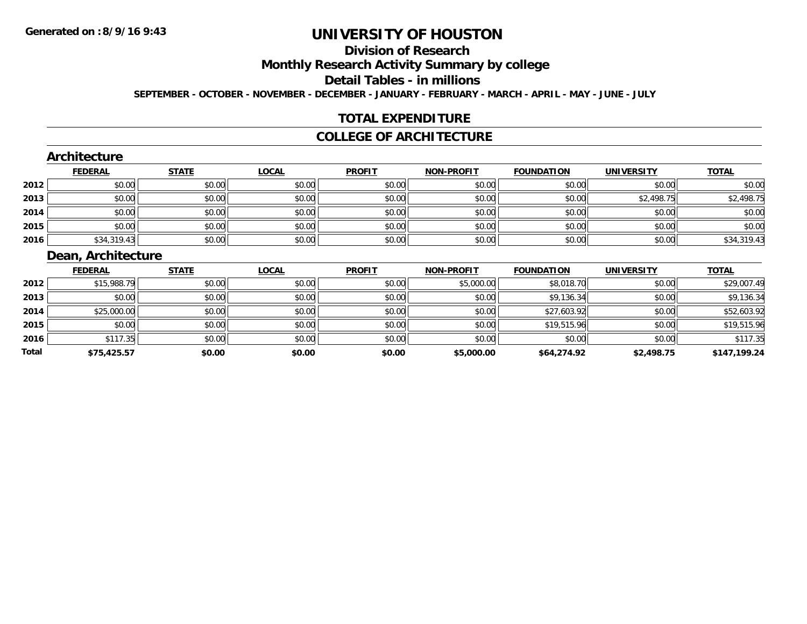# **Division of Research**

**Monthly Research Activity Summary by college**

**Detail Tables - in millions**

**SEPTEMBER - OCTOBER - NOVEMBER - DECEMBER - JANUARY - FEBRUARY - MARCH - APRIL - MAY - JUNE - JULY**

## **TOTAL EXPENDITURE**

#### **COLLEGE OF ARCHITECTURE**

## **Architecture**

|      | <b>FEDERAL</b> | <b>STATE</b> | <u>LOCAL</u> | <b>PROFIT</b> | <b>NON-PROFIT</b> | <b>FOUNDATION</b> | <b>UNIVERSITY</b> | <b>TOTAL</b> |
|------|----------------|--------------|--------------|---------------|-------------------|-------------------|-------------------|--------------|
| 2012 | \$0.00         | \$0.00       | \$0.00       | \$0.00        | \$0.00            | \$0.00            | \$0.00            | \$0.00       |
| 2013 | \$0.00         | \$0.00       | \$0.00       | \$0.00        | \$0.00            | \$0.00            | \$2,498.75        | \$2,498.75   |
| 2014 | \$0.00         | \$0.00       | \$0.00       | \$0.00        | \$0.00            | \$0.00            | \$0.00            | \$0.00       |
| 2015 | \$0.00         | \$0.00       | \$0.00       | \$0.00        | \$0.00            | \$0.00            | \$0.00            | \$0.00       |
| 2016 | \$34,319.43    | \$0.00       | \$0.00       | \$0.00        | \$0.00            | \$0.00            | \$0.00            | \$34,319.43  |

## **Dean, Architecture**

|       | <b>FEDERAL</b> | <u>STATE</u> | <b>LOCAL</b> | <b>PROFIT</b> | <b>NON-PROFIT</b> | <b>FOUNDATION</b> | <b>UNIVERSITY</b> | <b>TOTAL</b> |
|-------|----------------|--------------|--------------|---------------|-------------------|-------------------|-------------------|--------------|
| 2012  | \$15,988.79    | \$0.00       | \$0.00       | \$0.00        | \$5,000.00        | \$8,018.70        | \$0.00            | \$29,007.49  |
| 2013  | \$0.00         | \$0.00       | \$0.00       | \$0.00        | \$0.00            | \$9,136.34        | \$0.00            | \$9,136.34   |
| 2014  | \$25,000.00    | \$0.00       | \$0.00       | \$0.00        | \$0.00            | \$27,603.92       | \$0.00            | \$52,603.92  |
| 2015  | \$0.00         | \$0.00       | \$0.00       | \$0.00        | \$0.00            | \$19,515.96       | \$0.00            | \$19,515.96  |
| 2016  | \$117.35       | \$0.00       | \$0.00       | \$0.00        | \$0.00            | \$0.00            | \$0.00            | \$117.35     |
| Total | \$75,425.57    | \$0.00       | \$0.00       | \$0.00        | \$5,000.00        | \$64,274.92       | \$2,498.75        | \$147.199.24 |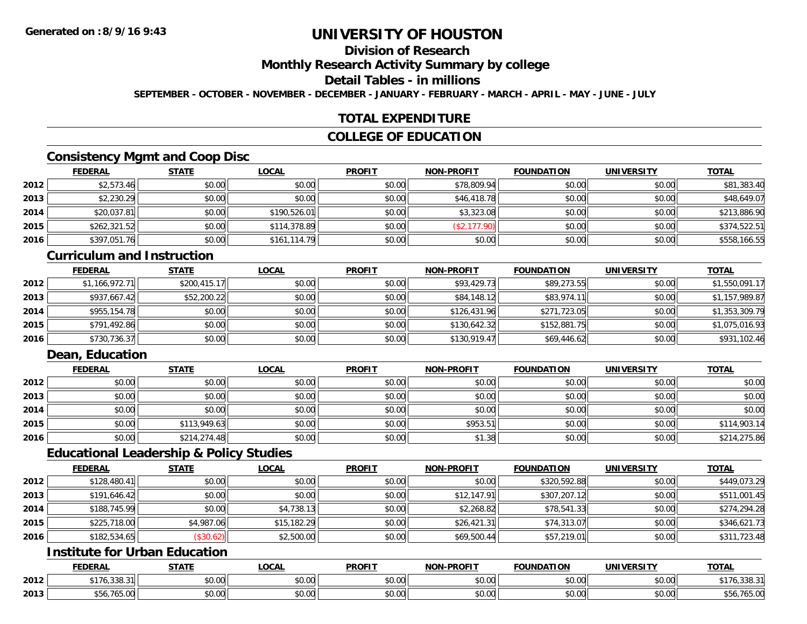## **Division of Research**

**Monthly Research Activity Summary by college**

## **Detail Tables - in millions**

**SEPTEMBER - OCTOBER - NOVEMBER - DECEMBER - JANUARY - FEBRUARY - MARCH - APRIL - MAY - JUNE - JULY**

### **TOTAL EXPENDITURE**

### **COLLEGE OF EDUCATION**

## **Consistency Mgmt and Coop Disc**

|      | <b>FEDERAL</b> | <b>STATE</b> | <b>LOCAL</b> | <b>PROFIT</b> | <b>NON-PROFIT</b> | <b>FOUNDATION</b> | <b>UNIVERSITY</b> | <b>TOTAL</b> |
|------|----------------|--------------|--------------|---------------|-------------------|-------------------|-------------------|--------------|
| 2012 | \$2,573.46     | \$0.00       | \$0.00       | \$0.00        | \$78,809.94       | \$0.00            | \$0.00            | \$81,383.40  |
| 2013 | \$2,230.29     | \$0.00       | \$0.00       | \$0.00        | \$46,418.78       | \$0.00            | \$0.00            | \$48,649.07  |
| 2014 | \$20,037.81    | \$0.00       | \$190,526.01 | \$0.00        | \$3,323.08        | \$0.00            | \$0.00            | \$213,886.90 |
| 2015 | \$262,321.52   | \$0.00       | \$114,378.89 | \$0.00        | \$2,177.90)       | \$0.00            | \$0.00            | \$374,522.51 |
| 2016 | \$397,051.76   | \$0.00       | \$161,114.79 | \$0.00        | \$0.00            | \$0.00            | \$0.00            | \$558,166.55 |

#### **Curriculum and Instruction**

|      | <b>FEDERAL</b> | <b>STATE</b> | <u>LOCAL</u> | <b>PROFIT</b> | <b>NON-PROFIT</b> | <b>FOUNDATION</b> | <b>UNIVERSITY</b> | <b>TOTAL</b>   |
|------|----------------|--------------|--------------|---------------|-------------------|-------------------|-------------------|----------------|
| 2012 | \$1,166,972.71 | \$200,415.17 | \$0.00       | \$0.00        | \$93,429.73       | \$89,273.55       | \$0.00            | \$1,550,091.17 |
| 2013 | \$937,667.42   | \$52,200.22  | \$0.00       | \$0.00        | \$84,148.12       | \$83,974.11       | \$0.00            | \$1,157,989.87 |
| 2014 | \$955,154.78   | \$0.00       | \$0.00       | \$0.00        | \$126,431.96      | \$271,723.05      | \$0.00            | \$1,353,309.79 |
| 2015 | \$791,492.86   | \$0.00       | \$0.00       | \$0.00        | \$130,642.32      | \$152,881.75      | \$0.00            | \$1,075,016.93 |
| 2016 | \$730,736.37   | \$0.00       | \$0.00       | \$0.00        | \$130,919.47      | \$69,446.62       | \$0.00            | \$931,102.46   |

## **Dean, Education**

|      | <b>FEDERAL</b> | <b>STATE</b> | <u>LOCAL</u> | <b>PROFIT</b> | <b>NON-PROFIT</b> | <b>FOUNDATION</b> | <b>UNIVERSITY</b> | <b>TOTAL</b> |
|------|----------------|--------------|--------------|---------------|-------------------|-------------------|-------------------|--------------|
| 2012 | \$0.00         | \$0.00       | \$0.00       | \$0.00        | \$0.00            | \$0.00            | \$0.00            | \$0.00       |
| 2013 | \$0.00         | \$0.00       | \$0.00       | \$0.00        | \$0.00            | \$0.00            | \$0.00            | \$0.00       |
| 2014 | \$0.00         | \$0.00       | \$0.00       | \$0.00        | \$0.00            | \$0.00            | \$0.00            | \$0.00       |
| 2015 | \$0.00         | \$113,949.63 | \$0.00       | \$0.00        | \$953.51          | \$0.00            | \$0.00            | \$114,903.14 |
| 2016 | \$0.00         | \$214,274.48 | \$0.00       | \$0.00        | \$1.38            | \$0.00            | \$0.00            | \$214,275.86 |

### **Educational Leadership & Policy Studies**

|      | <b>FEDERAL</b> | <b>STATE</b> | <u>LOCAL</u> | <b>PROFIT</b> | <b>NON-PROFIT</b> | <b>FOUNDATION</b> | <b>UNIVERSITY</b> | <b>TOTAL</b> |
|------|----------------|--------------|--------------|---------------|-------------------|-------------------|-------------------|--------------|
| 2012 | \$128,480.41   | \$0.00       | \$0.00       | \$0.00        | \$0.00            | \$320,592.88      | \$0.00            | \$449,073.29 |
| 2013 | \$191,646.42   | \$0.00       | \$0.00       | \$0.00        | \$12,147.91       | \$307,207.12      | \$0.00            | \$511,001.45 |
| 2014 | \$188,745.99   | \$0.00       | \$4,738.13   | \$0.00        | \$2,268.82        | \$78,541.33       | \$0.00            | \$274,294.28 |
| 2015 | \$225,718.00   | \$4,987.06   | \$15,182.29  | \$0.00        | \$26,421.31       | \$74,313.07       | \$0.00            | \$346,621.73 |
| 2016 | \$182,534.65   | (\$30.62)    | \$2,500.00   | \$0.00        | \$69,500.44       | \$57,219.01       | \$0.00            | \$311,723.48 |

## **Institute for Urban Education**

|      | <b>FEDERAI</b>                                          | $- - - - -$  | .OCAI                                         | <b>PROFIT</b>          | $\cdots$ DDAL:<br><b>MARI</b> | UNDATION | UNIVERSITY           | <b>TOTA</b>   |
|------|---------------------------------------------------------|--------------|-----------------------------------------------|------------------------|-------------------------------|----------|----------------------|---------------|
| 2012 | $\sim$ $\sim$ $\sim$<br>$AA -$<br>, , , , , , , , , , , | 0.00<br>ט.טי | 0000<br>vv.v                                  | $\sim$ $\sim$<br>טט.טע | $\sim$ 00<br>vu.vu            | \$0.00   | 0000<br><b>JU.UU</b> |               |
| 2013 | uJ.J.V                                                  | 0000<br>,uu  | $\uparrow$ $\uparrow$<br>$\sim$ $\sim$<br>טט. | ሐሴ ሰሰ<br>טט.טע         | $\sim$ 00<br>vv.vv            | \$0.00   | 0000<br><b>JU.UU</b> | <u>UJ.J.U</u> |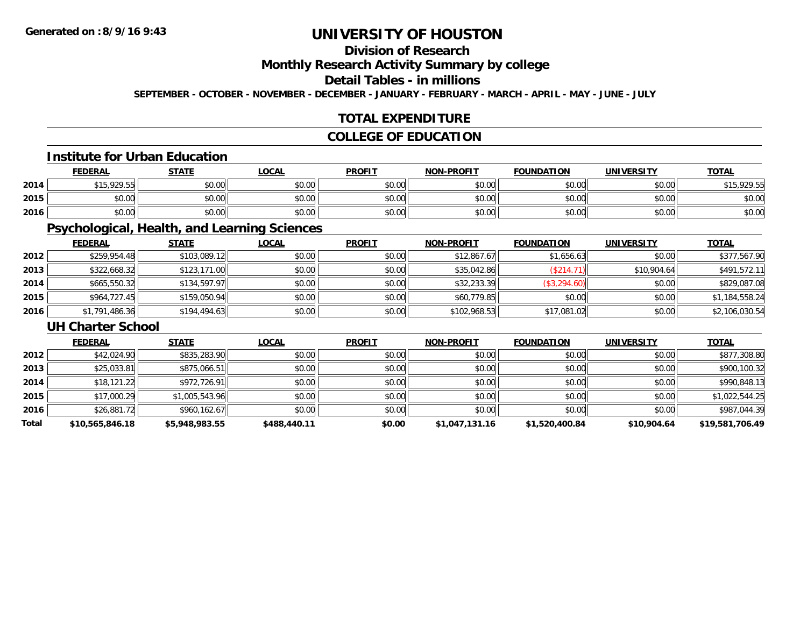## **Division of Research**

**Monthly Research Activity Summary by college**

## **Detail Tables - in millions**

**SEPTEMBER - OCTOBER - NOVEMBER - DECEMBER - JANUARY - FEBRUARY - MARCH - APRIL - MAY - JUNE - JULY**

## **TOTAL EXPENDITURE**

## **COLLEGE OF EDUCATION**

#### **Institute for Urban Education**

|      | <b>FEDERAL</b>                              | <b>STATE</b> | <u>LOCAL</u>         | <b>PROFIT</b> | <b>NON-PROFIT</b> | <b>FOUNDATION</b> | <b>UNIVERSITY</b> | <b>TOTAL</b>       |
|------|---------------------------------------------|--------------|----------------------|---------------|-------------------|-------------------|-------------------|--------------------|
| 2014 | \$15,929.55                                 | \$0.00       | $\sim$ 00<br>JU.UU   | \$0.00        | \$0.00            | \$0.00            | \$0.00            | \$15,000,55<br>ن ا |
| 2015 | $\mathfrak{c}\cap\mathfrak{a}\cap$<br>,u.uu | \$0.00       | $\sim$ 00<br>JU.UU   | \$0.00        | \$0.00            | \$0.00            | \$0.00            | \$0.00             |
| 2016 | \$0.00                                      | \$0.00       | 0000<br><b>DU.UU</b> | \$0.00        | \$0.00            | \$0.00            | \$0.00            | \$0.00             |

## **Psychological, Health, and Learning Sciences**

|      | <b>FEDERAL</b> | <b>STATE</b> | <b>LOCAL</b> | <b>PROFIT</b> | <b>NON-PROFIT</b> | <b>FOUNDATION</b> | <b>UNIVERSITY</b> | <b>TOTAL</b>   |
|------|----------------|--------------|--------------|---------------|-------------------|-------------------|-------------------|----------------|
| 2012 | \$259,954.48   | \$103,089.12 | \$0.00       | \$0.00        | \$12,867.67       | \$1,656.63        | \$0.00            | \$377,567.90   |
| 2013 | \$322,668.32   | \$123,171.00 | \$0.00       | \$0.00        | \$35,042.86       | (\$214.71)        | \$10,904.64       | \$491,572.11   |
| 2014 | \$665,550.32   | \$134,597.97 | \$0.00       | \$0.00        | \$32,233.39       | (\$3,294.60)      | \$0.00            | \$829,087.08   |
| 2015 | \$964,727.45   | \$159,050.94 | \$0.00       | \$0.00        | \$60,779.85       | \$0.00            | \$0.00            | \$1,184,558.24 |
| 2016 | \$1,791,486.36 | \$194,494.63 | \$0.00       | \$0.00        | \$102,968.53      | \$17,081.02       | \$0.00            | \$2,106,030.54 |

#### **UH Charter School**

|       | <b>FEDERAL</b>  | <b>STATE</b>   | <b>LOCAL</b> | <b>PROFIT</b> | <b>NON-PROFIT</b> | <b>FOUNDATION</b> | <b>UNIVERSITY</b> | <b>TOTAL</b>    |
|-------|-----------------|----------------|--------------|---------------|-------------------|-------------------|-------------------|-----------------|
| 2012  | \$42,024.90     | \$835,283.90   | \$0.00       | \$0.00        | \$0.00            | \$0.00            | \$0.00            | \$877,308.80    |
| 2013  | \$25,033.81     | \$875,066.51   | \$0.00       | \$0.00        | \$0.00            | \$0.00            | \$0.00            | \$900,100.32    |
| 2014  | \$18,121.22     | \$972,726.91   | \$0.00       | \$0.00        | \$0.00            | \$0.00            | \$0.00            | \$990,848.13    |
| 2015  | \$17,000.29     | \$1,005,543.96 | \$0.00       | \$0.00        | \$0.00            | \$0.00            | \$0.00            | \$1,022,544.25  |
| 2016  | \$26,881.72     | \$960,162.67   | \$0.00       | \$0.00        | \$0.00            | \$0.00            | \$0.00            | \$987,044.39    |
| Total | \$10,565,846.18 | \$5,948,983.55 | \$488,440.11 | \$0.00        | \$1,047,131.16    | \$1,520,400.84    | \$10,904.64       | \$19,581,706.49 |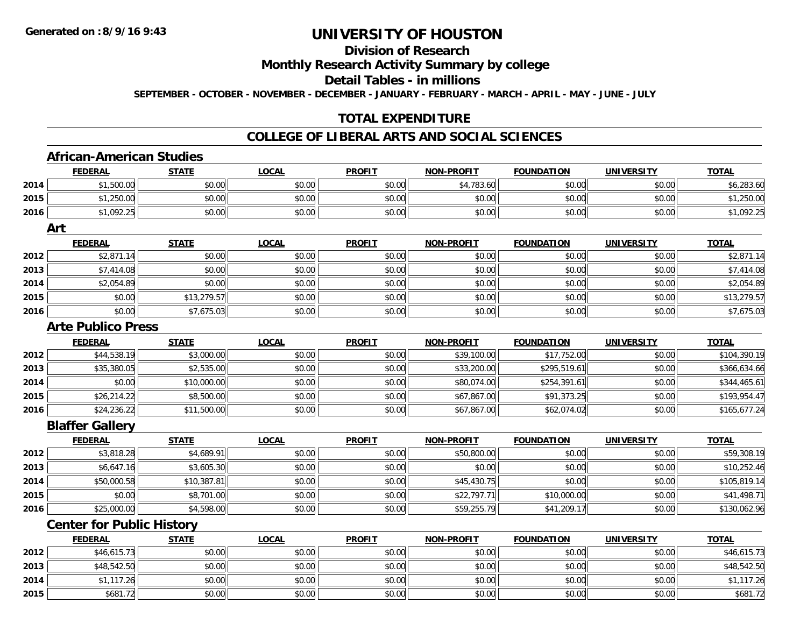## **Division of Research**

**Monthly Research Activity Summary by college**

**Detail Tables - in millions**

**SEPTEMBER - OCTOBER - NOVEMBER - DECEMBER - JANUARY - FEBRUARY - MARCH - APRIL - MAY - JUNE - JULY**

## **TOTAL EXPENDITURE**

### **COLLEGE OF LIBERAL ARTS AND SOCIAL SCIENCES**

### **African-American Studies**

|      | <b>FEDERAL</b>                   | <b>STATE</b> | <b>LOCAL</b> | <b>PROFIT</b> | <b>NON-PROFIT</b> | <b>FOUNDATION</b> | <b>UNIVERSITY</b> | <b>TOTAL</b> |
|------|----------------------------------|--------------|--------------|---------------|-------------------|-------------------|-------------------|--------------|
| 2014 | \$1,500.00                       | \$0.00       | \$0.00       | \$0.00        | \$4,783.60        | \$0.00            | \$0.00            | \$6,283.60   |
| 2015 | \$1,250.00                       | \$0.00       | \$0.00       | \$0.00        | \$0.00            | \$0.00            | \$0.00            | \$1,250.00   |
| 2016 | \$1,092.25                       | \$0.00       | \$0.00       | \$0.00        | \$0.00            | \$0.00            | \$0.00            | \$1,092.25   |
|      | Art                              |              |              |               |                   |                   |                   |              |
|      | <b>FEDERAL</b>                   | <b>STATE</b> | <b>LOCAL</b> | <b>PROFIT</b> | <b>NON-PROFIT</b> | <b>FOUNDATION</b> | <b>UNIVERSITY</b> | <b>TOTAL</b> |
| 2012 | \$2,871.14                       | \$0.00       | \$0.00       | \$0.00        | \$0.00            | \$0.00            | \$0.00            | \$2,871.14   |
| 2013 | \$7,414.08                       | \$0.00       | \$0.00       | \$0.00        | \$0.00            | \$0.00            | \$0.00            | \$7,414.08   |
| 2014 | \$2,054.89                       | \$0.00       | \$0.00       | \$0.00        | \$0.00            | \$0.00            | \$0.00            | \$2,054.89   |
| 2015 | \$0.00                           | \$13,279.57  | \$0.00       | \$0.00        | \$0.00            | \$0.00            | \$0.00            | \$13,279.57  |
| 2016 | \$0.00                           | \$7,675.03   | \$0.00       | \$0.00        | \$0.00            | \$0.00            | \$0.00            | \$7,675.03   |
|      | <b>Arte Publico Press</b>        |              |              |               |                   |                   |                   |              |
|      | <b>FEDERAL</b>                   | <b>STATE</b> | <b>LOCAL</b> | <b>PROFIT</b> | <b>NON-PROFIT</b> | <b>FOUNDATION</b> | <b>UNIVERSITY</b> | <b>TOTAL</b> |
| 2012 | \$44,538.19                      | \$3,000.00   | \$0.00       | \$0.00        | \$39,100.00       | \$17,752.00       | \$0.00            | \$104,390.19 |
| 2013 | \$35,380.05                      | \$2,535.00   | \$0.00       | \$0.00        | \$33,200.00       | \$295,519.61      | \$0.00            | \$366,634.66 |
| 2014 | \$0.00                           | \$10,000.00  | \$0.00       | \$0.00        | \$80,074.00       | \$254,391.61      | \$0.00            | \$344,465.61 |
| 2015 | \$26,214.22                      | \$8,500.00   | \$0.00       | \$0.00        | \$67,867.00       | \$91,373.25       | \$0.00            | \$193,954.47 |
| 2016 | \$24,236.22                      | \$11,500.00  | \$0.00       | \$0.00        | \$67,867.00       | \$62,074.02       | \$0.00            | \$165,677.24 |
|      | <b>Blaffer Gallery</b>           |              |              |               |                   |                   |                   |              |
|      | <b>FEDERAL</b>                   | <b>STATE</b> | <b>LOCAL</b> | <b>PROFIT</b> | <b>NON-PROFIT</b> | <b>FOUNDATION</b> | <b>UNIVERSITY</b> | <b>TOTAL</b> |
| 2012 | \$3,818.28                       | \$4,689.91   | \$0.00       | \$0.00        | \$50,800.00       | \$0.00            | \$0.00            | \$59,308.19  |
| 2013 | \$6,647.16                       | \$3,605.30   | \$0.00       | \$0.00        | \$0.00            | \$0.00            | \$0.00            | \$10,252.46  |
| 2014 | \$50,000.58                      | \$10,387.81  | \$0.00       | \$0.00        | \$45,430.75       | \$0.00            | \$0.00            | \$105,819.14 |
| 2015 | \$0.00                           | \$8,701.00   | \$0.00       | \$0.00        | \$22,797.71       | \$10,000.00       | \$0.00            | \$41,498.71  |
| 2016 | \$25,000.00                      | \$4,598.00   | \$0.00       | \$0.00        | \$59,255.79       | \$41,209.17       | \$0.00            | \$130,062.96 |
|      | <b>Center for Public History</b> |              |              |               |                   |                   |                   |              |
|      | <b>FEDERAL</b>                   | <b>STATE</b> | <b>LOCAL</b> | <b>PROFIT</b> | <b>NON-PROFIT</b> | <b>FOUNDATION</b> | <b>UNIVERSITY</b> | <b>TOTAL</b> |

|      | <u>FEDERAL</u> | <u>SIAIL</u> | <u>LOCAL</u> | <b>PROFI</b> | <b>NON-PROFIT</b> | <b>FOUNDATION</b> | UNIVERSITY | <u>IOIAL</u> |
|------|----------------|--------------|--------------|--------------|-------------------|-------------------|------------|--------------|
| 2012 | \$46,615.73    | \$0.00       | \$0.00       | \$0.00       | \$0.00            | \$0.00            | \$0.00     | \$46,615.73  |
| 2013 | \$48,542.50    | \$0.00       | \$0.00       | \$0.00       | \$0.00            | \$0.00            | \$0.00     | \$48,542.50  |
| 2014 | \$1,117.26     | \$0.00       | \$0.00       | \$0.00       | \$0.00            | \$0.00            | \$0.00     | \$1,117.26   |
| 2015 | \$681.72       | \$0.00       | \$0.00       | \$0.00       | \$0.00            | \$0.00            | \$0.00     | \$681.72     |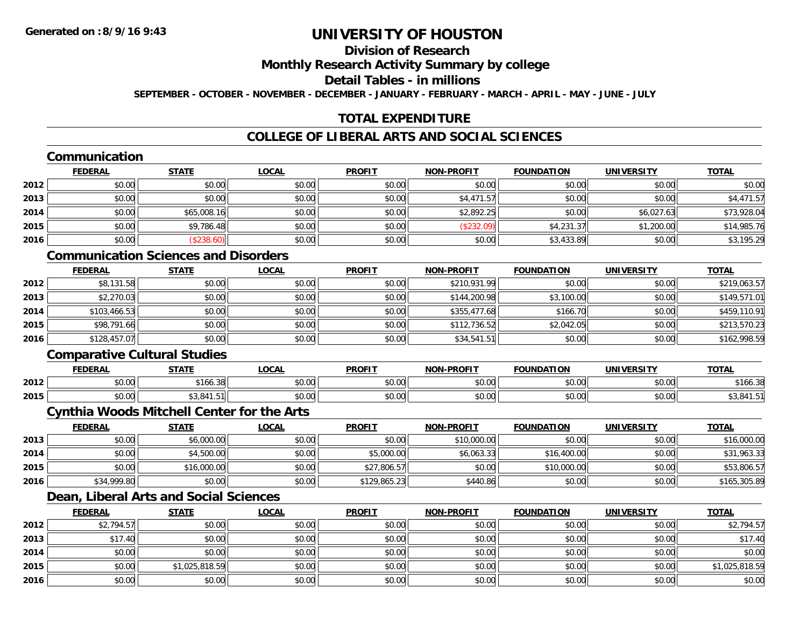## **Division of Research**

### **Monthly Research Activity Summary by college**

#### **Detail Tables - in millions**

**SEPTEMBER - OCTOBER - NOVEMBER - DECEMBER - JANUARY - FEBRUARY - MARCH - APRIL - MAY - JUNE - JULY**

## **TOTAL EXPENDITURE**

## **COLLEGE OF LIBERAL ARTS AND SOCIAL SCIENCES**

### **Communication**

|      | <b>FEDERAL</b> | <b>STATE</b> | <u>LOCAL</u> | <b>PROFIT</b> | <b>NON-PROFIT</b> | <b>FOUNDATION</b> | <b>UNIVERSITY</b> | <b>TOTAL</b> |
|------|----------------|--------------|--------------|---------------|-------------------|-------------------|-------------------|--------------|
| 2012 | \$0.00         | \$0.00       | \$0.00       | \$0.00        | \$0.00            | \$0.00            | \$0.00            | \$0.00       |
| 2013 | \$0.00         | \$0.00       | \$0.00       | \$0.00        | \$4,471.57        | \$0.00            | \$0.00            | \$4,471.57   |
| 2014 | \$0.00         | \$65,008.16  | \$0.00       | \$0.00        | \$2,892.25        | \$0.00            | \$6,027.63        | \$73,928.04  |
| 2015 | \$0.00         | \$9,786.48   | \$0.00       | \$0.00        | (\$232.09)        | \$4,231.37        | \$1,200.00        | \$14,985.76  |
| 2016 | \$0.00         | (\$238.60)   | \$0.00       | \$0.00        | \$0.00            | \$3,433.89        | \$0.00            | \$3,195.29   |

## **Communication Sciences and Disorders**

|      | <u>FEDERAL</u> | <u>STATE</u> | <u>LOCAL</u> | <b>PROFIT</b> | <b>NON-PROFIT</b> | <b>FOUNDATION</b> | <b>UNIVERSITY</b> | <b>TOTAL</b> |
|------|----------------|--------------|--------------|---------------|-------------------|-------------------|-------------------|--------------|
| 2012 | \$8,131.58     | \$0.00       | \$0.00       | \$0.00        | \$210,931.99      | \$0.00            | \$0.00            | \$219,063.57 |
| 2013 | \$2,270.03     | \$0.00       | \$0.00       | \$0.00        | \$144,200.98      | \$3,100.00        | \$0.00            | \$149,571.01 |
| 2014 | \$103,466.53   | \$0.00       | \$0.00       | \$0.00        | \$355,477.68      | \$166.70          | \$0.00            | \$459,110.91 |
| 2015 | \$98,791.66    | \$0.00       | \$0.00       | \$0.00        | \$112,736.52      | \$2,042.05        | \$0.00            | \$213,570.23 |
| 2016 | \$128,457.07   | \$0.00       | \$0.00       | \$0.00        | \$34,541.51       | \$0.00            | \$0.00            | \$162,998.59 |

### **Comparative Cultural Studies**

|      | <b>FEDERAL</b> | <b>STATL</b>       | <b>OCAI</b>       | <b>PROFIT</b> | <b>-PROFIT</b><br>NON | <b>FOUNDATION</b> | UNIVERSITY              | <b>TOTAL</b> |
|------|----------------|--------------------|-------------------|---------------|-----------------------|-------------------|-------------------------|--------------|
| 2012 | 0000<br>וט.טי  | 100.3              | 0.00<br>JU.UU     | 0.00<br>JU.UU | 0000<br>JU.UU         | 0000<br>,u.uu     | $n \cap \neg$<br>⊸J.UUI | \$166.3      |
| 2015 | 0000<br>ט.טע   | ሐጣ ጠብላ<br>.G.<br>. | $\cdots$<br>JU.UU | 0.00<br>JU.UU | 0000<br>JU.UU         | 0000<br>w.w       | m up<br>DU.UU           |              |

## **Cynthia Woods Mitchell Center for the Arts**

|      | <b>FEDERAL</b> | <u>STATE</u> | <u>LOCAL</u> | <b>PROFIT</b> | <b>NON-PROFIT</b> | <b>FOUNDATION</b> | <b>UNIVERSITY</b> | <b>TOTAL</b> |
|------|----------------|--------------|--------------|---------------|-------------------|-------------------|-------------------|--------------|
| 2013 | \$0.00         | \$6,000.00   | \$0.00       | \$0.00        | \$10,000.00       | \$0.00            | \$0.00            | \$16,000.00  |
| 2014 | \$0.00         | \$4,500.00   | \$0.00       | \$5,000.00    | \$6,063.33        | \$16,400.00       | \$0.00            | \$31,963.33  |
| 2015 | \$0.00         | \$16,000.00  | \$0.00       | \$27,806.57   | \$0.00            | \$10,000.00       | \$0.00            | \$53,806.57  |
| 2016 | \$34,999.80    | \$0.00       | \$0.00       | \$129,865.23  | \$440.86          | \$0.00            | \$0.00            | \$165,305.89 |

## **Dean, Liberal Arts and Social Sciences**

|      | <b>FEDERAL</b> | <b>STATE</b>   | <u>LOCAL</u> | <b>PROFIT</b> | <b>NON-PROFIT</b> | <b>FOUNDATION</b> | <b>UNIVERSITY</b> | <b>TOTAL</b>   |
|------|----------------|----------------|--------------|---------------|-------------------|-------------------|-------------------|----------------|
| 2012 | \$2,794.57     | \$0.00         | \$0.00       | \$0.00        | \$0.00            | \$0.00            | \$0.00            | \$2,794.57     |
| 2013 | \$17.40        | \$0.00         | \$0.00       | \$0.00        | \$0.00            | \$0.00            | \$0.00            | \$17.40        |
| 2014 | \$0.00         | \$0.00         | \$0.00       | \$0.00        | \$0.00            | \$0.00            | \$0.00            | \$0.00         |
| 2015 | \$0.00         | \$1,025,818.59 | \$0.00       | \$0.00        | \$0.00            | \$0.00            | \$0.00            | \$1,025,818.59 |
| 2016 | \$0.00         | \$0.00         | \$0.00       | \$0.00        | \$0.00            | \$0.00            | \$0.00            | \$0.00         |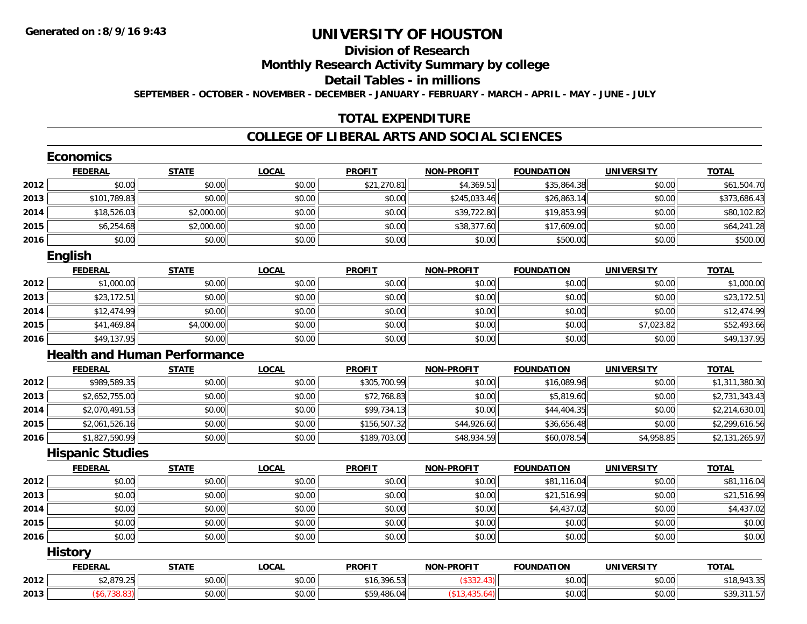## **Division of Research**

**Monthly Research Activity Summary by college**

**Detail Tables - in millions**

**SEPTEMBER - OCTOBER - NOVEMBER - DECEMBER - JANUARY - FEBRUARY - MARCH - APRIL - MAY - JUNE - JULY**

## **TOTAL EXPENDITURE**

#### **COLLEGE OF LIBERAL ARTS AND SOCIAL SCIENCES**

|      | <b>Economics</b>        |                                     |              |               |                         |                   |                   |                |
|------|-------------------------|-------------------------------------|--------------|---------------|-------------------------|-------------------|-------------------|----------------|
|      | <b>FEDERAL</b>          | <b>STATE</b>                        | <b>LOCAL</b> | <b>PROFIT</b> | <b>NON-PROFIT</b>       | <b>FOUNDATION</b> | <b>UNIVERSITY</b> | <b>TOTAL</b>   |
| 2012 | \$0.00                  | \$0.00                              | \$0.00       | \$21,270.81   | \$4,369.51              | \$35,864.38       | \$0.00            | \$61,504.70    |
| 2013 | \$101,789.83            | \$0.00                              | \$0.00       | \$0.00        | \$245,033.46            | \$26,863.14       | \$0.00            | \$373,686.43   |
| 2014 | \$18,526.03             | \$2,000.00                          | \$0.00       | \$0.00        | \$39,722.80             | \$19,853.99       | \$0.00            | \$80,102.82    |
| 2015 | \$6,254.68              | \$2,000.00                          | \$0.00       | \$0.00        | \$38,377.60             | \$17,609.00       | \$0.00            | \$64,241.28    |
| 2016 | \$0.00                  | \$0.00                              | \$0.00       | \$0.00        | \$0.00                  | \$500.00          | \$0.00            | \$500.00       |
|      | <b>English</b>          |                                     |              |               |                         |                   |                   |                |
|      | <b>FEDERAL</b>          | <b>STATE</b>                        | <b>LOCAL</b> | <b>PROFIT</b> | <b>NON-PROFIT</b>       | <b>FOUNDATION</b> | <b>UNIVERSITY</b> | <b>TOTAL</b>   |
| 2012 | \$1,000.00              | \$0.00                              | \$0.00       | \$0.00        | \$0.00                  | \$0.00            | \$0.00            | \$1,000.00     |
| 2013 | \$23,172.51             | \$0.00                              | \$0.00       | \$0.00        | \$0.00                  | \$0.00            | \$0.00            | \$23,172.51    |
| 2014 | \$12,474.99             | \$0.00                              | \$0.00       | \$0.00        | \$0.00                  | \$0.00            | \$0.00            | \$12,474.99    |
| 2015 | \$41,469.84             | \$4,000.00                          | \$0.00       | \$0.00        | \$0.00                  | \$0.00            | \$7,023.82        | \$52,493.66    |
| 2016 | \$49,137.95             | \$0.00                              | \$0.00       | \$0.00        | \$0.00                  | \$0.00            | \$0.00            | \$49,137.95    |
|      |                         | <b>Health and Human Performance</b> |              |               |                         |                   |                   |                |
|      | <b>FEDERAL</b>          | <b>STATE</b>                        | <b>LOCAL</b> | <b>PROFIT</b> | <b>NON-PROFIT</b>       | <b>FOUNDATION</b> | <b>UNIVERSITY</b> | <b>TOTAL</b>   |
| 2012 | \$989,589.35            | \$0.00                              | \$0.00       | \$305,700.99  | \$0.00                  | \$16,089.96       | \$0.00            | \$1,311,380.30 |
| 2013 | \$2,652,755.00          | \$0.00                              | \$0.00       | \$72,768.83   | \$0.00                  | \$5,819.60        | \$0.00            | \$2,731,343.43 |
| 2014 | \$2,070,491.53          | \$0.00                              | \$0.00       | \$99,734.13   | \$0.00                  | \$44,404.35       | \$0.00            | \$2,214,630.01 |
| 2015 | \$2,061,526.16          | \$0.00                              | \$0.00       | \$156,507.32  | $\overline{$44,926.60}$ | \$36,656.48       | \$0.00            | \$2,299,616.56 |
| 2016 | \$1,827,590.99          | \$0.00                              | \$0.00       | \$189,703.00  | \$48,934.59             | \$60,078.54       | \$4,958.85        | \$2,131,265.97 |
|      | <b>Hispanic Studies</b> |                                     |              |               |                         |                   |                   |                |
|      | <b>FEDERAL</b>          | <b>STATE</b>                        | <b>LOCAL</b> | <b>PROFIT</b> | <b>NON-PROFIT</b>       | <b>FOUNDATION</b> | <b>UNIVERSITY</b> | <b>TOTAL</b>   |
| 2012 | \$0.00                  | \$0.00                              | \$0.00       | \$0.00        | \$0.00                  | \$81,116.04       | \$0.00            | \$81,116.04    |
| 2013 | \$0.00                  | \$0.00                              | \$0.00       | \$0.00        | \$0.00                  | \$21,516.99       | \$0.00            | \$21,516.99    |
| 2014 | \$0.00                  | \$0.00                              | \$0.00       | \$0.00        | \$0.00                  | \$4,437.02        | \$0.00            | \$4,437.02     |
| 2015 | \$0.00                  | \$0.00                              | \$0.00       | \$0.00        | \$0.00                  | \$0.00            | \$0.00            | \$0.00         |
| 2016 | \$0.00                  | \$0.00                              | \$0.00       | \$0.00        | \$0.00                  | \$0.00            | \$0.00            | \$0.00         |
|      | <b>History</b>          |                                     |              |               |                         |                   |                   |                |
|      | <b>FEDERAL</b>          | <b>STATE</b>                        | <b>LOCAL</b> | <b>PROFIT</b> | <b>NON-PROFIT</b>       | <b>FOUNDATION</b> | <b>UNIVERSITY</b> | <b>TOTAL</b>   |
| 2012 | \$2,879.25              | \$0.00                              | \$0.00       | \$16,396.53   | (\$332.43)              | \$0.00            | \$0.00            | \$18,943.35    |
| 2013 | ( \$6,738.83)           | \$0.00                              | \$0.00       | \$59,486.04   | (\$13,435.64)           | \$0.00            | \$0.00            | \$39,311.57    |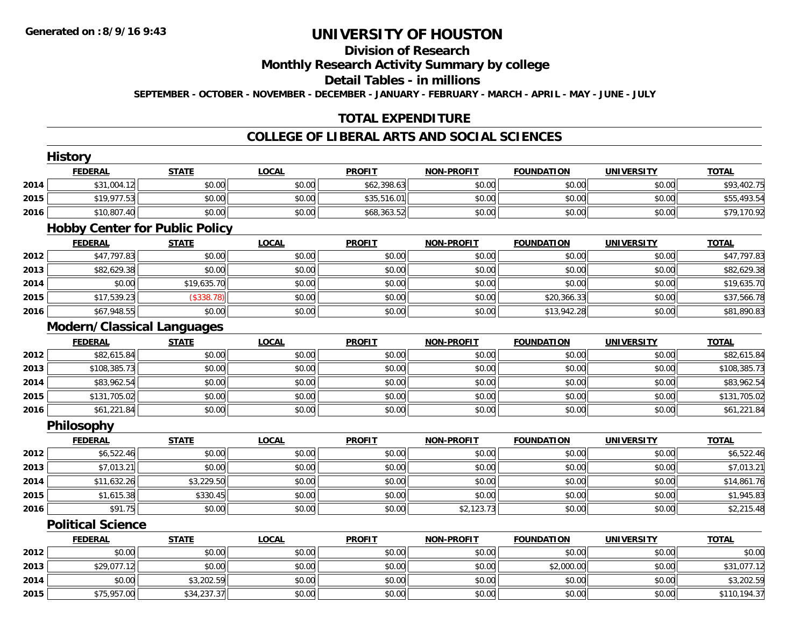## **Division of Research**

**Monthly Research Activity Summary by college**

**Detail Tables - in millions**

**SEPTEMBER - OCTOBER - NOVEMBER - DECEMBER - JANUARY - FEBRUARY - MARCH - APRIL - MAY - JUNE - JULY**

## **TOTAL EXPENDITURE**

### **COLLEGE OF LIBERAL ARTS AND SOCIAL SCIENCES**

|      | <b>History</b>                        |              |              |               |                   |                   |                   |              |
|------|---------------------------------------|--------------|--------------|---------------|-------------------|-------------------|-------------------|--------------|
|      | <b>FEDERAL</b>                        | <b>STATE</b> | <b>LOCAL</b> | <b>PROFIT</b> | <b>NON-PROFIT</b> | <b>FOUNDATION</b> | <b>UNIVERSITY</b> | <b>TOTAL</b> |
| 2014 | \$31,004.12                           | \$0.00       | \$0.00       | \$62,398.63   | \$0.00            | \$0.00            | \$0.00            | \$93,402.75  |
| 2015 | \$19,977.53                           | \$0.00       | \$0.00       | \$35,516.01   | \$0.00            | \$0.00            | \$0.00            | \$55,493.54  |
| 2016 | \$10,807.40                           | \$0.00       | \$0.00       | \$68,363.52   | \$0.00            | \$0.00            | \$0.00            | \$79,170.92  |
|      | <b>Hobby Center for Public Policy</b> |              |              |               |                   |                   |                   |              |
|      | <b>FEDERAL</b>                        | <b>STATE</b> | <b>LOCAL</b> | <b>PROFIT</b> | <b>NON-PROFIT</b> | <b>FOUNDATION</b> | <b>UNIVERSITY</b> | <b>TOTAL</b> |
| 2012 | \$47,797.83                           | \$0.00       | \$0.00       | \$0.00        | \$0.00            | \$0.00            | \$0.00            | \$47,797.83  |
| 2013 | \$82,629.38                           | \$0.00       | \$0.00       | \$0.00        | \$0.00            | \$0.00            | \$0.00            | \$82,629.38  |
| 2014 | \$0.00                                | \$19,635.70  | \$0.00       | \$0.00        | \$0.00            | \$0.00            | \$0.00            | \$19,635.70  |
| 2015 | \$17,539.23                           | (\$338.78)   | \$0.00       | \$0.00        | \$0.00            | \$20,366.33       | \$0.00            | \$37,566.78  |
| 2016 | \$67,948.55                           | \$0.00       | \$0.00       | \$0.00        | \$0.00            | \$13,942.28       | \$0.00            | \$81,890.83  |
|      | <b>Modern/Classical Languages</b>     |              |              |               |                   |                   |                   |              |
|      | <b>FEDERAL</b>                        | <b>STATE</b> | <b>LOCAL</b> | <b>PROFIT</b> | <b>NON-PROFIT</b> | <b>FOUNDATION</b> | <b>UNIVERSITY</b> | <b>TOTAL</b> |
| 2012 | \$82,615.84                           | \$0.00       | \$0.00       | \$0.00        | \$0.00            | \$0.00            | \$0.00            | \$82,615.84  |
| 2013 | \$108,385.73                          | \$0.00       | \$0.00       | \$0.00        | \$0.00            | \$0.00            | \$0.00            | \$108,385.73 |
| 2014 | \$83,962.54                           | \$0.00       | \$0.00       | \$0.00        | \$0.00            | \$0.00            | \$0.00            | \$83,962.54  |
| 2015 | \$131,705.02                          | \$0.00       | \$0.00       | \$0.00        | \$0.00            | \$0.00            | \$0.00            | \$131,705.02 |
| 2016 | \$61,221.84                           | \$0.00       | \$0.00       | \$0.00        | \$0.00            | \$0.00            | \$0.00            | \$61,221.84  |
|      | Philosophy                            |              |              |               |                   |                   |                   |              |
|      | <b>FEDERAL</b>                        | <b>STATE</b> | <b>LOCAL</b> | <b>PROFIT</b> | <b>NON-PROFIT</b> | <b>FOUNDATION</b> | <b>UNIVERSITY</b> | <b>TOTAL</b> |
| 2012 | \$6,522.46                            | \$0.00       | \$0.00       | \$0.00        | \$0.00            | \$0.00            | \$0.00            | \$6,522.46   |
| 2013 | \$7,013.21                            | \$0.00       | \$0.00       | \$0.00        | \$0.00            | \$0.00            | \$0.00            | \$7,013.21   |
| 2014 | \$11,632.26                           | \$3,229.50   | \$0.00       | \$0.00        | \$0.00            | \$0.00            | \$0.00            | \$14,861.76  |
| 2015 | \$1,615.38                            | \$330.45     | \$0.00       | \$0.00        | \$0.00            | \$0.00            | \$0.00            | \$1,945.83   |
| 2016 | \$91.75                               | \$0.00       | \$0.00       | \$0.00        | \$2,123.73        | \$0.00            | \$0.00            | \$2,215.48   |
|      | <b>Political Science</b>              |              |              |               |                   |                   |                   |              |
|      | <b>FEDERAL</b>                        | <b>STATE</b> | <b>LOCAL</b> | <b>PROFIT</b> | <b>NON-PROFIT</b> | <b>FOUNDATION</b> | <b>UNIVERSITY</b> | <b>TOTAL</b> |
| 2012 | \$0.00                                | \$0.00       | \$0.00       | \$0.00        | \$0.00            | \$0.00            | \$0.00            | \$0.00       |
| 2013 | \$29,077.12                           | \$0.00       | \$0.00       | \$0.00        | \$0.00            | \$2,000.00        | \$0.00            | \$31,077.12  |
| 2014 | \$0.00                                | \$3,202.59   | \$0.00       | \$0.00        | \$0.00            | \$0.00            | \$0.00            | \$3,202.59   |
| 2015 | \$75,957.00                           | \$34,237.37  | \$0.00       | \$0.00        | \$0.00            | \$0.00            | \$0.00            | \$110,194.37 |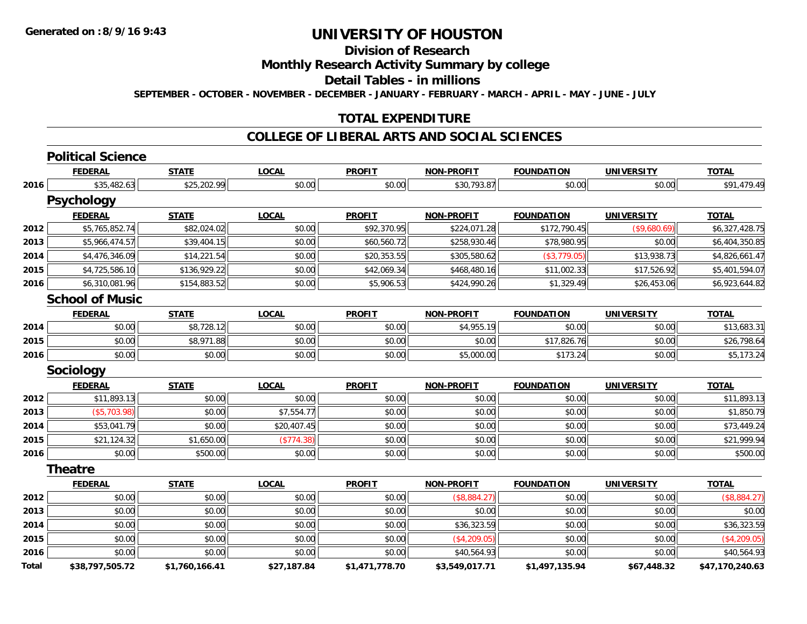## **Division of Research**

## **Monthly Research Activity Summary by college**

**Detail Tables - in millions**

**SEPTEMBER - OCTOBER - NOVEMBER - DECEMBER - JANUARY - FEBRUARY - MARCH - APRIL - MAY - JUNE - JULY**

## **TOTAL EXPENDITURE**

## **COLLEGE OF LIBERAL ARTS AND SOCIAL SCIENCES**

# **Political Science**

|              | <b>FEDERAL</b>         | <b>STATE</b>   | <b>LOCAL</b> | <b>PROFIT</b>  | <b>NON-PROFIT</b> | <b>FOUNDATION</b> | <b>UNIVERSITY</b> | <b>TOTAL</b>    |
|--------------|------------------------|----------------|--------------|----------------|-------------------|-------------------|-------------------|-----------------|
| 2016         | \$35,482.63            | \$25,202.99    | \$0.00       | \$0.00         | \$30,793.87       | \$0.00            | \$0.00            | \$91,479.49     |
|              | <b>Psychology</b>      |                |              |                |                   |                   |                   |                 |
|              | <b>FEDERAL</b>         | <b>STATE</b>   | <b>LOCAL</b> | <b>PROFIT</b>  | <b>NON-PROFIT</b> | <b>FOUNDATION</b> | <b>UNIVERSITY</b> | <b>TOTAL</b>    |
| 2012         | \$5,765,852.74         | \$82,024.02    | \$0.00       | \$92,370.95    | \$224,071.28      | \$172,790.45      | (\$9,680.69)      | \$6,327,428.75  |
| 2013         | \$5,966,474.57         | \$39,404.15    | \$0.00       | \$60,560.72    | \$258,930.46      | \$78,980.95       | \$0.00            | \$6,404,350.85  |
| 2014         | \$4,476,346.09         | \$14,221.54    | \$0.00       | \$20,353.55    | \$305,580.62      | (\$3,779.05)      | \$13,938.73       | \$4,826,661.47  |
| 2015         | \$4,725,586.10         | \$136,929.22   | \$0.00       | \$42,069.34    | \$468,480.16      | \$11,002.33       | \$17,526.92       | \$5,401,594.07  |
| 2016         | \$6,310,081.96         | \$154,883.52   | \$0.00       | \$5,906.53     | \$424,990.26      | \$1,329.49        | \$26,453.06       | \$6,923,644.82  |
|              | <b>School of Music</b> |                |              |                |                   |                   |                   |                 |
|              | <b>FEDERAL</b>         | <b>STATE</b>   | <b>LOCAL</b> | <b>PROFIT</b>  | <b>NON-PROFIT</b> | <b>FOUNDATION</b> | <b>UNIVERSITY</b> | <b>TOTAL</b>    |
| 2014         | \$0.00                 | \$8,728.12     | \$0.00       | \$0.00         | \$4,955.19        | \$0.00            | \$0.00            | \$13,683.31     |
| 2015         | \$0.00                 | \$8,971.88     | \$0.00       | \$0.00         | \$0.00            | \$17,826.76       | \$0.00            | \$26,798.64     |
| 2016         | \$0.00                 | \$0.00         | \$0.00       | \$0.00         | \$5,000.00        | \$173.24          | \$0.00            | \$5,173.24      |
|              | <b>Sociology</b>       |                |              |                |                   |                   |                   |                 |
|              | <b>FEDERAL</b>         | <b>STATE</b>   | <b>LOCAL</b> | <b>PROFIT</b>  | <b>NON-PROFIT</b> | <b>FOUNDATION</b> | <b>UNIVERSITY</b> | <b>TOTAL</b>    |
| 2012         | \$11,893.13            | \$0.00         | \$0.00       | \$0.00         | \$0.00            | \$0.00            | \$0.00            | \$11,893.13     |
| 2013         | (\$5,703.98)           | \$0.00         | \$7,554.77   | \$0.00         | \$0.00            | \$0.00            | \$0.00            | \$1,850.79      |
| 2014         | \$53,041.79            | \$0.00         | \$20,407.45  | \$0.00         | \$0.00            | \$0.00            | \$0.00            | \$73,449.24     |
| 2015         | \$21,124.32            | \$1,650.00     | (\$774.38)   | \$0.00         | \$0.00            | \$0.00            | \$0.00            | \$21,999.94     |
| 2016         | \$0.00                 | \$500.00       | \$0.00       | \$0.00         | \$0.00            | \$0.00            | \$0.00            | \$500.00        |
|              | <b>Theatre</b>         |                |              |                |                   |                   |                   |                 |
|              | <b>FEDERAL</b>         | <b>STATE</b>   | <b>LOCAL</b> | <b>PROFIT</b>  | <b>NON-PROFIT</b> | <b>FOUNDATION</b> | <b>UNIVERSITY</b> | <b>TOTAL</b>    |
| 2012         | \$0.00                 | \$0.00         | \$0.00       | \$0.00         | (\$8,884.27)      | \$0.00            | \$0.00            | (\$8,884.27)    |
| 2013         | \$0.00                 | \$0.00         | \$0.00       | \$0.00         | \$0.00            | \$0.00            | \$0.00            | \$0.00          |
| 2014         | \$0.00                 | \$0.00         | \$0.00       | \$0.00         | \$36,323.59       | \$0.00            | \$0.00            | \$36,323.59     |
| 2015         | \$0.00                 | \$0.00         | \$0.00       | \$0.00         | (\$4,209.05)      | \$0.00            | \$0.00            | (\$4,209.05)    |
| 2016         | \$0.00                 | \$0.00         | \$0.00       | \$0.00         | \$40,564.93       | \$0.00            | \$0.00            | \$40,564.93     |
| <b>Total</b> | \$38.797.505.72        | \$1.760.166.41 | \$27.187.84  | \$1.471.778.70 | \$3.549.017.71    | \$1.497.135.94    | \$67.448.32       | \$47.170.240.63 |

**\$38,797,505.72 \$1,760,166.41 \$27,187.84 \$1,471,778.70 \$3,549,017.71 \$1,497,135.94 \$67,448.32 \$47,170,240.63**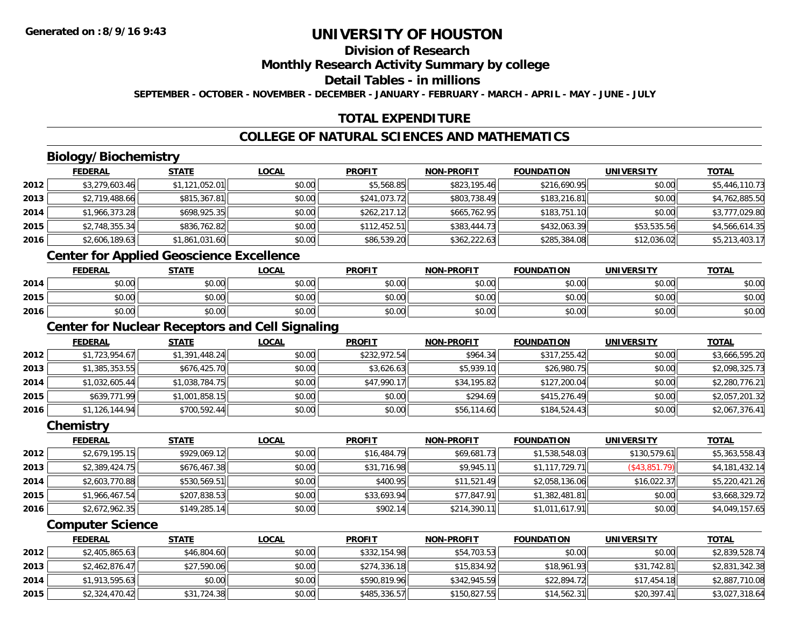## **Division of Research**

**Monthly Research Activity Summary by college**

**Detail Tables - in millions**

**SEPTEMBER - OCTOBER - NOVEMBER - DECEMBER - JANUARY - FEBRUARY - MARCH - APRIL - MAY - JUNE - JULY**

## **TOTAL EXPENDITURE**

## **COLLEGE OF NATURAL SCIENCES AND MATHEMATICS**

## **Biology/Biochemistry**

|      | <b>FEDERAL</b> | <b>STATE</b>   | <b>LOCAL</b> | <b>PROFIT</b> | <b>NON-PROFIT</b> | <b>FOUNDATION</b> | <b>UNIVERSITY</b> | <b>TOTAL</b>   |
|------|----------------|----------------|--------------|---------------|-------------------|-------------------|-------------------|----------------|
| 2012 | \$3,279,603.46 | \$1,121,052.01 | \$0.00       | \$5,568.85    | \$823,195.46      | \$216,690.95      | \$0.00            | \$5,446,110.73 |
| 2013 | \$2,719,488.66 | \$815,367.81   | \$0.00       | \$241,073.72  | \$803,738.49      | \$183,216.81      | \$0.00            | \$4,762,885.50 |
| 2014 | \$1,966,373.28 | \$698,925.35   | \$0.00       | \$262,217.12  | \$665,762.95      | \$183,751.10      | \$0.00            | \$3,777,029.80 |
| 2015 | \$2,748,355.34 | \$836,762.82   | \$0.00       | \$112,452.51  | \$383,444.73      | \$432,063.39      | \$53,535.56       | \$4,566,614.35 |
| 2016 | \$2,606,189.63 | \$1,861,031.60 | \$0.00       | \$86,539.20   | \$362,222.63      | \$285,384.08      | \$12,036.02       | \$5,213,403.17 |

<u> 1989 - Johann Stoff, amerikansk politiker (d. 1989)</u>

## **Center for Applied Geoscience Excellence**

|      | <b>FEDERAL</b>                            | <b>STATE</b> | <u>LOCAL</u> | <b>PROFIT</b> | <b>NON-PROFIT</b> | <b>FOUNDATION</b> | UNIVERSITY | <b>TOTAL</b> |
|------|-------------------------------------------|--------------|--------------|---------------|-------------------|-------------------|------------|--------------|
| 2014 | $\sim$<br>JU.UU                           | \$0.00       | \$0.00       | \$0.00        | \$0.00            | \$0.00            | \$0.00     | \$0.00       |
| 2015 | $\uparrow$ $\uparrow$ $\uparrow$<br>וטטוע | \$0.00       | \$0.00       | \$0.00        | \$0.00            | \$0.00            | \$0.00     | \$0.00       |
| 2016 | <b>↑∩</b><br>$\sim$<br>JU.UU              | \$0.00       | \$0.00       | \$0.00        | \$0.00            | \$0.00            | \$0.00     | \$0.00       |

<u> 1980 - Johann Barn, mars ar breithinn ar chuid ann an t-Alban ann an t-Alban ann an t-Alban ann an t-Alban a</u>

## **Center for Nuclear Receptors and Cell Signaling**

|      | <b>FEDERAL</b> | <u>STATE</u>   | <b>LOCAL</b> | <b>PROFIT</b> | <b>NON-PROFIT</b> | <b>FOUNDATION</b> | <b>UNIVERSITY</b> | <u>TOTAL</u>   |
|------|----------------|----------------|--------------|---------------|-------------------|-------------------|-------------------|----------------|
| 2012 | \$1,723,954.67 | \$1,391,448.24 | \$0.00       | \$232,972.54  | \$964.34          | \$317,255.42      | \$0.00            | \$3,666,595.20 |
| 2013 | \$1,385,353.55 | \$676,425.70   | \$0.00       | \$3,626.63    | \$5,939.10        | \$26,980.75       | \$0.00            | \$2,098,325.73 |
| 2014 | \$1,032,605.44 | \$1,038,784.75 | \$0.00       | \$47,990.17   | \$34,195.82       | \$127,200.04      | \$0.00            | \$2,280,776.21 |
| 2015 | \$639,771.99   | \$1,001,858.15 | \$0.00       | \$0.00        | \$294.69          | \$415,276.49      | \$0.00            | \$2,057,201.32 |
| 2016 | \$1,126,144.94 | \$700,592.44   | \$0.00       | \$0.00        | \$56,114.60       | \$184,524.43      | \$0.00            | \$2,067,376.41 |

#### **Chemistry**

|      | <b>FEDERAL</b> | <b>STATE</b> | <b>LOCAL</b> | <b>PROFIT</b> | <b>NON-PROFIT</b> | <b>FOUNDATION</b> | <b>UNIVERSITY</b> | <b>TOTAL</b>   |
|------|----------------|--------------|--------------|---------------|-------------------|-------------------|-------------------|----------------|
| 2012 | \$2,679,195.15 | \$929,069.12 | \$0.00       | \$16,484.79   | \$69,681.73       | \$1,538,548.03    | \$130,579.61      | \$5,363,558.43 |
| 2013 | \$2,389,424.75 | \$676,467.38 | \$0.00       | \$31,716.98   | \$9,945.11        | \$1,117,729.71    | $($ \$43,851.79)  | \$4,181,432.14 |
| 2014 | \$2,603,770.88 | \$530,569.51 | \$0.00       | \$400.95      | \$11,521.49       | \$2,058,136.06    | \$16,022.37       | \$5,220,421.26 |
| 2015 | \$1,966,467.54 | \$207,838.53 | \$0.00       | \$33,693.94   | \$77,847.91       | \$1,382,481.81    | \$0.00            | \$3,668,329.72 |
| 2016 | \$2,672,962.35 | \$149,285.14 | \$0.00       | \$902.14      | \$214,390.11      | \$1,011,617.91    | \$0.00            | \$4,049,157.65 |

#### **Computer Science**

|      | <b>FEDERAL</b> | <u>STATE</u> | <u>LOCAL</u> | <b>PROFIT</b> | <b>NON-PROFIT</b> | <b>FOUNDATION</b> | UNIVERSITY  | <b>TOTAL</b>   |
|------|----------------|--------------|--------------|---------------|-------------------|-------------------|-------------|----------------|
| 2012 | \$2,405,865.63 | \$46,804.60  | \$0.00       | \$332,154.98  | \$54,703.53       | \$0.00            | \$0.00      | \$2,839,528.74 |
| 2013 | \$2,462,876.47 | \$27,590.06  | \$0.00       | \$274,336.18  | \$15,834.92       | \$18,961.93       | \$31,742.81 | \$2,831,342.38 |
| 2014 | \$1,913,595.63 | \$0.00       | \$0.00       | \$590,819.96  | \$342,945.59      | \$22,894.72       | \$17,454.18 | \$2,887,710.08 |
| 2015 | \$2,324,470.42 | \$31,724.38  | \$0.00       | \$485,336.57  | \$150,827.55      | \$14,562.31       | \$20,397.41 | \$3,027,318.64 |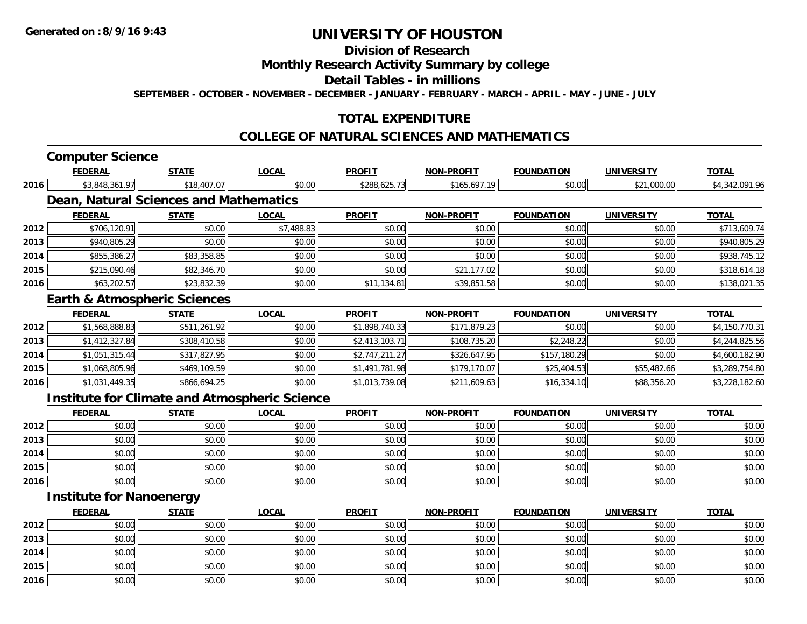## **Division of Research**

**Monthly Research Activity Summary by college**

**Detail Tables - in millions**

**SEPTEMBER - OCTOBER - NOVEMBER - DECEMBER - JANUARY - FEBRUARY - MARCH - APRIL - MAY - JUNE - JULY**

## **TOTAL EXPENDITURE**

#### **COLLEGE OF NATURAL SCIENCES AND MATHEMATICS**

## **Computer Science**

|      | <b>FEDERAL</b>                                       | <b>STATE</b> | <b>LOCAL</b> | <b>PROFIT</b>  | <b>NON-PROFIT</b> | <b>FOUNDATION</b> | <b>UNIVERSITY</b> | <b>TOTAL</b>   |
|------|------------------------------------------------------|--------------|--------------|----------------|-------------------|-------------------|-------------------|----------------|
| 2016 | \$3,848,361.97                                       | \$18,407.07  | \$0.00       | \$288,625.73   | \$165,697.19      | \$0.00            | \$21,000.00       | \$4,342,091.96 |
|      | <b>Dean, Natural Sciences and Mathematics</b>        |              |              |                |                   |                   |                   |                |
|      | <b>FEDERAL</b>                                       | <b>STATE</b> | <b>LOCAL</b> | <b>PROFIT</b>  | <b>NON-PROFIT</b> | <b>FOUNDATION</b> | <b>UNIVERSITY</b> | <b>TOTAL</b>   |
| 2012 | \$706,120.91                                         | \$0.00       | \$7,488.83   | \$0.00         | \$0.00            | \$0.00            | \$0.00            | \$713,609.74   |
| 2013 | \$940,805.29                                         | \$0.00       | \$0.00       | \$0.00         | \$0.00            | \$0.00            | \$0.00            | \$940,805.29   |
| 2014 | \$855,386.27                                         | \$83,358.85  | \$0.00       | \$0.00         | \$0.00            | \$0.00            | \$0.00            | \$938,745.12   |
| 2015 | \$215,090.46                                         | \$82,346.70  | \$0.00       | \$0.00         | \$21,177.02       | \$0.00            | \$0.00            | \$318,614.18   |
| 2016 | \$63,202.57                                          | \$23,832.39  | \$0.00       | \$11,134.81    | \$39,851.58       | \$0.00            | \$0.00            | \$138,021.35   |
|      | <b>Earth &amp; Atmospheric Sciences</b>              |              |              |                |                   |                   |                   |                |
|      | <b>FEDERAL</b>                                       | <b>STATE</b> | <b>LOCAL</b> | <b>PROFIT</b>  | <b>NON-PROFIT</b> | <b>FOUNDATION</b> | <b>UNIVERSITY</b> | <b>TOTAL</b>   |
| 2012 | \$1,568,888.83                                       | \$511,261.92 | \$0.00       | \$1,898,740.33 | \$171,879.23      | \$0.00            | \$0.00            | \$4,150,770.31 |
| 2013 | \$1,412,327.84                                       | \$308,410.58 | \$0.00       | \$2,413,103.71 | \$108,735.20      | \$2,248.22        | \$0.00            | \$4,244,825.56 |
| 2014 | \$1,051,315.44                                       | \$317,827.95 | \$0.00       | \$2,747,211.27 | \$326,647.95      | \$157,180.29      | \$0.00            | \$4,600,182.90 |
| 2015 | \$1,068,805.96                                       | \$469,109.59 | \$0.00       | \$1,491,781.98 | \$179,170.07      | \$25,404.53       | \$55,482.66       | \$3,289,754.80 |
| 2016 | \$1,031,449.35                                       | \$866,694.25 | \$0.00       | \$1,013,739.08 | \$211,609.63      | \$16,334.10       | \$88,356.20       | \$3,228,182.60 |
|      | <b>Institute for Climate and Atmospheric Science</b> |              |              |                |                   |                   |                   |                |
|      | <b>FEDERAL</b>                                       | <b>STATE</b> | <b>LOCAL</b> | <b>PROFIT</b>  | <b>NON-PROFIT</b> | <b>FOUNDATION</b> | <b>UNIVERSITY</b> | <b>TOTAL</b>   |
| 2012 | \$0.00                                               | \$0.00       | \$0.00       | \$0.00         | \$0.00            | \$0.00            | \$0.00            | \$0.00         |
| 2013 | \$0.00                                               | \$0.00       | \$0.00       | \$0.00         | \$0.00            | \$0.00            | \$0.00            | \$0.00         |
| 2014 | \$0.00                                               | \$0.00       | \$0.00       | \$0.00         | \$0.00            | \$0.00            | \$0.00            | \$0.00         |
| 2015 | \$0.00                                               | \$0.00       | \$0.00       | \$0.00         | \$0.00            | \$0.00            | \$0.00            | \$0.00         |
| 2016 | \$0.00                                               | \$0.00       | \$0.00       | \$0.00         | \$0.00            | \$0.00            | \$0.00            | \$0.00         |
|      | $l$ positrita fax Napagpagpur                        |              |              |                |                   |                   |                   |                |

#### **Institute for Nanoenergy**

|      | <b>FEDERAL</b> | <b>STATE</b> | <b>LOCAL</b> | <b>PROFIT</b> | <b>NON-PROFIT</b> | <b>FOUNDATION</b> | <b>UNIVERSITY</b> | <b>TOTAL</b> |
|------|----------------|--------------|--------------|---------------|-------------------|-------------------|-------------------|--------------|
| 2012 | \$0.00         | \$0.00       | \$0.00       | \$0.00        | \$0.00            | \$0.00            | \$0.00            | \$0.00       |
| 2013 | \$0.00         | \$0.00       | \$0.00       | \$0.00        | \$0.00            | \$0.00            | \$0.00            | \$0.00       |
| 2014 | \$0.00         | \$0.00       | \$0.00       | \$0.00        | \$0.00            | \$0.00            | \$0.00            | \$0.00       |
| 2015 | \$0.00         | \$0.00       | \$0.00       | \$0.00        | \$0.00            | \$0.00            | \$0.00            | \$0.00       |
| 2016 | \$0.00         | \$0.00       | \$0.00       | \$0.00        | \$0.00            | \$0.00            | \$0.00            | \$0.00       |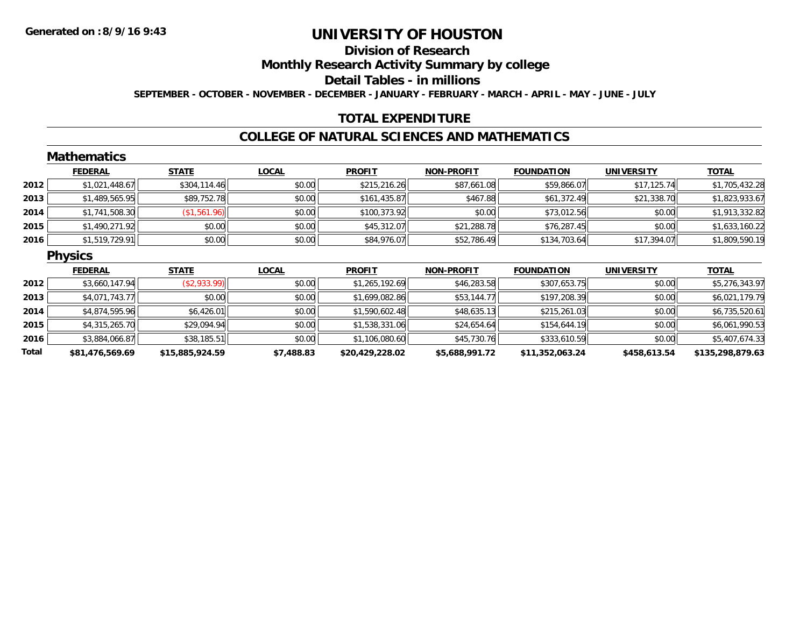## **Division of Research**

**Monthly Research Activity Summary by college**

**Detail Tables - in millions**

**SEPTEMBER - OCTOBER - NOVEMBER - DECEMBER - JANUARY - FEBRUARY - MARCH - APRIL - MAY - JUNE - JULY**

## **TOTAL EXPENDITURE**

### **COLLEGE OF NATURAL SCIENCES AND MATHEMATICS**

|       | <b>Mathematics</b> |                 |              |                 |                   |                   |                   |                  |
|-------|--------------------|-----------------|--------------|-----------------|-------------------|-------------------|-------------------|------------------|
|       | <b>FEDERAL</b>     | <b>STATE</b>    | <b>LOCAL</b> | <b>PROFIT</b>   | <b>NON-PROFIT</b> | <b>FOUNDATION</b> | <b>UNIVERSITY</b> | <b>TOTAL</b>     |
| 2012  | \$1,021,448.67     | \$304,114.46    | \$0.00       | \$215,216.26    | \$87,661.08       | \$59,866.07       | \$17,125.74       | \$1,705,432.28   |
| 2013  | \$1,489,565.95     | \$89,752.78     | \$0.00       | \$161,435.87    | \$467.88          | \$61,372.49       | \$21,338.70       | \$1,823,933.67   |
| 2014  | \$1,741,508.30     | \$1,561.96      | \$0.00       | \$100,373.92    | \$0.00            | \$73,012.56       | \$0.00            | \$1,913,332.82   |
| 2015  | \$1,490,271.92     | \$0.00          | \$0.00       | \$45,312.07     | \$21,288.78       | \$76,287.45       | \$0.00            | \$1,633,160.22   |
| 2016  | \$1,519,729.91     | \$0.00          | \$0.00       | \$84,976.07     | \$52,786.49       | \$134,703.64      | \$17,394.07       | \$1,809,590.19   |
|       | <b>Physics</b>     |                 |              |                 |                   |                   |                   |                  |
|       | <b>FEDERAL</b>     | <b>STATE</b>    | <b>LOCAL</b> | <b>PROFIT</b>   | <b>NON-PROFIT</b> | <b>FOUNDATION</b> | <b>UNIVERSITY</b> | <b>TOTAL</b>     |
| 2012  | \$3,660,147.94     | (\$2,933.99)    | \$0.00       | \$1,265,192.69  | \$46,283.58       | \$307,653.75      | \$0.00            | \$5,276,343.97   |
| 2013  | \$4,071,743.77     | \$0.00          | \$0.00       | \$1,699,082.86  | \$53,144.77       | \$197,208.39      | \$0.00            | \$6,021,179.79   |
| 2014  | \$4,874,595.96     | \$6,426.01      | \$0.00       | \$1,590,602.48  | \$48,635.13       | \$215,261.03      | \$0.00            | \$6,735,520.61   |
| 2015  | \$4,315,265.70     | \$29,094.94     | \$0.00       | \$1,538,331.06  | \$24,654.64       | \$154,644.19      | \$0.00            | \$6,061,990.53   |
| 2016  | \$3,884,066.87     | \$38,185.51     | \$0.00       | \$1,106,080.60  | \$45,730.76       | \$333,610.59      | \$0.00            | \$5,407,674.33   |
| Total | \$81,476,569.69    | \$15,885,924.59 | \$7,488.83   | \$20,429,228.02 | \$5,688,991.72    | \$11,352,063.24   | \$458,613.54      | \$135,298,879.63 |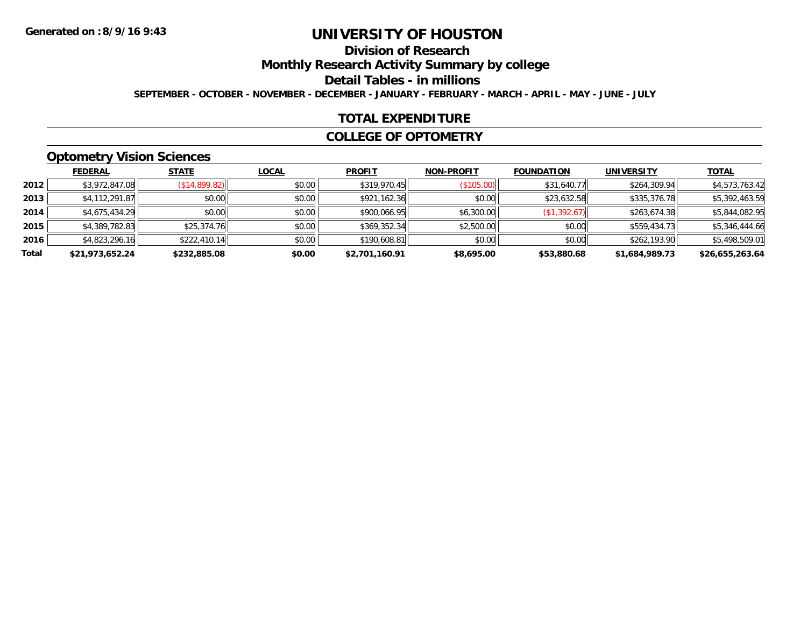## **Division of Research**

**Monthly Research Activity Summary by college**

**Detail Tables - in millions**

**SEPTEMBER - OCTOBER - NOVEMBER - DECEMBER - JANUARY - FEBRUARY - MARCH - APRIL - MAY - JUNE - JULY**

## **TOTAL EXPENDITURE**

#### **COLLEGE OF OPTOMETRY**

## **Optometry Vision Sciences**

|       | <b>FEDERAL</b>  | <b>STATE</b>  | <b>LOCAL</b> | <b>PROFIT</b>  | <b>NON-PROFIT</b> | <b>FOUNDATION</b> | <b>UNIVERSITY</b> | <b>TOTAL</b>    |
|-------|-----------------|---------------|--------------|----------------|-------------------|-------------------|-------------------|-----------------|
| 2012  | \$3,972,847.08  | (\$14,899.82) | \$0.00       | \$319,970.45   | (\$105.00)        | \$31,640.77       | \$264,309.94      | \$4,573,763.42  |
| 2013  | \$4,112,291.87  | \$0.00        | \$0.00       | \$921,162.36   | \$0.00            | \$23,632.58       | \$335,376.78      | \$5,392,463.59  |
| 2014  | \$4,675,434.29  | \$0.00        | \$0.00       | \$900,066.95   | \$6,300.00        | (\$1,392.67)      | \$263,674.38      | \$5,844,082.95  |
| 2015  | \$4,389,782.83  | \$25,374.76   | \$0.00       | \$369,352.34   | \$2,500.00        | \$0.00            | \$559,434.73      | \$5,346,444.66  |
| 2016  | \$4,823,296.16  | \$222,410.14  | \$0.00       | \$190,608.81   | \$0.00            | \$0.00            | \$262,193.90      | \$5,498,509.01  |
| Total | \$21,973,652.24 | \$232,885.08  | \$0.00       | \$2,701,160.91 | \$8,695.00        | \$53,880.68       | \$1,684,989.73    | \$26,655,263.64 |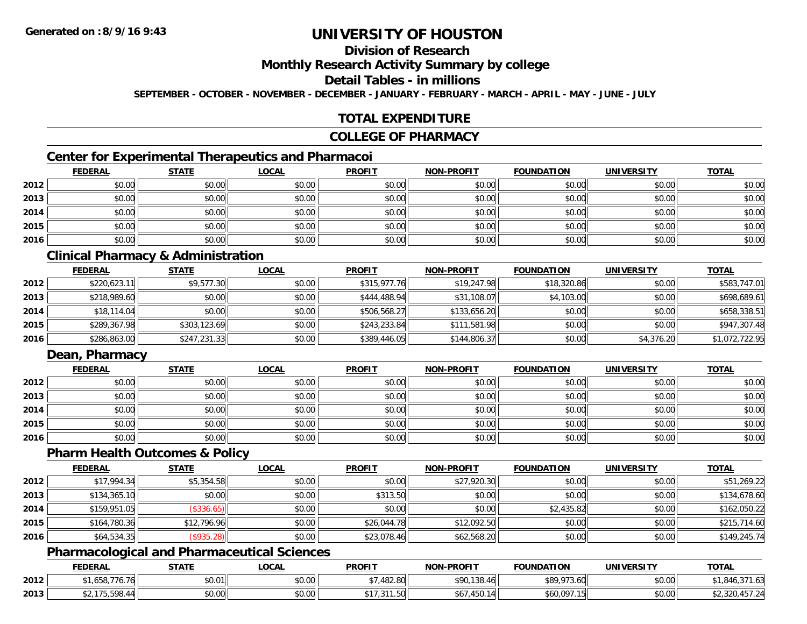## **Division of Research**

**Monthly Research Activity Summary by college**

**Detail Tables - in millions**

**SEPTEMBER - OCTOBER - NOVEMBER - DECEMBER - JANUARY - FEBRUARY - MARCH - APRIL - MAY - JUNE - JULY**

## **TOTAL EXPENDITURE**

#### **COLLEGE OF PHARMACY**

## **Center for Experimental Therapeutics and Pharmacoi**

|      | <b>FEDERAL</b> | <b>STATE</b> | <b>LOCAL</b> | <b>PROFIT</b> | <b>NON-PROFIT</b> | <b>FOUNDATION</b> | <b>UNIVERSITY</b> | <b>TOTAL</b> |
|------|----------------|--------------|--------------|---------------|-------------------|-------------------|-------------------|--------------|
| 2012 | \$0.00         | \$0.00       | \$0.00       | \$0.00        | \$0.00            | \$0.00            | \$0.00            | \$0.00       |
| 2013 | \$0.00         | \$0.00       | \$0.00       | \$0.00        | \$0.00            | \$0.00            | \$0.00            | \$0.00       |
| 2014 | \$0.00         | \$0.00       | \$0.00       | \$0.00        | \$0.00            | \$0.00            | \$0.00            | \$0.00       |
| 2015 | \$0.00         | \$0.00       | \$0.00       | \$0.00        | \$0.00            | \$0.00            | \$0.00            | \$0.00       |
| 2016 | \$0.00         | \$0.00       | \$0.00       | \$0.00        | \$0.00            | \$0.00            | \$0.00            | \$0.00       |

## **Clinical Pharmacy & Administration**

|      | <b>FEDERAL</b> | <u>STATE</u> | <u>LOCAL</u> | <b>PROFIT</b> | <b>NON-PROFIT</b> | <b>FOUNDATION</b> | <b>UNIVERSITY</b> | <b>TOTAL</b>   |
|------|----------------|--------------|--------------|---------------|-------------------|-------------------|-------------------|----------------|
| 2012 | \$220,623.11   | \$9,577.30   | \$0.00       | \$315,977.76  | \$19,247.98       | \$18,320.86       | \$0.00            | \$583,747.01   |
| 2013 | \$218,989.60   | \$0.00       | \$0.00       | \$444,488.94  | \$31,108.07       | \$4,103.00        | \$0.00            | \$698,689.61   |
| 2014 | \$18,114.04    | \$0.00       | \$0.00       | \$506,568.27  | \$133,656.20      | \$0.00            | \$0.00            | \$658,338.51   |
| 2015 | \$289,367.98   | \$303,123.69 | \$0.00       | \$243,233.84  | \$111,581.98      | \$0.00            | \$0.00            | \$947,307.48   |
| 2016 | \$286,863.00   | \$247,231.33 | \$0.00       | \$389,446.05  | \$144,806.37      | \$0.00            | \$4,376.20        | \$1,072,722.95 |

## **Dean, Pharmacy**

|      | <b>FEDERAL</b> | <b>STATE</b> | <u>LOCAL</u> | <b>PROFIT</b> | <b>NON-PROFIT</b> | <b>FOUNDATION</b> | <b>UNIVERSITY</b> | <b>TOTAL</b> |
|------|----------------|--------------|--------------|---------------|-------------------|-------------------|-------------------|--------------|
| 2012 | \$0.00         | \$0.00       | \$0.00       | \$0.00        | \$0.00            | \$0.00            | \$0.00            | \$0.00       |
| 2013 | \$0.00         | \$0.00       | \$0.00       | \$0.00        | \$0.00            | \$0.00            | \$0.00            | \$0.00       |
| 2014 | \$0.00         | \$0.00       | \$0.00       | \$0.00        | \$0.00            | \$0.00            | \$0.00            | \$0.00       |
| 2015 | \$0.00         | \$0.00       | \$0.00       | \$0.00        | \$0.00            | \$0.00            | \$0.00            | \$0.00       |
| 2016 | \$0.00         | \$0.00       | \$0.00       | \$0.00        | \$0.00            | \$0.00            | \$0.00            | \$0.00       |

#### **Pharm Health Outcomes & Policy**

|      | <b>FEDERAL</b> | <b>STATE</b> | <b>LOCAL</b> | <b>PROFIT</b> | <b>NON-PROFIT</b> | <b>FOUNDATION</b> | <b>UNIVERSITY</b> | <b>TOTAL</b> |
|------|----------------|--------------|--------------|---------------|-------------------|-------------------|-------------------|--------------|
| 2012 | \$17,994.34    | \$5,354.58   | \$0.00       | \$0.00        | \$27,920.30       | \$0.00            | \$0.00            | \$51,269.22  |
| 2013 | \$134,365.10   | \$0.00       | \$0.00       | \$313.50      | \$0.00            | \$0.00            | \$0.00            | \$134,678.60 |
| 2014 | \$159,951.05   | (\$336.65)   | \$0.00       | \$0.00        | \$0.00            | \$2,435.82        | \$0.00            | \$162,050.22 |
| 2015 | \$164,780.36   | \$12,796.96  | \$0.00       | \$26,044.78   | \$12,092.50       | \$0.00            | \$0.00            | \$215,714.60 |
| 2016 | \$64,534.35    | (\$935.28)   | \$0.00       | \$23,078.46   | \$62,568.20       | \$0.00            | \$0.00            | \$149,245.74 |

## **Pharmacological and Pharmaceutical Sciences**

|      | <b>FEDERAL</b>              | <b>STATE</b> | <b>LOCAL</b>   | <b>PROFIT</b>                                   | <b>NON-PROFIT</b>                               | <b>FOUNDATION</b> | <b>UNIVERSITY</b> | <b>TOTAL</b>                          |
|------|-----------------------------|--------------|----------------|-------------------------------------------------|-------------------------------------------------|-------------------|-------------------|---------------------------------------|
| 2012 | <sup>**</sup> 458,776.76    | \$0.01       | mn n¢<br>DU.UU | .482.80                                         | \$90,138.46                                     | \$89,973.60       | \$0.00            | .04 <sup>h</sup><br>. <i>.</i> .<br>. |
| 2013 | 175500<br>, ა,598.44<br>, J | \$0.00       | \$0.00         | 0.11<br>$1.50$ <sup><math>\text{L}</math></sup> | $1 - 0$<br>$\sim$ $\sim$ $\sim$<br>IOU.<br>ו טפ | \$60,097.15       | \$0.00            | \$2,320,457.24                        |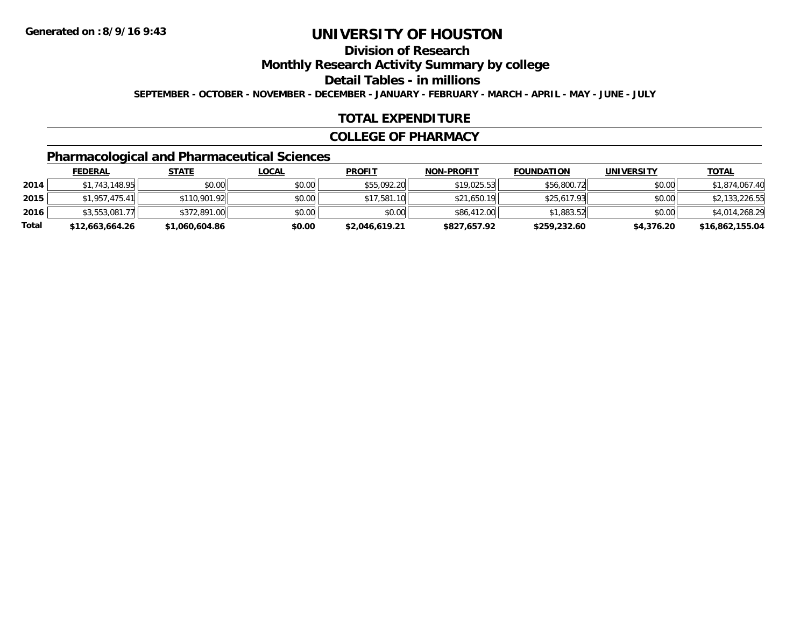## **Division of Research**

**Monthly Research Activity Summary by college**

**Detail Tables - in millions**

**SEPTEMBER - OCTOBER - NOVEMBER - DECEMBER - JANUARY - FEBRUARY - MARCH - APRIL - MAY - JUNE - JULY**

## **TOTAL EXPENDITURE**

#### **COLLEGE OF PHARMACY**

## **Pharmacological and Pharmaceutical Sciences**

|       | <b>FEDERAL</b>  | <u>STATE</u>   | <u>LOCAL</u> | <b>PROFIT</b>  | <b>NON-PROFIT</b> | <b>FOUNDATION</b> | <b>UNIVERSITY</b> | <b>TOTAL</b>    |
|-------|-----------------|----------------|--------------|----------------|-------------------|-------------------|-------------------|-----------------|
| 2014  | \$1,743,148.95  | \$0.00         | \$0.00       | \$55,092.20    | \$19.025.53       | \$56,800.72       | \$0.00            | \$1,874,067.40  |
| 2015  | \$1,957,475,41  | \$110,901.92   | \$0.00       | \$17,581.10    | \$21,650.19       | \$25,617.93       | \$0.00            | \$2,133,226.55  |
| 2016  | \$3,553,081.77  | \$372,891.00   | \$0.00       | \$0.00         | \$86,412.00       | \$1,883.52        | \$0.00            | \$4,014,268.29  |
| Total | \$12,663,664.26 | \$1,060,604.86 | \$0.00       | \$2,046,619.21 | \$827,657.92      | \$259,232.60      | \$4,376.20        | \$16,862,155.04 |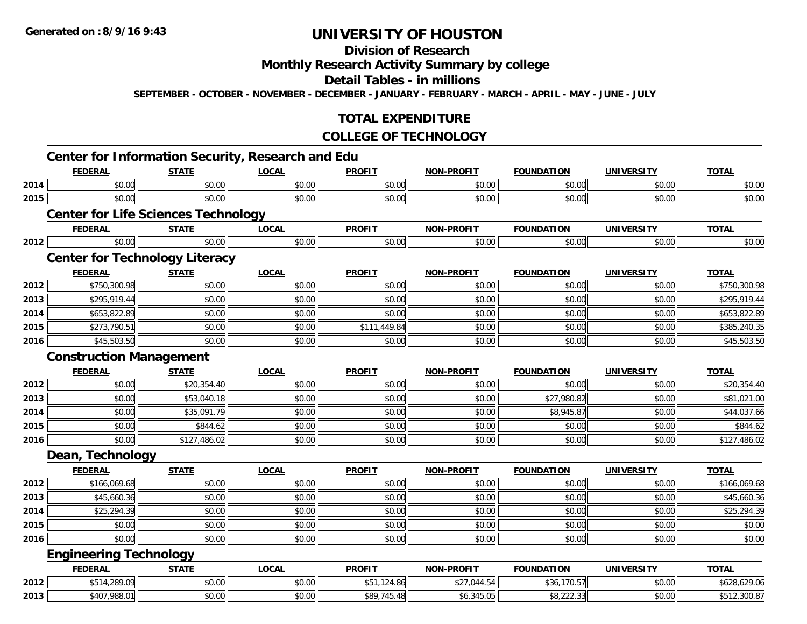## **Division of Research**

## **Monthly Research Activity Summary by college**

**Detail Tables - in millions**

**SEPTEMBER - OCTOBER - NOVEMBER - DECEMBER - JANUARY - FEBRUARY - MARCH - APRIL - MAY - JUNE - JULY**

## **TOTAL EXPENDITURE**

#### **COLLEGE OF TECHNOLOGY**

|      |                                |                                            | <b>Center for Information Security, Research and Edu</b> |               |                   |                   |                   |              |
|------|--------------------------------|--------------------------------------------|----------------------------------------------------------|---------------|-------------------|-------------------|-------------------|--------------|
|      | <b>FEDERAL</b>                 | <b>STATE</b>                               | <b>LOCAL</b>                                             | <b>PROFIT</b> | <b>NON-PROFIT</b> | <b>FOUNDATION</b> | <b>UNIVERSITY</b> | <b>TOTAL</b> |
| 2014 | \$0.00                         | \$0.00                                     | \$0.00                                                   | \$0.00        | \$0.00            | \$0.00            | \$0.00            | \$0.00       |
| 2015 | \$0.00                         | \$0.00                                     | \$0.00                                                   | \$0.00        | \$0.00            | \$0.00            | \$0.00            | \$0.00       |
|      |                                | <b>Center for Life Sciences Technology</b> |                                                          |               |                   |                   |                   |              |
|      | <b>FEDERAL</b>                 | <b>STATE</b>                               | <b>LOCAL</b>                                             | <b>PROFIT</b> | <b>NON-PROFIT</b> | <b>FOUNDATION</b> | <b>UNIVERSITY</b> | <b>TOTAL</b> |
| 2012 | \$0.00                         | \$0.00                                     | \$0.00                                                   | \$0.00        | \$0.00            | \$0.00            | \$0.00            | \$0.00       |
|      |                                | <b>Center for Technology Literacy</b>      |                                                          |               |                   |                   |                   |              |
|      | <b>FEDERAL</b>                 | <b>STATE</b>                               | <b>LOCAL</b>                                             | <b>PROFIT</b> | <b>NON-PROFIT</b> | <b>FOUNDATION</b> | <b>UNIVERSITY</b> | <b>TOTAL</b> |
| 2012 | \$750,300.98                   | \$0.00                                     | \$0.00                                                   | \$0.00        | \$0.00            | \$0.00            | \$0.00            | \$750,300.98 |
| 2013 | \$295,919.44                   | \$0.00                                     | \$0.00                                                   | \$0.00        | \$0.00            | \$0.00            | \$0.00            | \$295,919.44 |
| 2014 | \$653,822.89                   | \$0.00                                     | \$0.00                                                   | \$0.00        | \$0.00            | \$0.00            | \$0.00            | \$653,822.89 |
| 2015 | \$273,790.51                   | \$0.00                                     | \$0.00                                                   | \$111,449.84  | \$0.00            | \$0.00            | \$0.00            | \$385,240.35 |
| 2016 | \$45,503.50                    | \$0.00                                     | \$0.00                                                   | \$0.00        | \$0.00            | \$0.00            | \$0.00            | \$45,503.50  |
|      | <b>Construction Management</b> |                                            |                                                          |               |                   |                   |                   |              |
|      | <b>FEDERAL</b>                 | <b>STATE</b>                               | <b>LOCAL</b>                                             | <b>PROFIT</b> | NON-PROFIT        | <b>FOUNDATION</b> | <b>UNIVERSITY</b> | <b>TOTAL</b> |
| 2012 | \$0.00                         | \$20,354.40                                | \$0.00                                                   | \$0.00        | \$0.00            | \$0.00            | \$0.00            | \$20,354.40  |
| 2013 | \$0.00                         | \$53,040.18                                | \$0.00                                                   | \$0.00        | \$0.00            | \$27,980.82       | \$0.00            | \$81,021.00  |
| 2014 | \$0.00                         | \$35,091.79                                | \$0.00                                                   | \$0.00        | \$0.00            | \$8,945.87        | \$0.00            | \$44,037.66  |
| 2015 | \$0.00                         | \$844.62                                   | \$0.00                                                   | \$0.00        | \$0.00            | \$0.00            | \$0.00            | \$844.62     |
| 2016 | \$0.00                         | \$127,486.02                               | \$0.00                                                   | \$0.00        | \$0.00            | \$0.00            | \$0.00            | \$127,486.02 |
|      | Dean, Technology               |                                            |                                                          |               |                   |                   |                   |              |
|      | <b>FEDERAL</b>                 | <b>STATE</b>                               | <b>LOCAL</b>                                             | <b>PROFIT</b> | <b>NON-PROFIT</b> | <b>FOUNDATION</b> | <b>UNIVERSITY</b> | <b>TOTAL</b> |
| 2012 | \$166,069.68                   | \$0.00                                     | \$0.00                                                   | \$0.00        | \$0.00            | \$0.00            | \$0.00            | \$166,069.68 |
| 2013 | \$45,660.36                    | \$0.00                                     | \$0.00                                                   | \$0.00        | \$0.00            | \$0.00            | \$0.00            | \$45,660.36  |
| 2014 | \$25,294.39                    | \$0.00                                     | \$0.00                                                   | \$0.00        | \$0.00            | \$0.00            | \$0.00            | \$25,294.39  |
| 2015 | \$0.00                         | \$0.00                                     | \$0.00                                                   | \$0.00        | \$0.00            | \$0.00            | \$0.00            | \$0.00       |
| 2016 | \$0.00                         | \$0.00                                     | \$0.00                                                   | \$0.00        | \$0.00            | \$0.00            | \$0.00            | \$0.00       |
|      | <b>Engineering Technology</b>  |                                            |                                                          |               |                   |                   |                   |              |
|      | <b>FEDERAL</b>                 | <b>STATE</b>                               | <b>LOCAL</b>                                             | <b>PROFIT</b> | <b>NON-PROFIT</b> | <b>FOUNDATION</b> | <b>UNIVERSITY</b> | <b>TOTAL</b> |
| 2012 | \$514,289.09                   | \$0.00                                     | \$0.00                                                   | \$51,124.86   | \$27,044.54       | \$36,170.57       | \$0.00            | \$628,629.06 |
| 2013 | \$407,988.01                   | \$0.00                                     | \$0.00                                                   | \$89,745.48   | \$6,345.05        | \$8,222.33        | \$0.00            | \$512,300.87 |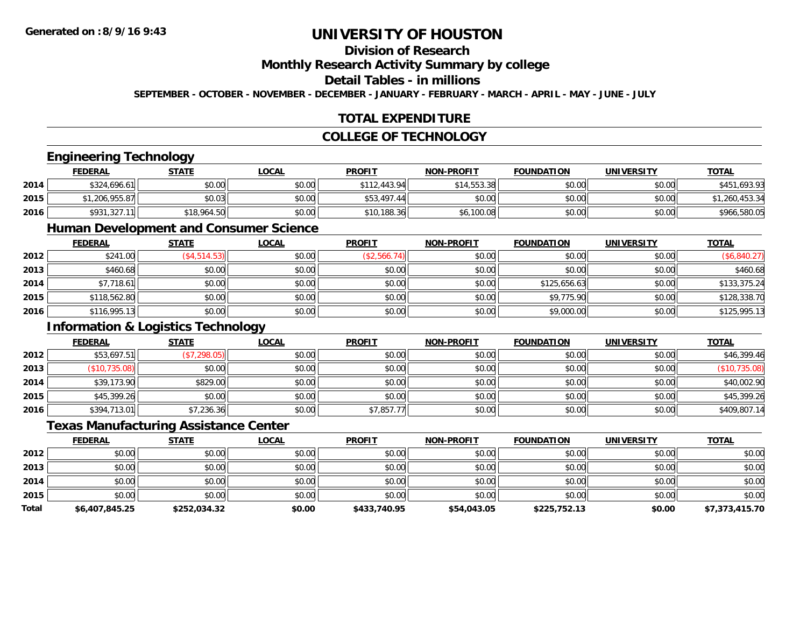## **Division of Research**

**Monthly Research Activity Summary by college**

### **Detail Tables - in millions**

**SEPTEMBER - OCTOBER - NOVEMBER - DECEMBER - JANUARY - FEBRUARY - MARCH - APRIL - MAY - JUNE - JULY**

## **TOTAL EXPENDITURE**

## **COLLEGE OF TECHNOLOGY**

## **Engineering Technology**

|      | <b>FEDERAL</b> | <u>STATE</u> | <u>LOCAL</u> | <b>PROFIT</b> | <b>NON-PROFIT</b> | <b>FOUNDATION</b> | <b>UNIVERSITY</b> | <b>TOTAL</b> |
|------|----------------|--------------|--------------|---------------|-------------------|-------------------|-------------------|--------------|
| 2014 | \$324,696.61   | \$0.00       | \$0.00       | \$112,443.94  | \$14,553.38       | \$0.00            | \$0.00            | 1.693.93     |
| 2015 | \$1,206,955.87 | \$0.03       | \$0.00       | \$53,497.44   | \$0.00            | \$0.00            | \$0.00            | 1,260,453,34 |
| 2016 | \$931,327      | \$18,964.50  | \$0.00       | \$10,188.36   | \$6,100.08        | \$0.00            | \$0.00            | \$966,580.05 |

### **Human Development and Consumer Science**

|      | <u>FEDERAL</u> | <u>STATE</u>    | <b>LOCAL</b> | <b>PROFIT</b> | <b>NON-PROFIT</b> | <b>FOUNDATION</b> | <b>UNIVERSITY</b> | <b>TOTAL</b> |
|------|----------------|-----------------|--------------|---------------|-------------------|-------------------|-------------------|--------------|
| 2012 | \$241.00       | $($ \$4,514.53) | \$0.00       | (\$2,566.74)  | \$0.00            | \$0.00            | \$0.00            | (\$6,840.27) |
| 2013 | \$460.68       | \$0.00          | \$0.00       | \$0.00        | \$0.00            | \$0.00            | \$0.00            | \$460.68     |
| 2014 | \$7,718.61     | \$0.00          | \$0.00       | \$0.00        | \$0.00            | \$125,656.63      | \$0.00            | \$133,375.24 |
| 2015 | \$118,562.80   | \$0.00          | \$0.00       | \$0.00        | \$0.00            | \$9,775.90        | \$0.00            | \$128,338.70 |
| 2016 | \$116,995.13   | \$0.00          | \$0.00       | \$0.00        | \$0.00            | \$9,000.00        | \$0.00            | \$125,995.13 |

## **Information & Logistics Technology**

|      | <b>FEDERAL</b> | <u>STATE</u> | <u>LOCAL</u> | <b>PROFIT</b> | <b>NON-PROFIT</b> | <b>FOUNDATION</b> | <b>UNIVERSITY</b> | <b>TOTAL</b>  |
|------|----------------|--------------|--------------|---------------|-------------------|-------------------|-------------------|---------------|
| 2012 | \$53,697.51    | (\$7,298.05) | \$0.00       | \$0.00        | \$0.00            | \$0.00            | \$0.00            | \$46,399.46   |
| 2013 | (\$10,735.08)  | \$0.00       | \$0.00       | \$0.00        | \$0.00            | \$0.00            | \$0.00            | (\$10,735.08) |
| 2014 | \$39,173.90    | \$829.00     | \$0.00       | \$0.00        | \$0.00            | \$0.00            | \$0.00            | \$40,002.90   |
| 2015 | \$45,399.26    | \$0.00       | \$0.00       | \$0.00        | \$0.00            | \$0.00            | \$0.00            | \$45,399.26   |
| 2016 | \$394,713.01   | \$7,236.36   | \$0.00       | \$7,857.77    | \$0.00            | \$0.00            | \$0.00            | \$409,807.14  |

#### **Texas Manufacturing Assistance Center**

|              | <b>FEDERAL</b> | <b>STATE</b> | <b>LOCAL</b> | <b>PROFIT</b> | <b>NON-PROFIT</b> | <b>FOUNDATION</b> | <b>UNIVERSITY</b> | <b>TOTAL</b>   |
|--------------|----------------|--------------|--------------|---------------|-------------------|-------------------|-------------------|----------------|
| 2012         | \$0.00         | \$0.00       | \$0.00       | \$0.00        | \$0.00            | \$0.00            | \$0.00            | \$0.00         |
| 2013         | \$0.00         | \$0.00       | \$0.00       | \$0.00        | \$0.00            | \$0.00            | \$0.00            | \$0.00         |
| 2014         | \$0.00         | \$0.00       | \$0.00       | \$0.00        | \$0.00            | \$0.00            | \$0.00            | \$0.00         |
| 2015         | \$0.00         | \$0.00       | \$0.00       | \$0.00        | \$0.00            | \$0.00            | \$0.00            | \$0.00         |
| <b>Total</b> | \$6,407,845.25 | \$252,034.32 | \$0.00       | \$433,740.95  | \$54,043.05       | \$225,752.13      | \$0.00            | \$7,373,415.70 |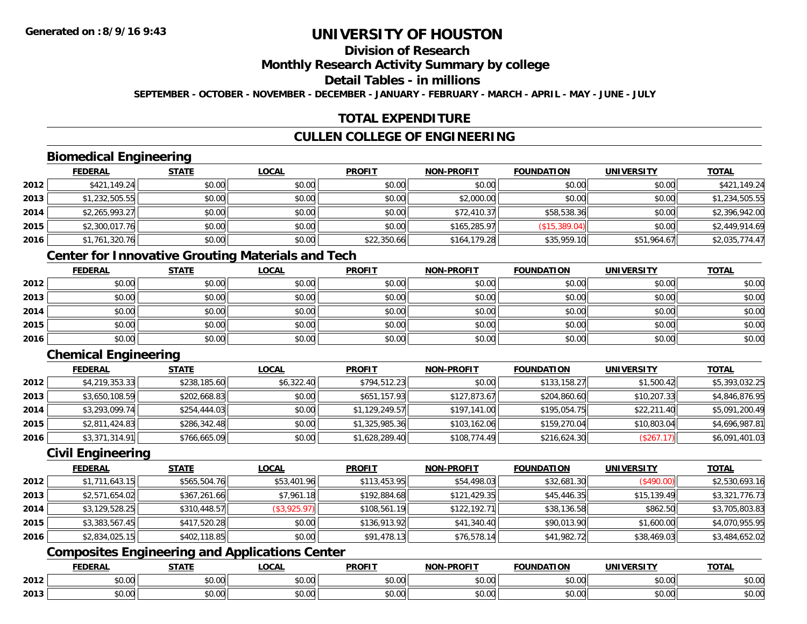## **Division of Research**

### **Monthly Research Activity Summary by college**

## **Detail Tables - in millions**

**SEPTEMBER - OCTOBER - NOVEMBER - DECEMBER - JANUARY - FEBRUARY - MARCH - APRIL - MAY - JUNE - JULY**

## **TOTAL EXPENDITURE**

## **CULLEN COLLEGE OF ENGINEERING**

## **Biomedical Engineering**

|      | <b>FEDERAL</b> | <b>STATE</b> | <b>LOCAL</b> | <b>PROFIT</b> | <b>NON-PROFIT</b> | <b>FOUNDATION</b> | <b>UNIVERSITY</b> | <b>TOTAL</b>   |
|------|----------------|--------------|--------------|---------------|-------------------|-------------------|-------------------|----------------|
| 2012 | \$421,149.24   | \$0.00       | \$0.00       | \$0.00        | \$0.00            | \$0.00            | \$0.00            | \$421,149.24   |
| 2013 | \$1,232,505.55 | \$0.00       | \$0.00       | \$0.00        | \$2,000.00        | \$0.00            | \$0.00            | \$1,234,505.55 |
| 2014 | \$2,265,993.27 | \$0.00       | \$0.00       | \$0.00        | \$72,410.37       | \$58,538.36       | \$0.00            | \$2,396,942.00 |
| 2015 | \$2,300,017.76 | \$0.00       | \$0.00       | \$0.00        | \$165,285.97      | (\$15,389.04)     | \$0.00            | \$2,449,914.69 |
| 2016 | \$1,761,320.76 | \$0.00       | \$0.00       | \$22,350.66   | \$164,179.28      | \$35,959.10       | \$51,964.67       | \$2,035,774.47 |

## **Center for Innovative Grouting Materials and Tech**

|      | <b>FEDERAL</b> | <b>STATE</b> | <u>LOCAL</u> | <b>PROFIT</b> | <b>NON-PROFIT</b> | <b>FOUNDATION</b> | <b>UNIVERSITY</b> | <b>TOTAL</b> |
|------|----------------|--------------|--------------|---------------|-------------------|-------------------|-------------------|--------------|
| 2012 | \$0.00         | \$0.00       | \$0.00       | \$0.00        | \$0.00            | \$0.00            | \$0.00            | \$0.00       |
| 2013 | \$0.00         | \$0.00       | \$0.00       | \$0.00        | \$0.00            | \$0.00            | \$0.00            | \$0.00       |
| 2014 | \$0.00         | \$0.00       | \$0.00       | \$0.00        | \$0.00            | \$0.00            | \$0.00            | \$0.00       |
| 2015 | \$0.00         | \$0.00       | \$0.00       | \$0.00        | \$0.00            | \$0.00            | \$0.00            | \$0.00       |
| 2016 | \$0.00         | \$0.00       | \$0.00       | \$0.00        | \$0.00            | \$0.00            | \$0.00            | \$0.00       |

## **Chemical Engineering**

|      | <b>FEDERAL</b> | <b>STATE</b> | <b>LOCAL</b> | <b>PROFIT</b>  | <b>NON-PROFIT</b> | <b>FOUNDATION</b> | <b>UNIVERSITY</b> | <b>TOTAL</b>   |
|------|----------------|--------------|--------------|----------------|-------------------|-------------------|-------------------|----------------|
| 2012 | \$4,219,353.33 | \$238,185.60 | \$6,322.40   | \$794,512.23   | \$0.00            | \$133,158.27      | \$1,500.42        | \$5,393,032.25 |
| 2013 | \$3,650,108.59 | \$202,668.83 | \$0.00       | \$651,157.93   | \$127,873.67      | \$204,860.60      | \$10,207.33       | \$4,846,876.95 |
| 2014 | \$3,293,099.74 | \$254,444.03 | \$0.00       | \$1,129,249.57 | \$197,141.00      | \$195,054.75      | \$22,211.40       | \$5,091,200.49 |
| 2015 | \$2,811,424.83 | \$286,342.48 | \$0.00       | \$1,325,985.36 | \$103.162.06      | \$159,270.04      | \$10,803.04       | \$4,696,987.81 |
| 2016 | \$3,371,314.91 | \$766,665.09 | \$0.00       | \$1,628,289.40 | \$108,774.49      | \$216,624.30      | (\$267.17)        | \$6,091,401.03 |

### **Civil Engineering**

|      | <b>FEDERAL</b> | <b>STATE</b> | <u>LOCAL</u> | <b>PROFIT</b> | <b>NON-PROFIT</b> | <b>FOUNDATION</b> | <b>UNIVERSITY</b> | <b>TOTAL</b>   |
|------|----------------|--------------|--------------|---------------|-------------------|-------------------|-------------------|----------------|
| 2012 | \$1,711,643.15 | \$565,504.76 | \$53,401.96  | \$113,453.95  | \$54,498.03       | \$32,681.30       | (\$490.00)        | \$2,530,693.16 |
| 2013 | \$2,571,654.02 | \$367,261.66 | \$7,961.18   | \$192,884.68  | \$121,429.35      | \$45,446.35       | \$15,139.49       | \$3,321,776.73 |
| 2014 | \$3,129,528.25 | \$310,448.57 | (\$3,925.97) | \$108,561.19  | \$122,192.71      | \$38,136.58       | \$862.50          | \$3,705,803.83 |
| 2015 | \$3,383,567.45 | \$417,520.28 | \$0.00       | \$136,913.92  | \$41,340.40       | \$90,013.90       | \$1,600.00        | \$4,070,955.95 |
| 2016 | \$2,834,025.15 | \$402,118.85 | \$0.00       | \$91,478.13   | \$76,578.14       | \$41,982.72       | \$38,469.03       | \$3,484,652.02 |

## **Composites Engineering and Applications Center**

|      | DERAI  | CTATI     | .OCAL     | <b>PROFIT</b> | <b>DDOEL1</b><br><b>ארות</b> | ΓΙΟΝ    | UNIVERSITY                                   | <b>TOTAL</b> |
|------|--------|-----------|-----------|---------------|------------------------------|---------|----------------------------------------------|--------------|
| 2012 | $\sim$ | $\sim$    | $\sim$    | $\cdots$      | 0000                         | 0.00    | $\mathsf{A} \cap \mathsf{A} \cap \mathsf{A}$ | 0000         |
|      | וט.טי  | JU.UU     | vv.vv     | vu.vu         | vu.vu                        | - JU.UU | PO.OO                                        | <b>JU.UU</b> |
|      | 0.00   | $\sim$ 00 | $\sim$ 00 | $\cdots$      | 0.00                         | 0.00    | $\sim$ $\sim$                                | $\cdots$     |
| 2013 | וט.טי  | JU.L      | JU.UU     | vv.vv         | JU.UU                        | ww.uu   | <b>JU.UU</b>                                 | <b>JU.UU</b> |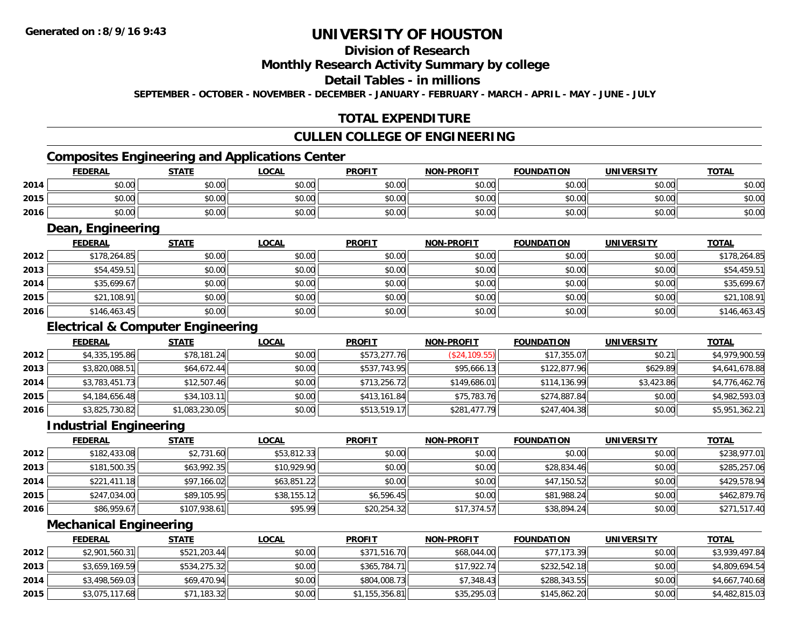## **Division of Research**

### **Monthly Research Activity Summary by college**

### **Detail Tables - in millions**

**SEPTEMBER - OCTOBER - NOVEMBER - DECEMBER - JANUARY - FEBRUARY - MARCH - APRIL - MAY - JUNE - JULY**

## **TOTAL EXPENDITURE**

#### **CULLEN COLLEGE OF ENGINEERING**

## **Composites Engineering and Applications Center**

|      | Composites Engineering and Applications Center |              |              |               |                   |                   |                   |              |  |  |  |  |
|------|------------------------------------------------|--------------|--------------|---------------|-------------------|-------------------|-------------------|--------------|--|--|--|--|
|      | <b>FEDERAL</b>                                 | <b>STATE</b> | <u>LOCAL</u> | <b>PROFIT</b> | <b>NON-PROFIT</b> | <b>FOUNDATION</b> | <b>UNIVERSITY</b> | <b>TOTAL</b> |  |  |  |  |
| 2014 | \$0.00                                         | \$0.00       | \$0.00       | \$0.00        | \$0.00            | \$0.00            | \$0.00            | \$0.00       |  |  |  |  |
| 2015 | \$0.00                                         | \$0.00       | \$0.00       | \$0.00        | \$0.00            | \$0.00            | \$0.00            | \$0.00       |  |  |  |  |
| 2016 | \$0.00                                         | \$0.00       | \$0.00       | \$0.00        | \$0.00            | \$0.00            | \$0.00            | \$0.00       |  |  |  |  |

<u> 1989 - Johann Stoff, deutscher Stoffen und der Stoffen und der Stoffen und der Stoffen und der Stoffen und der</u>

## **Dean, Engineering**

|      | <b>FEDERAL</b> | <b>STATE</b> | <b>LOCAL</b> | <b>PROFIT</b> | <b>NON-PROFIT</b> | <b>FOUNDATION</b> | <b>UNIVERSITY</b> | <b>TOTAL</b> |
|------|----------------|--------------|--------------|---------------|-------------------|-------------------|-------------------|--------------|
| 2012 | \$178,264.85   | \$0.00       | \$0.00       | \$0.00        | \$0.00            | \$0.00            | \$0.00            | \$178,264.85 |
| 2013 | \$54,459.51    | \$0.00       | \$0.00       | \$0.00        | \$0.00            | \$0.00            | \$0.00            | \$54,459.51  |
| 2014 | \$35,699.67    | \$0.00       | \$0.00       | \$0.00        | \$0.00            | \$0.00            | \$0.00            | \$35,699.67  |
| 2015 | \$21,108.91    | \$0.00       | \$0.00       | \$0.00        | \$0.00            | \$0.00            | \$0.00            | \$21,108.91  |
| 2016 | \$146,463.45   | \$0.00       | \$0.00       | \$0.00        | \$0.00            | \$0.00            | \$0.00            | \$146,463.45 |

## **Electrical & Computer Engineering**

|      | <b>FEDERAL</b> | <b>STATE</b>   | <b>LOCAL</b> | <b>PROFIT</b> | <b>NON-PROFIT</b> | <b>FOUNDATION</b> | <b>UNIVERSITY</b> | <b>TOTAL</b>   |
|------|----------------|----------------|--------------|---------------|-------------------|-------------------|-------------------|----------------|
| 2012 | \$4,335,195.86 | \$78,181.24    | \$0.00       | \$573,277.76  | (S24, 109.55)     | \$17,355.07       | \$0.21            | \$4,979,900.59 |
| 2013 | \$3,820,088.51 | \$64,672.44    | \$0.00       | \$537,743.95  | \$95,666.13       | \$122,877.96      | \$629.89          | \$4,641,678.88 |
| 2014 | \$3,783,451.73 | \$12,507.46    | \$0.00       | \$713,256.72  | \$149,686.01      | \$114,136.99      | \$3,423.86        | \$4,776,462.76 |
| 2015 | \$4,184,656.48 | \$34,103.11    | \$0.00       | \$413,161.84  | \$75,783.76       | \$274,887.84      | \$0.00            | \$4,982,593.03 |
| 2016 | \$3,825,730.82 | \$1,083,230.05 | \$0.00       | \$513,519.17  | \$281,477.79      | \$247,404.38      | \$0.00            | \$5,951,362.21 |

<u> 1980 - Johann Stoff, deutscher Stoff, der Stoff, der Stoff, der Stoff, der Stoff, der Stoff, der Stoff, der S</u>

### **Industrial Engineering**

|      | <b>FEDERAL</b> | <b>STATE</b> | <u>LOCAL</u> | <b>PROFIT</b> | <b>NON-PROFIT</b> | <b>FOUNDATION</b> | <b>UNIVERSITY</b> | <b>TOTAL</b> |
|------|----------------|--------------|--------------|---------------|-------------------|-------------------|-------------------|--------------|
| 2012 | \$182,433.08   | \$2,731.60   | \$53,812.33  | \$0.00        | \$0.00            | \$0.00            | \$0.00            | \$238,977.01 |
| 2013 | \$181,500.35   | \$63,992.35  | \$10,929.90  | \$0.00        | \$0.00            | \$28,834.46       | \$0.00            | \$285,257.06 |
| 2014 | \$221,411.18   | \$97,166.02  | \$63,851.22  | \$0.00        | \$0.00            | \$47,150.52       | \$0.00            | \$429,578.94 |
| 2015 | \$247,034.00   | \$89,105.95  | \$38,155.12  | \$6,596.45    | \$0.00            | \$81,988.24       | \$0.00            | \$462,879.76 |
| 2016 | \$86,959.67    | \$107,938.61 | \$95.99      | \$20,254.32   | \$17,374.57       | \$38,894.24       | \$0.00            | \$271,517.40 |

<u> 1989 - Johann Stein, marwolaethau a bhann an t-Amhain Aonaichte ann an t-Amhain Aonaichte ann an t-Amhain Aon</u>

#### **Mechanical Engineering**

|      | <b>FEDERAL</b> | <u>STATE</u> | <u>LOCAL</u> | <b>PROFIT</b>  | <b>NON-PROFIT</b> | <b>FOUNDATION</b> | <b>UNIVERSITY</b> | <b>TOTAL</b>   |
|------|----------------|--------------|--------------|----------------|-------------------|-------------------|-------------------|----------------|
| 2012 | \$2,901,560.31 | \$521,203.44 | \$0.00       | \$371,516.70   | \$68,044.00       | \$77,173.39       | \$0.00            | \$3,939,497.84 |
| 2013 | \$3,659,169.59 | \$534,275.32 | \$0.00       | \$365,784,71   | \$17,922.74       | \$232,542.18      | \$0.00            | \$4,809,694.54 |
| 2014 | \$3,498,569.03 | \$69,470.94  | \$0.00       | \$804,008.73   | \$7,348.43        | \$288,343.55      | \$0.00            | \$4,667,740.68 |
| 2015 | \$3,075,117.68 | \$71,183.32  | \$0.00       | \$1,155,356.81 | \$35,295.03       | \$145,862.20      | \$0.00            | \$4,482,815.03 |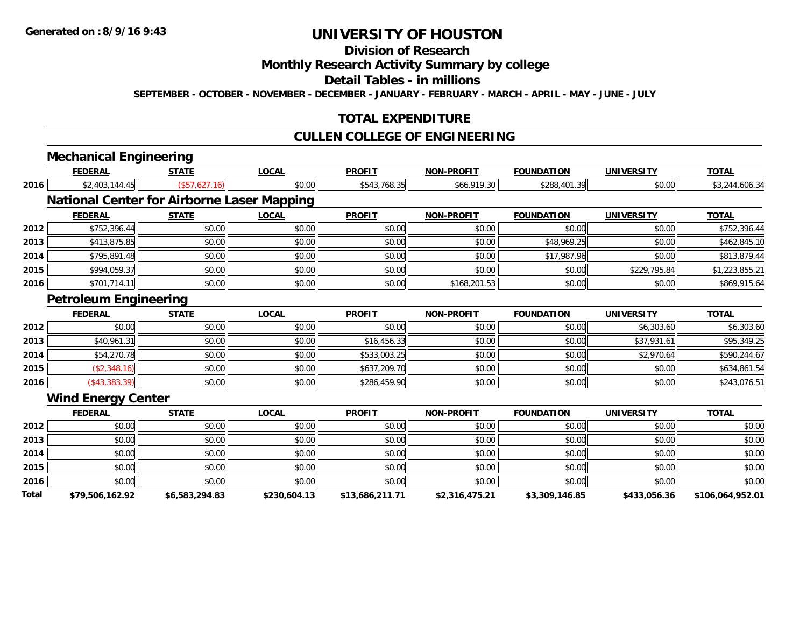#### **Division of Research**

## **Monthly Research Activity Summary by college**

#### **Detail Tables - in millions**

**SEPTEMBER - OCTOBER - NOVEMBER - DECEMBER - JANUARY - FEBRUARY - MARCH - APRIL - MAY - JUNE - JULY**

## **TOTAL EXPENDITURE**

### **CULLEN COLLEGE OF ENGINEERING**

|              | <b>Mechanical Engineering</b>                     |                |              |                 |                   |                   |                   |                  |
|--------------|---------------------------------------------------|----------------|--------------|-----------------|-------------------|-------------------|-------------------|------------------|
|              | <b>FEDERAL</b>                                    | <b>STATE</b>   | <b>LOCAL</b> | <b>PROFIT</b>   | <b>NON-PROFIT</b> | <b>FOUNDATION</b> | <b>UNIVERSITY</b> | <b>TOTAL</b>     |
| 2016         | \$2,403,144.45                                    | (\$57,627.16)  | \$0.00       | \$543,768.35    | \$66,919.30       | \$288,401.39      | \$0.00            | \$3,244,606.34   |
|              | <b>National Center for Airborne Laser Mapping</b> |                |              |                 |                   |                   |                   |                  |
|              | <b>FEDERAL</b>                                    | <b>STATE</b>   | <b>LOCAL</b> | <b>PROFIT</b>   | <b>NON-PROFIT</b> | <b>FOUNDATION</b> | <b>UNIVERSITY</b> | <b>TOTAL</b>     |
| 2012         | \$752,396.44                                      | \$0.00         | \$0.00       | \$0.00          | \$0.00            | \$0.00            | \$0.00            | \$752,396.44     |
| 2013         | \$413,875.85                                      | \$0.00         | \$0.00       | \$0.00          | \$0.00            | \$48,969.25       | \$0.00            | \$462,845.10     |
| 2014         | \$795,891.48                                      | \$0.00         | \$0.00       | \$0.00          | \$0.00            | \$17,987.96       | \$0.00            | \$813,879.44     |
| 2015         | \$994,059.37                                      | \$0.00         | \$0.00       | \$0.00          | \$0.00            | \$0.00            | \$229,795.84      | \$1,223,855.21   |
| 2016         | \$701,714.11                                      | \$0.00         | \$0.00       | \$0.00          | \$168,201.53      | \$0.00            | \$0.00            | \$869,915.64     |
|              | <b>Petroleum Engineering</b>                      |                |              |                 |                   |                   |                   |                  |
|              | <b>FEDERAL</b>                                    | <b>STATE</b>   | <b>LOCAL</b> | <b>PROFIT</b>   | <b>NON-PROFIT</b> | <b>FOUNDATION</b> | <b>UNIVERSITY</b> | <b>TOTAL</b>     |
| 2012         | \$0.00                                            | \$0.00         | \$0.00       | \$0.00          | \$0.00            | \$0.00            | \$6,303.60        | \$6,303.60       |
| 2013         | \$40,961.31                                       | \$0.00         | \$0.00       | \$16,456.33     | \$0.00            | \$0.00            | \$37,931.61       | \$95,349.25      |
| 2014         | \$54,270.78                                       | \$0.00         | \$0.00       | \$533,003.25    | \$0.00            | \$0.00            | \$2,970.64        | \$590,244.67     |
| 2015         | (\$2,348.16)                                      | \$0.00         | \$0.00       | \$637,209.70    | \$0.00            | \$0.00            | \$0.00            | \$634,861.54     |
| 2016         | ( \$43, 383.39)                                   | \$0.00         | \$0.00       | \$286,459.90    | \$0.00            | \$0.00            | \$0.00            | \$243,076.51     |
|              | <b>Wind Energy Center</b>                         |                |              |                 |                   |                   |                   |                  |
|              | <b>FEDERAL</b>                                    | <b>STATE</b>   | <b>LOCAL</b> | <b>PROFIT</b>   | <b>NON-PROFIT</b> | <b>FOUNDATION</b> | <b>UNIVERSITY</b> | <b>TOTAL</b>     |
| 2012         | \$0.00                                            | \$0.00         | \$0.00       | \$0.00          | \$0.00            | \$0.00            | \$0.00            | \$0.00           |
| 2013         | \$0.00                                            | \$0.00         | \$0.00       | \$0.00          | \$0.00            | \$0.00            | \$0.00            | \$0.00           |
| 2014         | \$0.00                                            | \$0.00         | \$0.00       | \$0.00          | \$0.00            | \$0.00            | \$0.00            | \$0.00           |
| 2015         | \$0.00                                            | \$0.00         | \$0.00       | \$0.00          | \$0.00            | \$0.00            | \$0.00            | \$0.00           |
| 2016         | \$0.00                                            | \$0.00         | \$0.00       | \$0.00          | \$0.00            | \$0.00            | \$0.00            | \$0.00           |
| <b>Total</b> | \$79,506,162.92                                   | \$6,583,294.83 | \$230,604.13 | \$13,686,211.71 | \$2,316,475.21    | \$3,309,146.85    | \$433,056.36      | \$106,064,952.01 |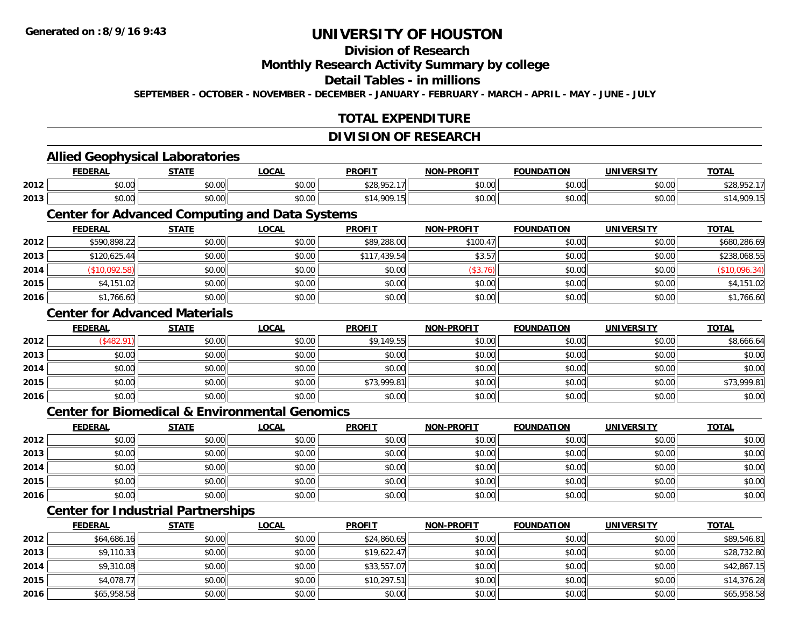**2013**

**2014**

**2015**

**2016**

## **UNIVERSITY OF HOUSTON**

### **Division of Research**

**Monthly Research Activity Summary by college**

**Detail Tables - in millions**

**SEPTEMBER - OCTOBER - NOVEMBER - DECEMBER - JANUARY - FEBRUARY - MARCH - APRIL - MAY - JUNE - JULY**

## **TOTAL EXPENDITURE**

#### **DIVISION OF RESEARCH**

#### **Allied Geophysical Laboratories FEDERAL STATE LOCAL PROFIT NON-PROFIT FOUNDATION UNIVERSITY TOTALTOTAL 2012** \$0.00 \$0.00 \$0.00 \$28,952.17 \$0.00 \$0.00 \$0.00 \$28,952.17 **2013**3 | \$0.00 \$0.00 \$0.00 \$0.00 \$0.00 \$14,909.15 \$14,909.15 \$0.00 \$0.00 \$0.00 \$0.00 \$0.00 \$14,909.15 **Center for Advanced Computing and Data Systems FEDERAL STATE LOCAL PROFIT NON-PROFIT FOUNDATION UNIVERSITY TOTAL2012**2 \$590,898.22|| \$0.00|| \$0.00|| \$89,288.00|| \$100.47|| \$0.00|| \$0.00|| \$680,286.69| **2013** \$120,625.44 \$0.00 \$0.00 \$117,439.54 \$3.57 \$0.00 \$0.00 \$238,068.55 **2014**4 (\$10,092.58)|| \$0.00|| \$0.00|| \$0.00|| \$0.00|| \$0.00|| \$0.00|| \$0.00|| \$0.00|| \$0.00|| \$0.00|| \$0 **2015**5 | \$4,151.02|| \$0.00|| \$0.00|| \$0.00|| \$0.00|| \$0.00|| \$0.00|| \$0.00|| \$4,151.02| **2016**6 \$1,766.60 \$0.00 \$0.00 \$0.00 \$0.00 \$0.00 \$0.00 \$0.00 \$0.00 \$0.00 \$0.00 \$1,766.60 **Center for Advanced MaterialsFEDERAL STATE LOCAL PROFIT NON-PROFIT FOUNDATION UNIVERSITY TOTAL2012**2 | (\$482.91)|| \$0.00|| \$0.00|| \$9,149.55|| \$0.00|| \$0.00|| \$8,666.64| **2013** \$0.00 \$0.00 \$0.00 \$0.00 \$0.00 \$0.00 \$0.00 \$0.00 **2014**4 \$0.00 \$0.00 \$0.00 \$0.00 \$0.00 \$0.00 \$0.00 \$0.00 \$0.00 \$0.00 \$0.00 \$0.00 \$0.00 \$0.00 \$0.00 \$0.00 \$0.00 **2015** \$0.00 \$0.00 \$0.00 \$73,999.81 \$0.00 \$0.00 \$0.00 \$73,999.81 **2016** \$0.00 \$0.00 \$0.00 \$0.00 \$0.00 \$0.00 \$0.00 \$0.00 **Center for Biomedical & Environmental GenomicsFEDERAL STATE LOCAL PROFIT NON-PROFIT FOUNDATION UNIVERSITY TOTALTOTAL 2012**2 | \$0.00 \$0.00 \$0.00 \$0.00 \$0.00 \$0.00 \$0.00 \$0.00 \$0.00 \$0.00 \$0.00 \$0.00 \$0.00 \$0.00 \$0.00 \$0.00 \$0.00 **2013** \$0.00 \$0.00 \$0.00 \$0.00 \$0.00 \$0.00 \$0.00 \$0.00 **2014**4 \$0.00 \$0.00 \$0.00 \$0.00 \$0.00 \$0.00 \$0.00 \$0.00 \$0.00 \$0.00 \$0.00 \$0.00 \$0.00 \$0.00 \$0.00 \$0.00 \$0.00 **2015** \$0.00 \$0.00 \$0.00 \$0.00 \$0.00 \$0.00 \$0.00 \$0.00 **2016** \$0.00 \$0.00 \$0.00 \$0.00 \$0.00 \$0.00 \$0.00 \$0.00 **Center for Industrial Partnerships FEDERAL STATE LOCAL PROFIT NON-PROFIT FOUNDATION UNIVERSITY TOTAL2012**2 | \$64,686.16|| \$0.00| \$0.00|| \$0.00|| \$24,860.65|| \$0.00|| \$0.00|| \$0.00|| \$0.00|| \$89,546.81

\$9,110.33 \$0.00 \$0.00 \$19,622.47 \$0.00 \$0.00 \$0.00 \$28,732.80

\$9,310.08 \$0.00 \$0.00 \$33,557.07 \$0.00 \$0.00 \$0.00 \$42,867.15

\$4,078.77 \$0.00 \$0.00 \$10,297.51 \$0.00 \$0.00 \$0.00 \$14,376.28

\$65,958.58 \$0.00 \$0.00 \$0.00 \$0.00 \$0.00 \$0.00 \$65,958.58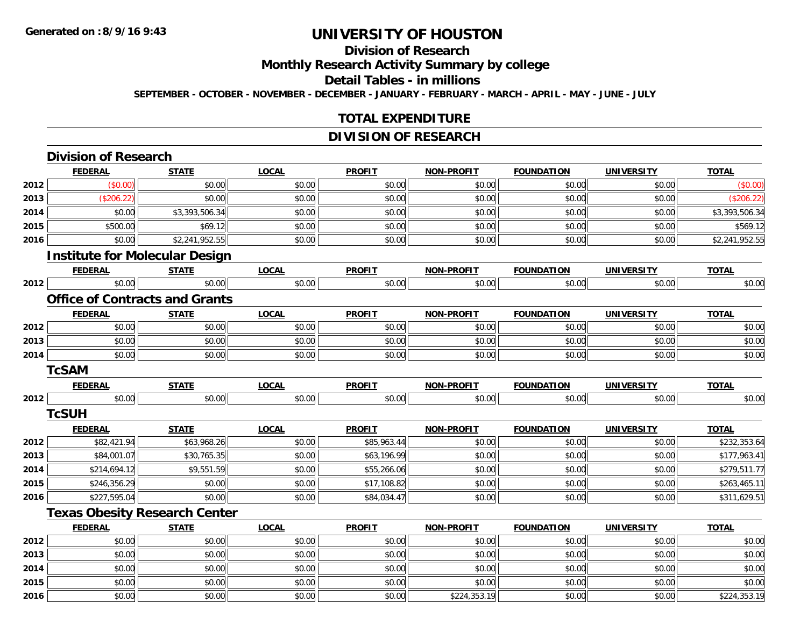**2015**

**2016**

## **UNIVERSITY OF HOUSTON**

## **Division of Research**

**Monthly Research Activity Summary by college**

**Detail Tables - in millions**

**SEPTEMBER - OCTOBER - NOVEMBER - DECEMBER - JANUARY - FEBRUARY - MARCH - APRIL - MAY - JUNE - JULY**

## **TOTAL EXPENDITURE**

## **DIVISION OF RESEARCH**

|      | <b>Division of Research</b> |                                       |              |               |                   |                   |                   |                |
|------|-----------------------------|---------------------------------------|--------------|---------------|-------------------|-------------------|-------------------|----------------|
|      | <b>FEDERAL</b>              | <b>STATE</b>                          | <b>LOCAL</b> | <b>PROFIT</b> | <b>NON-PROFIT</b> | <b>FOUNDATION</b> | <b>UNIVERSITY</b> | <b>TOTAL</b>   |
| 2012 | (\$0.00)                    | \$0.00                                | \$0.00       | \$0.00        | \$0.00            | \$0.00            | \$0.00            | (\$0.00)       |
| 2013 | (\$206.22)                  | \$0.00                                | \$0.00       | \$0.00        | \$0.00            | \$0.00            | \$0.00            | (\$206.22)     |
| 2014 | \$0.00                      | \$3,393,506.34                        | \$0.00       | \$0.00        | \$0.00            | \$0.00            | \$0.00            | \$3,393,506.34 |
| 2015 | \$500.00                    | \$69.12                               | \$0.00       | \$0.00        | \$0.00            | \$0.00            | \$0.00            | \$569.12       |
| 2016 | \$0.00                      | \$2,241,952.55                        | \$0.00       | \$0.00        | \$0.00            | \$0.00            | \$0.00            | \$2,241,952.55 |
|      |                             | <b>Institute for Molecular Design</b> |              |               |                   |                   |                   |                |
|      | <b>FEDERAL</b>              | <b>STATE</b>                          | <b>LOCAL</b> | <b>PROFIT</b> | <b>NON-PROFIT</b> | <b>FOUNDATION</b> | <b>UNIVERSITY</b> | <b>TOTAL</b>   |
| 2012 | \$0.00                      | \$0.00                                | \$0.00       | \$0.00        | \$0.00            | \$0.00            | \$0.00            | \$0.00         |
|      |                             | <b>Office of Contracts and Grants</b> |              |               |                   |                   |                   |                |
|      | <b>FEDERAL</b>              | <b>STATE</b>                          | <b>LOCAL</b> | <b>PROFIT</b> | <b>NON-PROFIT</b> | <b>FOUNDATION</b> | <b>UNIVERSITY</b> | <b>TOTAL</b>   |
| 2012 | \$0.00                      | \$0.00                                | \$0.00       | \$0.00        | \$0.00            | \$0.00            | \$0.00            | \$0.00         |
| 2013 | \$0.00                      | \$0.00                                | \$0.00       | \$0.00        | \$0.00            | \$0.00            | \$0.00            | \$0.00         |
| 2014 | \$0.00                      | \$0.00                                | \$0.00       | \$0.00        | \$0.00            | \$0.00            | \$0.00            | \$0.00         |
|      | <b>TcSAM</b>                |                                       |              |               |                   |                   |                   |                |
|      | <b>FEDERAL</b>              | <b>STATE</b>                          | <b>LOCAL</b> | <b>PROFIT</b> | <b>NON-PROFIT</b> | <b>FOUNDATION</b> | <b>UNIVERSITY</b> | <b>TOTAL</b>   |
| 2012 | \$0.00                      | \$0.00                                | \$0.00       | \$0.00        | \$0.00            | \$0.00            | \$0.00            | \$0.00         |
|      | <b>TcSUH</b>                |                                       |              |               |                   |                   |                   |                |
|      | <b>FEDERAL</b>              | <b>STATE</b>                          | <b>LOCAL</b> | <b>PROFIT</b> | <b>NON-PROFIT</b> | <b>FOUNDATION</b> | <b>UNIVERSITY</b> | <b>TOTAL</b>   |
| 2012 | \$82,421.94                 | \$63,968.26                           | \$0.00       | \$85,963.44   | \$0.00            | \$0.00            | \$0.00            | \$232,353.64   |
| 2013 | \$84,001.07                 | \$30,765.35                           | \$0.00       | \$63,196.99   | \$0.00            | \$0.00            | \$0.00            | \$177,963.41   |
| 2014 | \$214,694.12                | \$9,551.59                            | \$0.00       | \$55,266.06   | \$0.00            | \$0.00            | \$0.00            | \$279,511.77   |
| 2015 | \$246,356.29                | \$0.00                                | \$0.00       | \$17,108.82   | \$0.00            | \$0.00            | \$0.00            | \$263,465.11   |
| 2016 | \$227,595.04                | \$0.00                                | \$0.00       | \$84,034.47   | \$0.00            | \$0.00            | \$0.00            | \$311,629.51   |
|      |                             | <b>Texas Obesity Research Center</b>  |              |               |                   |                   |                   |                |
|      | <b>FEDERAL</b>              | <b>STATE</b>                          | <b>LOCAL</b> | <b>PROFIT</b> | <b>NON-PROFIT</b> | <b>FOUNDATION</b> | <b>UNIVERSITY</b> | <b>TOTAL</b>   |
| 2012 | \$0.00                      | \$0.00                                | \$0.00       | \$0.00        | \$0.00            | \$0.00            | \$0.00            | \$0.00         |
| 2013 | \$0.00                      | \$0.00                                | \$0.00       | \$0.00        | \$0.00            | \$0.00            | \$0.00            | \$0.00         |
| 2014 | \$0.00                      | \$0.00                                | \$0.00       | \$0.00        | \$0.00            | \$0.00            | \$0.00            | \$0.00         |

\$0.00 \$0.00 \$0.00 \$0.00 \$0.00 \$0.00 \$0.00 \$0.00

6 \$0.00 \$0.00 \$0.00 \$0.00 \$0.00 \$0.00 \$0.00 \$0.00 \$0.00 \$0.00 \$224,353.19 \$0.00 \$0.00 \$224,353.19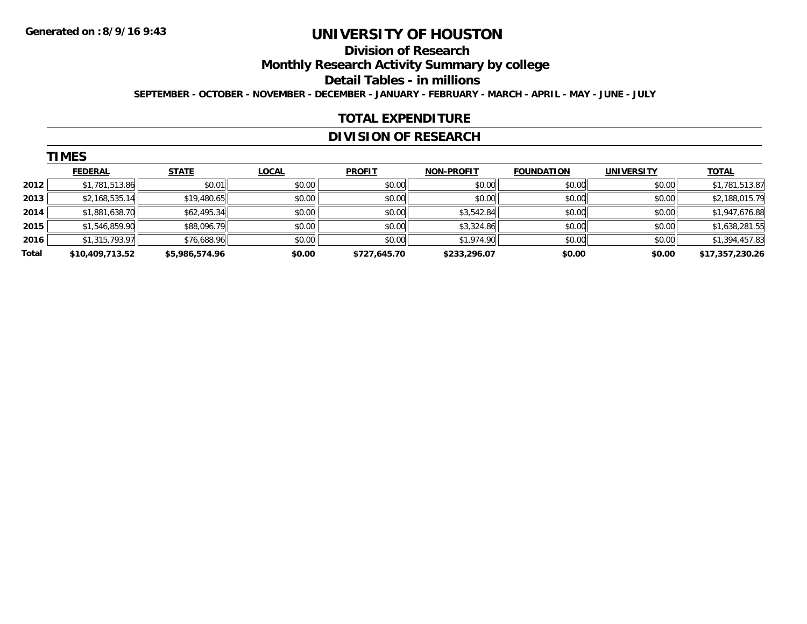#### **Division of Research**

**Monthly Research Activity Summary by college**

**Detail Tables - in millions**

**SEPTEMBER - OCTOBER - NOVEMBER - DECEMBER - JANUARY - FEBRUARY - MARCH - APRIL - MAY - JUNE - JULY**

### **TOTAL EXPENDITURE**

## **DIVISION OF RESEARCH**

|       | <b>TIMES</b>    |                |              |               |                   |                   |                   |                 |  |  |  |
|-------|-----------------|----------------|--------------|---------------|-------------------|-------------------|-------------------|-----------------|--|--|--|
|       | <b>FEDERAL</b>  | <b>STATE</b>   | <b>LOCAL</b> | <b>PROFIT</b> | <b>NON-PROFIT</b> | <b>FOUNDATION</b> | <b>UNIVERSITY</b> | <b>TOTAL</b>    |  |  |  |
| 2012  | \$1,781,513.86  | \$0.01         | \$0.00       | \$0.00        | \$0.00            | \$0.00            | \$0.00            | \$1,781,513.87  |  |  |  |
| 2013  | \$2,168,535.14  | \$19,480.65    | \$0.00       | \$0.00        | \$0.00            | \$0.00            | \$0.00            | \$2,188,015.79  |  |  |  |
| 2014  | \$1,881,638.70  | \$62,495.34    | \$0.00       | \$0.00        | \$3,542.84        | \$0.00            | \$0.00            | \$1,947,676.88  |  |  |  |
| 2015  | \$1,546,859.90  | \$88,096.79    | \$0.00       | \$0.00        | \$3,324.86        | \$0.00            | \$0.00            | \$1,638,281.55  |  |  |  |
| 2016  | \$1,315,793.97  | \$76,688.96    | \$0.00       | \$0.00        | \$1,974.90        | \$0.00            | \$0.00            | \$1,394,457.83  |  |  |  |
| Total | \$10,409,713.52 | \$5,986,574.96 | \$0.00       | \$727,645.70  | \$233,296.07      | \$0.00            | \$0.00            | \$17,357,230.26 |  |  |  |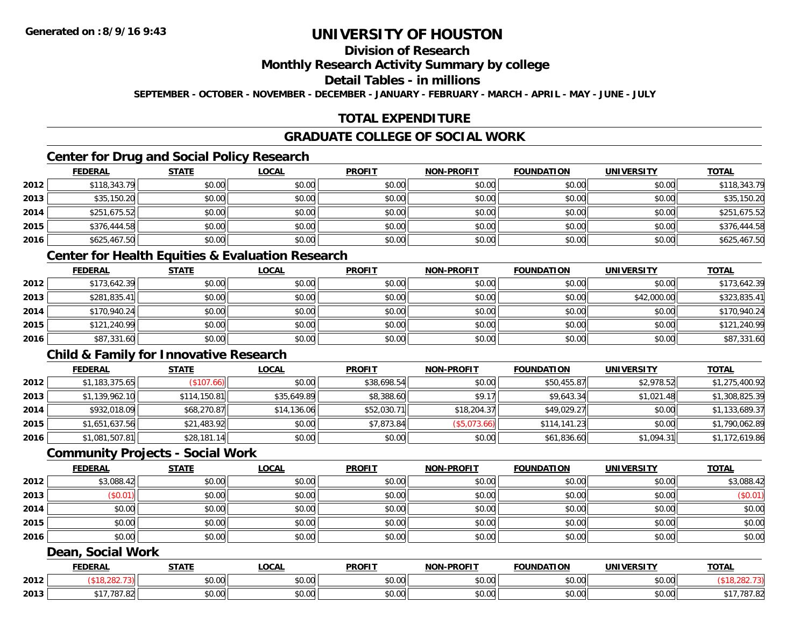## **Division of Research**

### **Monthly Research Activity Summary by college**

### **Detail Tables - in millions**

**SEPTEMBER - OCTOBER - NOVEMBER - DECEMBER - JANUARY - FEBRUARY - MARCH - APRIL - MAY - JUNE - JULY**

## **TOTAL EXPENDITURE**

### **GRADUATE COLLEGE OF SOCIAL WORK**

## **Center for Drug and Social Policy Research**

|      | <b>FEDERAL</b> | <b>STATE</b> | <u>LOCAL</u> | <b>PROFIT</b> | <b>NON-PROFIT</b> | <b>FOUNDATION</b> | <b>UNIVERSITY</b> | <b>TOTAL</b> |
|------|----------------|--------------|--------------|---------------|-------------------|-------------------|-------------------|--------------|
| 2012 | \$118,343.79   | \$0.00       | \$0.00       | \$0.00        | \$0.00            | \$0.00            | \$0.00            | \$118,343.79 |
| 2013 | \$35,150.20    | \$0.00       | \$0.00       | \$0.00        | \$0.00            | \$0.00            | \$0.00            | \$35,150.20  |
| 2014 | \$251,675.52   | \$0.00       | \$0.00       | \$0.00        | \$0.00            | \$0.00            | \$0.00            | \$251,675.52 |
| 2015 | \$376,444.58   | \$0.00       | \$0.00       | \$0.00        | \$0.00            | \$0.00            | \$0.00            | \$376,444.58 |
| 2016 | \$625,467.50   | \$0.00       | \$0.00       | \$0.00        | \$0.00            | \$0.00            | \$0.00            | \$625,467.50 |

### **Center for Health Equities & Evaluation Research**

|      | <b>FEDERAL</b> | <u>STATE</u> | <u>LOCAL</u> | <b>PROFIT</b> | <b>NON-PROFIT</b> | <b>FOUNDATION</b> | <b>UNIVERSITY</b> | <b>TOTAL</b> |
|------|----------------|--------------|--------------|---------------|-------------------|-------------------|-------------------|--------------|
| 2012 | \$173,642.39   | \$0.00       | \$0.00       | \$0.00        | \$0.00            | \$0.00            | \$0.00            | \$173,642.39 |
| 2013 | \$281,835.41   | \$0.00       | \$0.00       | \$0.00        | \$0.00            | \$0.00            | \$42,000.00       | \$323,835.41 |
| 2014 | \$170,940.24   | \$0.00       | \$0.00       | \$0.00        | \$0.00            | \$0.00            | \$0.00            | \$170,940.24 |
| 2015 | \$121,240.99   | \$0.00       | \$0.00       | \$0.00        | \$0.00            | \$0.00            | \$0.00            | \$121,240.99 |
| 2016 | \$87,331.60    | \$0.00       | \$0.00       | \$0.00        | \$0.00            | \$0.00            | \$0.00            | \$87,331.60  |

## **Child & Family for Innovative Research**

|      | <b>FEDERAL</b> | <b>STATE</b> | <u>LOCAL</u> | <b>PROFIT</b> | <b>NON-PROFIT</b> | <b>FOUNDATION</b> | <b>UNIVERSITY</b> | <b>TOTAL</b>   |
|------|----------------|--------------|--------------|---------------|-------------------|-------------------|-------------------|----------------|
| 2012 | \$1,183,375.65 | \$107.66     | \$0.00       | \$38,698.54   | \$0.00            | \$50,455.87       | \$2,978.52        | \$1,275,400.92 |
| 2013 | \$1,139,962.10 | \$114,150.81 | \$35,649.89  | \$8,388.60    | \$9.17            | \$9,643.34        | \$1,021.48        | \$1,308,825.39 |
| 2014 | \$932,018.09   | \$68,270.87  | \$14,136.06  | \$52,030.71   | \$18,204.37       | \$49,029.27       | \$0.00            | \$1,133,689.37 |
| 2015 | \$1.651.637.56 | \$21,483.92  | \$0.00       | \$7,873.84    | (\$5,073.66)      | \$114.141.23      | \$0.00            | \$1,790,062.89 |
| 2016 | \$1,081,507.81 | \$28,181.14  | \$0.00       | \$0.00        | \$0.00            | \$61,836.60       | \$1,094.31        | \$1,172,619.86 |

## **Community Projects - Social Work**

|      | <b>FEDERAL</b> | <b>STATE</b> | <u>LOCAL</u> | <b>PROFIT</b> | <b>NON-PROFIT</b> | <b>FOUNDATION</b> | <b>UNIVERSITY</b> | <b>TOTAL</b> |
|------|----------------|--------------|--------------|---------------|-------------------|-------------------|-------------------|--------------|
| 2012 | \$3,088.42     | \$0.00       | \$0.00       | \$0.00        | \$0.00            | \$0.00            | \$0.00            | \$3,088.42   |
| 2013 | (\$0.01)       | \$0.00       | \$0.00       | \$0.00        | \$0.00            | \$0.00            | \$0.00            | (\$0.01)     |
| 2014 | \$0.00         | \$0.00       | \$0.00       | \$0.00        | \$0.00            | \$0.00            | \$0.00            | \$0.00       |
| 2015 | \$0.00         | \$0.00       | \$0.00       | \$0.00        | \$0.00            | \$0.00            | \$0.00            | \$0.00       |
| 2016 | \$0.00         | \$0.00       | \$0.00       | \$0.00        | \$0.00            | \$0.00            | \$0.00            | \$0.00       |

#### **Dean, Social Work**

|      | <b>FEDERAL</b>         | <b>CTATI</b>                                          | .OCAL              | <b>PROFIT</b>  | <b>LDDOFIT</b><br><b>NION</b> | $\sim$<br><b>INDA</b> | `INIVF                    | <b>TOTAL</b> |
|------|------------------------|-------------------------------------------------------|--------------------|----------------|-------------------------------|-----------------------|---------------------------|--------------|
| 2012 |                        | $\mathsf{A} \cap \mathsf{A} \cap \mathsf{A}$<br>vv.vv | $\sim$ 00<br>vu.vu | 0.00<br>ູນບ.ບບ | \$0.00                        | vu.vu                 | $\sim$ $\sim$<br>vu.vu    |              |
| 2013 | $-2-$<br>$\sim$<br>، ت | $\sim$ 00<br>vv.vv                                    | $\sim$ 00<br>vu.uu | 0000<br>JU.UU  | \$0.00                        | JU.UU                 | $\sim$ 00<br><b>DU.UU</b> | 707<br>. / 0 |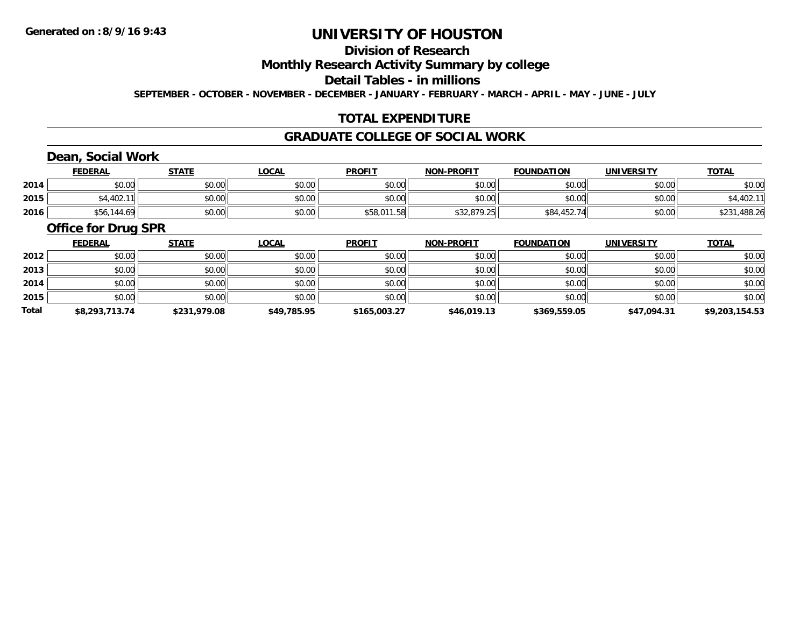## **Division of Research**

**Monthly Research Activity Summary by college**

**Detail Tables - in millions**

**SEPTEMBER - OCTOBER - NOVEMBER - DECEMBER - JANUARY - FEBRUARY - MARCH - APRIL - MAY - JUNE - JULY**

## **TOTAL EXPENDITURE**

### **GRADUATE COLLEGE OF SOCIAL WORK**

## **Dean, Social Work**

|      | <b>FEDERAL</b> | <b>STATE</b> | <u>_OCAL</u> | <b>PROFIT</b>     | <b>NON-PROFIT</b> | <b>FOUNDATION</b> | <b>UNIVERSITY</b> | <b>TOTAL</b>              |
|------|----------------|--------------|--------------|-------------------|-------------------|-------------------|-------------------|---------------------------|
| 2014 | ተ በ<br>PU.UU   | \$0.00       | \$0.00       | \$0.00            | \$0.00            | \$0.00            | \$0.00            | \$0.00                    |
| 2015 | \$4,402.11     | \$0.00       | \$0.00       | \$0.00            | \$0.00            | \$0.00            | \$0.00            | 1001<br>→+,402.+*         |
| 2016 | ∫56,144.69,    | \$0.00       | \$0.00       | \$58,011.<br>1.58 | \$32,879.25       | \$84,452.74       | \$0.00            | ,488.26<br>ሐ へ へ ィ<br>כ∠⊄ |

#### **Office for Drug SPR**

|       | <b>FEDERAL</b> | <b>STATE</b> | <b>LOCAL</b> | <b>PROFIT</b> | <b>NON-PROFIT</b> | <b>FOUNDATION</b> | <b>UNIVERSITY</b> | <b>TOTAL</b>   |
|-------|----------------|--------------|--------------|---------------|-------------------|-------------------|-------------------|----------------|
| 2012  | \$0.00         | \$0.00       | \$0.00       | \$0.00        | \$0.00            | \$0.00            | \$0.00            | \$0.00         |
| 2013  | \$0.00         | \$0.00       | \$0.00       | \$0.00        | \$0.00            | \$0.00            | \$0.00            | \$0.00         |
| 2014  | \$0.00         | \$0.00       | \$0.00       | \$0.00        | \$0.00            | \$0.00            | \$0.00            | \$0.00         |
| 2015  | \$0.00         | \$0.00       | \$0.00       | \$0.00        | \$0.00            | \$0.00            | \$0.00            | \$0.00         |
| Total | \$8,293,713.74 | \$231,979.08 | \$49,785.95  | \$165,003.27  | \$46,019.13       | \$369,559.05      | \$47,094.31       | \$9,203,154.53 |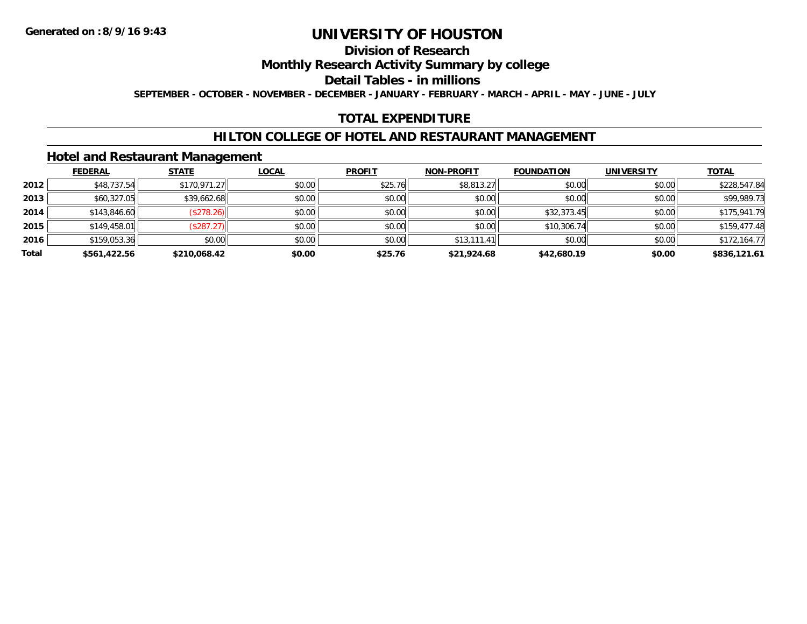## **Division of Research**

**Monthly Research Activity Summary by college**

**Detail Tables - in millions**

**SEPTEMBER - OCTOBER - NOVEMBER - DECEMBER - JANUARY - FEBRUARY - MARCH - APRIL - MAY - JUNE - JULY**

## **TOTAL EXPENDITURE**

## **HILTON COLLEGE OF HOTEL AND RESTAURANT MANAGEMENT**

### **Hotel and Restaurant Management**

|       | <b>FEDERAL</b> | <b>STATE</b> | <u>LOCAL</u> | <b>PROFIT</b> | <b>NON-PROFIT</b> | <b>FOUNDATION</b> | <b>UNIVERSITY</b> | <b>TOTAL</b> |
|-------|----------------|--------------|--------------|---------------|-------------------|-------------------|-------------------|--------------|
| 2012  | \$48,737.54    | \$170,971.27 | \$0.00       | \$25.76       | \$8,813.27        | \$0.00            | \$0.00            | \$228,547.84 |
| 2013  | \$60,327.05    | \$39,662.68  | \$0.00       | \$0.00        | \$0.00            | \$0.00            | \$0.00            | \$99,989.73  |
| 2014  | \$143,846.60   | (\$278.26)   | \$0.00       | \$0.00        | \$0.00            | \$32,373.45       | \$0.00            | \$175,941.79 |
| 2015  | \$149,458.01   | (\$287.27)   | \$0.00       | \$0.00        | \$0.00            | \$10,306.74       | \$0.00            | \$159,477.48 |
| 2016  | \$159,053.36   | \$0.00       | \$0.00       | \$0.00        | \$13,111.41       | \$0.00            | \$0.00            | \$172,164.77 |
| Total | \$561,422.56   | \$210,068.42 | \$0.00       | \$25.76       | \$21,924.68       | \$42,680.19       | \$0.00            | \$836,121.61 |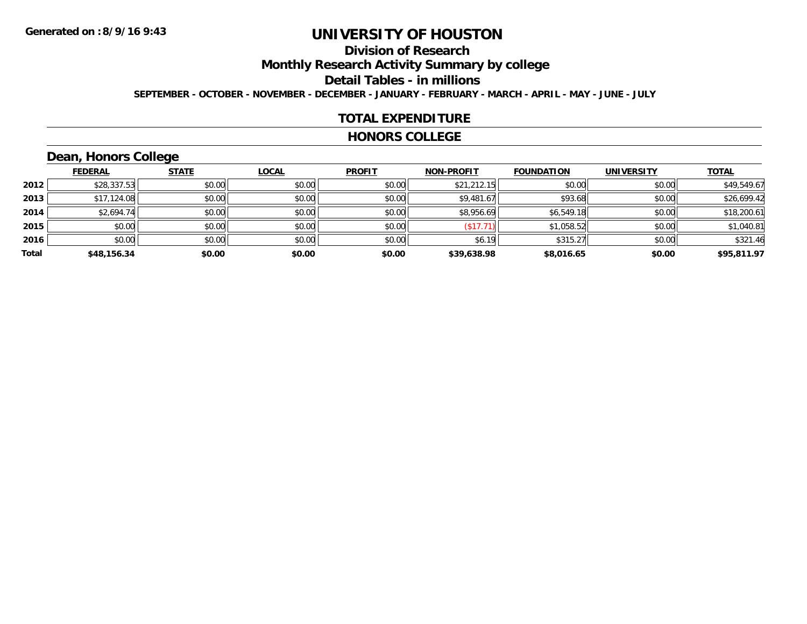## **Division of Research**

**Monthly Research Activity Summary by college**

**Detail Tables - in millions**

**SEPTEMBER - OCTOBER - NOVEMBER - DECEMBER - JANUARY - FEBRUARY - MARCH - APRIL - MAY - JUNE - JULY**

### **TOTAL EXPENDITURE**

#### **HONORS COLLEGE**

## **Dean, Honors College**

|       |                | $\sim$       |              |               |                   |                   |                   |              |
|-------|----------------|--------------|--------------|---------------|-------------------|-------------------|-------------------|--------------|
|       | <b>FEDERAL</b> | <b>STATE</b> | <b>LOCAL</b> | <b>PROFIT</b> | <b>NON-PROFIT</b> | <b>FOUNDATION</b> | <b>UNIVERSITY</b> | <b>TOTAL</b> |
| 2012  | \$28,337.53    | \$0.00       | \$0.00       | \$0.00        | \$21,212.15       | \$0.00            | \$0.00            | \$49,549.67  |
| 2013  | \$17,124.08    | \$0.00       | \$0.00       | \$0.00        | \$9,481.67        | \$93.68           | \$0.00            | \$26,699.42  |
| 2014  | \$2,694.74     | \$0.00       | \$0.00       | \$0.00        | \$8,956.69        | \$6,549.18        | \$0.00            | \$18,200.61  |
| 2015  | \$0.00         | \$0.00       | \$0.00       | \$0.00        | \$17.71           | \$1,058.52        | \$0.00            | \$1,040.81   |
| 2016  | \$0.00         | \$0.00       | \$0.00       | \$0.00        | \$6.19            | \$315.27          | \$0.00            | \$321.46     |
| Total | \$48,156.34    | \$0.00       | \$0.00       | \$0.00        | \$39,638.98       | \$8,016.65        | \$0.00            | \$95,811.97  |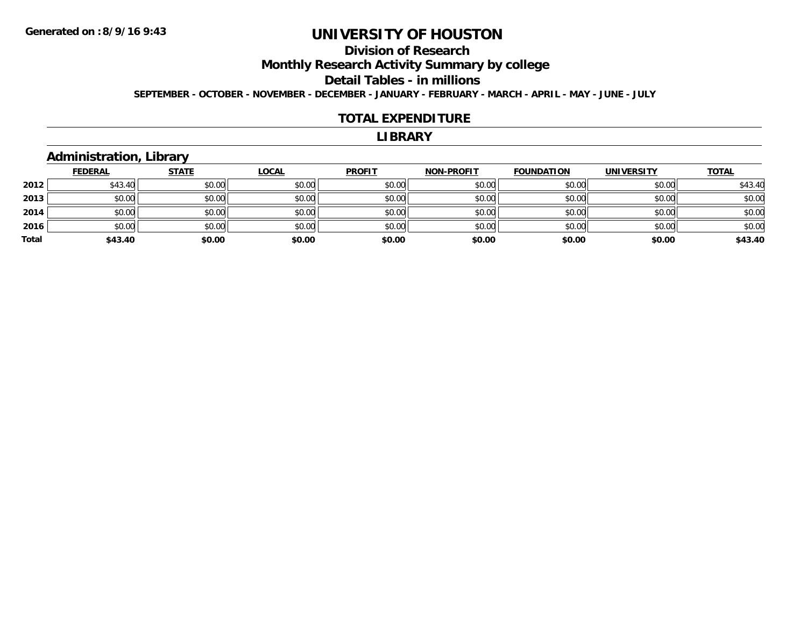## **Division of Research**

**Monthly Research Activity Summary by college**

**Detail Tables - in millions**

**SEPTEMBER - OCTOBER - NOVEMBER - DECEMBER - JANUARY - FEBRUARY - MARCH - APRIL - MAY - JUNE - JULY**

#### **TOTAL EXPENDITURE**

#### **LIBRARY**

## **Administration, Library**

|       | <b>FEDERAL</b> | <b>STATE</b> | <u>LOCAL</u> | <b>PROFIT</b> | <b>NON-PROFIT</b> | <b>FOUNDATION</b> | <b>UNIVERSITY</b> | <b>TOTAL</b> |
|-------|----------------|--------------|--------------|---------------|-------------------|-------------------|-------------------|--------------|
| 2012  | \$43.40        | \$0.00       | \$0.00       | \$0.00        | \$0.00            | \$0.00            | \$0.00            | \$43.40      |
| 2013  | \$0.00         | \$0.00       | \$0.00       | \$0.00        | \$0.00            | \$0.00            | \$0.00            | \$0.00       |
| 2014  | \$0.00         | \$0.00       | \$0.00       | \$0.00        | \$0.00            | \$0.00            | \$0.00            | \$0.00       |
| 2016  | \$0.00         | \$0.00       | \$0.00       | \$0.00        | \$0.00            | \$0.00            | \$0.00            | \$0.00       |
| Total | \$43.40        | \$0.00       | \$0.00       | \$0.00        | \$0.00            | \$0.00            | \$0.00            | \$43.40      |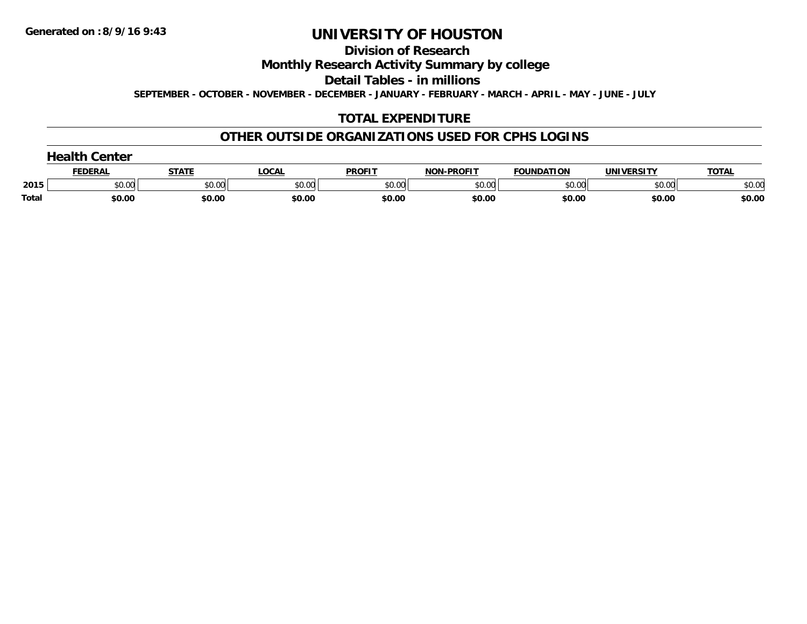**Division of Research**

**Monthly Research Activity Summary by college**

**Detail Tables - in millions**

**SEPTEMBER - OCTOBER - NOVEMBER - DECEMBER - JANUARY - FEBRUARY - MARCH - APRIL - MAY - JUNE - JULY**

## **TOTAL EXPENDITURE**

## **OTHER OUTSIDE ORGANIZATIONS USED FOR CPHS LOGINS**

|       | $\overline{a}$ dealth $\overline{a}$<br>Center |        |        |               |                   |                   |                   |              |  |  |  |  |
|-------|------------------------------------------------|--------|--------|---------------|-------------------|-------------------|-------------------|--------------|--|--|--|--|
|       | <b>FEDERAL</b>                                 | STATE  | LOCAL  | <b>PROFIT</b> | <b>NON-PROFIT</b> | <b>FOUNDATION</b> | <b>UNIVERSITY</b> | <b>TOTAL</b> |  |  |  |  |
| 2015  | \$0.00                                         | \$0.00 | \$0.00 | \$0.00        | \$0.00            | \$0.00            | \$0.00            | \$0.00       |  |  |  |  |
| Total | \$0.00                                         | \$0.00 | \$0.00 | \$0.00        | \$0.00            | \$0.00            | \$0.00            | \$0.00       |  |  |  |  |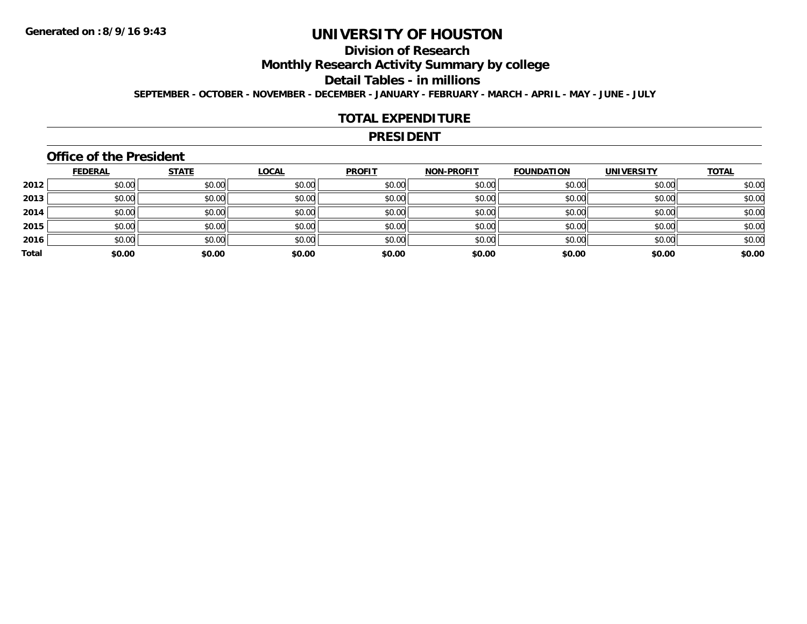## **Division of Research**

**Monthly Research Activity Summary by college**

**Detail Tables - in millions**

**SEPTEMBER - OCTOBER - NOVEMBER - DECEMBER - JANUARY - FEBRUARY - MARCH - APRIL - MAY - JUNE - JULY**

### **TOTAL EXPENDITURE**

#### **PRESIDENT**

### **Office of the President**

|       | <b>FEDERAL</b> | <b>STATE</b> | <b>LOCAL</b> | <b>PROFIT</b> | <b>NON-PROFIT</b> | <b>FOUNDATION</b> | <b>UNIVERSITY</b> | <b>TOTAL</b> |
|-------|----------------|--------------|--------------|---------------|-------------------|-------------------|-------------------|--------------|
| 2012  | \$0.00         | \$0.00       | \$0.00       | \$0.00        | \$0.00            | \$0.00            | \$0.00            | \$0.00       |
| 2013  | \$0.00         | \$0.00       | \$0.00       | \$0.00        | \$0.00            | \$0.00            | \$0.00            | \$0.00       |
| 2014  | \$0.00         | \$0.00       | \$0.00       | \$0.00        | \$0.00            | \$0.00            | \$0.00            | \$0.00       |
| 2015  | \$0.00         | \$0.00       | \$0.00       | \$0.00        | \$0.00            | \$0.00            | \$0.00            | \$0.00       |
| 2016  | \$0.00         | \$0.00       | \$0.00       | \$0.00        | \$0.00            | \$0.00            | \$0.00            | \$0.00       |
| Total | \$0.00         | \$0.00       | \$0.00       | \$0.00        | \$0.00            | \$0.00            | \$0.00            | \$0.00       |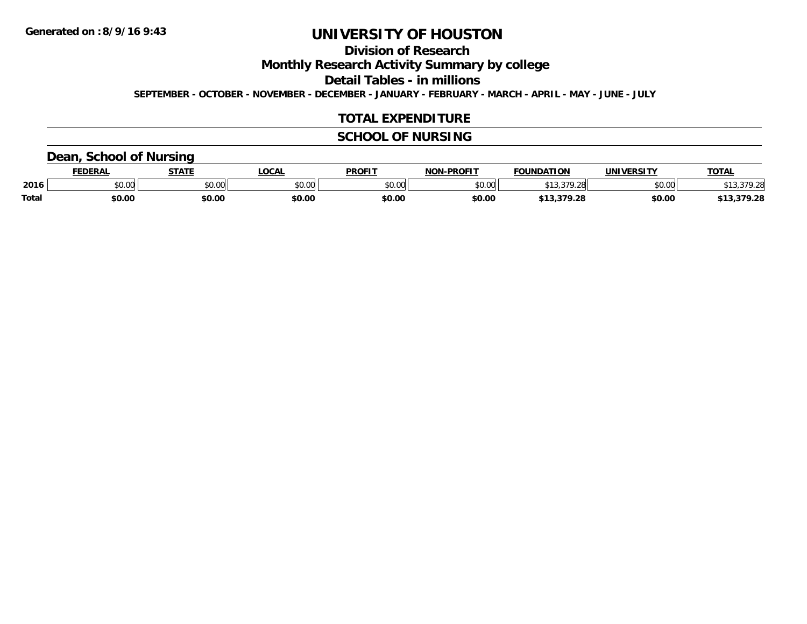**Division of Research**

**Monthly Research Activity Summary by college**

**Detail Tables - in millions**

**SEPTEMBER - OCTOBER - NOVEMBER - DECEMBER - JANUARY - FEBRUARY - MARCH - APRIL - MAY - JUNE - JULY**

## **TOTAL EXPENDITURE**

## **SCHOOL OF NURSING**

## **Dean, School of Nursing**

|              | <b>FEDERAL</b> | <b>STATE</b>  | <b>.OCAL</b> | <b>PROFIT</b> | <b>I-PROFIT</b><br><b>NION'</b> | <b>FOUNDATION</b>                                                                                      | UNIVERSITY | TOTA.      |
|--------------|----------------|---------------|--------------|---------------|---------------------------------|--------------------------------------------------------------------------------------------------------|------------|------------|
| 2016         | \$0.00         | 0.00<br>vu.vu | \$0.00       | \$0.00        | \$0.00                          | $\begin{array}{c} \hline \text{A} & \text{A} & \text{A} & \text{A} \\ \hline \end{array}$<br>1.ZC<br>. | \$0.00     | 13,379.28  |
| <b>Total</b> | \$0.00         | \$0.00        | \$0.00       | \$0.00        | \$0.00                          | 379.28<br>A                                                                                            | \$0.00     | 13,379.28ء |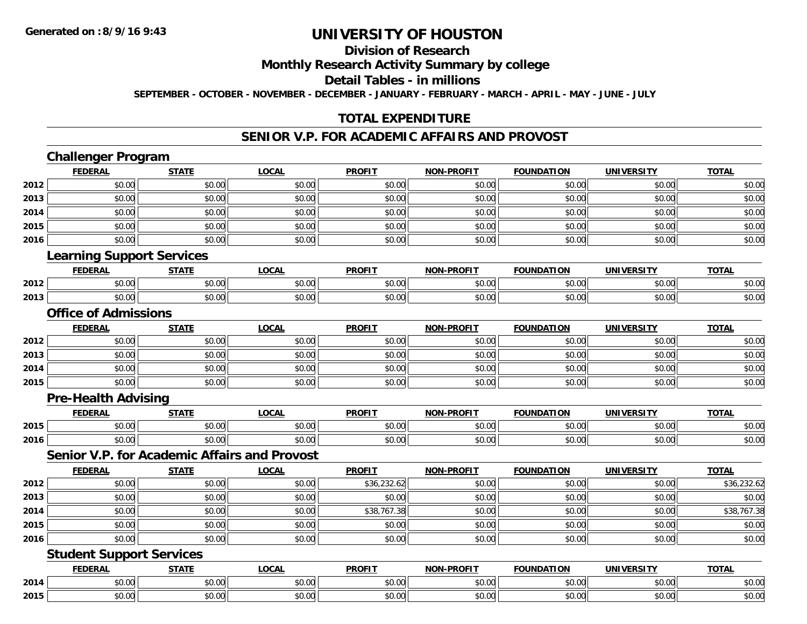### **Division of Research**

**Monthly Research Activity Summary by college**

**Detail Tables - in millions**

**SEPTEMBER - OCTOBER - NOVEMBER - DECEMBER - JANUARY - FEBRUARY - MARCH - APRIL - MAY - JUNE - JULY**

## **TOTAL EXPENDITURE**

### **SENIOR V.P. FOR ACADEMIC AFFAIRS AND PROVOST**

**TOTAL** 

**TOTAL** 

#### **Challenger Program FEDERAL STATE LOCAL PROFIT NON-PROFIT FOUNDATION UNIVERSITY TOTAL2012**2 | \$0.00 \$0.00 \$0.00 \$0.00 \$0.00 \$0.00 \$0.00 \$0.00 \$0.00 \$0.00 \$0.00 \$0.00 \$0.00 \$0.00 \$0.00 \$0.00 \$0.00 **2013** \$0.00 \$0.00 \$0.00 \$0.00 \$0.00 \$0.00 \$0.00 \$0.00 **2014**4 \$0.00 \$0.00 \$0.00 \$0.00 \$0.00 \$0.00 \$0.00 \$0.00 \$0.00 \$0.00 \$0.00 \$0.00 \$0.00 \$0.00 \$0.00 \$0.00 \$0.00 **2015** \$0.00 \$0.00 \$0.00 \$0.00 \$0.00 \$0.00 \$0.00 \$0.00 **2016** \$0.00 \$0.00 \$0.00 \$0.00 \$0.00 \$0.00 \$0.00 \$0.00 **Learning Support Services FEDERAL STATE LOCAL PROFIT NON-PROFIT FOUNDATION UNIVERSITY TOTAL2012**2 | \$0.00 \$0.00 \$0.00 \$0.00 \$0.00 \$0.00 \$0.00 \$0.00 \$0.00 \$0.00 \$0.00 \$0.00 \$0.00 \$0.00 \$0.00 \$0.00 \$0.00 **2013** \$0.00 \$0.00 \$0.00 \$0.00 \$0.00 \$0.00 \$0.00 \$0.00 **Office of AdmissionsFEDERAL STATE LOCAL PROFIT NON-PROFIT FOUNDATION UNIVERSITY TOTAL2012**2 | \$0.00 \$0.00 \$0.00 \$0.00 \$0.00 \$0.00 \$0.00 \$0.00 \$0.00 \$0.00 \$0.00 \$0.00 \$0.00 \$0.00 \$0.00 \$0.00 \$0.00 **2013** \$0.00 \$0.00 \$0.00 \$0.00 \$0.00 \$0.00 \$0.00 \$0.00 **2014**4 \$0.00 \$0.00 \$0.00 \$0.00 \$0.00 \$0.00 \$0.00 \$0.00 \$0.00 \$0.00 \$0.00 \$0.00 \$0.00 \$0.00 \$0.00 \$0.00 \$0.00 **2015** \$0.00 \$0.00 \$0.00 \$0.00 \$0.00 \$0.00 \$0.00 \$0.00 **Pre-Health Advising FEDERAL STATE LOCAL PROFIT NON-PROFIT FOUNDATION UNIVERSITY TOTAL2015** \$0.00 \$0.00 \$0.00 \$0.00 \$0.00 \$0.00 \$0.00 \$0.00 **2016** \$0.00 \$0.00 \$0.00 \$0.00 \$0.00 \$0.00 \$0.00 \$0.00 **Senior V.P. for Academic Affairs and ProvostFEDERAL STATE LOCAL PROFIT NON-PROFIT FOUNDATION UNIVERSITY TOTAL2012**2 | \$0.00| \$0.00| \$0.00| \$36,232.62 | \$0.00 | \$0.00 | \$36,232.62 **2013** \$0.00 \$0.00 \$0.00 \$0.00 \$0.00 \$0.00 \$0.00 \$0.00 **2014**4 \$0.00 \$0.00 \$0.00 \$0.00 \$0.00 \$0.00 \$38,767.38 \$0.00 \$0.00 \$0.00 \$0.00 \$0.00 \$0.00 \$38,767.38 **2015** \$0.00 \$0.00 \$0.00 \$0.00 \$0.00 \$0.00 \$0.00 \$0.00 **2016**\$0.00 \$0.00 \$0.00 \$0.00 \$0.00 \$0.00 \$0.00 \$0.00

### **Student Support Services**

|      | <b>FEDERAL</b>               | <b>CTATE</b><br>JIAII | <b>LOCAL</b>                 | <b>PROFIT</b>  | $-DDOEIT$<br><b>MAN</b>             | <b>FOUNDATION</b> | <b>UNIVERSITY</b>      | <b>TOTAL</b>           |
|------|------------------------------|-----------------------|------------------------------|----------------|-------------------------------------|-------------------|------------------------|------------------------|
| 2014 | 0 <sup>n</sup><br>v.vu       | 0000<br>DU.UU         | ት ヘ<br>$\sim$<br>JU.UU       | ტი იი<br>JU.UU | $\sim$ $\sim$<br>pu.uu              | \$0.00            | $\sim$ $\sim$<br>vv.vv | $\sim$ $\sim$<br>JU.UU |
| 2015 | $\uparrow$ $\uparrow$<br>,uu | 0000<br>DU.UU         | ሖጣ<br>$\sim$ $\sim$<br>vv.vv | ტი იი<br>JU.UU | $\uparrow$ $\land$ $\land$<br>pv.uu | \$0.00            | $\sim$ $\sim$<br>vv.vv | $\cdots$<br>JU.UU      |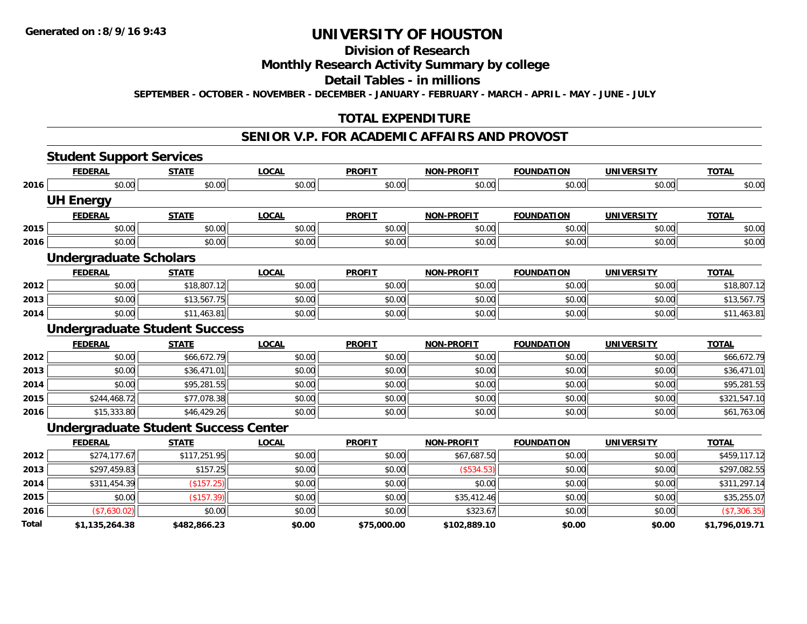## **Division of Research**

## **Monthly Research Activity Summary by college**

#### **Detail Tables - in millions**

**SEPTEMBER - OCTOBER - NOVEMBER - DECEMBER - JANUARY - FEBRUARY - MARCH - APRIL - MAY - JUNE - JULY**

## **TOTAL EXPENDITURE**

#### **SENIOR V.P. FOR ACADEMIC AFFAIRS AND PROVOST**

|       | <b>Student Support Services</b> |                                             |              |               |                   |                   |                   |                |
|-------|---------------------------------|---------------------------------------------|--------------|---------------|-------------------|-------------------|-------------------|----------------|
|       | <b>FEDERAL</b>                  | <b>STATE</b>                                | <b>LOCAL</b> | <b>PROFIT</b> | <b>NON-PROFIT</b> | <b>FOUNDATION</b> | <b>UNIVERSITY</b> | <b>TOTAL</b>   |
| 2016  | \$0.00                          | \$0.00                                      | \$0.00       | \$0.00        | \$0.00            | \$0.00            | \$0.00            | \$0.00         |
|       | <b>UH Energy</b>                |                                             |              |               |                   |                   |                   |                |
|       | <b>FEDERAL</b>                  | <b>STATE</b>                                | <b>LOCAL</b> | <b>PROFIT</b> | <b>NON-PROFIT</b> | <b>FOUNDATION</b> | <b>UNIVERSITY</b> | <b>TOTAL</b>   |
| 2015  | \$0.00                          | \$0.00                                      | \$0.00       | \$0.00        | \$0.00            | \$0.00            | \$0.00            | \$0.00         |
| 2016  | \$0.00                          | \$0.00                                      | \$0.00       | \$0.00        | \$0.00            | \$0.00            | \$0.00            | \$0.00         |
|       | <b>Undergraduate Scholars</b>   |                                             |              |               |                   |                   |                   |                |
|       | <b>FEDERAL</b>                  | <b>STATE</b>                                | <b>LOCAL</b> | <b>PROFIT</b> | <b>NON-PROFIT</b> | <b>FOUNDATION</b> | <b>UNIVERSITY</b> | <b>TOTAL</b>   |
| 2012  | \$0.00                          | \$18,807.12                                 | \$0.00       | \$0.00        | \$0.00            | \$0.00            | \$0.00            | \$18,807.12    |
| 2013  | \$0.00                          | \$13,567.75                                 | \$0.00       | \$0.00        | \$0.00            | \$0.00            | \$0.00            | \$13,567.75    |
| 2014  | \$0.00                          | \$11,463.81                                 | \$0.00       | \$0.00        | \$0.00            | \$0.00            | \$0.00            | \$11,463.81    |
|       |                                 | <b>Undergraduate Student Success</b>        |              |               |                   |                   |                   |                |
|       | <b>FEDERAL</b>                  | <b>STATE</b>                                | <b>LOCAL</b> | <b>PROFIT</b> | <b>NON-PROFIT</b> | <b>FOUNDATION</b> | <b>UNIVERSITY</b> | <b>TOTAL</b>   |
| 2012  | \$0.00                          | \$66,672.79                                 | \$0.00       | \$0.00        | \$0.00            | \$0.00            | \$0.00            | \$66,672.79    |
| 2013  | \$0.00                          | \$36,471.01                                 | \$0.00       | \$0.00        | \$0.00            | \$0.00            | \$0.00            | \$36,471.01    |
| 2014  | \$0.00                          | \$95,281.55                                 | \$0.00       | \$0.00        | \$0.00            | \$0.00            | \$0.00            | \$95,281.55    |
| 2015  | \$244,468.72                    | \$77,078.38                                 | \$0.00       | \$0.00        | \$0.00            | \$0.00            | \$0.00            | \$321,547.10   |
| 2016  | \$15,333.80                     | \$46,429.26                                 | \$0.00       | \$0.00        | \$0.00            | \$0.00            | \$0.00            | \$61,763.06    |
|       |                                 | <b>Undergraduate Student Success Center</b> |              |               |                   |                   |                   |                |
|       | <b>FEDERAL</b>                  | <b>STATE</b>                                | <b>LOCAL</b> | <b>PROFIT</b> | <b>NON-PROFIT</b> | <b>FOUNDATION</b> | <b>UNIVERSITY</b> | <b>TOTAL</b>   |
| 2012  | \$274,177.67                    | \$117,251.95                                | \$0.00       | \$0.00        | \$67,687.50       | \$0.00            | \$0.00            | \$459,117.12   |
| 2013  | \$297,459.83                    | \$157.25                                    | \$0.00       | \$0.00        | (\$534.53)        | \$0.00            | \$0.00            | \$297,082.55   |
| 2014  | \$311,454.39                    | (\$157.25)                                  | \$0.00       | \$0.00        | \$0.00            | \$0.00            | \$0.00            | \$311,297.14   |
| 2015  | \$0.00                          | (\$157.39)                                  | \$0.00       | \$0.00        | \$35,412.46       | \$0.00            | \$0.00            | \$35,255.07    |
| 2016  | (\$7,630.02)                    | \$0.00                                      | \$0.00       | \$0.00        | \$323.67          | \$0.00            | \$0.00            | (\$7,306.35)   |
| Total | \$1,135,264.38                  | \$482,866.23                                | \$0.00       | \$75,000.00   | \$102,889.10      | \$0.00            | \$0.00            | \$1,796,019.71 |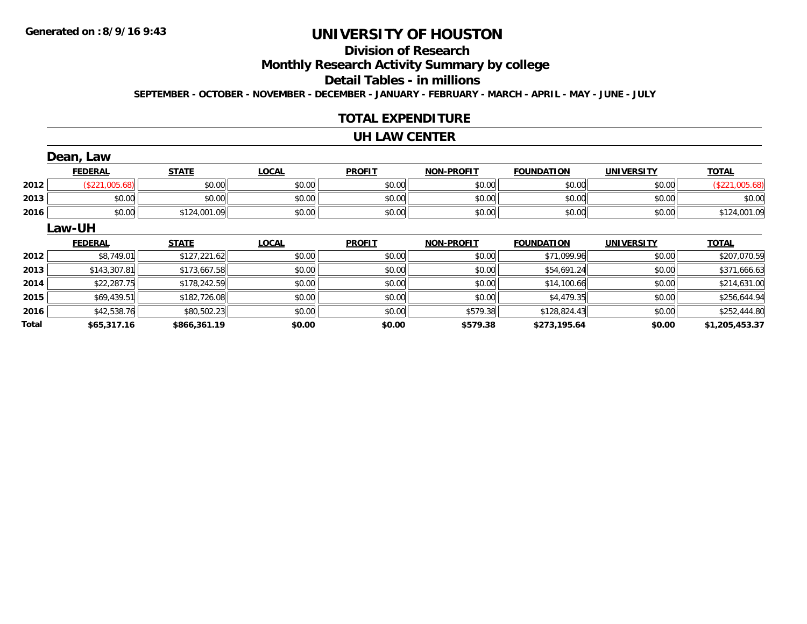## **Division of Research**

**Monthly Research Activity Summary by college**

**Detail Tables - in millions**

**SEPTEMBER - OCTOBER - NOVEMBER - DECEMBER - JANUARY - FEBRUARY - MARCH - APRIL - MAY - JUNE - JULY**

### **TOTAL EXPENDITURE**

#### **UH LAW CENTER**

|       | Dean, Law      |              |              |               |                   |                   |                   |                |
|-------|----------------|--------------|--------------|---------------|-------------------|-------------------|-------------------|----------------|
|       | <b>FEDERAL</b> | <b>STATE</b> | <b>LOCAL</b> | <b>PROFIT</b> | <b>NON-PROFIT</b> | <b>FOUNDATION</b> | <b>UNIVERSITY</b> | <b>TOTAL</b>   |
| 2012  | (\$221,005.68) | \$0.00       | \$0.00       | \$0.00        | \$0.00            | \$0.00            | \$0.00            | (\$221,005.68) |
| 2013  | \$0.00         | \$0.00       | \$0.00       | \$0.00        | \$0.00            | \$0.00            | \$0.00            | \$0.00         |
| 2016  | \$0.00         | \$124,001.09 | \$0.00       | \$0.00        | \$0.00            | \$0.00            | \$0.00            | \$124,001.09   |
|       | Law-UH         |              |              |               |                   |                   |                   |                |
|       | <b>FEDERAL</b> | <b>STATE</b> | <b>LOCAL</b> | <b>PROFIT</b> | <b>NON-PROFIT</b> | <b>FOUNDATION</b> | <b>UNIVERSITY</b> | <b>TOTAL</b>   |
| 2012  | \$8,749.01     | \$127,221.62 | \$0.00       | \$0.00        | \$0.00            | \$71,099.96       | \$0.00            | \$207,070.59   |
| 2013  | \$143,307.81   | \$173,667.58 | \$0.00       | \$0.00        | \$0.00            | \$54,691.24       | \$0.00            | \$371,666.63   |
| 2014  | \$22,287.75    | \$178,242.59 | \$0.00       | \$0.00        | \$0.00            | \$14,100.66       | \$0.00            | \$214,631.00   |
| 2015  | \$69,439.51    | \$182,726.08 | \$0.00       | \$0.00        | \$0.00            | \$4,479.35        | \$0.00            | \$256,644.94   |
| 2016  | \$42,538.76    | \$80,502.23  | \$0.00       | \$0.00        | \$579.38          | \$128,824.43      | \$0.00            | \$252,444.80   |
| Total | \$65,317.16    | \$866,361.19 | \$0.00       | \$0.00        | \$579.38          | \$273,195.64      | \$0.00            | \$1,205,453.37 |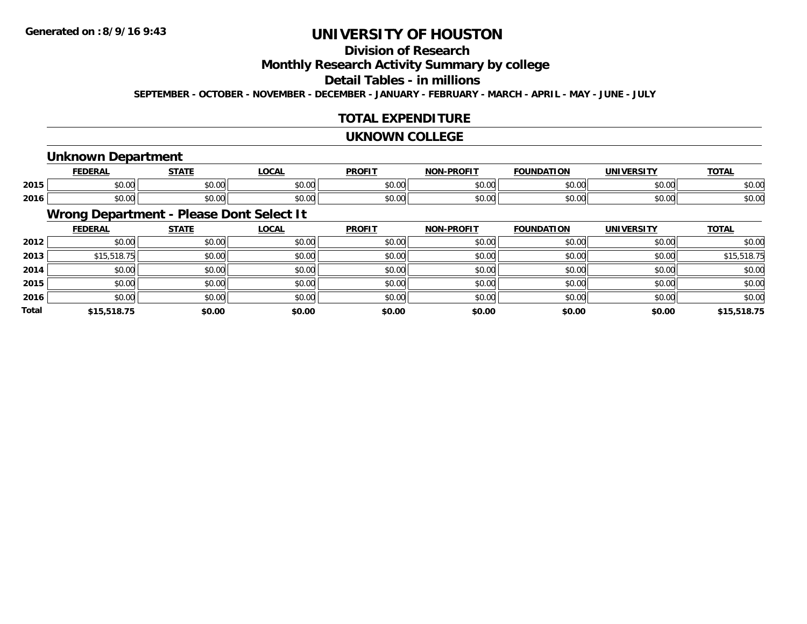## **Division of Research**

**Monthly Research Activity Summary by college**

**Detail Tables - in millions**

**SEPTEMBER - OCTOBER - NOVEMBER - DECEMBER - JANUARY - FEBRUARY - MARCH - APRIL - MAY - JUNE - JULY**

## **TOTAL EXPENDITURE**

#### **UKNOWN COLLEGE**

### **Unknown Department**

|      | <b>FEDERAI</b>                       | <b>CTATE</b>  | 00 <sub>n</sub>        | <b>PROFIT</b> | <b>DDOEL1</b><br><b>MAR</b> | ΓΙΟΝ<br>IΊΔ   | UNIVERSITY | <b>TOTAL</b> |
|------|--------------------------------------|---------------|------------------------|---------------|-----------------------------|---------------|------------|--------------|
| 2015 | ሶስ ሰሰ<br>JU.UU                       | 0.00<br>JU.UU | $\sim$ $\sim$<br>JU.UU | 0000<br>JU.UU | 0.00<br>וטטוע               | 0000<br>DU.UU | \$0.00     | \$0.00       |
| 2016 | $*$ $\circ$ $\circ$ $\circ$<br>JU.UU | 0000<br>JU.UU | JU.UU                  | 0000<br>JU.UU | $\sim$ 00<br>DU.UU          | \$0.00        | \$0.00     | \$0.00       |

## **Wrong Department - Please Dont Select It**

|              | <b>FEDERAL</b> | <b>STATE</b> | <b>LOCAL</b> | <b>PROFIT</b> | <b>NON-PROFIT</b> | <b>FOUNDATION</b> | <b>UNIVERSITY</b> | <b>TOTAL</b> |
|--------------|----------------|--------------|--------------|---------------|-------------------|-------------------|-------------------|--------------|
| 2012         | \$0.00         | \$0.00       | \$0.00       | \$0.00        | \$0.00            | \$0.00            | \$0.00            | \$0.00       |
| 2013         | \$15,518.75    | \$0.00       | \$0.00       | \$0.00        | \$0.00            | \$0.00            | \$0.00            | \$15,518.75  |
| 2014         | \$0.00         | \$0.00       | \$0.00       | \$0.00        | \$0.00            | \$0.00            | \$0.00            | \$0.00       |
| 2015         | \$0.00         | \$0.00       | \$0.00       | \$0.00        | \$0.00            | \$0.00            | \$0.00            | \$0.00       |
| 2016         | \$0.00         | \$0.00       | \$0.00       | \$0.00        | \$0.00            | \$0.00            | \$0.00            | \$0.00       |
| <b>Total</b> | \$15,518.75    | \$0.00       | \$0.00       | \$0.00        | \$0.00            | \$0.00            | \$0.00            | \$15,518.75  |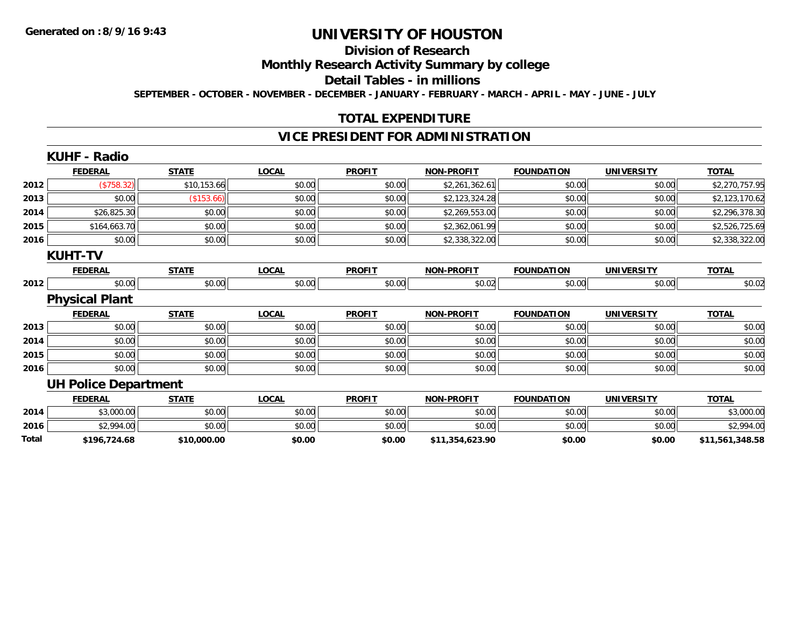## **Division of Research**

**Monthly Research Activity Summary by college**

**Detail Tables - in millions**

**SEPTEMBER - OCTOBER - NOVEMBER - DECEMBER - JANUARY - FEBRUARY - MARCH - APRIL - MAY - JUNE - JULY**

## **TOTAL EXPENDITURE**

### **VICE PRESIDENT FOR ADMINISTRATION**

| <b>FEDERAL</b> | <b>STATE</b>                                                   | <b>LOCAL</b>                                                                                                                                 | <b>PROFIT</b>    | <b>NON-PROFIT</b> | <b>FOUNDATION</b> | <b>UNIVERSITY</b> | <b>TOTAL</b>    |
|----------------|----------------------------------------------------------------|----------------------------------------------------------------------------------------------------------------------------------------------|------------------|-------------------|-------------------|-------------------|-----------------|
|                | \$10,153.66                                                    | \$0.00                                                                                                                                       | \$0.00           | \$2,261,362.61    | \$0.00            | \$0.00            | \$2,270,757.95  |
| \$0.00         | (\$153.66)                                                     | \$0.00                                                                                                                                       | \$0.00           | \$2,123,324.28    | \$0.00            | \$0.00            | \$2,123,170.62  |
|                | \$0.00                                                         | \$0.00                                                                                                                                       | \$0.00           | \$2,269,553.00    | \$0.00            | \$0.00            | \$2,296,378.30  |
|                | \$0.00                                                         | \$0.00                                                                                                                                       | \$0.00           | \$2,362,061.99    | \$0.00            | \$0.00            | \$2,526,725.69  |
|                |                                                                | \$0.00                                                                                                                                       | \$0.00           | \$2,338,322.00    | \$0.00            | \$0.00            | \$2,338,322.00  |
|                |                                                                |                                                                                                                                              |                  |                   |                   |                   |                 |
| <b>FEDERAL</b> | <b>STATE</b>                                                   | <b>LOCAL</b>                                                                                                                                 | <b>PROFIT</b>    | <b>NON-PROFIT</b> | <b>FOUNDATION</b> | <b>UNIVERSITY</b> | <b>TOTAL</b>    |
|                |                                                                | \$0.00                                                                                                                                       | \$0.00           | \$0.02            | \$0.00            | \$0.00            | \$0.02          |
|                |                                                                |                                                                                                                                              |                  |                   |                   |                   |                 |
| <b>FEDERAL</b> | <b>STATE</b>                                                   | <b>LOCAL</b>                                                                                                                                 | <b>PROFIT</b>    | <b>NON-PROFIT</b> | <b>FOUNDATION</b> | <b>UNIVERSITY</b> | <b>TOTAL</b>    |
|                | \$0.00                                                         | \$0.00                                                                                                                                       | \$0.00           | \$0.00            | \$0.00            | \$0.00            | \$0.00          |
|                | \$0.00                                                         | \$0.00                                                                                                                                       | \$0.00           | \$0.00            | \$0.00            | \$0.00            | \$0.00          |
| \$0.00         | \$0.00                                                         | \$0.00                                                                                                                                       | \$0.00           | \$0.00            | \$0.00            | \$0.00            | \$0.00          |
| \$0.00         | \$0.00                                                         | \$0.00                                                                                                                                       | \$0.00           | \$0.00            | \$0.00            | \$0.00            | \$0.00          |
|                |                                                                |                                                                                                                                              |                  |                   |                   |                   |                 |
| <b>FEDERAL</b> | <b>STATE</b>                                                   | <b>LOCAL</b>                                                                                                                                 | <b>PROFIT</b>    | <b>NON-PROFIT</b> | <b>FOUNDATION</b> | <b>UNIVERSITY</b> | <b>TOTAL</b>    |
|                | \$0.00                                                         | \$0.00                                                                                                                                       | \$0.00           | \$0.00            | \$0.00            | \$0.00            | \$3,000.00      |
|                | \$0.00                                                         | \$0.00                                                                                                                                       | \$0.00           | \$0.00            | \$0.00            | \$0.00            | \$2,994.00      |
| \$196,724.68   | \$10,000.00                                                    | \$0.00                                                                                                                                       | \$0.00           | \$11,354,623.90   | \$0.00            | \$0.00            | \$11,561,348.58 |
|                | <b>KUHF - Radio</b><br><b>KUHT-TV</b><br><b>Physical Plant</b> | (\$758.32)<br>\$26,825.30<br>\$164,663.70<br>\$0.00<br>\$0.00<br>\$0.00<br>\$0.00<br><b>UH Police Department</b><br>\$3,000.00<br>\$2,994.00 | \$0.00<br>\$0.00 |                   |                   |                   |                 |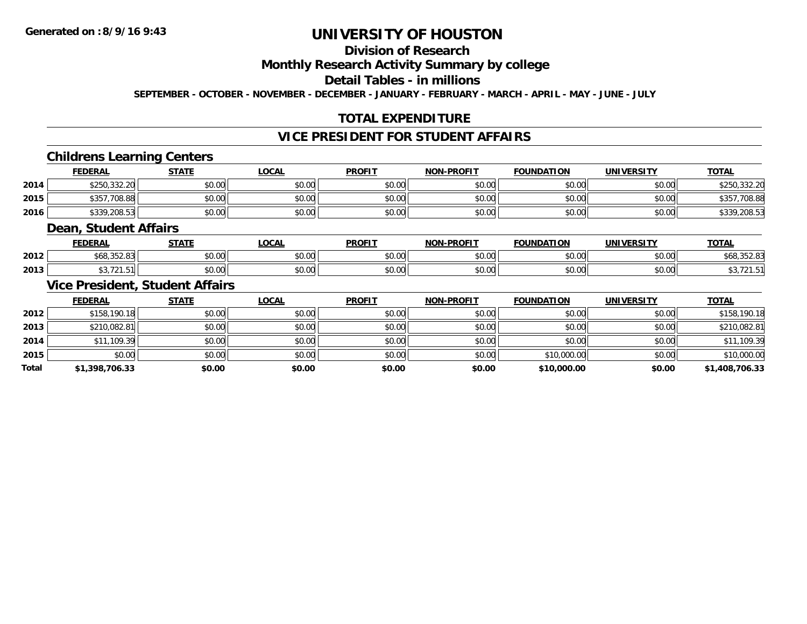## **Division of Research**

## **Monthly Research Activity Summary by college**

### **Detail Tables - in millions**

**SEPTEMBER - OCTOBER - NOVEMBER - DECEMBER - JANUARY - FEBRUARY - MARCH - APRIL - MAY - JUNE - JULY**

## **TOTAL EXPENDITURE**

## **VICE PRESIDENT FOR STUDENT AFFAIRS**

### **Childrens Learning Centers**

|      | <b>FEDERAL</b>   | <b>STATE</b> | <u>LOCAL</u> | <b>PROFIT</b> | <b>NON-PROFIT</b> | <b>FOUNDATION</b> | UNIVERSITY | <b>TOTAL</b>     |
|------|------------------|--------------|--------------|---------------|-------------------|-------------------|------------|------------------|
| 2014 | \$250,332.20     | \$0.00       | \$0.00       | \$0.00        | \$0.00            | \$0.00            | \$0.00     | 332.20           |
| 2015 | \$357<br>,708.88 | \$0.00       | \$0.00       | \$0.00        | \$0.00            | \$0.00            | \$0.00     | 708.88<br>\$357  |
| 2016 | \$339,208.53     | \$0.00       | \$0.00       | \$0.00        | \$0.00            | \$0.00            | \$0.00     | ,208.53<br>\$339 |

#### **Dean, Student Affairs**

|      | <b>FEDERAL</b>                                | <b>CTATE</b><br>,,,, | <b>LOCAL</b> | <b>PROFIT</b>           | -PROFIT<br>NON- | <b>FOUNDATION</b>       | UNIVERSITY | <b>TOTAL</b> |
|------|-----------------------------------------------|----------------------|--------------|-------------------------|-----------------|-------------------------|------------|--------------|
| 2012 | $\sim$ $\sim$ $\sim$<br>$\sim$<br>,,,,,,,,,,, | 0000<br>vu.vu        | \$0.00       | 0 <sub>n</sub><br>JU.UL | 0000<br>vv.vv   | $n \cap \Omega$<br>u.uu | \$0.00     | PUU,JJZ.UJ   |
| 2013 | $\sim$ $\sim$ $\sim$                          | 0000<br>JU.UU        | \$0.00       | 0000<br>JU.UL           | 0000<br>vu.vu   | to oo                   | \$0.00     |              |

### **Vice President, Student Affairs**

|              | <b>FEDERAL</b> | <b>STATE</b> | <u>LOCAL</u> | <b>PROFIT</b> | <b>NON-PROFIT</b> | <b>FOUNDATION</b> | <b>UNIVERSITY</b> | <b>TOTAL</b>   |
|--------------|----------------|--------------|--------------|---------------|-------------------|-------------------|-------------------|----------------|
| 2012         | \$158,190.18   | \$0.00       | \$0.00       | \$0.00        | \$0.00            | \$0.00            | \$0.00            | \$158,190.18   |
| 2013         | \$210,082.81   | \$0.00       | \$0.00       | \$0.00        | \$0.00            | \$0.00            | \$0.00            | \$210,082.81   |
| 2014         | \$11,109.39    | \$0.00       | \$0.00       | \$0.00        | \$0.00            | \$0.00            | \$0.00            | \$11,109.39    |
| 2015         | \$0.00         | \$0.00       | \$0.00       | \$0.00        | \$0.00            | \$10,000.00       | \$0.00            | \$10,000.00    |
| <b>Total</b> | \$1,398,706.33 | \$0.00       | \$0.00       | \$0.00        | \$0.00            | \$10,000.00       | \$0.00            | \$1,408,706.33 |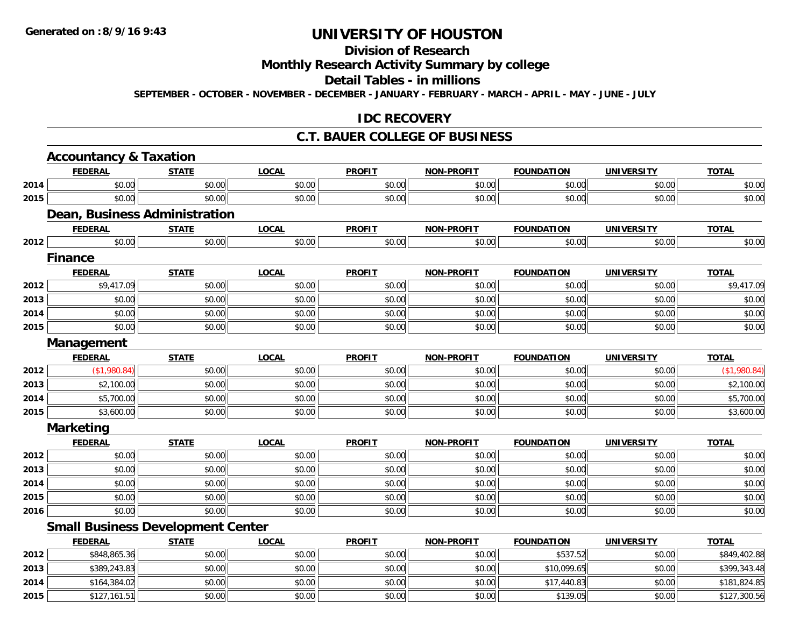## **Division of Research**

## **Monthly Research Activity Summary by college**

#### **Detail Tables - in millions**

**SEPTEMBER - OCTOBER - NOVEMBER - DECEMBER - JANUARY - FEBRUARY - MARCH - APRIL - MAY - JUNE - JULY**

### **IDC RECOVERY**

#### **C.T. BAUER COLLEGE OF BUSINESS**

|      | <b>Accountancy &amp; Taxation</b>        |              |              |               |                   |                   |                   |              |
|------|------------------------------------------|--------------|--------------|---------------|-------------------|-------------------|-------------------|--------------|
|      | <b>FEDERAL</b>                           | <b>STATE</b> | <b>LOCAL</b> | <b>PROFIT</b> | <b>NON-PROFIT</b> | <b>FOUNDATION</b> | <b>UNIVERSITY</b> | <b>TOTAL</b> |
| 2014 | \$0.00                                   | \$0.00       | \$0.00       | \$0.00        | \$0.00            | \$0.00            | \$0.00            | \$0.00       |
| 2015 | \$0.00                                   | \$0.00       | \$0.00       | \$0.00        | \$0.00            | \$0.00            | \$0.00            | \$0.00       |
|      | <b>Dean, Business Administration</b>     |              |              |               |                   |                   |                   |              |
|      | <b>FEDERAL</b>                           | <b>STATE</b> | <b>LOCAL</b> | <b>PROFIT</b> | <b>NON-PROFIT</b> | <b>FOUNDATION</b> | <b>UNIVERSITY</b> | <b>TOTAL</b> |
| 2012 | \$0.00                                   | \$0.00       | \$0.00       | \$0.00        | \$0.00            | \$0.00            | \$0.00            | \$0.00       |
|      | <b>Finance</b>                           |              |              |               |                   |                   |                   |              |
|      | <b>FEDERAL</b>                           | <b>STATE</b> | <b>LOCAL</b> | <b>PROFIT</b> | <b>NON-PROFIT</b> | <b>FOUNDATION</b> | <b>UNIVERSITY</b> | <b>TOTAL</b> |
| 2012 | \$9,417.09                               | \$0.00       | \$0.00       | \$0.00        | \$0.00            | \$0.00            | \$0.00            | \$9,417.09   |
| 2013 | \$0.00                                   | \$0.00       | \$0.00       | \$0.00        | \$0.00            | \$0.00            | \$0.00            | \$0.00       |
| 2014 | \$0.00                                   | \$0.00       | \$0.00       | \$0.00        | \$0.00            | \$0.00            | \$0.00            | \$0.00       |
| 2015 | \$0.00                                   | \$0.00       | \$0.00       | \$0.00        | \$0.00            | \$0.00            | \$0.00            | \$0.00       |
|      | Management                               |              |              |               |                   |                   |                   |              |
|      | <b>FEDERAL</b>                           | <b>STATE</b> | <b>LOCAL</b> | <b>PROFIT</b> | <b>NON-PROFIT</b> | <b>FOUNDATION</b> | <b>UNIVERSITY</b> | <b>TOTAL</b> |
| 2012 | (\$1,980.84)                             | \$0.00       | \$0.00       | \$0.00        | \$0.00            | \$0.00            | \$0.00            | (\$1,980.84) |
| 2013 | \$2,100.00                               | \$0.00       | \$0.00       | \$0.00        | \$0.00            | \$0.00            | \$0.00            | \$2,100.00   |
| 2014 | \$5,700.00                               | \$0.00       | \$0.00       | \$0.00        | \$0.00            | \$0.00            | \$0.00            | \$5,700.00   |
| 2015 | \$3,600.00                               | \$0.00       | \$0.00       | \$0.00        | \$0.00            | \$0.00            | \$0.00            | \$3,600.00   |
|      | <b>Marketing</b>                         |              |              |               |                   |                   |                   |              |
|      | <b>FEDERAL</b>                           | <b>STATE</b> | <b>LOCAL</b> | <b>PROFIT</b> | <b>NON-PROFIT</b> | <b>FOUNDATION</b> | <b>UNIVERSITY</b> | <b>TOTAL</b> |
| 2012 | \$0.00                                   | \$0.00       | \$0.00       | \$0.00        | \$0.00            | \$0.00            | \$0.00            | \$0.00       |
| 2013 | \$0.00                                   | \$0.00       | \$0.00       | \$0.00        | \$0.00            | \$0.00            | \$0.00            | \$0.00       |
| 2014 | \$0.00                                   | \$0.00       | \$0.00       | \$0.00        | \$0.00            | \$0.00            | \$0.00            | \$0.00       |
| 2015 | \$0.00                                   | \$0.00       | \$0.00       | \$0.00        | \$0.00            | \$0.00            | \$0.00            | \$0.00       |
| 2016 | \$0.00                                   | \$0.00       | \$0.00       | \$0.00        | \$0.00            | \$0.00            | \$0.00            | \$0.00       |
|      | <b>Small Business Development Center</b> |              |              |               |                   |                   |                   |              |
|      | <b>FEDERAL</b>                           | <b>STATE</b> | <b>LOCAL</b> | <b>PROFIT</b> | <b>NON-PROFIT</b> | <b>FOUNDATION</b> | <b>UNIVERSITY</b> | <b>TOTAL</b> |
| 2012 | \$848,865.36                             | \$0.00       | \$0.00       | \$0.00        | \$0.00            | \$537.52          | \$0.00            | \$849,402.88 |
| 2013 | \$389,243.83                             | \$0.00       | \$0.00       | \$0.00        | \$0.00            | \$10,099.65       | \$0.00            | \$399,343.48 |
| 2014 | \$164,384.02                             | \$0.00       | \$0.00       | \$0.00        | \$0.00            | \$17,440.83       | \$0.00            | \$181,824.85 |
| 2015 | \$127,161.51                             | \$0.00       | \$0.00       | \$0.00        | \$0.00            | \$139.05          | \$0.00            | \$127,300.56 |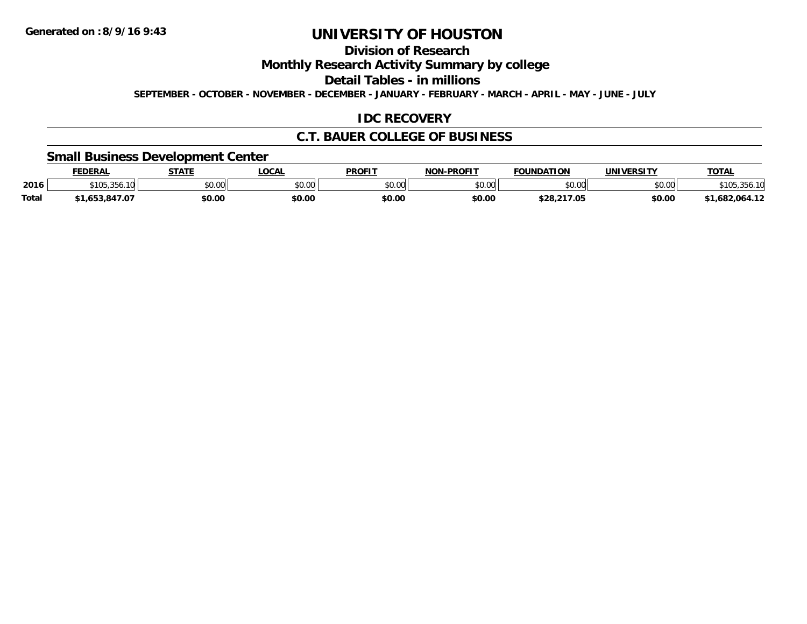## **Division of Research**

**Monthly Research Activity Summary by college**

**Detail Tables - in millions**

**SEPTEMBER - OCTOBER - NOVEMBER - DECEMBER - JANUARY - FEBRUARY - MARCH - APRIL - MAY - JUNE - JULY**

## **IDC RECOVERY**

### **C.T. BAUER COLLEGE OF BUSINESS**

## **Small Business Development Center**

|       | <b>FEDERAL</b>                      | <b>STATE</b>             | <b>LOCAL</b> | <b>PROFIT</b> | <b>NON-PROFIT</b> | <b>FOUNDATION</b> | UNIVERSITY | <b>TOTAL</b>   |
|-------|-------------------------------------|--------------------------|--------------|---------------|-------------------|-------------------|------------|----------------|
| 2016  | $\sim$ $\sim$<br>$\cap$<br>, 200، د | $n \cap \Omega$<br>vv.vv | \$0.00       | 0000<br>JU.UU | \$0.00            | \$0.00            | \$0.00     | 105,356.IU     |
| Total | 847.07.ء<br>.653                    | \$0.00                   | \$0.00       | \$0.00        | \$0.00            | \$28.217.05       | \$0.00     | \$1.682.064.12 |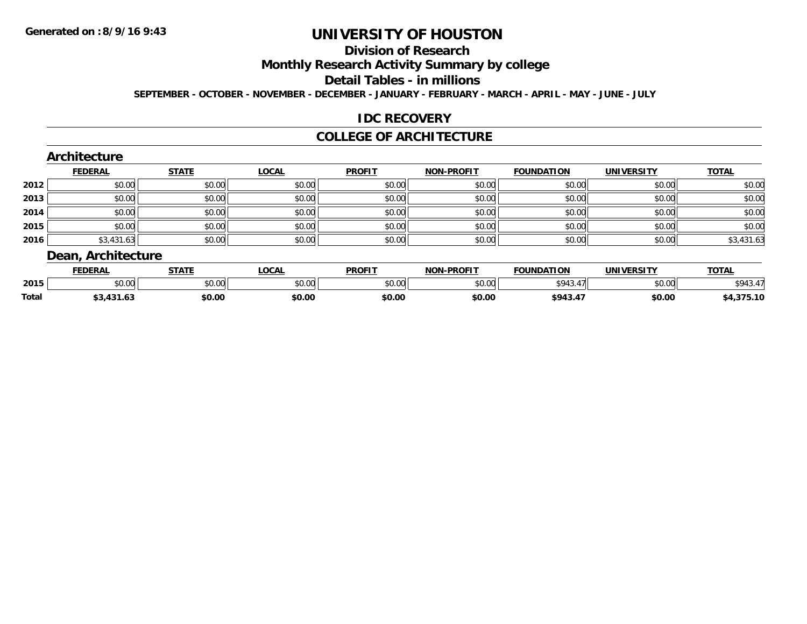## **Division of Research**

**Monthly Research Activity Summary by college**

**Detail Tables - in millions**

**SEPTEMBER - OCTOBER - NOVEMBER - DECEMBER - JANUARY - FEBRUARY - MARCH - APRIL - MAY - JUNE - JULY**

### **IDC RECOVERY**

#### **COLLEGE OF ARCHITECTURE**

#### **Architecture**

|      | <b>FEDERAL</b> | <b>STATE</b> | <u>LOCAL</u> | <b>PROFIT</b> | <b>NON-PROFIT</b> | <b>FOUNDATION</b> | <b>UNIVERSITY</b> | <b>TOTAL</b> |
|------|----------------|--------------|--------------|---------------|-------------------|-------------------|-------------------|--------------|
| 2012 | \$0.00         | \$0.00       | \$0.00       | \$0.00        | \$0.00            | \$0.00            | \$0.00            | \$0.00       |
| 2013 | \$0.00         | \$0.00       | \$0.00       | \$0.00        | \$0.00            | \$0.00            | \$0.00            | \$0.00       |
| 2014 | \$0.00         | \$0.00       | \$0.00       | \$0.00        | \$0.00            | \$0.00            | \$0.00            | \$0.00       |
| 2015 | \$0.00         | \$0.00       | \$0.00       | \$0.00        | \$0.00            | \$0.00            | \$0.00            | \$0.00       |
| 2016 | \$3,431.63     | \$0.00       | \$0.00       | \$0.00        | \$0.00            | \$0.00            | \$0.00            | \$3,431.63   |

### **Dean, Architecture**

|       | <b>FEDERAL</b> | <b>STATE</b>   | OCM<br>·∪∪h⊾ | <b>PROFIT</b>   | <b>-PROFIT</b><br><b>NON</b> | <b>FOUNDATION</b> | <b>UNIVERSITY</b><br>ЕКЭН | <b>TOTAL</b> |
|-------|----------------|----------------|--------------|-----------------|------------------------------|-------------------|---------------------------|--------------|
| 2015  | ሶስ ሰሰ<br>PU.UU | 40.00<br>DU.UU | vv.vv        | \$0.00<br>JU.UU | 0000<br>pu.uu                | \$943             | \$0.00                    | \$943.       |
| Total | .<br>1 J I .O  | \$0.00         | \$0.00       | \$0.00          | \$0.00                       | \$943.4           | \$0.00                    | 275.10       |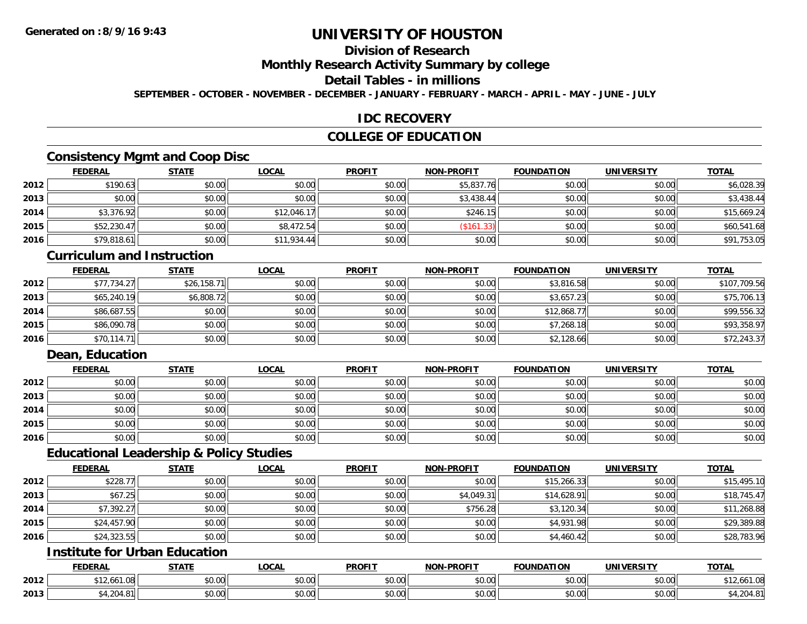### **Division of Research**

**Monthly Research Activity Summary by college**

**Detail Tables - in millions**

**SEPTEMBER - OCTOBER - NOVEMBER - DECEMBER - JANUARY - FEBRUARY - MARCH - APRIL - MAY - JUNE - JULY**

### **IDC RECOVERY**

### **COLLEGE OF EDUCATION**

### **Consistency Mgmt and Coop Disc**

|      | <b>FEDERAL</b> | <b>STATE</b> | <b>LOCAL</b> | <b>PROFIT</b> | <b>NON-PROFIT</b> | <b>FOUNDATION</b> | <b>UNIVERSITY</b> | <b>TOTAL</b> |
|------|----------------|--------------|--------------|---------------|-------------------|-------------------|-------------------|--------------|
| 2012 | \$190.63       | \$0.00       | \$0.00       | \$0.00        | \$5,837.76        | \$0.00            | \$0.00            | \$6,028.39   |
| 2013 | \$0.00         | \$0.00       | \$0.00       | \$0.00        | \$3,438.44        | \$0.00            | \$0.00            | \$3,438.44   |
| 2014 | \$3,376.92     | \$0.00       | \$12,046.17  | \$0.00        | \$246.15          | \$0.00            | \$0.00            | \$15,669.24  |
| 2015 | \$52,230.47    | \$0.00       | \$8,472.54   | \$0.00        | (\$161.33)        | \$0.00            | \$0.00            | \$60,541.68  |
| 2016 | \$79,818.61    | \$0.00       | \$11,934.44  | \$0.00        | \$0.00            | \$0.00            | \$0.00            | \$91,753.05  |

#### **Curriculum and Instruction**

|      | <b>FEDERAL</b> | <b>STATE</b> | <u>LOCAL</u> | <b>PROFIT</b> | <b>NON-PROFIT</b> | <b>FOUNDATION</b> | <b>UNIVERSITY</b> | <b>TOTAL</b> |
|------|----------------|--------------|--------------|---------------|-------------------|-------------------|-------------------|--------------|
| 2012 | \$77,734.27    | \$26,158.71  | \$0.00       | \$0.00        | \$0.00            | \$3,816.58        | \$0.00            | \$107.709.56 |
| 2013 | \$65,240.19    | \$6,808.72   | \$0.00       | \$0.00        | \$0.00            | \$3,657.23        | \$0.00            | \$75,706.13  |
| 2014 | \$86,687.55    | \$0.00       | \$0.00       | \$0.00        | \$0.00            | \$12,868.77       | \$0.00            | \$99,556.32  |
| 2015 | \$86,090.78    | \$0.00       | \$0.00       | \$0.00        | \$0.00            | \$7,268.18        | \$0.00            | \$93,358.97  |
| 2016 | \$70.114.71    | \$0.00       | \$0.00       | \$0.00        | \$0.00            | \$2,128.66        | \$0.00            | \$72,243.37  |

### **Dean, Education**

|      | <b>FEDERAL</b> | <b>STATE</b> | <u>LOCAL</u> | <b>PROFIT</b> | <b>NON-PROFIT</b> | <b>FOUNDATION</b> | <b>UNIVERSITY</b> | <b>TOTAL</b> |
|------|----------------|--------------|--------------|---------------|-------------------|-------------------|-------------------|--------------|
| 2012 | \$0.00         | \$0.00       | \$0.00       | \$0.00        | \$0.00            | \$0.00            | \$0.00            | \$0.00       |
| 2013 | \$0.00         | \$0.00       | \$0.00       | \$0.00        | \$0.00            | \$0.00            | \$0.00            | \$0.00       |
| 2014 | \$0.00         | \$0.00       | \$0.00       | \$0.00        | \$0.00            | \$0.00            | \$0.00            | \$0.00       |
| 2015 | \$0.00         | \$0.00       | \$0.00       | \$0.00        | \$0.00            | \$0.00            | \$0.00            | \$0.00       |
| 2016 | \$0.00         | \$0.00       | \$0.00       | \$0.00        | \$0.00            | \$0.00            | \$0.00            | \$0.00       |

#### **Educational Leadership & Policy Studies**

|      | <b>FEDERAL</b> | <b>STATE</b> | <u>LOCAL</u> | <b>PROFIT</b> | <b>NON-PROFIT</b> | <b>FOUNDATION</b> | <b>UNIVERSITY</b> | <b>TOTAL</b> |
|------|----------------|--------------|--------------|---------------|-------------------|-------------------|-------------------|--------------|
| 2012 | \$228.77       | \$0.00       | \$0.00       | \$0.00        | \$0.00            | \$15,266.33       | \$0.00            | \$15,495.10  |
| 2013 | \$67.25        | \$0.00       | \$0.00       | \$0.00        | \$4,049.31        | \$14,628.91       | \$0.00            | \$18,745.47  |
| 2014 | \$7,392.27     | \$0.00       | \$0.00       | \$0.00        | \$756.28          | \$3,120.34        | \$0.00            | \$11,268.88  |
| 2015 | \$24,457.90    | \$0.00       | \$0.00       | \$0.00        | \$0.00            | \$4,931.98        | \$0.00            | \$29,389.88  |
| 2016 | \$24,323.55    | \$0.00       | \$0.00       | \$0.00        | \$0.00            | \$4,460.42        | \$0.00            | \$28,783.96  |

### **Institute for Urban Education**

|      | <b>FEDERAL</b>      | <b>CTATE</b>             | <b>LOCAL</b>          | <b>PROFIT</b>                     | <b>J-PROFIT</b><br><b>BIABI</b> | <b>FOUNDATION</b> | <b>UNIVERSITY</b>    | <b>TOTAL</b>        |
|------|---------------------|--------------------------|-----------------------|-----------------------------------|---------------------------------|-------------------|----------------------|---------------------|
| 2012 | $\sim$<br>1.Uŏ<br>. | $n \cap \Omega$<br>DU.UU | $\sim$<br>0 t<br>שט.⊽ | nn nn<br>DU.UU                    | 0.00<br>JU.UU                   | \$0.00            | 0.00<br><b>DU.UU</b> | $\sim$<br>12,661.08 |
| 2013 | $\sim$ $\sim$       | 0000<br>,u.uu            | $\sim$ 00<br>vv.vv    | $*$ $\cap$ $\cap$ $\cap$<br>DU.UU | 0.00<br>JU.UU                   | \$0.00            | $\sim$ 00<br>JU.UU   | ,4,204.0            |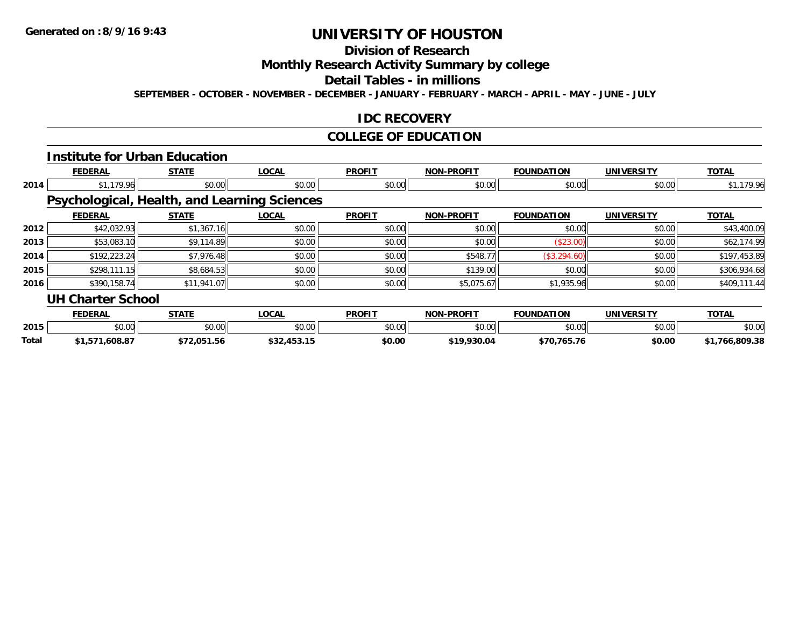## **Division of Research**

**Monthly Research Activity Summary by college**

**Detail Tables - in millions**

**SEPTEMBER - OCTOBER - NOVEMBER - DECEMBER - JANUARY - FEBRUARY - MARCH - APRIL - MAY - JUNE - JULY**

### **IDC RECOVERY**

### **COLLEGE OF EDUCATION**

|       |                          | <b>Institute for Urban Education</b> |                                              |               |                   |                   |                   |                |
|-------|--------------------------|--------------------------------------|----------------------------------------------|---------------|-------------------|-------------------|-------------------|----------------|
|       | <b>FEDERAL</b>           | <b>STATE</b>                         | <b>LOCAL</b>                                 | <b>PROFIT</b> | <b>NON-PROFIT</b> | <b>FOUNDATION</b> | <b>UNIVERSITY</b> | <b>TOTAL</b>   |
| 2014  | \$1,179.96               | \$0.00                               | \$0.00                                       | \$0.00        | \$0.00            | \$0.00            | \$0.00            | \$1,179.96     |
|       |                          |                                      | Psychological, Health, and Learning Sciences |               |                   |                   |                   |                |
|       | <b>FEDERAL</b>           | <b>STATE</b>                         | <b>LOCAL</b>                                 | <b>PROFIT</b> | <b>NON-PROFIT</b> | <b>FOUNDATION</b> | <b>UNIVERSITY</b> | <b>TOTAL</b>   |
| 2012  | \$42,032.93              | \$1,367.16                           | \$0.00                                       | \$0.00        | \$0.00            | \$0.00            | \$0.00            | \$43,400.09    |
| 2013  | \$53,083.10              | \$9,114.89                           | \$0.00                                       | \$0.00        | \$0.00            | (\$23.00)         | \$0.00            | \$62,174.99    |
| 2014  | \$192,223.24             | \$7,976.48                           | \$0.00                                       | \$0.00        | \$548.77          | (\$3,294.60)      | \$0.00            | \$197,453.89   |
| 2015  | \$298,111.15             | \$8,684.53                           | \$0.00                                       | \$0.00        | \$139.00          | \$0.00            | \$0.00            | \$306,934.68   |
| 2016  | \$390,158.74             | \$11,941.07                          | \$0.00                                       | \$0.00        | \$5,075.67        | \$1,935.96        | \$0.00            | \$409,111.44   |
|       | <b>UH Charter School</b> |                                      |                                              |               |                   |                   |                   |                |
|       | <b>FEDERAL</b>           | <b>STATE</b>                         | <b>LOCAL</b>                                 | <b>PROFIT</b> | <b>NON-PROFIT</b> | <b>FOUNDATION</b> | <b>UNIVERSITY</b> | <b>TOTAL</b>   |
| 2015  | \$0.00                   | \$0.00                               | \$0.00                                       | \$0.00        | \$0.00            | \$0.00            | \$0.00            | \$0.00         |
| Total | \$1,571,608.87           | \$72,051.56                          | \$32,453.15                                  | \$0.00        | \$19,930.04       | \$70,765.76       | \$0.00            | \$1,766,809.38 |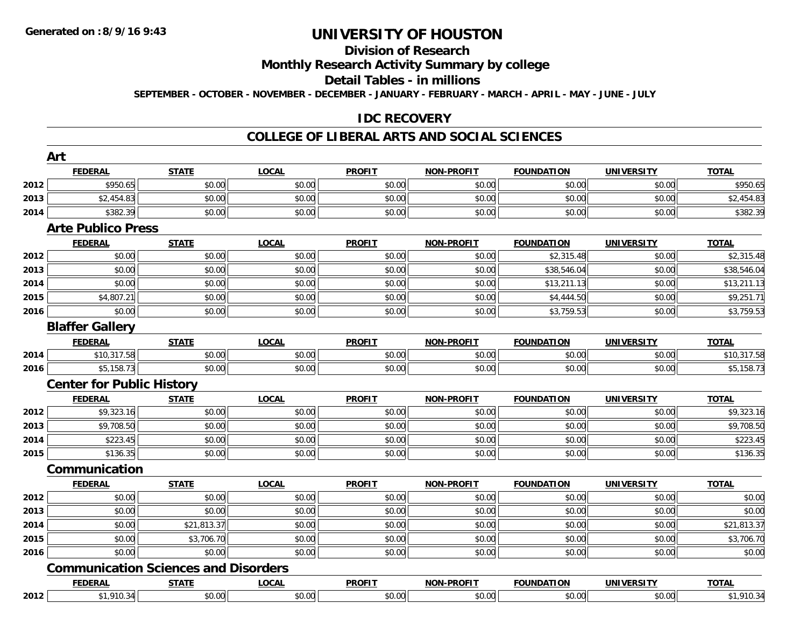#### **Division of Research**

## **Monthly Research Activity Summary by college**

#### **Detail Tables - in millions**

**SEPTEMBER - OCTOBER - NOVEMBER - DECEMBER - JANUARY - FEBRUARY - MARCH - APRIL - MAY - JUNE - JULY**

### **IDC RECOVERY**

#### **COLLEGE OF LIBERAL ARTS AND SOCIAL SCIENCES**

|      | Art                              |                                             |              |               |                   |                   |                   |              |
|------|----------------------------------|---------------------------------------------|--------------|---------------|-------------------|-------------------|-------------------|--------------|
|      | <b>FEDERAL</b>                   | <b>STATE</b>                                | <b>LOCAL</b> | <b>PROFIT</b> | <b>NON-PROFIT</b> | <b>FOUNDATION</b> | <b>UNIVERSITY</b> | <b>TOTAL</b> |
| 2012 | \$950.65                         | \$0.00                                      | \$0.00       | \$0.00        | \$0.00            | \$0.00            | \$0.00            | \$950.65     |
| 2013 | \$2,454.83                       | \$0.00                                      | \$0.00       | \$0.00        | \$0.00            | \$0.00            | \$0.00            | \$2,454.83   |
| 2014 | \$382.39                         | \$0.00                                      | \$0.00       | \$0.00        | \$0.00            | \$0.00            | \$0.00            | \$382.39     |
|      | <b>Arte Publico Press</b>        |                                             |              |               |                   |                   |                   |              |
|      | <b>FEDERAL</b>                   | <b>STATE</b>                                | <b>LOCAL</b> | <b>PROFIT</b> | <b>NON-PROFIT</b> | <b>FOUNDATION</b> | <b>UNIVERSITY</b> | <b>TOTAL</b> |
| 2012 | \$0.00                           | \$0.00                                      | \$0.00       | \$0.00        | \$0.00            | \$2,315.48        | \$0.00            | \$2,315.48   |
| 2013 | \$0.00                           | \$0.00                                      | \$0.00       | \$0.00        | \$0.00            | \$38,546.04       | \$0.00            | \$38,546.04  |
| 2014 | \$0.00                           | \$0.00                                      | \$0.00       | \$0.00        | \$0.00            | \$13,211.13       | \$0.00            | \$13,211.13  |
| 2015 | \$4,807.21                       | \$0.00                                      | \$0.00       | \$0.00        | \$0.00            | \$4,444.50        | \$0.00            | \$9,251.71   |
| 2016 | \$0.00                           | \$0.00                                      | \$0.00       | \$0.00        | \$0.00            | \$3,759.53        | \$0.00            | \$3,759.53   |
|      | <b>Blaffer Gallery</b>           |                                             |              |               |                   |                   |                   |              |
|      | <b>FEDERAL</b>                   | <b>STATE</b>                                | <b>LOCAL</b> | <b>PROFIT</b> | <b>NON-PROFIT</b> | <b>FOUNDATION</b> | <b>UNIVERSITY</b> | <b>TOTAL</b> |
| 2014 | \$10,317.58                      | \$0.00                                      | \$0.00       | \$0.00        | \$0.00            | \$0.00            | \$0.00            | \$10,317.58  |
| 2016 | \$5,158.73                       | \$0.00                                      | \$0.00       | \$0.00        | \$0.00            | \$0.00            | \$0.00            | \$5,158.73   |
|      | <b>Center for Public History</b> |                                             |              |               |                   |                   |                   |              |
|      | <b>FEDERAL</b>                   | <b>STATE</b>                                | <b>LOCAL</b> | <b>PROFIT</b> | <b>NON-PROFIT</b> | <b>FOUNDATION</b> | <b>UNIVERSITY</b> | <b>TOTAL</b> |
| 2012 | \$9,323.16                       | \$0.00                                      | \$0.00       | \$0.00        | \$0.00            | \$0.00            | \$0.00            | \$9,323.16   |
| 2013 | \$9,708.50                       | \$0.00                                      | \$0.00       | \$0.00        | \$0.00            | \$0.00            | \$0.00            | \$9,708.50   |
| 2014 | \$223.45                         | \$0.00                                      | \$0.00       | \$0.00        | \$0.00            | \$0.00            | \$0.00            | \$223.45     |
| 2015 | \$136.35                         | \$0.00                                      | \$0.00       | \$0.00        | \$0.00            | \$0.00            | \$0.00            | \$136.35     |
|      | Communication                    |                                             |              |               |                   |                   |                   |              |
|      | <b>FEDERAL</b>                   | <b>STATE</b>                                | <b>LOCAL</b> | <b>PROFIT</b> | NON-PROFIT        | <b>FOUNDATION</b> | <b>UNIVERSITY</b> | <b>TOTAL</b> |
| 2012 | \$0.00                           | \$0.00                                      | \$0.00       | \$0.00        | \$0.00            | \$0.00            | \$0.00            | \$0.00       |
| 2013 | \$0.00                           | \$0.00                                      | \$0.00       | \$0.00        | \$0.00            | \$0.00            | \$0.00            | \$0.00       |
| 2014 | \$0.00                           | \$21,813.37                                 | \$0.00       | \$0.00        | \$0.00            | \$0.00            | \$0.00            | \$21,813.37  |
| 2015 | \$0.00                           | \$3,706.70                                  | \$0.00       | \$0.00        | \$0.00            | \$0.00            | \$0.00            | \$3,706.70   |
| 2016 | \$0.00                           | \$0.00                                      | \$0.00       | \$0.00        | \$0.00            | \$0.00            | \$0.00            | \$0.00       |
|      |                                  | <b>Communication Sciences and Disorders</b> |              |               |                   |                   |                   |              |
|      | <b>FEDERAL</b>                   | <b>STATE</b>                                | <b>LOCAL</b> | <b>PROFIT</b> | <b>NON-PROFIT</b> | <b>FOUNDATION</b> | <b>UNIVERSITY</b> | <b>TOTAL</b> |
| 2012 | \$1,910.34                       | \$0.00                                      | \$0.00       | \$0.00        | \$0.00            | \$0.00            | \$0.00            | \$1,910.34   |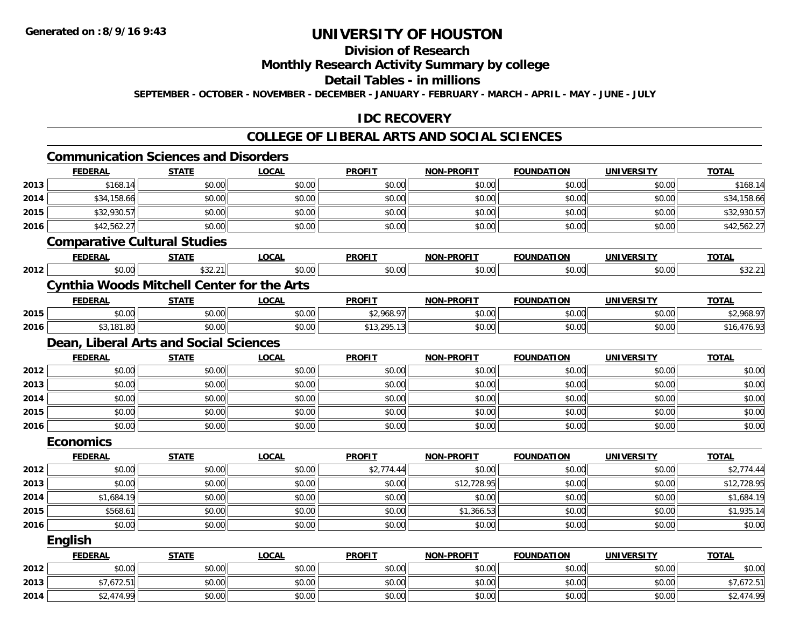## **Division of Research**

### **Monthly Research Activity Summary by college**

#### **Detail Tables - in millions**

**SEPTEMBER - OCTOBER - NOVEMBER - DECEMBER - JANUARY - FEBRUARY - MARCH - APRIL - MAY - JUNE - JULY**

### **IDC RECOVERY**

#### **COLLEGE OF LIBERAL ARTS AND SOCIAL SCIENCES**

|      | <b>Communication Sciences and Disorders</b>       |              |              |               |                   |                   |                   |              |
|------|---------------------------------------------------|--------------|--------------|---------------|-------------------|-------------------|-------------------|--------------|
|      | <b>FEDERAL</b>                                    | <b>STATE</b> | <b>LOCAL</b> | <b>PROFIT</b> | <b>NON-PROFIT</b> | <b>FOUNDATION</b> | <b>UNIVERSITY</b> | <b>TOTAL</b> |
| 2013 | \$168.14                                          | \$0.00       | \$0.00       | \$0.00        | \$0.00            | \$0.00            | \$0.00            | \$168.14     |
| 2014 | \$34,158.66                                       | \$0.00       | \$0.00       | \$0.00        | \$0.00            | \$0.00            | \$0.00            | \$34,158.66  |
| 2015 | \$32,930.57                                       | \$0.00       | \$0.00       | \$0.00        | \$0.00            | \$0.00            | \$0.00            | \$32,930.57  |
| 2016 | \$42,562.27                                       | \$0.00       | \$0.00       | \$0.00        | \$0.00            | \$0.00            | \$0.00            | \$42,562.27  |
|      | <b>Comparative Cultural Studies</b>               |              |              |               |                   |                   |                   |              |
|      | <b>FEDERAL</b>                                    | <b>STATE</b> | <b>LOCAL</b> | <b>PROFIT</b> | <b>NON-PROFIT</b> | <b>FOUNDATION</b> | <b>UNIVERSITY</b> | <b>TOTAL</b> |
| 2012 | \$0.00                                            | \$32.21      | \$0.00       | \$0.00        | \$0.00            | \$0.00            | \$0.00            | \$32.21      |
|      | <b>Cynthia Woods Mitchell Center for the Arts</b> |              |              |               |                   |                   |                   |              |
|      | <b>FEDERAL</b>                                    | <b>STATE</b> | <b>LOCAL</b> | <b>PROFIT</b> | <b>NON-PROFIT</b> | <b>FOUNDATION</b> | <b>UNIVERSITY</b> | <b>TOTAL</b> |
| 2015 | \$0.00                                            | \$0.00       | \$0.00       | \$2,968.97    | \$0.00            | \$0.00            | \$0.00            | \$2,968.97   |
| 2016 | \$3,181.80                                        | \$0.00       | \$0.00       | \$13,295.13   | \$0.00            | \$0.00            | \$0.00            | \$16,476.93  |
|      | Dean, Liberal Arts and Social Sciences            |              |              |               |                   |                   |                   |              |
|      | <b>FEDERAL</b>                                    | <b>STATE</b> | <b>LOCAL</b> | <b>PROFIT</b> | <b>NON-PROFIT</b> | <b>FOUNDATION</b> | <b>UNIVERSITY</b> | <b>TOTAL</b> |
| 2012 | \$0.00                                            | \$0.00       | \$0.00       | \$0.00        | \$0.00            | \$0.00            | \$0.00            | \$0.00       |
| 2013 | \$0.00                                            | \$0.00       | \$0.00       | \$0.00        | \$0.00            | \$0.00            | \$0.00            | \$0.00       |
| 2014 | \$0.00                                            | \$0.00       | \$0.00       | \$0.00        | \$0.00            | \$0.00            | \$0.00            | \$0.00       |
| 2015 | \$0.00                                            | \$0.00       | \$0.00       | \$0.00        | \$0.00            | \$0.00            | \$0.00            | \$0.00       |
| 2016 | \$0.00                                            | \$0.00       | \$0.00       | \$0.00        | \$0.00            | \$0.00            | \$0.00            | \$0.00       |
|      | <b>Economics</b>                                  |              |              |               |                   |                   |                   |              |
|      | <b>FEDERAL</b>                                    | <b>STATE</b> | <b>LOCAL</b> | <b>PROFIT</b> | <b>NON-PROFIT</b> | <b>FOUNDATION</b> | <b>UNIVERSITY</b> | <b>TOTAL</b> |
| 2012 | \$0.00                                            | \$0.00       | \$0.00       | \$2,774.44    | \$0.00            | \$0.00            | \$0.00            | \$2,774.44   |
| 2013 | \$0.00                                            | \$0.00       | \$0.00       | \$0.00        | \$12,728.95       | \$0.00            | \$0.00            | \$12,728.95  |
| 2014 | \$1,684.19                                        | \$0.00       | \$0.00       | \$0.00        | \$0.00            | \$0.00            | \$0.00            | \$1,684.19   |
| 2015 | \$568.61                                          | \$0.00       | \$0.00       | \$0.00        | \$1,366.53        | \$0.00            | \$0.00            | \$1,935.14   |
| 2016 | \$0.00                                            | \$0.00       | \$0.00       | \$0.00        | \$0.00            | \$0.00            | \$0.00            | \$0.00       |
|      | <b>English</b>                                    |              |              |               |                   |                   |                   |              |
|      | <b>FEDERAL</b>                                    | <b>STATE</b> | <b>LOCAL</b> | <b>PROFIT</b> | <b>NON-PROFIT</b> | <b>FOUNDATION</b> | <b>UNIVERSITY</b> | <b>TOTAL</b> |
| 2012 | \$0.00                                            | \$0.00       | \$0.00       | \$0.00        | \$0.00            | \$0.00            | \$0.00            | \$0.00       |
| 2013 | \$7,672.51                                        | \$0.00       | \$0.00       | \$0.00        | \$0.00            | \$0.00            | \$0.00            | \$7,672.51   |
| 2014 | \$2,474.99                                        | \$0.00       | \$0.00       | \$0.00        | \$0.00            | \$0.00            | \$0.00            | \$2,474.99   |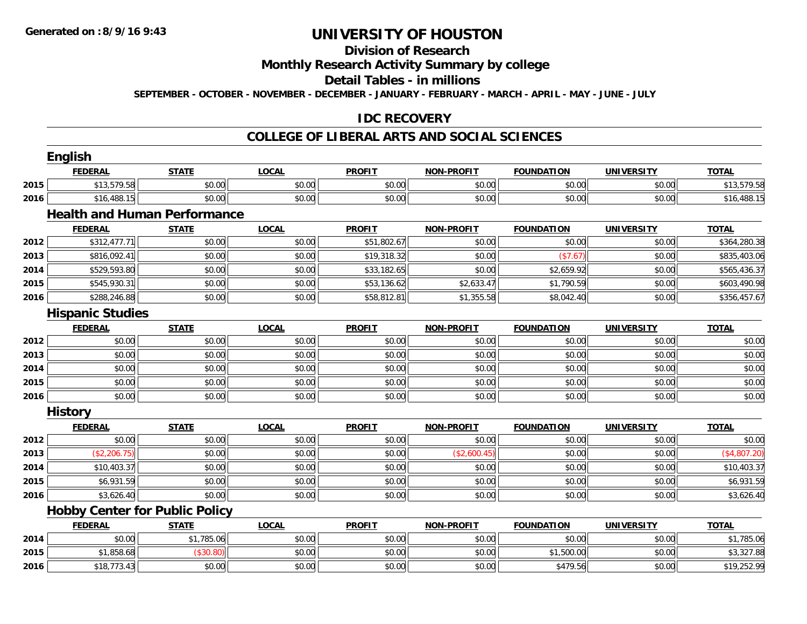**2016**

# **UNIVERSITY OF HOUSTON**

### **Division of Research**

### **Monthly Research Activity Summary by college**

#### **Detail Tables - in millions**

**SEPTEMBER - OCTOBER - NOVEMBER - DECEMBER - JANUARY - FEBRUARY - MARCH - APRIL - MAY - JUNE - JULY**

### **IDC RECOVERY**

#### **COLLEGE OF LIBERAL ARTS AND SOCIAL SCIENCES**

|      | English                 |                                       |              |               |                   |                   |                   |              |
|------|-------------------------|---------------------------------------|--------------|---------------|-------------------|-------------------|-------------------|--------------|
|      | <b>FEDERAL</b>          | <b>STATE</b>                          | <b>LOCAL</b> | <b>PROFIT</b> | <b>NON-PROFIT</b> | <b>FOUNDATION</b> | <b>UNIVERSITY</b> | <b>TOTAL</b> |
| 2015 | \$13,579.58             | \$0.00                                | \$0.00       | \$0.00        | \$0.00            | \$0.00            | \$0.00            | \$13,579.58  |
| 2016 | \$16,488.15             | \$0.00                                | \$0.00       | \$0.00        | \$0.00            | \$0.00            | \$0.00            | \$16,488.15  |
|      |                         | <b>Health and Human Performance</b>   |              |               |                   |                   |                   |              |
|      | <b>FEDERAL</b>          | <b>STATE</b>                          | <b>LOCAL</b> | <b>PROFIT</b> | <b>NON-PROFIT</b> | <b>FOUNDATION</b> | <b>UNIVERSITY</b> | <b>TOTAL</b> |
| 2012 | \$312,477.71            | \$0.00                                | \$0.00       | \$51,802.67   | \$0.00            | \$0.00            | \$0.00            | \$364,280.38 |
| 2013 | \$816,092.41            | \$0.00                                | \$0.00       | \$19,318.32   | \$0.00            | (\$7.67)          | \$0.00            | \$835,403.06 |
| 2014 | \$529,593.80            | \$0.00                                | \$0.00       | \$33,182.65   | \$0.00            | \$2,659.92        | \$0.00            | \$565,436.37 |
| 2015 | \$545,930.31            | \$0.00                                | \$0.00       | \$53,136.62   | \$2,633.47        | \$1,790.59        | \$0.00            | \$603,490.98 |
| 2016 | \$288,246.88            | \$0.00                                | \$0.00       | \$58,812.81   | \$1,355.58        | \$8,042.40        | \$0.00            | \$356,457.67 |
|      | <b>Hispanic Studies</b> |                                       |              |               |                   |                   |                   |              |
|      | <b>FEDERAL</b>          | <b>STATE</b>                          | <b>LOCAL</b> | <b>PROFIT</b> | <b>NON-PROFIT</b> | <b>FOUNDATION</b> | <b>UNIVERSITY</b> | <b>TOTAL</b> |
| 2012 | \$0.00                  | \$0.00                                | \$0.00       | \$0.00        | \$0.00            | \$0.00            | \$0.00            | \$0.00       |
| 2013 | \$0.00                  | \$0.00                                | \$0.00       | \$0.00        | \$0.00            | \$0.00            | \$0.00            | \$0.00       |
| 2014 | \$0.00                  | \$0.00                                | \$0.00       | \$0.00        | \$0.00            | \$0.00            | \$0.00            | \$0.00       |
| 2015 | \$0.00                  | \$0.00                                | \$0.00       | \$0.00        | \$0.00            | \$0.00            | \$0.00            | \$0.00       |
| 2016 | \$0.00                  | \$0.00                                | \$0.00       | \$0.00        | \$0.00            | \$0.00            | \$0.00            | \$0.00       |
|      | <b>History</b>          |                                       |              |               |                   |                   |                   |              |
|      | <b>FEDERAL</b>          | <b>STATE</b>                          | <b>LOCAL</b> | <b>PROFIT</b> | <b>NON-PROFIT</b> | <b>FOUNDATION</b> | <b>UNIVERSITY</b> | <b>TOTAL</b> |
| 2012 | \$0.00                  | \$0.00                                | \$0.00       | \$0.00        | \$0.00            | \$0.00            | \$0.00            | \$0.00       |
| 2013 | (\$2,206.75)            | \$0.00                                | \$0.00       | \$0.00        | (\$2,600.45)      | \$0.00            | \$0.00            | (\$4,807.20) |
| 2014 | \$10,403.37             | \$0.00                                | \$0.00       | \$0.00        | \$0.00            | \$0.00            | \$0.00            | \$10,403.37  |
| 2015 | \$6,931.59              | \$0.00                                | \$0.00       | \$0.00        | \$0.00            | \$0.00            | \$0.00            | \$6,931.59   |
| 2016 | \$3,626.40              | \$0.00                                | \$0.00       | \$0.00        | \$0.00            | \$0.00            | \$0.00            | \$3,626.40   |
|      |                         | <b>Hobby Center for Public Policy</b> |              |               |                   |                   |                   |              |
|      | <b>FEDERAL</b>          | <b>STATE</b>                          | <b>LOCAL</b> | <b>PROFIT</b> | <b>NON-PROFIT</b> | <b>FOUNDATION</b> | <b>UNIVERSITY</b> | <b>TOTAL</b> |
| 2014 | \$0.00                  | \$1,785.06                            | \$0.00       | \$0.00        | \$0.00            | \$0.00            | \$0.00            | \$1,785.06   |
| 2015 | \$1,858.68              | (\$30.80)                             | \$0.00       | \$0.00        | \$0.00            | \$1,500.00        | \$0.00            | \$3,327.88   |
|      |                         |                                       |              |               |                   |                   |                   |              |

\$18,773.43 \$0.00 \$0.00 \$0.00 \$0.00 \$479.56 \$0.00 \$19,252.99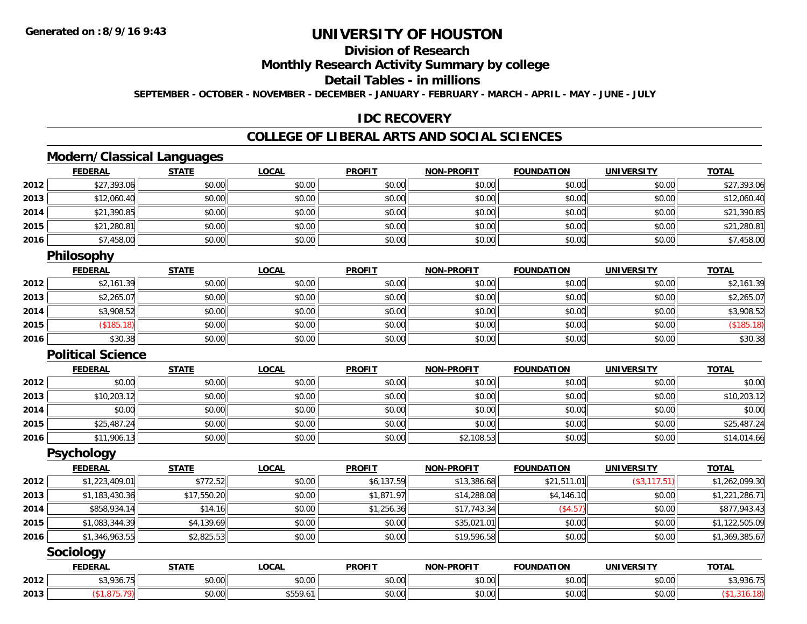### **Division of Research**

### **Monthly Research Activity Summary by college**

#### **Detail Tables - in millions**

**SEPTEMBER - OCTOBER - NOVEMBER - DECEMBER - JANUARY - FEBRUARY - MARCH - APRIL - MAY - JUNE - JULY**

### **IDC RECOVERY**

### **COLLEGE OF LIBERAL ARTS AND SOCIAL SCIENCES**

### **Modern/Classical Languages**

|      | <b>FEDERAL</b> | <b>STATE</b> | <b>LOCAL</b> | <b>PROFIT</b> | <b>NON-PROFIT</b> | <b>FOUNDATION</b> | <b>UNIVERSITY</b> | <u>TOTAL</u> |
|------|----------------|--------------|--------------|---------------|-------------------|-------------------|-------------------|--------------|
| 2012 | \$27,393.06    | \$0.00       | \$0.00       | \$0.00        | \$0.00            | \$0.00            | \$0.00            | \$27,393.06  |
| 2013 | \$12,060.40    | \$0.00       | \$0.00       | \$0.00        | \$0.00            | \$0.00            | \$0.00            | \$12,060.40  |
| 2014 | \$21,390.85    | \$0.00       | \$0.00       | \$0.00        | \$0.00            | \$0.00            | \$0.00            | \$21,390.85  |
| 2015 | \$21,280.81    | \$0.00       | \$0.00       | \$0.00        | \$0.00            | \$0.00            | \$0.00            | \$21,280.81  |
| 2016 | \$7,458.00     | \$0.00       | \$0.00       | \$0.00        | \$0.00            | \$0.00            | \$0.00            | \$7,458.00   |

#### **Philosophy**

|      | <u>FEDERAL</u> | <b>STATE</b> | <u>LOCAL</u> | <b>PROFIT</b> | <b>NON-PROFIT</b> | <b>FOUNDATION</b> | <b>UNIVERSITY</b> | <b>TOTAL</b> |
|------|----------------|--------------|--------------|---------------|-------------------|-------------------|-------------------|--------------|
| 2012 | \$2,161.39     | \$0.00       | \$0.00       | \$0.00        | \$0.00            | \$0.00            | \$0.00            | \$2,161.39   |
| 2013 | \$2,265.07     | \$0.00       | \$0.00       | \$0.00        | \$0.00            | \$0.00            | \$0.00            | \$2,265.07   |
| 2014 | \$3,908.52     | \$0.00       | \$0.00       | \$0.00        | \$0.00            | \$0.00            | \$0.00            | \$3,908.52   |
| 2015 | (S185.18)      | \$0.00       | \$0.00       | \$0.00        | \$0.00            | \$0.00            | \$0.00            | (\$185.18)   |
| 2016 | \$30.38        | \$0.00       | \$0.00       | \$0.00        | \$0.00            | \$0.00            | \$0.00            | \$30.38      |

#### **Political Science**

|      | <b>FEDERAL</b> | <b>STATE</b> | <b>LOCAL</b> | <b>PROFIT</b> | <b>NON-PROFIT</b> | <b>FOUNDATION</b> | <b>UNIVERSITY</b> | <b>TOTAL</b> |
|------|----------------|--------------|--------------|---------------|-------------------|-------------------|-------------------|--------------|
| 2012 | \$0.00         | \$0.00       | \$0.00       | \$0.00        | \$0.00            | \$0.00            | \$0.00            | \$0.00       |
| 2013 | \$10,203.12    | \$0.00       | \$0.00       | \$0.00        | \$0.00            | \$0.00            | \$0.00            | \$10,203.12  |
| 2014 | \$0.00         | \$0.00       | \$0.00       | \$0.00        | \$0.00            | \$0.00            | \$0.00            | \$0.00       |
| 2015 | \$25,487.24    | \$0.00       | \$0.00       | \$0.00        | \$0.00            | \$0.00            | \$0.00            | \$25,487.24  |
| 2016 | \$11,906.13    | \$0.00       | \$0.00       | \$0.00        | \$2,108.53        | \$0.00            | \$0.00            | \$14,014.66  |

#### **Psychology**

|      | <b>FEDERAL</b> | <b>STATE</b> | <b>LOCAL</b> | <b>PROFIT</b> | <b>NON-PROFIT</b> | <b>FOUNDATION</b> | <b>UNIVERSITY</b> | <b>TOTAL</b>   |
|------|----------------|--------------|--------------|---------------|-------------------|-------------------|-------------------|----------------|
| 2012 | \$1,223,409.01 | \$772.52     | \$0.00       | \$6,137.59    | \$13,386.68       | \$21,511.01       | (\$3, 117.51)     | \$1,262,099.30 |
| 2013 | \$1,183,430.36 | \$17,550.20  | \$0.00       | \$1,871.97    | \$14,288.08       | \$4,146.10        | \$0.00            | \$1,221,286.71 |
| 2014 | \$858,934.14   | \$14.16      | \$0.00       | \$1,256.36    | \$17,743.34       | (\$4.57)          | \$0.00            | \$877,943.43   |
| 2015 | \$1,083,344.39 | \$4,139.69   | \$0.00       | \$0.00        | \$35,021.01       | \$0.00            | \$0.00            | \$1,122,505.09 |
| 2016 | \$1,346,963.55 | \$2,825.53   | \$0.00       | \$0.00        | \$19,596.58       | \$0.00            | \$0.00            | \$1,369,385.67 |

### **Sociology**

|      | <b>FEDERAL</b>        | STATE              | <b>OCAL</b>        | <b>PROFIT</b> | <b>NIONI</b><br><b>DDOFIT</b> | <b>FOUNDAT</b><br>ΓΙΟΝ | <b>IINIVERSITY</b>                                  | <b>TOTAL</b> |
|------|-----------------------|--------------------|--------------------|---------------|-------------------------------|------------------------|-----------------------------------------------------|--------------|
| 2012 | <b>¢2026</b><br>$- -$ | 0.00<br>JU.UU      | $\sim$ 00<br>JU.UU | 0000<br>JU.UU | \$0.00                        | JU.UU                  | $\triangle$ $\triangle$ $\triangle$<br><b>DU.UG</b> | \$3,936.7!   |
| 2013 |                       | $\sim$ 00<br>JU.UU | \$559.6            | 0000<br>JU.UU | \$0.00                        | JU.UU                  | $\sim$ 00<br><b>DU.UG</b>                           |              |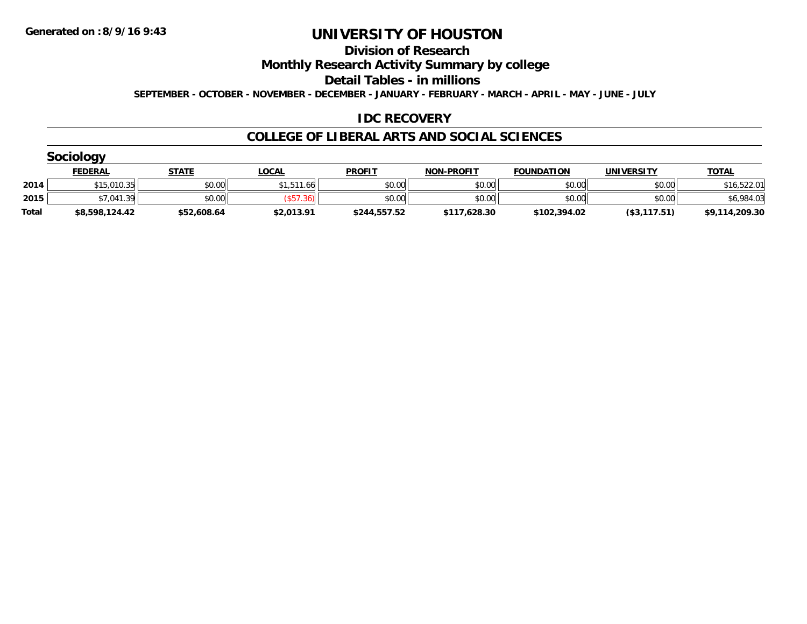#### **Division of Research**

**Monthly Research Activity Summary by college**

**Detail Tables - in millions**

**SEPTEMBER - OCTOBER - NOVEMBER - DECEMBER - JANUARY - FEBRUARY - MARCH - APRIL - MAY - JUNE - JULY**

### **IDC RECOVERY**

#### **COLLEGE OF LIBERAL ARTS AND SOCIAL SCIENCES**

|       | <b>Sociology</b> |             |                 |               |                   |                   |                   |                |
|-------|------------------|-------------|-----------------|---------------|-------------------|-------------------|-------------------|----------------|
|       | <b>FEDERAL</b>   | STATE       | <u>LOCAL</u>    | <b>PROFIT</b> | <b>NON-PROFIT</b> | <b>FOUNDATION</b> | <b>UNIVERSITY</b> | <b>TOTAL</b>   |
| 2014  | \$15,010.35      | \$0.00      | \$1.511.66      | \$0.00        | \$0.00            | \$0.00            | \$0.00            | \$16,522.01    |
| 2015  | \$7,041.39       | \$0.00      | $^{\circ}$ .36) | \$0.00        | \$0.00            | \$0.00            | \$0.00            | \$6,984.03     |
| Total | \$8,598,124.42   | \$52,608.64 | \$2,013.91      | \$244,557.52  | \$117,628.30      | \$102,394.02      | (\$3,117.51)      | \$9,114,209.30 |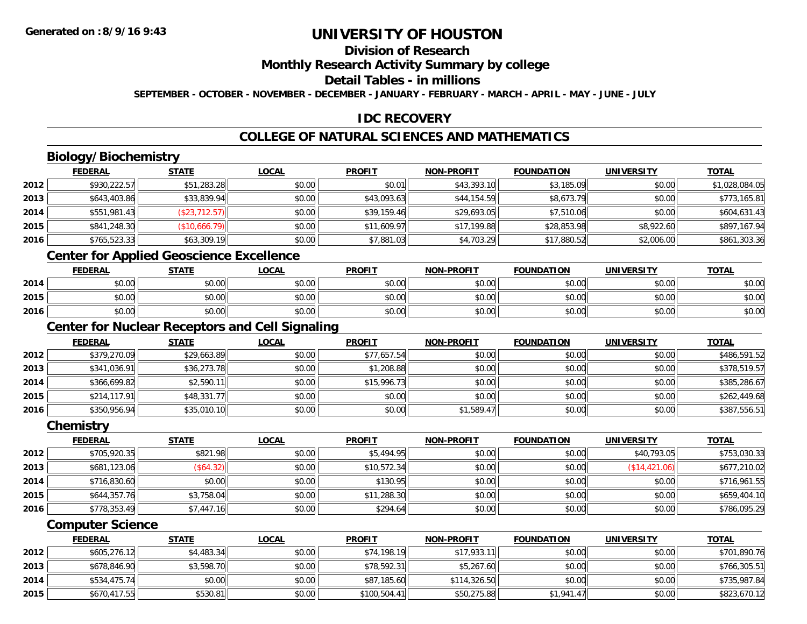### **Division of Research**

**Monthly Research Activity Summary by college**

**Detail Tables - in millions**

**SEPTEMBER - OCTOBER - NOVEMBER - DECEMBER - JANUARY - FEBRUARY - MARCH - APRIL - MAY - JUNE - JULY**

### **IDC RECOVERY**

### **COLLEGE OF NATURAL SCIENCES AND MATHEMATICS**

## **Biology/Biochemistry**

|      | <b>FEDERAL</b> | <u>STATE</u>  | <b>LOCAL</b> | <b>PROFIT</b> | <b>NON-PROFIT</b> | <b>FOUNDATION</b> | <b>UNIVERSITY</b> | <b>TOTAL</b>   |
|------|----------------|---------------|--------------|---------------|-------------------|-------------------|-------------------|----------------|
| 2012 | \$930,222.57   | \$51,283.28   | \$0.00       | \$0.01        | \$43,393.10       | \$3,185.09        | \$0.00            | \$1,028,084.05 |
| 2013 | \$643,403.86   | \$33,839.94   | \$0.00       | \$43,093.63   | \$44,154.59       | \$8,673.79        | \$0.00            | \$773,165.81   |
| 2014 | \$551,981.43   | (\$23,712.57) | \$0.00       | \$39,159.46   | \$29,693.05       | \$7,510.06        | \$0.00            | \$604,631.43   |
| 2015 | \$841,248.30   | \$10,666.79]  | \$0.00       | \$11,609.97   | \$17,199.88       | \$28,853.98       | \$8,922.60        | \$897,167.94   |
| 2016 | \$765,523.33   | \$63,309.19   | \$0.00       | \$7,881.03    | \$4,703.29        | \$17,880.52       | \$2,006.00        | \$861,303.36   |

### **Center for Applied Geoscience Excellence**

|      | <b>FEDERAL</b> | <u>STATE</u> | <u>LOCAL</u> | <b>PROFIT</b> | <b>NON-PROFIT</b> | <b>FOUNDATION</b> | <b>UNIVERSITY</b> | <b>TOTAL</b> |
|------|----------------|--------------|--------------|---------------|-------------------|-------------------|-------------------|--------------|
| 2014 | ልስ ስስ<br>PU.UU | \$0.00       | \$0.00       | \$0.00        | \$0.00            | \$0.00            | \$0.00            | \$0.00       |
| 2015 | ደስ ሰሰ<br>JU.UU | \$0.00       | \$0.00       | \$0.00        | \$0.00            | \$0.00            | \$0.00            | \$0.00       |
| 2016 | \$0.00         | \$0.00       | \$0.00       | \$0.00        | \$0.00            | \$0.00            | \$0.00            | \$0.00       |

<u> 1980 - Johann Barn, mars ar breithinn ar chuid ann an t-Alban ann an t-Alban ann an t-Alban ann an t-Alban a</u>

### **Center for Nuclear Receptors and Cell Signaling**

|      | <b>FEDERAL</b> | <b>STATE</b> | <u>LOCAL</u> | <b>PROFIT</b> | <b>NON-PROFIT</b> | <b>FOUNDATION</b> | <b>UNIVERSITY</b> | <b>TOTAL</b> |
|------|----------------|--------------|--------------|---------------|-------------------|-------------------|-------------------|--------------|
| 2012 | \$379,270.09   | \$29,663.89  | \$0.00       | \$77,657.54   | \$0.00            | \$0.00            | \$0.00            | \$486,591.52 |
| 2013 | \$341,036.91   | \$36,273.78  | \$0.00       | \$1,208.88    | \$0.00            | \$0.00            | \$0.00            | \$378,519.57 |
| 2014 | \$366,699.82   | \$2,590.11   | \$0.00       | \$15,996.73   | \$0.00            | \$0.00            | \$0.00            | \$385,286.67 |
| 2015 | \$214,117.91   | \$48,331.77  | \$0.00       | \$0.00        | \$0.00            | \$0.00            | \$0.00            | \$262,449.68 |
| 2016 | \$350,956.94   | \$35,010.10  | \$0.00       | \$0.00        | \$1,589.47        | \$0.00            | \$0.00            | \$387,556.51 |

#### **Chemistry**

|      | <b>FEDERAL</b> | <b>STATE</b> | <u>LOCAL</u> | <b>PROFIT</b> | <b>NON-PROFIT</b> | <b>FOUNDATION</b> | <b>UNIVERSITY</b> | <b>TOTAL</b> |
|------|----------------|--------------|--------------|---------------|-------------------|-------------------|-------------------|--------------|
| 2012 | \$705,920.35   | \$821.98     | \$0.00       | \$5,494.95    | \$0.00            | \$0.00            | \$40,793.05       | \$753,030.33 |
| 2013 | \$681,123.06   | (\$64.32)    | \$0.00       | \$10,572.34   | \$0.00            | \$0.00            | (\$14,421.06)     | \$677,210.02 |
| 2014 | \$716,830.60   | \$0.00       | \$0.00       | \$130.95      | \$0.00            | \$0.00            | \$0.00            | \$716,961.55 |
| 2015 | \$644,357.76   | \$3,758.04   | \$0.00       | \$11,288.30   | \$0.00            | \$0.00            | \$0.00            | \$659,404.10 |
| 2016 | \$778,353.49   | \$7,447.16   | \$0.00       | \$294.64      | \$0.00            | \$0.00            | \$0.00            | \$786,095.29 |

#### **Computer Science**

|      | <b>FEDERAL</b> | <u>STATE</u> | <u>LOCAL</u> | <b>PROFIT</b> | <b>NON-PROFIT</b> | <b>FOUNDATION</b> | UNIVERSITY | <b>TOTAL</b> |
|------|----------------|--------------|--------------|---------------|-------------------|-------------------|------------|--------------|
| 2012 | \$605,276.12   | \$4,483.34   | \$0.00       | \$74,198.19   | \$17.933.11       | \$0.00            | \$0.00     | \$701,890.76 |
| 2013 | \$678,846.90   | \$3,598.70   | \$0.00       | \$78,592.31   | \$5,267.60        | \$0.00            | \$0.00     | \$766,305.51 |
| 2014 | \$534,475.74   | \$0.00       | \$0.00       | \$87,185.60   | \$114,326.50      | \$0.00            | \$0.00     | \$735,987.84 |
| 2015 | \$670,417.55   | \$530.81     | \$0.00       | \$100,504.41  | \$50,275.88       | \$1.941.47        | \$0.00     | \$823,670.12 |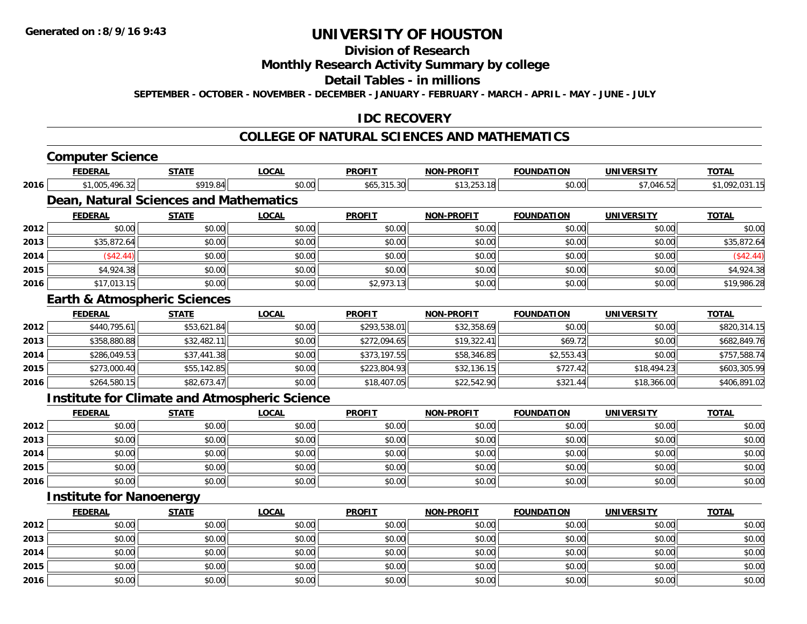## **Division of Research**

### **Monthly Research Activity Summary by college**

#### **Detail Tables - in millions**

**SEPTEMBER - OCTOBER - NOVEMBER - DECEMBER - JANUARY - FEBRUARY - MARCH - APRIL - MAY - JUNE - JULY**

### **IDC RECOVERY**

#### **COLLEGE OF NATURAL SCIENCES AND MATHEMATICS**

# **Computer Science**

|      | <b>FEDERAL</b>                  | <b>STATE</b>                            | <b>LOCAL</b>                                         | <b>PROFIT</b> | <b>NON-PROFIT</b> | <b>FOUNDATION</b> | <b>UNIVERSITY</b> | <b>TOTAL</b>   |
|------|---------------------------------|-----------------------------------------|------------------------------------------------------|---------------|-------------------|-------------------|-------------------|----------------|
| 2016 | \$1,005,496.32                  | \$919.84                                | \$0.00                                               | \$65,315.30   | \$13,253.18       | \$0.00            | \$7,046.52        | \$1,092,031.15 |
|      |                                 | Dean, Natural Sciences and Mathematics  |                                                      |               |                   |                   |                   |                |
|      | <b>FEDERAL</b>                  | <b>STATE</b>                            | <b>LOCAL</b>                                         | <b>PROFIT</b> | <b>NON-PROFIT</b> | <b>FOUNDATION</b> | <b>UNIVERSITY</b> | <b>TOTAL</b>   |
| 2012 | \$0.00                          | \$0.00                                  | \$0.00                                               | \$0.00        | \$0.00            | \$0.00            | \$0.00            | \$0.00         |
| 2013 | \$35,872.64                     | \$0.00                                  | \$0.00                                               | \$0.00        | \$0.00            | \$0.00            | \$0.00            | \$35,872.64    |
| 2014 | (\$42.44)                       | \$0.00                                  | \$0.00                                               | \$0.00        | \$0.00            | \$0.00            | \$0.00            | (\$42.44)      |
| 2015 | \$4,924.38                      | \$0.00                                  | \$0.00                                               | \$0.00        | \$0.00            | \$0.00            | \$0.00            | \$4,924.38     |
| 2016 | \$17,013.15                     | \$0.00                                  | \$0.00                                               | \$2,973.13    | \$0.00            | \$0.00            | \$0.00            | \$19,986.28    |
|      |                                 | <b>Earth &amp; Atmospheric Sciences</b> |                                                      |               |                   |                   |                   |                |
|      | <b>FEDERAL</b>                  | <b>STATE</b>                            | <b>LOCAL</b>                                         | <b>PROFIT</b> | <b>NON-PROFIT</b> | <b>FOUNDATION</b> | <b>UNIVERSITY</b> | <b>TOTAL</b>   |
| 2012 | \$440,795.61                    | \$53,621.84                             | \$0.00                                               | \$293,538.01  | \$32,358.69       | \$0.00            | \$0.00            | \$820,314.15   |
| 2013 | \$358,880.88                    | \$32,482.11                             | \$0.00                                               | \$272,094.65  | \$19,322.41       | \$69.72           | \$0.00            | \$682,849.76   |
| 2014 | \$286,049.53                    | \$37,441.38                             | \$0.00                                               | \$373,197.55  | \$58,346.85       | \$2,553.43        | \$0.00            | \$757,588.74   |
| 2015 | \$273,000.40                    | \$55,142.85                             | \$0.00                                               | \$223,804.93  | \$32,136.15       | \$727.42          | \$18,494.23       | \$603,305.99   |
| 2016 | \$264,580.15                    | \$82,673.47                             | \$0.00                                               | \$18,407.05   | \$22,542.90       | \$321.44          | \$18,366.00       | \$406,891.02   |
|      |                                 |                                         | <b>Institute for Climate and Atmospheric Science</b> |               |                   |                   |                   |                |
|      | <b>FEDERAL</b>                  | <b>STATE</b>                            | <b>LOCAL</b>                                         | <b>PROFIT</b> | <b>NON-PROFIT</b> | <b>FOUNDATION</b> | <b>UNIVERSITY</b> | <b>TOTAL</b>   |
| 2012 | \$0.00                          | \$0.00                                  | \$0.00                                               | \$0.00        | \$0.00            | \$0.00            | \$0.00            | \$0.00         |
| 2013 | \$0.00                          | \$0.00                                  | \$0.00                                               | \$0.00        | \$0.00            | \$0.00            | \$0.00            | \$0.00         |
| 2014 | \$0.00                          | \$0.00                                  | \$0.00                                               | \$0.00        | \$0.00            | \$0.00            | \$0.00            | \$0.00         |
| 2015 | \$0.00                          | \$0.00                                  | \$0.00                                               | \$0.00        | \$0.00            | \$0.00            | \$0.00            | \$0.00         |
| 2016 | \$0.00                          | \$0.00                                  | \$0.00                                               | \$0.00        | \$0.00            | \$0.00            | \$0.00            | \$0.00         |
|      | <b>Institute for Nanoenergy</b> |                                         |                                                      |               |                   |                   |                   |                |
|      | <b>FEDERAL</b>                  | <b>STATE</b>                            | <b>LOCAL</b>                                         | <b>PROFIT</b> | <b>NON-PROFIT</b> | <b>FOUNDATION</b> | <b>UNIVERSITY</b> | <b>TOTAL</b>   |
| 2012 | \$0.00                          | \$0.00                                  | \$0.00                                               | \$0.00        | \$0.00            | \$0.00            | \$0.00            | \$0.00         |

|      | <u>.</u> | <u>.</u> | $-000 - 100$ | <u>.</u> |        |        |        | <u>.</u> |
|------|----------|----------|--------------|----------|--------|--------|--------|----------|
| 2012 | \$0.00   | \$0.00   | \$0.00       | \$0.00   | \$0.00 | \$0.00 | \$0.00 | \$0.00   |
| 2013 | \$0.00   | \$0.00   | \$0.00       | \$0.00   | \$0.00 | \$0.00 | \$0.00 | \$0.00   |
| 2014 | \$0.00   | \$0.00   | \$0.00       | \$0.00   | \$0.00 | \$0.00 | \$0.00 | \$0.00   |
| 2015 | \$0.00   | \$0.00   | \$0.00       | \$0.00   | \$0.00 | \$0.00 | \$0.00 | \$0.00   |
| 2016 | \$0.00   | \$0.00   | \$0.00       | \$0.00   | \$0.00 | \$0.00 | \$0.00 | \$0.00   |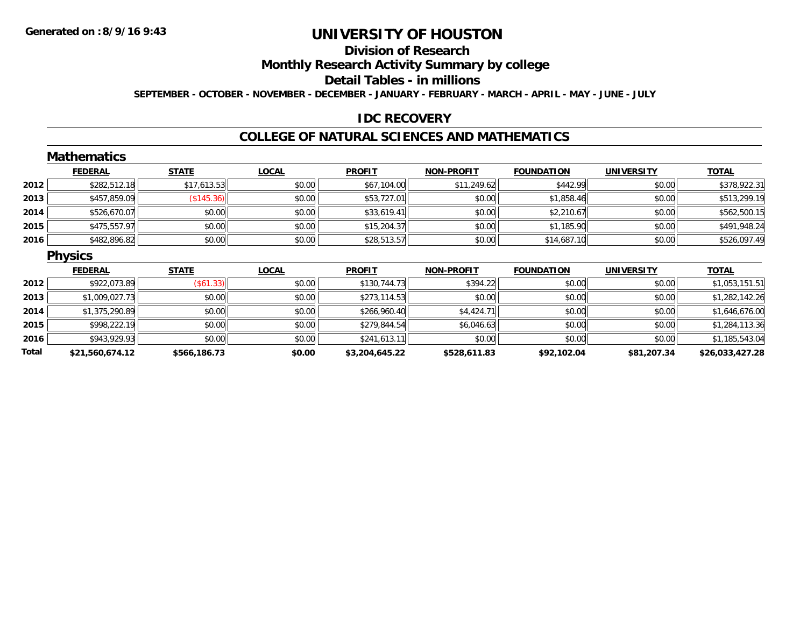## **Division of Research**

**Monthly Research Activity Summary by college**

**Detail Tables - in millions**

**SEPTEMBER - OCTOBER - NOVEMBER - DECEMBER - JANUARY - FEBRUARY - MARCH - APRIL - MAY - JUNE - JULY**

### **IDC RECOVERY**

#### **COLLEGE OF NATURAL SCIENCES AND MATHEMATICS**

|       | <b>Mathematics</b> |              |              |                |                   |                   |                   |                 |
|-------|--------------------|--------------|--------------|----------------|-------------------|-------------------|-------------------|-----------------|
|       | <b>FEDERAL</b>     | <b>STATE</b> | <b>LOCAL</b> | <b>PROFIT</b>  | <b>NON-PROFIT</b> | <b>FOUNDATION</b> | <b>UNIVERSITY</b> | <b>TOTAL</b>    |
| 2012  | \$282,512.18       | \$17,613.53  | \$0.00       | \$67,104.00    | \$11,249.62       | \$442.99          | \$0.00            | \$378,922.31    |
| 2013  | \$457,859.09       | (\$145.36)   | \$0.00       | \$53,727.01    | \$0.00            | \$1,858.46        | \$0.00            | \$513,299.19    |
| 2014  | \$526,670.07       | \$0.00       | \$0.00       | \$33,619.41    | \$0.00            | \$2,210.67        | \$0.00            | \$562,500.15    |
| 2015  | \$475,557.97       | \$0.00       | \$0.00       | \$15,204.37    | \$0.00            | \$1,185.90        | \$0.00            | \$491,948.24    |
| 2016  | \$482,896.82       | \$0.00       | \$0.00       | \$28,513.57    | \$0.00            | \$14,687.10       | \$0.00            | \$526,097.49    |
|       | <b>Physics</b>     |              |              |                |                   |                   |                   |                 |
|       | <b>FEDERAL</b>     | <b>STATE</b> | <b>LOCAL</b> | <b>PROFIT</b>  | <b>NON-PROFIT</b> | <b>FOUNDATION</b> | <b>UNIVERSITY</b> | <b>TOTAL</b>    |
| 2012  | \$922,073.89       | (\$61.33)    | \$0.00       | \$130,744.73   | \$394.22          | \$0.00            | \$0.00            | \$1,053,151.51  |
| 2013  | \$1,009,027.73     | \$0.00       | \$0.00       | \$273,114.53   | \$0.00            | \$0.00            | \$0.00            | \$1,282,142.26  |
| 2014  | \$1,375,290.89     | \$0.00       | \$0.00       | \$266,960.40   | \$4,424.71        | \$0.00            | \$0.00            | \$1,646,676.00  |
| 2015  | \$998,222.19       | \$0.00       | \$0.00       | \$279,844.54   | \$6,046.63        | \$0.00            | \$0.00            | \$1,284,113.36  |
| 2016  | \$943,929.93       | \$0.00       | \$0.00       | \$241,613.11   | \$0.00            | \$0.00            | \$0.00            | \$1,185,543.04  |
| Total | \$21,560,674.12    | \$566,186.73 | \$0.00       | \$3,204,645.22 | \$528,611.83      | \$92,102.04       | \$81,207.34       | \$26,033,427.28 |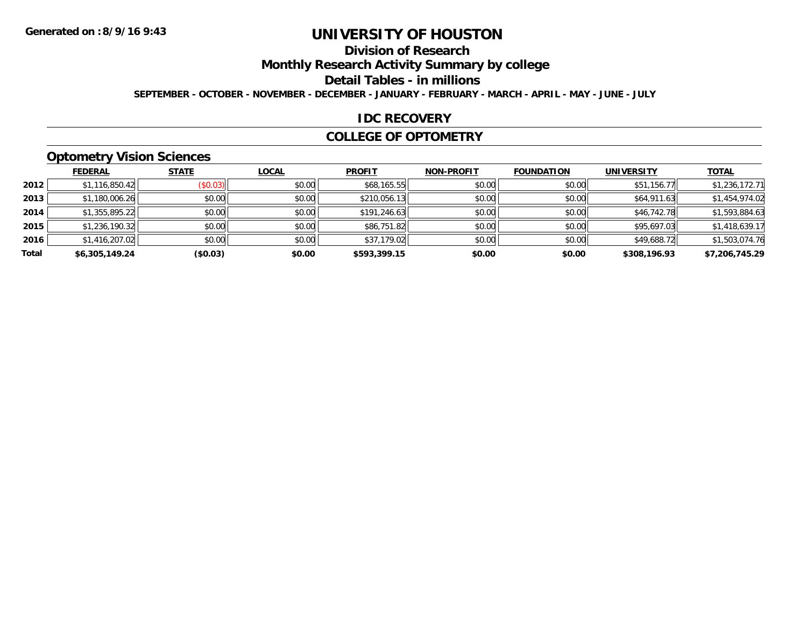## **Division of Research**

**Monthly Research Activity Summary by college**

**Detail Tables - in millions**

**SEPTEMBER - OCTOBER - NOVEMBER - DECEMBER - JANUARY - FEBRUARY - MARCH - APRIL - MAY - JUNE - JULY**

### **IDC RECOVERY**

#### **COLLEGE OF OPTOMETRY**

## **Optometry Vision Sciences**

|       | <b>FEDERAL</b> | <b>STATE</b> | <b>LOCAL</b> | <b>PROFIT</b> | <b>NON-PROFIT</b> | <b>FOUNDATION</b> | <b>UNIVERSITY</b> | <b>TOTAL</b>   |
|-------|----------------|--------------|--------------|---------------|-------------------|-------------------|-------------------|----------------|
| 2012  | \$1,116,850.42 | (\$0.03)     | \$0.00       | \$68,165.55   | \$0.00            | \$0.00            | \$51,156.77       | \$1,236,172.71 |
| 2013  | \$1,180,006.26 | \$0.00       | \$0.00       | \$210,056.13  | \$0.00            | \$0.00            | \$64,911.63       | \$1,454,974.02 |
| 2014  | \$1,355,895.22 | \$0.00       | \$0.00       | \$191,246.63  | \$0.00            | \$0.00            | \$46,742.78       | \$1,593,884.63 |
| 2015  | \$1,236,190.32 | \$0.00       | \$0.00       | \$86,751.82   | \$0.00            | \$0.00            | \$95,697.03       | \$1,418,639.17 |
| 2016  | \$1,416,207.02 | \$0.00       | \$0.00       | \$37,179.02   | \$0.00            | \$0.00            | \$49,688.72       | \$1,503,074.76 |
| Total | \$6,305,149.24 | (\$0.03)     | \$0.00       | \$593,399.15  | \$0.00            | \$0.00            | \$308,196.93      | \$7,206,745.29 |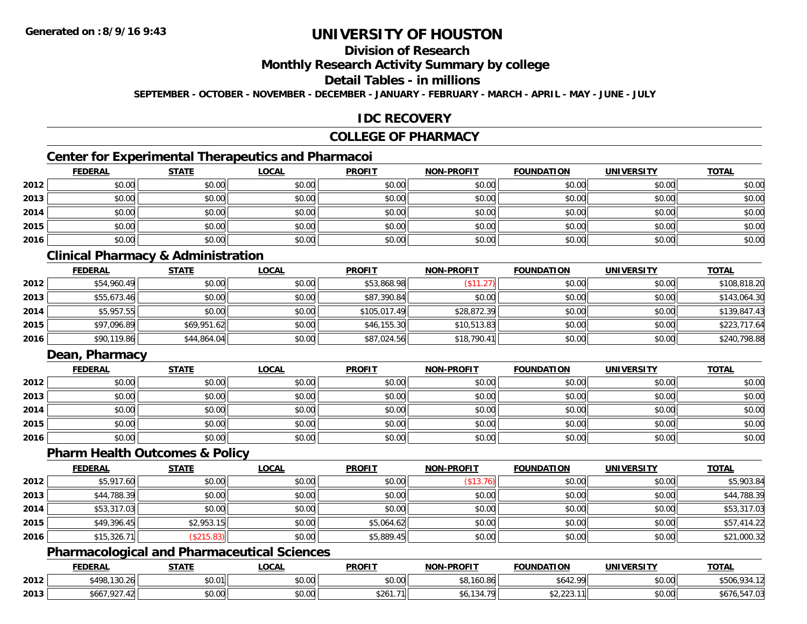## **Division of Research**

### **Monthly Research Activity Summary by college**

#### **Detail Tables - in millions**

**SEPTEMBER - OCTOBER - NOVEMBER - DECEMBER - JANUARY - FEBRUARY - MARCH - APRIL - MAY - JUNE - JULY**

### **IDC RECOVERY**

### **COLLEGE OF PHARMACY**

### **Center for Experimental Therapeutics and Pharmacoi**

|      | <b>FEDERAL</b> | <b>STATE</b> | <b>LOCAL</b> | <b>PROFIT</b> | <b>NON-PROFIT</b> | <u>FOUNDATION</u> | <b>UNIVERSITY</b> | <b>TOTAL</b> |
|------|----------------|--------------|--------------|---------------|-------------------|-------------------|-------------------|--------------|
| 2012 | \$0.00         | \$0.00       | \$0.00       | \$0.00        | \$0.00            | \$0.00            | \$0.00            | \$0.00       |
| 2013 | \$0.00         | \$0.00       | \$0.00       | \$0.00        | \$0.00            | \$0.00            | \$0.00            | \$0.00       |
| 2014 | \$0.00         | \$0.00       | \$0.00       | \$0.00        | \$0.00            | \$0.00            | \$0.00            | \$0.00       |
| 2015 | \$0.00         | \$0.00       | \$0.00       | \$0.00        | \$0.00            | \$0.00            | \$0.00            | \$0.00       |
| 2016 | \$0.00         | \$0.00       | \$0.00       | \$0.00        | \$0.00            | \$0.00            | \$0.00            | \$0.00       |

### **Clinical Pharmacy & Administration**

|      | <b>FEDERAL</b> | <b>STATE</b> | <u>LOCAL</u> | <b>PROFIT</b> | <b>NON-PROFIT</b> | <b>FOUNDATION</b> | <b>UNIVERSITY</b> | <b>TOTAL</b> |
|------|----------------|--------------|--------------|---------------|-------------------|-------------------|-------------------|--------------|
| 2012 | \$54,960.49    | \$0.00       | \$0.00       | \$53,868.98   | \$11.27           | \$0.00            | \$0.00            | \$108,818.20 |
| 2013 | \$55,673.46    | \$0.00       | \$0.00       | \$87,390.84   | \$0.00            | \$0.00            | \$0.00            | \$143,064.30 |
| 2014 | \$5,957.55     | \$0.00       | \$0.00       | \$105,017.49  | \$28,872.39       | \$0.00            | \$0.00            | \$139,847.43 |
| 2015 | \$97,096.89    | \$69,951.62  | \$0.00       | \$46,155.30   | \$10,513.83       | \$0.00            | \$0.00            | \$223,717.64 |
| 2016 | \$90,119.86    | \$44,864.04  | \$0.00       | \$87,024.56   | \$18,790.41       | \$0.00            | \$0.00            | \$240,798.88 |

### **Dean, Pharmacy**

|      | <b>FEDERAL</b> | <u>STATE</u> | <u>LOCAL</u> | <b>PROFIT</b> | <b>NON-PROFIT</b> | <b>FOUNDATION</b> | <b>UNIVERSITY</b> | <b>TOTAL</b> |
|------|----------------|--------------|--------------|---------------|-------------------|-------------------|-------------------|--------------|
| 2012 | \$0.00         | \$0.00       | \$0.00       | \$0.00        | \$0.00            | \$0.00            | \$0.00            | \$0.00       |
| 2013 | \$0.00         | \$0.00       | \$0.00       | \$0.00        | \$0.00            | \$0.00            | \$0.00            | \$0.00       |
| 2014 | \$0.00         | \$0.00       | \$0.00       | \$0.00        | \$0.00            | \$0.00            | \$0.00            | \$0.00       |
| 2015 | \$0.00         | \$0.00       | \$0.00       | \$0.00        | \$0.00            | \$0.00            | \$0.00            | \$0.00       |
| 2016 | \$0.00         | \$0.00       | \$0.00       | \$0.00        | \$0.00            | \$0.00            | \$0.00            | \$0.00       |

#### **Pharm Health Outcomes & Policy**

|      | <b>FEDERAL</b> | <b>STATE</b> | <u>LOCAL</u> | <b>PROFIT</b> | <b>NON-PROFIT</b> | <b>FOUNDATION</b> | <b>UNIVERSITY</b> | <b>TOTAL</b> |
|------|----------------|--------------|--------------|---------------|-------------------|-------------------|-------------------|--------------|
| 2012 | \$5,917.60     | \$0.00       | \$0.00       | \$0.00        | \$13.76           | \$0.00            | \$0.00            | \$5,903.84   |
| 2013 | \$44,788.39    | \$0.00       | \$0.00       | \$0.00        | \$0.00            | \$0.00            | \$0.00            | \$44,788.39  |
| 2014 | \$53,317.03    | \$0.00       | \$0.00       | \$0.00        | \$0.00            | \$0.00            | \$0.00            | \$53,317.03  |
| 2015 | \$49,396.45    | \$2,953.15   | \$0.00       | \$5,064.62    | \$0.00            | \$0.00            | \$0.00            | \$57,414.22  |
| 2016 | \$15,326.7     | \$215.83     | \$0.00       | \$5,889.45    | \$0.00            | \$0.00            | \$0.00            | \$21,000.32  |

### **Pharmacological and Pharmaceutical Sciences**

|      | <b>FEDERAL</b>                     | <b>STATE</b>         | .OCAL              | <b>PROFIT</b>                                   | <b>NON-PROFIT</b> | <b>FOUNDATION</b>      | UNIVERSITY           | <b>TOTAL</b>      |
|------|------------------------------------|----------------------|--------------------|-------------------------------------------------|-------------------|------------------------|----------------------|-------------------|
| 2012 | \$498,130.<br>$\sim$ 1<br>∣ JU.∠0I | \$0.01               | $\sim$ 00<br>JU.UU | 0000<br>JU.UU                                   | \$8.160.86        | <b>CA1200</b><br>564Z. | 0000<br><b>DU.UQ</b> | \$506.93<br>0.211 |
| 2013 | ററ<br>oo                           | $\triangle$<br>JU.UU | $\sim$<br>vv.vv    | $\begin{array}{c} \hline \end{array}$<br>DZO I. |                   | $\sim$                 | 0000<br><b>DU.UG</b> | \$070.347.U3      |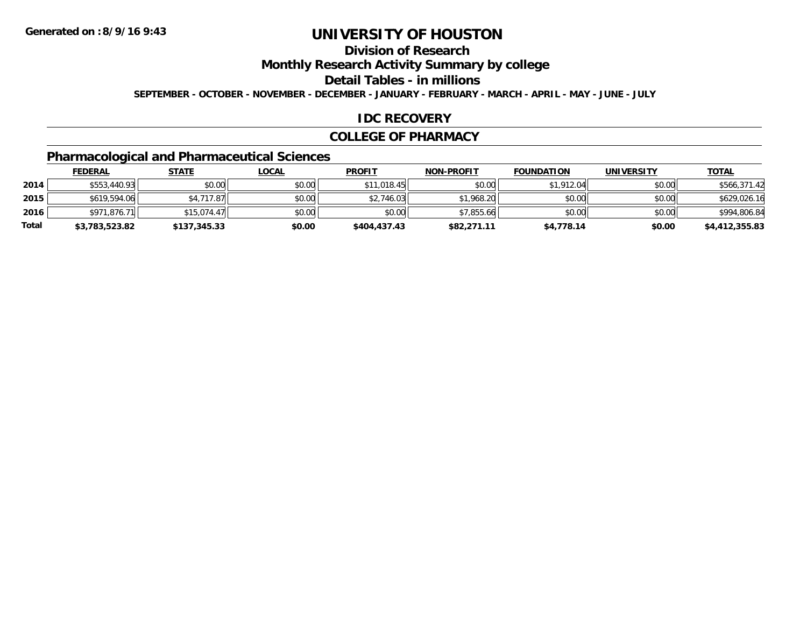## **Division of Research**

**Monthly Research Activity Summary by college**

**Detail Tables - in millions**

**SEPTEMBER - OCTOBER - NOVEMBER - DECEMBER - JANUARY - FEBRUARY - MARCH - APRIL - MAY - JUNE - JULY**

#### **IDC RECOVERY**

#### **COLLEGE OF PHARMACY**

## **Pharmacological and Pharmaceutical Sciences**

|       | <b>FEDERAL</b> | <u>STATE</u> | <u>LOCAL</u> | <b>PROFIT</b> | <b>NON-PROFIT</b> | <b>FOUNDATION</b> | <b>UNIVERSITY</b> | <b>TOTAL</b>   |
|-------|----------------|--------------|--------------|---------------|-------------------|-------------------|-------------------|----------------|
| 2014  | \$553,440.93   | \$0.00       | \$0.00       | \$11,018.45   | \$0.00            | \$1,912.04        | \$0.00            | \$566,371.42   |
| 2015  | \$619,594.06   | \$4,717.87   | \$0.00       | \$2,746.03    | \$1,968.20        | \$0.00            | \$0.00            | \$629,026.16   |
| 2016  | \$971,876.71   | \$15,074.47  | \$0.00       | \$0.00        | \$7,855.66        | \$0.00            | \$0.00            | \$994,806.84   |
| Total | \$3,783,523.82 | \$137,345.33 | \$0.00       | \$404,437.43  | \$82,271.11       | \$4,778.14        | \$0.00            | \$4,412,355.83 |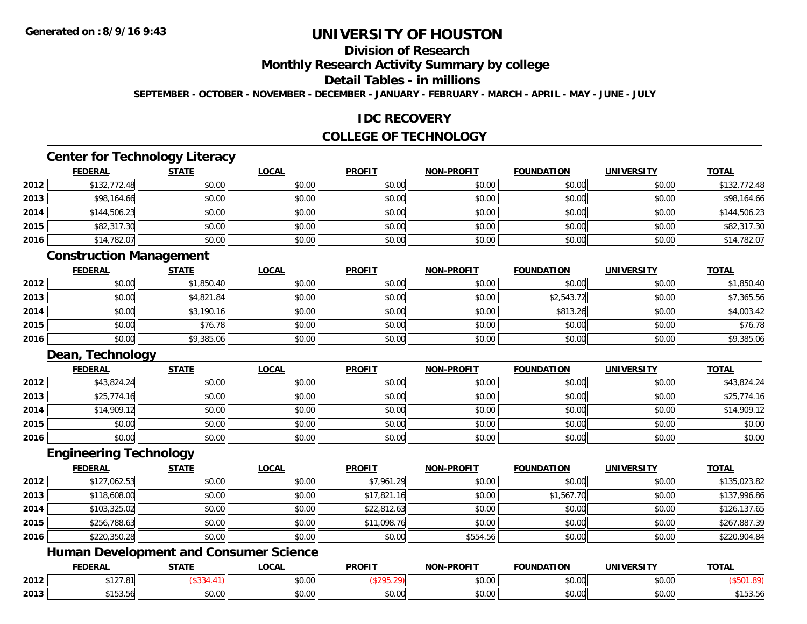## **Division of Research**

**Monthly Research Activity Summary by college**

**Detail Tables - in millions**

**SEPTEMBER - OCTOBER - NOVEMBER - DECEMBER - JANUARY - FEBRUARY - MARCH - APRIL - MAY - JUNE - JULY**

#### **IDC RECOVERY**

### **COLLEGE OF TECHNOLOGY**

### **Center for Technology Literacy**

|      | <b>FEDERAL</b> | <b>STATE</b> | <b>LOCAL</b> | <b>PROFIT</b> | <b>NON-PROFIT</b> | <b>FOUNDATION</b> | <b>UNIVERSITY</b> | <u>TOTAL</u> |
|------|----------------|--------------|--------------|---------------|-------------------|-------------------|-------------------|--------------|
| 2012 | \$132,772.48   | \$0.00       | \$0.00       | \$0.00        | \$0.00            | \$0.00            | \$0.00            | \$132,772.48 |
| 2013 | \$98,164.66    | \$0.00       | \$0.00       | \$0.00        | \$0.00            | \$0.00            | \$0.00            | \$98,164.66  |
| 2014 | \$144,506.23   | \$0.00       | \$0.00       | \$0.00        | \$0.00            | \$0.00            | \$0.00            | \$144,506.23 |
| 2015 | \$82,317.30    | \$0.00       | \$0.00       | \$0.00        | \$0.00            | \$0.00            | \$0.00            | \$82,317.30  |
| 2016 | \$14,782.07    | \$0.00       | \$0.00       | \$0.00        | \$0.00            | \$0.00            | \$0.00            | \$14,782.07  |

### **Construction Management**

|      | <u>FEDERAL</u> | <b>STATE</b> | <u>LOCAL</u> | <b>PROFIT</b> | <b>NON-PROFIT</b> | <b>FOUNDATION</b> | <b>UNIVERSITY</b> | <b>TOTAL</b> |
|------|----------------|--------------|--------------|---------------|-------------------|-------------------|-------------------|--------------|
| 2012 | \$0.00         | \$1,850.40   | \$0.00       | \$0.00        | \$0.00            | \$0.00            | \$0.00            | \$1,850.40   |
| 2013 | \$0.00         | \$4,821.84   | \$0.00       | \$0.00        | \$0.00            | \$2,543.72        | \$0.00            | \$7,365.56   |
| 2014 | \$0.00         | \$3,190.16   | \$0.00       | \$0.00        | \$0.00            | \$813.26          | \$0.00            | \$4,003.42   |
| 2015 | \$0.00         | \$76.78      | \$0.00       | \$0.00        | \$0.00            | \$0.00            | \$0.00            | \$76.78      |
| 2016 | \$0.00         | \$9,385.06   | \$0.00       | \$0.00        | \$0.00            | \$0.00            | \$0.00            | \$9,385.06   |

### **Dean, Technology**

|      | <b>FEDERAL</b> | <u>STATE</u> | <u>LOCAL</u> | <b>PROFIT</b> | <b>NON-PROFIT</b> | <b>FOUNDATION</b> | <b>UNIVERSITY</b> | <b>TOTAL</b> |
|------|----------------|--------------|--------------|---------------|-------------------|-------------------|-------------------|--------------|
| 2012 | \$43,824.24    | \$0.00       | \$0.00       | \$0.00        | \$0.00            | \$0.00            | \$0.00            | \$43,824.24  |
| 2013 | \$25,774.16    | \$0.00       | \$0.00       | \$0.00        | \$0.00            | \$0.00            | \$0.00            | \$25,774.16  |
| 2014 | \$14,909.12    | \$0.00       | \$0.00       | \$0.00        | \$0.00            | \$0.00            | \$0.00            | \$14,909.12  |
| 2015 | \$0.00         | \$0.00       | \$0.00       | \$0.00        | \$0.00            | \$0.00            | \$0.00            | \$0.00       |
| 2016 | \$0.00         | \$0.00       | \$0.00       | \$0.00        | \$0.00            | \$0.00            | \$0.00            | \$0.00       |

#### **Engineering Technology**

|      | <u>FEDERAL</u> | <b>STATE</b> | <b>LOCAL</b> | <b>PROFIT</b> | <b>NON-PROFIT</b> | <b>FOUNDATION</b> | <b>UNIVERSITY</b> | <b>TOTAL</b> |
|------|----------------|--------------|--------------|---------------|-------------------|-------------------|-------------------|--------------|
| 2012 | \$127,062.53   | \$0.00       | \$0.00       | \$7,961.29    | \$0.00            | \$0.00            | \$0.00            | \$135,023.82 |
| 2013 | \$118,608.00   | \$0.00       | \$0.00       | \$17,821.16   | \$0.00            | \$1,567.70        | \$0.00            | \$137,996.86 |
| 2014 | \$103,325.02   | \$0.00       | \$0.00       | \$22,812.63   | \$0.00            | \$0.00            | \$0.00            | \$126,137.65 |
| 2015 | \$256,788.63   | \$0.00       | \$0.00       | \$11,098.76   | \$0.00            | \$0.00            | \$0.00            | \$267,887.39 |
| 2016 | \$220,350.28   | \$0.00       | \$0.00       | \$0.00        | \$554.56          | \$0.00            | \$0.00            | \$220,904.84 |

### **Human Development and Consumer Science**

|      | <b>FEDERAL</b>                | CFTATF<br>,,,,,    | .OCAI         | <b>PROFIT</b>        | <b>J-PROFIT</b><br><b>NON</b> | <b>FOUNDATION</b> | <b>UNIVERSIT</b>   | <b>TOTAL</b>           |
|------|-------------------------------|--------------------|---------------|----------------------|-------------------------------|-------------------|--------------------|------------------------|
| 2012 | \$127.81                      |                    | 0000<br>vv.vv |                      | 0000<br><b>JU.UU</b>          | \$0.00            | $\sim$ 00<br>vu.vu |                        |
| 2013 | $A = A + A$<br><b>JIJJ.JU</b> | $\sim$ 00<br>JU.UU | 0.00<br>PO.OO | 0000<br><b>DU.UU</b> | 0.00<br><b>JU.UU</b>          | \$0.00            | 0000<br>vu.vu      | $-0$<br><b>PIJJ.JI</b> |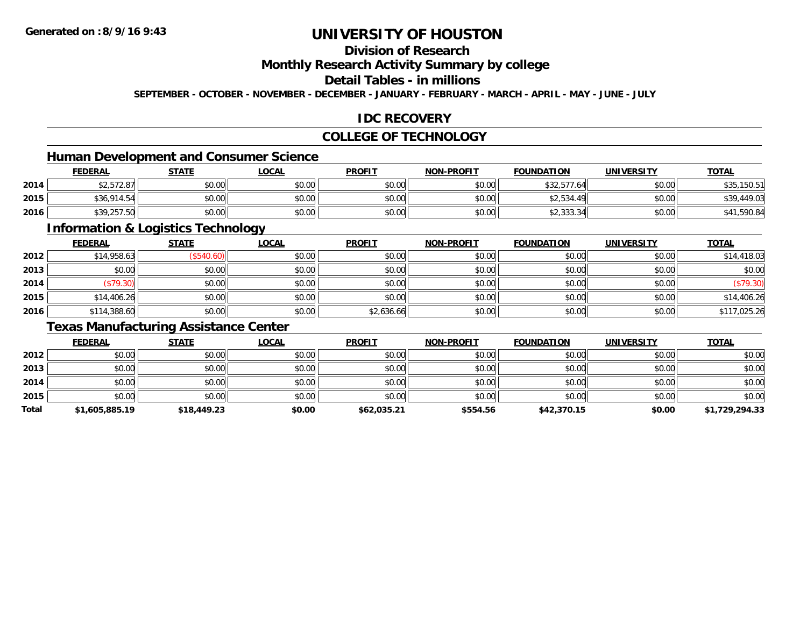## **Division of Research**

**Monthly Research Activity Summary by college**

### **Detail Tables - in millions**

**SEPTEMBER - OCTOBER - NOVEMBER - DECEMBER - JANUARY - FEBRUARY - MARCH - APRIL - MAY - JUNE - JULY**

### **IDC RECOVERY**

### **COLLEGE OF TECHNOLOGY**

### **Human Development and Consumer Science**

|      | <b>FEDERAL</b> | <b>STATE</b> | <u>LOCAL</u> | <b>PROFIT</b> | <b>NON-PROFIT</b> | <b>FOUNDATION</b>    | UNIVERSITY | <b>TOTAL</b>         |
|------|----------------|--------------|--------------|---------------|-------------------|----------------------|------------|----------------------|
| 2014 | \$2,572.87     | \$0.00       | \$0.00       | \$0.00        | \$0.00            | \$32,577.<br>.64     | \$0.00     | 150.51<br>$A \cap F$ |
| 2015 | \$36,914.54    | \$0.00       | \$0.00       | <b>SU.UU</b>  | \$0.00            | \$2,534.49           | \$0.00     | \$39.449.03          |
| 2016 | \$39,257.50    | \$0.00       | \$0.00       | \$0.00        | \$0.00            | 423331<br>\$2,333.34 | \$0.00     | 590.84               |

<u> 1989 - Johann Stoff, deutscher Stoffen und der Stoffen und der Stoffen und der Stoffen und der Stoffen und de</u>

### **Information & Logistics Technology**

|      | <u>FEDERAL</u> | <b>STATE</b> | <b>LOCAL</b> | <b>PROFIT</b> | <b>NON-PROFIT</b> | <b>FOUNDATION</b> | <b>UNIVERSITY</b> | <b>TOTAL</b> |
|------|----------------|--------------|--------------|---------------|-------------------|-------------------|-------------------|--------------|
| 2012 | \$14,958.63    | (\$540.60)   | \$0.00       | \$0.00        | \$0.00            | \$0.00            | \$0.00            | \$14,418.03  |
| 2013 | \$0.00         | \$0.00       | \$0.00       | \$0.00        | \$0.00            | \$0.00            | \$0.00            | \$0.00       |
| 2014 | (\$79.30)      | \$0.00       | \$0.00       | \$0.00        | \$0.00            | \$0.00            | \$0.00            | (\$79.30)    |
| 2015 | \$14,406.26    | \$0.00       | \$0.00       | \$0.00        | \$0.00            | \$0.00            | \$0.00            | \$14,406.26  |
| 2016 | \$114,388.60   | \$0.00       | \$0.00       | \$2,636.66    | \$0.00            | \$0.00            | \$0.00            | \$117,025.26 |

### **Texas Manufacturing Assistance Center**

|       | <b>FEDERAL</b> | <u>STATE</u> | <b>LOCAL</b> | <b>PROFIT</b> | <b>NON-PROFIT</b> | <b>FOUNDATION</b> | <b>UNIVERSITY</b> | <b>TOTAL</b>   |
|-------|----------------|--------------|--------------|---------------|-------------------|-------------------|-------------------|----------------|
| 2012  | \$0.00         | \$0.00       | \$0.00       | \$0.00        | \$0.00            | \$0.00            | \$0.00            | \$0.00         |
| 2013  | \$0.00         | \$0.00       | \$0.00       | \$0.00        | \$0.00            | \$0.00            | \$0.00            | \$0.00         |
| 2014  | \$0.00         | \$0.00       | \$0.00       | \$0.00        | \$0.00            | \$0.00            | \$0.00            | \$0.00         |
| 2015  | \$0.00         | \$0.00       | \$0.00       | \$0.00        | \$0.00            | \$0.00            | \$0.00            | \$0.00         |
| Total | \$1,605,885.19 | \$18,449.23  | \$0.00       | \$62,035.21   | \$554.56          | \$42,370.15       | \$0.00            | \$1,729,294.33 |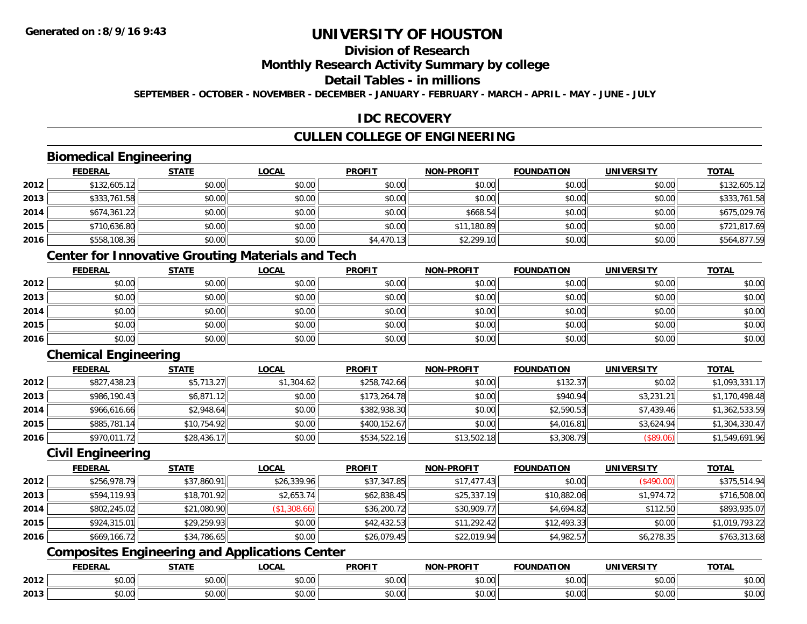## **Division of Research**

### **Monthly Research Activity Summary by college**

### **Detail Tables - in millions**

**SEPTEMBER - OCTOBER - NOVEMBER - DECEMBER - JANUARY - FEBRUARY - MARCH - APRIL - MAY - JUNE - JULY**

### **IDC RECOVERY**

### **CULLEN COLLEGE OF ENGINEERING**

### **Biomedical Engineering**

|      | <b>FEDERAL</b> | <b>STATE</b> | <b>LOCAL</b> | <b>PROFIT</b> | <b>NON-PROFIT</b> | <b>FOUNDATION</b> | <b>UNIVERSITY</b> | <b>TOTAL</b> |
|------|----------------|--------------|--------------|---------------|-------------------|-------------------|-------------------|--------------|
| 2012 | \$132,605.12   | \$0.00       | \$0.00       | \$0.00        | \$0.00            | \$0.00            | \$0.00            | \$132,605.12 |
| 2013 | \$333,761.58   | \$0.00       | \$0.00       | \$0.00        | \$0.00            | \$0.00            | \$0.00            | \$333,761.58 |
| 2014 | \$674,361.22   | \$0.00       | \$0.00       | \$0.00        | \$668.54          | \$0.00            | \$0.00            | \$675,029.76 |
| 2015 | \$710,636.80   | \$0.00       | \$0.00       | \$0.00        | \$11,180.89       | \$0.00            | \$0.00            | \$721,817.69 |
| 2016 | \$558,108.36   | \$0.00       | \$0.00       | \$4,470.13    | \$2,299.10        | \$0.00            | \$0.00            | \$564,877.59 |

### **Center for Innovative Grouting Materials and Tech**

|      | <u>FEDERAL</u> | <u>STATE</u> | <u>LOCAL</u> | <b>PROFIT</b> | <b>NON-PROFIT</b> | <b>FOUNDATION</b> | <b>UNIVERSITY</b> | <b>TOTAL</b> |
|------|----------------|--------------|--------------|---------------|-------------------|-------------------|-------------------|--------------|
| 2012 | \$0.00         | \$0.00       | \$0.00       | \$0.00        | \$0.00            | \$0.00            | \$0.00            | \$0.00       |
| 2013 | \$0.00         | \$0.00       | \$0.00       | \$0.00        | \$0.00            | \$0.00            | \$0.00            | \$0.00       |
| 2014 | \$0.00         | \$0.00       | \$0.00       | \$0.00        | \$0.00            | \$0.00            | \$0.00            | \$0.00       |
| 2015 | \$0.00         | \$0.00       | \$0.00       | \$0.00        | \$0.00            | \$0.00            | \$0.00            | \$0.00       |
| 2016 | \$0.00         | \$0.00       | \$0.00       | \$0.00        | \$0.00            | \$0.00            | \$0.00            | \$0.00       |

### **Chemical Engineering**

|      | <b>FEDERAL</b> | <b>STATE</b> | <b>LOCAL</b> | <b>PROFIT</b> | <b>NON-PROFIT</b> | <b>FOUNDATION</b> | <b>UNIVERSITY</b> | <b>TOTAL</b>   |
|------|----------------|--------------|--------------|---------------|-------------------|-------------------|-------------------|----------------|
| 2012 | \$827,438.23   | \$5,713.27   | \$1,304.62   | \$258,742.66  | \$0.00            | \$132.37          | \$0.02            | \$1,093,331.17 |
| 2013 | \$986,190.43   | \$6,871.12   | \$0.00       | \$173,264.78  | \$0.00            | \$940.94          | \$3,231.21        | \$1,170,498.48 |
| 2014 | \$966,616.66   | \$2,948.64   | \$0.00       | \$382,938.30  | \$0.00            | \$2,590.53        | \$7,439.46        | \$1,362,533.59 |
| 2015 | \$885,781.14   | \$10,754.92  | \$0.00       | \$400.152.67  | \$0.00            | \$4,016.81        | \$3,624.94        | \$1,304,330.47 |
| 2016 | \$970,011.72   | \$28,436.17  | \$0.00       | \$534,522.16  | \$13,502.18       | \$3,308.79        | (\$89.06)         | \$1,549,691.96 |

### **Civil Engineering**

|      | <b>FEDERAL</b> | <b>STATE</b> | <u>LOCAL</u> | <b>PROFIT</b> | <b>NON-PROFIT</b> | <b>FOUNDATION</b> | UNIVERSITY | <b>TOTAL</b>   |
|------|----------------|--------------|--------------|---------------|-------------------|-------------------|------------|----------------|
| 2012 | \$256,978.79   | \$37,860.91  | \$26,339.96  | \$37,347.85   | \$17.477.43       | \$0.00            | (\$490.00) | \$375,514.94   |
| 2013 | \$594,119.93   | \$18,701.92  | \$2,653.74   | \$62,838.45   | \$25,337.19       | \$10,882.06       | \$1,974.72 | \$716,508.00   |
| 2014 | \$802,245.02   | \$21,080.90  | (\$1,308.66) | \$36,200.72   | \$30,909.77       | \$4,694.82        | \$112.50   | \$893,935.07   |
| 2015 | \$924,315.01   | \$29,259.93  | \$0.00       | \$42,432.53   | \$11,292.42       | \$12,493.33       | \$0.00     | \$1,019,793.22 |
| 2016 | \$669,166.72   | \$34,786.65  | \$0.00       | \$26,079.45   | \$22,019.94       | \$4,982.57        | \$6,278.35 | \$763,313.68   |

### **Composites Engineering and Applications Center**

|      | <b>FEDERAL</b> | <b>STATE</b><br>,,,,,, | <b>_OCAL</b>       | <b>PROFIT</b>           | -PROFIT<br><b>NIONI</b> | <b>FOUNDATION</b>                                 | <b>UNIVERSITY</b>     | <b>TOTAL</b> |
|------|----------------|------------------------|--------------------|-------------------------|-------------------------|---------------------------------------------------|-----------------------|--------------|
| 2012 | \$0.00         | Ψυ<br>יש.טע            | ሶስ ሰሰ<br>JU.UU     | 0 <sub>n</sub><br>JU.UU | 0000<br><b>DU.UU</b>    | $\mathsf{A}\cap\mathsf{A}\cap\mathsf{A}$<br>JU.UU | 0.001<br><b>JU.UU</b> | \$0.00       |
| 2013 | \$0.00         | ¢∩<br>JU.UU            | $\sim$ 00<br>JU.UU | 0000<br>JU.UU           | \$0.00                  | JU.UU                                             | 0.00<br>PO.OO         | \$0.00       |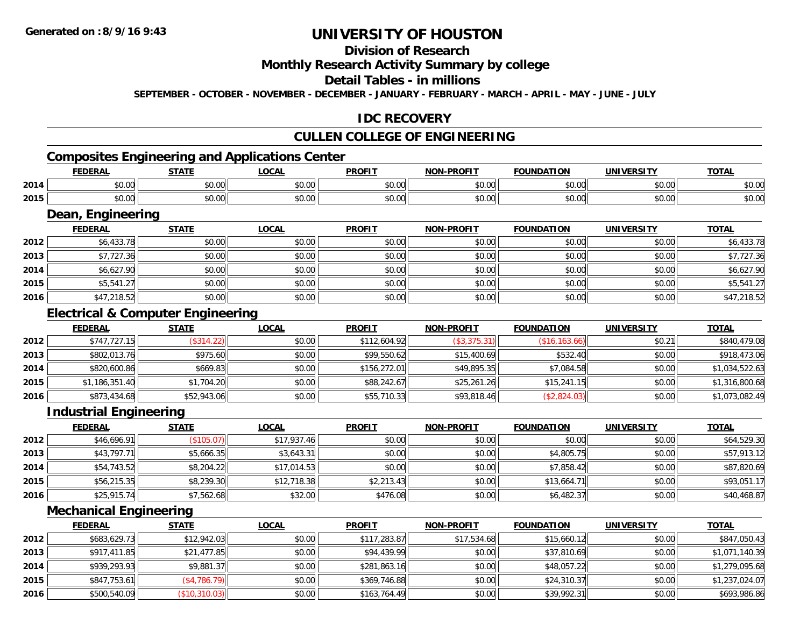## **Division of Research**

### **Monthly Research Activity Summary by college**

#### **Detail Tables - in millions**

**SEPTEMBER - OCTOBER - NOVEMBER - DECEMBER - JANUARY - FEBRUARY - MARCH - APRIL - MAY - JUNE - JULY**

### **IDC RECOVERY**

## **CULLEN COLLEGE OF ENGINEERING**

# **Composites Engineering and Applications Center**

|      | <b>FEDERAL</b>     | <b>CTATE</b>                                          | .OCAL  | <b>PROFIT</b>          | <b>DDAFIT</b><br>NON | <b>FOUNDATION</b>          | UNIVERSITY | <b>TOTAL</b> |
|------|--------------------|-------------------------------------------------------|--------|------------------------|----------------------|----------------------------|------------|--------------|
| 2014 | $\sim$<br>טט.טע    | 0000<br>JU.UU                                         | \$0.00 | 0 <sub>n</sub><br>JU.U | 0000<br>vv.vv        | $\sim$ $\sim$<br>nn.<br>wu | \$0.00     | 0 n<br>DU.UU |
| 2015 | , n<br>--<br>טט.טע | $\mathsf{A} \cap \mathsf{A} \cap \mathsf{A}$<br>JU.UU | \$0.00 | 0 <sub>n</sub><br>JU.U | 0000<br>JU.UU        | $n \cap \Omega$<br>וט.טי   | \$0.00     | \$0.00       |

<u> 1989 - Johann Stoff, Amerikaansk politiker (\* 1958)</u>

#### **Dean, Engineering**

|      | <b>FEDERAL</b> | <b>STATE</b> | <b>LOCAL</b> | <b>PROFIT</b> | <b>NON-PROFIT</b> | <b>FOUNDATION</b> | <b>UNIVERSITY</b> | <b>TOTAL</b> |
|------|----------------|--------------|--------------|---------------|-------------------|-------------------|-------------------|--------------|
| 2012 | \$6,433.78     | \$0.00       | \$0.00       | \$0.00        | \$0.00            | \$0.00            | \$0.00            | \$6,433.78   |
| 2013 | \$7,727.36     | \$0.00       | \$0.00       | \$0.00        | \$0.00            | \$0.00            | \$0.00            | \$7,727.36   |
| 2014 | \$6,627.90     | \$0.00       | \$0.00       | \$0.00        | \$0.00            | \$0.00            | \$0.00            | \$6,627.90   |
| 2015 | \$5,541.27     | \$0.00       | \$0.00       | \$0.00        | \$0.00            | \$0.00            | \$0.00            | \$5,541.27   |
| 2016 | \$47,218.52    | \$0.00       | \$0.00       | \$0.00        | \$0.00            | \$0.00            | \$0.00            | \$47,218.52  |

### **Electrical & Computer Engineering**

|      | <b>FEDERAL</b> | <b>STATE</b> | <u>LOCAL</u> | <b>PROFIT</b> | <b>NON-PROFIT</b> | <b>FOUNDATION</b> | <b>UNIVERSITY</b> | <b>TOTAL</b>   |
|------|----------------|--------------|--------------|---------------|-------------------|-------------------|-------------------|----------------|
| 2012 | \$747,727.15   | (\$314.22)   | \$0.00       | \$112,604.92  | (\$3,375.31)      | (\$16, 163.66)    | \$0.21            | \$840,479.08   |
| 2013 | \$802,013.76   | \$975.60     | \$0.00       | \$99,550.62   | \$15,400.69       | \$532.40          | \$0.00            | \$918,473.06   |
| 2014 | \$820,600.86   | \$669.83     | \$0.00       | \$156,272.01  | \$49,895.35       | \$7,084.58        | \$0.00            | \$1,034,522.63 |
| 2015 | \$1,186,351.40 | \$1,704.20   | \$0.00       | \$88,242.67   | \$25,261.26       | \$15,241.15       | \$0.00            | \$1,316,800.68 |
| 2016 | \$873,434.68   | \$52,943.06  | \$0.00       | \$55,710.33   | \$93,818.46       | (\$2,824.03)      | \$0.00            | \$1,073,082.49 |

### **Industrial Engineering**

|      | <u>FEDERAL</u> | <b>STATE</b> | <u>LOCAL</u> | <b>PROFIT</b> | <b>NON-PROFIT</b> | <b>FOUNDATION</b> | <b>UNIVERSITY</b> | <b>TOTAL</b> |
|------|----------------|--------------|--------------|---------------|-------------------|-------------------|-------------------|--------------|
| 2012 | \$46,696.91    | (\$105.07)   | \$17,937.46  | \$0.00        | \$0.00            | \$0.00            | \$0.00            | \$64,529.30  |
| 2013 | \$43,797.71    | \$5,666.35   | \$3,643.31   | \$0.00        | \$0.00            | \$4,805.75        | \$0.00            | \$57,913.12  |
| 2014 | \$54,743.52    | \$8,204.22   | \$17,014.53  | \$0.00        | \$0.00            | \$7,858.42        | \$0.00            | \$87,820.69  |
| 2015 | \$56,215.35    | \$8,239.30   | \$12,718.38  | \$2,213.43    | \$0.00            | \$13,664.71       | \$0.00            | \$93.051.17  |
| 2016 | \$25,915.74    | \$7,562.68   | \$32.00      | \$476.08      | \$0.00            | \$6,482.37        | \$0.00            | \$40,468.87  |

### **Mechanical Engineering**

|      | <b>FEDERAL</b> | <b>STATE</b>  | <b>LOCAL</b> | <b>PROFIT</b> | <b>NON-PROFIT</b> | <b>FOUNDATION</b> | <b>UNIVERSITY</b> | <b>TOTAL</b>   |
|------|----------------|---------------|--------------|---------------|-------------------|-------------------|-------------------|----------------|
| 2012 | \$683,629.73   | \$12,942.03   | \$0.00       | \$117,283.87  | \$17,534.68       | \$15,660.12       | \$0.00            | \$847,050.43   |
| 2013 | \$917,411.85   | \$21,477.85   | \$0.00       | \$94,439.99   | \$0.00            | \$37,810.69       | \$0.00            | \$1,071,140.39 |
| 2014 | \$939,293.93   | \$9,881.37    | \$0.00       | \$281,863.16  | \$0.00            | \$48,057.22       | \$0.00            | \$1,279,095.68 |
| 2015 | \$847,753.61   | (\$4,786.79)  | \$0.00       | \$369,746.88  | \$0.00            | \$24,310.37       | \$0.00            | \$1,237,024.07 |
| 2016 | \$500,540.09   | (\$10,310.03) | \$0.00       | \$163,764.49  | \$0.00            | \$39,992.31       | \$0.00            | \$693,986.86   |

<u> 1980 - Andrea Station Barbara, actor a component de la componentación de la componentación de la componentaci</u>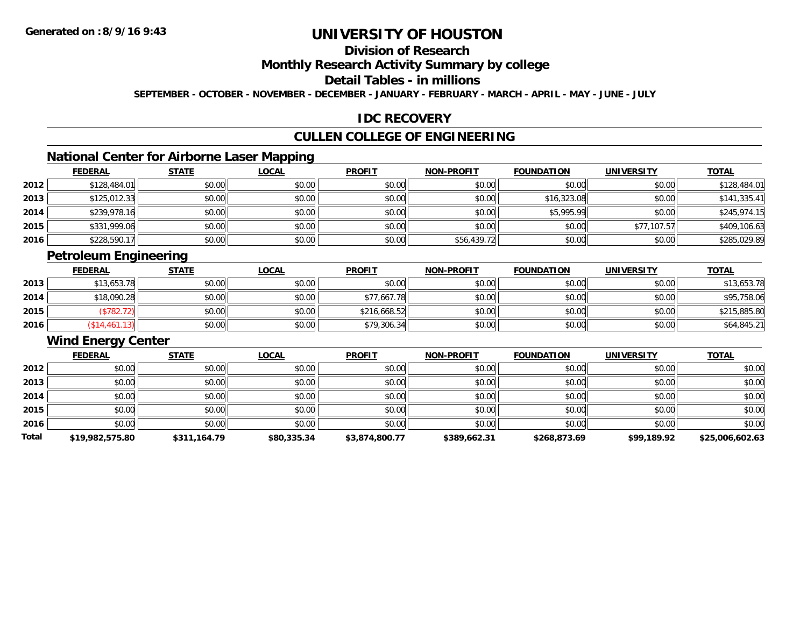## **Division of Research**

#### **Monthly Research Activity Summary by college**

### **Detail Tables - in millions**

**SEPTEMBER - OCTOBER - NOVEMBER - DECEMBER - JANUARY - FEBRUARY - MARCH - APRIL - MAY - JUNE - JULY**

### **IDC RECOVERY**

### **CULLEN COLLEGE OF ENGINEERING**

### **National Center for Airborne Laser Mapping**

|      | <b>FEDERAL</b> | <b>STATE</b> | <u>LOCAL</u> | <b>PROFIT</b> | <b>NON-PROFIT</b> | <b>FOUNDATION</b> | <b>UNIVERSITY</b> | <b>TOTAL</b> |
|------|----------------|--------------|--------------|---------------|-------------------|-------------------|-------------------|--------------|
| 2012 | \$128,484.01   | \$0.00       | \$0.00       | \$0.00        | \$0.00            | \$0.00            | \$0.00            | \$128,484.01 |
| 2013 | \$125,012.33   | \$0.00       | \$0.00       | \$0.00        | \$0.00            | \$16,323.08       | \$0.00            | \$141,335.41 |
| 2014 | \$239,978.16   | \$0.00       | \$0.00       | \$0.00        | \$0.00            | \$5,995.99        | \$0.00            | \$245,974.15 |
| 2015 | \$331,999.06   | \$0.00       | \$0.00       | \$0.00        | \$0.00            | \$0.00            | \$77,107.57       | \$409,106.63 |
| 2016 | \$228,590.17   | \$0.00       | \$0.00       | \$0.00        | \$56,439.72       | \$0.00            | \$0.00            | \$285,029.89 |

### **Petroleum Engineering**

|      | <b>FEDERAL</b> | <b>STATE</b> | <u>LOCAL</u> | <b>PROFIT</b> | <b>NON-PROFIT</b> | <b>FOUNDATION</b> | <b>UNIVERSITY</b> | <b>TOTAL</b> |
|------|----------------|--------------|--------------|---------------|-------------------|-------------------|-------------------|--------------|
| 2013 | \$13,653.78    | \$0.00       | \$0.00       | \$0.00        | \$0.00            | \$0.00            | \$0.00            | \$13,653.78  |
| 2014 | \$18,090.28    | \$0.00       | \$0.00       | \$77,667.78   | \$0.00            | \$0.00            | \$0.00            | \$95,758.06  |
| 2015 | \$782.72       | \$0.00       | \$0.00       | \$216,668.52  | \$0.00            | \$0.00            | \$0.00            | \$215,885.80 |
| 2016 | \$14,461.13]   | \$0.00       | \$0.00       | \$79,306.34   | \$0.00            | \$0.00            | \$0.00            | \$64,845.21  |

## **Wind Energy Center**

|       | <b>FEDERAL</b>  | <b>STATE</b> | <b>LOCAL</b> | <b>PROFIT</b>  | <b>NON-PROFIT</b> | <b>FOUNDATION</b> | <b>UNIVERSITY</b> | <b>TOTAL</b>    |
|-------|-----------------|--------------|--------------|----------------|-------------------|-------------------|-------------------|-----------------|
| 2012  | \$0.00          | \$0.00       | \$0.00       | \$0.00         | \$0.00            | \$0.00            | \$0.00            | \$0.00          |
| 2013  | \$0.00          | \$0.00       | \$0.00       | \$0.00         | \$0.00            | \$0.00            | \$0.00            | \$0.00          |
| 2014  | \$0.00          | \$0.00       | \$0.00       | \$0.00         | \$0.00            | \$0.00            | \$0.00            | \$0.00          |
| 2015  | \$0.00          | \$0.00       | \$0.00       | \$0.00         | \$0.00            | \$0.00            | \$0.00            | \$0.00          |
| 2016  | \$0.00          | \$0.00       | \$0.00       | \$0.00         | \$0.00            | \$0.00            | \$0.00            | \$0.00          |
| Total | \$19,982,575.80 | \$311,164.79 | \$80,335.34  | \$3,874,800.77 | \$389,662.31      | \$268,873.69      | \$99,189.92       | \$25,006,602.63 |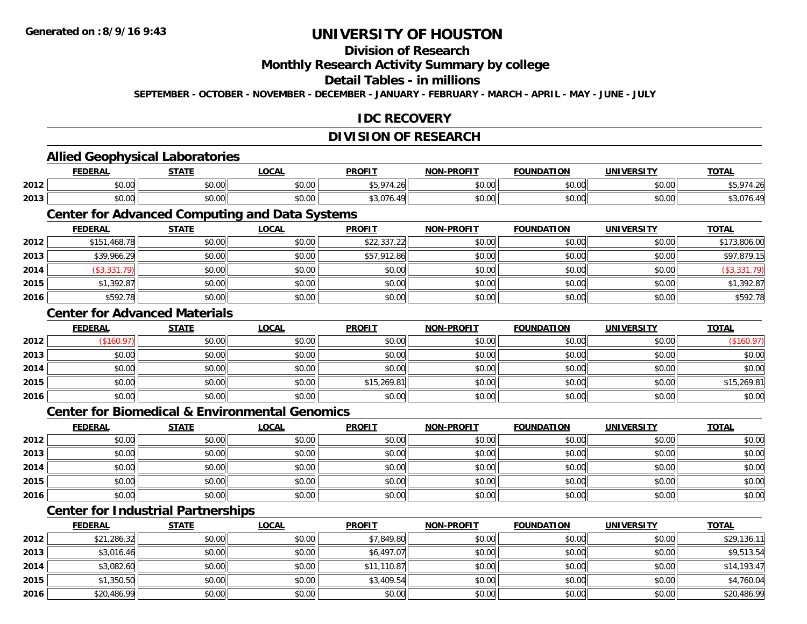**2013**

**2014**

**2015**

**2016**

# **UNIVERSITY OF HOUSTON**

### **Division of Research**

**Monthly Research Activity Summary by college**

**Detail Tables - in millions**

**SEPTEMBER - OCTOBER - NOVEMBER - DECEMBER - JANUARY - FEBRUARY - MARCH - APRIL - MAY - JUNE - JULY**

### **IDC RECOVERY**

#### **DIVISION OF RESEARCH**

#### **Allied Geophysical Laboratories FEDERAL STATE LOCAL PROFIT NON-PROFIT FOUNDATION UNIVERSITY TOTALTOTAL 2012** \$0.00 \$0.00 \$0.00 \$5,974.26 \$0.00 \$0.00 \$0.00 \$5,974.26 **2013** \$0.00 \$0.00 \$0.00 \$3,076.49 \$0.00 \$0.00 \$0.00 \$3,076.49 **Center for Advanced Computing and Data Systems FEDERAL STATE LOCAL PROFIT NON-PROFIT FOUNDATION UNIVERSITY TOTAL2012** \$151,468.78 \$0.00 \$0.00 \$22,337.22 \$0.00 \$0.00 \$0.00 \$173,806.00 **2013** \$39,966.29 \$0.00 \$0.00 \$57,912.86 \$0.00 \$0.00 \$0.00 \$97,879.15 **2014** (\$3,331.79) \$0.00 \$0.00 \$0.00 \$0.00 \$0.00 \$0.00 (\$3,331.79) **2015** \$1,392.87 \$0.00 \$0.00 \$0.00 \$0.00 \$0.00 \$0.00 \$1,392.87 **2016**6 \$592.78 \$592.78 \$0.00 \$0.00 \$0.00 \$0.00 \$0.00 \$0.00 \$0.00 \$0.00 \$0.00 \$0.00 \$0.00 \$592.78 **Center for Advanced MaterialsFEDERAL STATE LOCAL PROFIT NON-PROFIT FOUNDATION UNIVERSITY TOTAL2012**2 | (\$160.97)|| \$0.00|| \$0.00|| \$0.00|| \$0.00|| \$0.00|| (\$160.97) **2013** $\textbf{3} \quad \textbf{\textcolor{blue}{\textbf{50.00}}} \quad \textbf{\textcolor{blue}{\textbf{50.00}}} \quad \textbf{\textcolor{blue}{\textbf{50.00}}} \quad \textbf{\textcolor{blue}{\textbf{50.00}}} \quad \textbf{\textcolor{blue}{\textbf{50.00}}} \quad \textbf{\textcolor{blue}{\textbf{50.00}}} \quad \textbf{\textcolor{blue}{\textbf{50.00}}} \quad \textbf{\textcolor{blue}{\textbf{50.00}}} \quad \textbf{\textcolor{blue}{\textbf{50.00}}} \quad \textbf{\textcolor{blue}{\textbf{50.00}}} \quad \text$ **2014**4 \$0.00 \$0.00 \$0.00 \$0.00 \$0.00 \$0.00 \$0.00 \$0.00 \$0.00 \$0.00 \$0.00 \$0.00 \$0.00 \$0.00 \$0.00 \$0.00 \$0.00 **2015** \$0.00 \$0.00 \$0.00 \$15,269.81 \$0.00 \$0.00 \$0.00 \$15,269.81 **2016** \$0.00 \$0.00 \$0.00 \$0.00 \$0.00 \$0.00 \$0.00 \$0.00 **Center for Biomedical & Environmental GenomicsFEDERAL STATE LOCAL PROFIT NON-PROFIT FOUNDATION UNIVERSITY TOTALTOTAL 2012**2 | \$0.00 \$0.00 \$0.00 \$0.00 \$0.00 \$0.00 \$0.00 \$0.00 \$0.00 \$0.00 \$0.00 \$0.00 \$0.00 \$0.00 \$0.00 \$0.00 \$0.00 \$0.0 **2013** \$0.00 \$0.00 \$0.00 \$0.00 \$0.00 \$0.00 \$0.00 \$0.00 **2014**4 \$0.00 \$0.00 \$0.00 \$0.00 \$0.00 \$0.00 \$0.00 \$0.00 \$0.00 \$0.00 \$0.00 \$0.00 \$0.00 \$0.00 \$0.00 \$0.00 \$0.00 **2015** \$0.00 \$0.00 \$0.00 \$0.00 \$0.00 \$0.00 \$0.00 \$0.00 **2016**6 \$0.00 \$0.00 \$0.00 \$0.00 \$0.00 \$0.00 \$0.00 \$0.00 \$0.00 \$0.00 \$0.00 \$0.00 \$0.00 \$0.00 \$0.00 \$0.00 \$0.00 **Center for Industrial Partnerships FEDERAL STATE LOCAL PROFIT NON-PROFIT FOUNDATION UNIVERSITY TOTAL2012**2 \$21,286.32 \$0.00 \$0.00 \$0.00 \$0.00 \$0.00 \$1,849.80 \$7,849.80 \$0.00 \$0.00 \$0.00 \$0.00 \$29,136.11

\$3,016.46 \$0.00 \$0.00 \$6,497.07 \$0.00 \$0.00 \$0.00 \$9,513.54

4 \$3,082.60 \\$11,193.47 \$0.00 \$0.00 \$0.00 \$11,110.87 \$11,110.87 \$0.00 \$0.00 \$0.00 \$0.00 \$14,193.47

5 | \$1,350.50|| \$0.00|| \$0.00|| \$0.00|| \$3,409.54|| \$0.00|| \$0.00|| \$0.00|| \$0.00|| \$4,760.04

6 \$20,486.99 \$0.00 \$0.00 \$0.00 \$0.00 \$0.00 \$0.00 \$0.00 \$0.00 \$0.00 \$0.00 \$20,486.99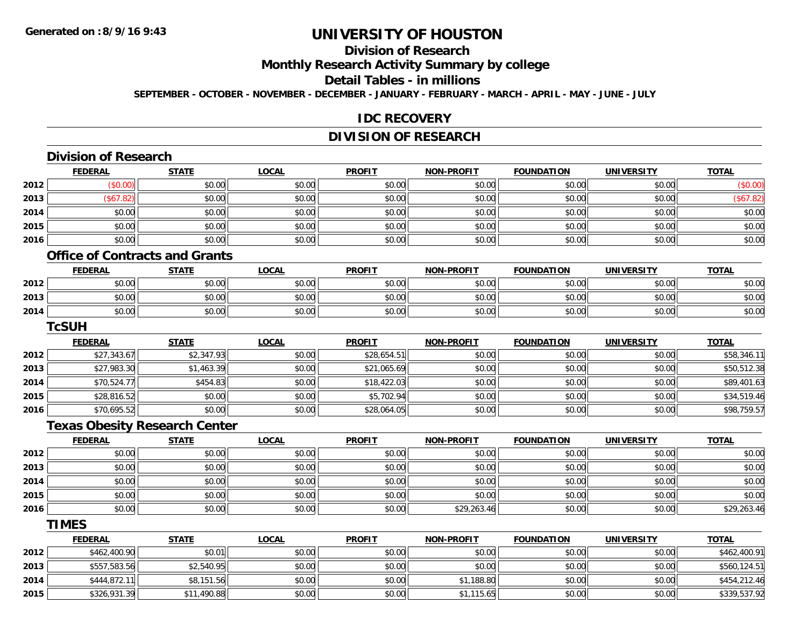**2015**

# **UNIVERSITY OF HOUSTON**

## **Division of Research**

**Monthly Research Activity Summary by college**

**Detail Tables - in millions**

**SEPTEMBER - OCTOBER - NOVEMBER - DECEMBER - JANUARY - FEBRUARY - MARCH - APRIL - MAY - JUNE - JULY**

#### **IDC RECOVERY**

### **DIVISION OF RESEARCH**

|      | <b>Division of Research</b>           |              |              |               |                   |                   |                   |              |
|------|---------------------------------------|--------------|--------------|---------------|-------------------|-------------------|-------------------|--------------|
|      | <b>FEDERAL</b>                        | <b>STATE</b> | <b>LOCAL</b> | <b>PROFIT</b> | <b>NON-PROFIT</b> | <b>FOUNDATION</b> | <b>UNIVERSITY</b> | <b>TOTAL</b> |
| 2012 | (\$0.00)                              | \$0.00       | \$0.00       | \$0.00        | \$0.00            | \$0.00            | \$0.00            | (\$0.00)     |
| 2013 | (\$67.82)                             | \$0.00       | \$0.00       | \$0.00        | \$0.00            | \$0.00            | \$0.00            | (\$67.82)    |
| 2014 | \$0.00                                | \$0.00       | \$0.00       | \$0.00        | \$0.00            | \$0.00            | \$0.00            | \$0.00       |
| 2015 | \$0.00                                | \$0.00       | \$0.00       | \$0.00        | \$0.00            | \$0.00            | \$0.00            | \$0.00       |
| 2016 | \$0.00                                | \$0.00       | \$0.00       | \$0.00        | \$0.00            | \$0.00            | \$0.00            | \$0.00       |
|      | <b>Office of Contracts and Grants</b> |              |              |               |                   |                   |                   |              |
|      | <b>FEDERAL</b>                        | <b>STATE</b> | <b>LOCAL</b> | <b>PROFIT</b> | <b>NON-PROFIT</b> | <b>FOUNDATION</b> | <b>UNIVERSITY</b> | <b>TOTAL</b> |
| 2012 | \$0.00                                | \$0.00       | \$0.00       | \$0.00        | \$0.00            | \$0.00            | \$0.00            | \$0.00       |
| 2013 | \$0.00                                | \$0.00       | \$0.00       | \$0.00        | \$0.00            | \$0.00            | \$0.00            | \$0.00       |
| 2014 | \$0.00                                | \$0.00       | \$0.00       | \$0.00        | \$0.00            | \$0.00            | \$0.00            | \$0.00       |
|      | <b>TcSUH</b>                          |              |              |               |                   |                   |                   |              |
|      | <b>FEDERAL</b>                        | <b>STATE</b> | <b>LOCAL</b> | <b>PROFIT</b> | NON-PROFIT        | <b>FOUNDATION</b> | <b>UNIVERSITY</b> | <b>TOTAL</b> |
| 2012 | \$27,343.67                           | \$2,347.93   | \$0.00       | \$28,654.51   | \$0.00            | \$0.00            | \$0.00            | \$58,346.11  |
| 2013 | \$27,983.30                           | \$1,463.39   | \$0.00       | \$21,065.69   | \$0.00            | \$0.00            | \$0.00            | \$50,512.38  |
| 2014 | \$70,524.77                           | \$454.83     | \$0.00       | \$18,422.03   | \$0.00            | \$0.00            | \$0.00            | \$89,401.63  |
| 2015 | \$28,816.52                           | \$0.00       | \$0.00       | \$5,702.94    | \$0.00            | \$0.00            | \$0.00            | \$34,519.46  |
| 2016 | \$70,695.52                           | \$0.00       | \$0.00       | \$28,064.05   | \$0.00            | \$0.00            | \$0.00            | \$98,759.57  |
|      | <b>Texas Obesity Research Center</b>  |              |              |               |                   |                   |                   |              |
|      | <b>FEDERAL</b>                        | <b>STATE</b> | <b>LOCAL</b> | <b>PROFIT</b> | <b>NON-PROFIT</b> | <b>FOUNDATION</b> | <b>UNIVERSITY</b> | <b>TOTAL</b> |
| 2012 | \$0.00                                | \$0.00       | \$0.00       | \$0.00        | \$0.00            | \$0.00            | \$0.00            | \$0.00       |
| 2013 | \$0.00                                | \$0.00       | \$0.00       | \$0.00        | \$0.00            | \$0.00            | \$0.00            | \$0.00       |
| 2014 | \$0.00                                | \$0.00       | \$0.00       | \$0.00        | \$0.00            | \$0.00            | \$0.00            | \$0.00       |
| 2015 | \$0.00                                | \$0.00       | \$0.00       | \$0.00        | \$0.00            | \$0.00            | \$0.00            | \$0.00       |
| 2016 | \$0.00                                | \$0.00       | \$0.00       | \$0.00        | \$29,263.46       | \$0.00            | \$0.00            | \$29,263.46  |
|      | <b>TIMES</b>                          |              |              |               |                   |                   |                   |              |
|      | <b>FEDERAL</b>                        | <b>STATE</b> | <b>LOCAL</b> | <b>PROFIT</b> | NON-PROFIT        | <b>FOUNDATION</b> | <b>UNIVERSITY</b> | <b>TOTAL</b> |
| 2012 | \$462,400.90                          | \$0.01       | \$0.00       | \$0.00        | \$0.00            | \$0.00            | \$0.00            | \$462,400.91 |
| 2013 | \$557,583.56                          | \$2,540.95   | \$0.00       | \$0.00        | \$0.00            | \$0.00            | \$0.00            | \$560,124.51 |
| 2014 | \$444,872.11                          | \$8,151.56   | \$0.00       | \$0.00        | \$1,188.80        | \$0.00            | \$0.00            | \$454,212.46 |

\$326,931.39 \$11,490.88 \$0.00 \$0.00 \$1,115.65 \$0.00 \$0.00 \$339,537.92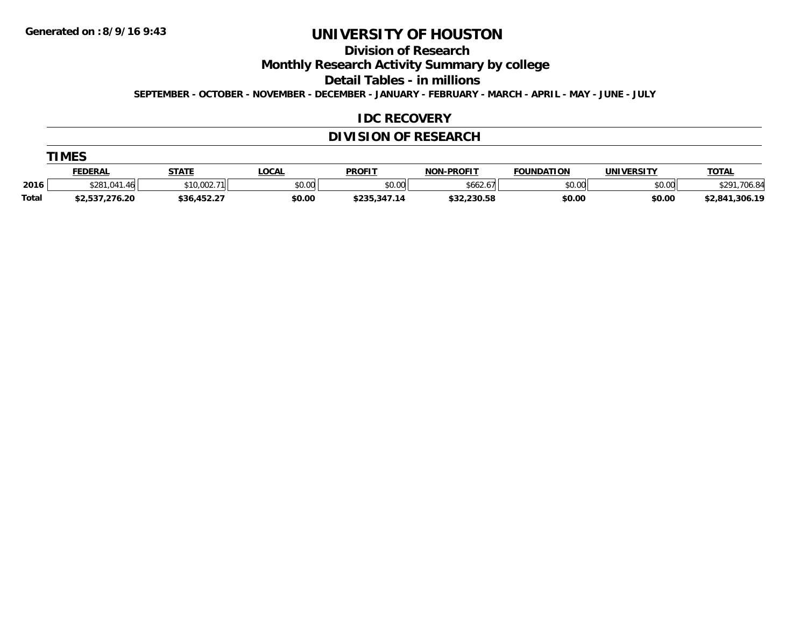**Division of Research**

**Monthly Research Activity Summary by college**

**Detail Tables - in millions**

**SEPTEMBER - OCTOBER - NOVEMBER - DECEMBER - JANUARY - FEBRUARY - MARCH - APRIL - MAY - JUNE - JULY**

#### **IDC RECOVERY**

### **DIVISION OF RESEARCH**

| MI |  |
|----|--|
|----|--|

|       | FEDERAL              | <b>STATE</b> | <b>OCAL</b> | <b>PROFIT</b>                  | -PROFIT<br>ש∩ו | <b>FOUNDATION</b> | <b>UNIVERSITY</b> | <u>TOTAL</u>                  |
|-------|----------------------|--------------|-------------|--------------------------------|----------------|-------------------|-------------------|-------------------------------|
| 2016  | \$281<br>$\sqrt{ }$  | \$10,002.71  | \$0.00      | \$0.00                         | \$662.67       | mn na<br>טט.טע    | \$0.00            | $^{\ast}$ רס<br>701<br>$\sim$ |
| Total | <b>12,537,276.20</b> | \$36,452.27  | \$0.00      | <b>¢ ? ? E ? 4 7 1</b><br>⊅∠ວວ | \$32,230.58    | \$0.00            | \$0.00            | \$2,841,306.19                |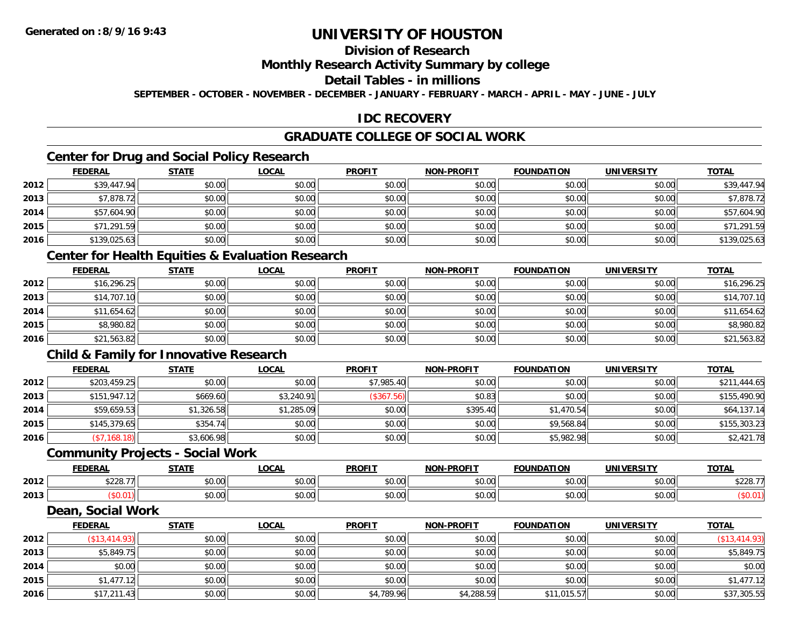## **Division of Research**

### **Monthly Research Activity Summary by college**

#### **Detail Tables - in millions**

**SEPTEMBER - OCTOBER - NOVEMBER - DECEMBER - JANUARY - FEBRUARY - MARCH - APRIL - MAY - JUNE - JULY**

### **IDC RECOVERY**

### **GRADUATE COLLEGE OF SOCIAL WORK**

### **Center for Drug and Social Policy Research**

|      | <b>FEDERAL</b> | <b>STATE</b> | <b>LOCAL</b> | <b>PROFIT</b> | <b>NON-PROFIT</b> | <b>FOUNDATION</b> | <b>UNIVERSITY</b> | <b>TOTAL</b> |
|------|----------------|--------------|--------------|---------------|-------------------|-------------------|-------------------|--------------|
| 2012 | \$39,447.94    | \$0.00       | \$0.00       | \$0.00        | \$0.00            | \$0.00            | \$0.00            | \$39,447.94  |
| 2013 | \$7,878.72     | \$0.00       | \$0.00       | \$0.00        | \$0.00            | \$0.00            | \$0.00            | \$7,878.72   |
| 2014 | \$57,604.90    | \$0.00       | \$0.00       | \$0.00        | \$0.00            | \$0.00            | \$0.00            | \$57,604.90  |
| 2015 | \$71,291.59    | \$0.00       | \$0.00       | \$0.00        | \$0.00            | \$0.00            | \$0.00            | \$71,291.59  |
| 2016 | \$139,025.63   | \$0.00       | \$0.00       | \$0.00        | \$0.00            | \$0.00            | \$0.00            | \$139,025.63 |

### **Center for Health Equities & Evaluation Research**

|      | <u>FEDERAL</u> | <b>STATE</b> | <b>LOCAL</b> | <b>PROFIT</b> | <b>NON-PROFIT</b> | <b>FOUNDATION</b> | <b>UNIVERSITY</b> | <b>TOTAL</b> |
|------|----------------|--------------|--------------|---------------|-------------------|-------------------|-------------------|--------------|
| 2012 | \$16,296.25    | \$0.00       | \$0.00       | \$0.00        | \$0.00            | \$0.00            | \$0.00            | \$16,296.25  |
| 2013 | \$14,707.10    | \$0.00       | \$0.00       | \$0.00        | \$0.00            | \$0.00            | \$0.00            | \$14,707.10  |
| 2014 | \$11,654.62    | \$0.00       | \$0.00       | \$0.00        | \$0.00            | \$0.00            | \$0.00            | \$11,654.62  |
| 2015 | \$8,980.82     | \$0.00       | \$0.00       | \$0.00        | \$0.00            | \$0.00            | \$0.00            | \$8,980.82   |
| 2016 | \$21,563.82    | \$0.00       | \$0.00       | \$0.00        | \$0.00            | \$0.00            | \$0.00            | \$21,563.82  |

### **Child & Family for Innovative Research**

|      | <b>FEDERAL</b> | <b>STATE</b> | <b>LOCAL</b> | <b>PROFIT</b> | <b>NON-PROFIT</b> | <b>FOUNDATION</b> | <b>UNIVERSITY</b> | <b>TOTAL</b> |
|------|----------------|--------------|--------------|---------------|-------------------|-------------------|-------------------|--------------|
| 2012 | \$203,459.25   | \$0.00       | \$0.00       | \$7,985.40    | \$0.00            | \$0.00            | \$0.00            | \$211,444.65 |
| 2013 | \$151,947.12   | \$669.60     | \$3,240.91   | $(*367.56)$   | \$0.83            | \$0.00            | \$0.00            | \$155,490.90 |
| 2014 | \$59,659.53    | \$1,326.58   | \$1,285.09   | \$0.00        | \$395.40          | \$1,470.54        | \$0.00            | \$64,137.14  |
| 2015 | \$145,379.65   | \$354.74     | \$0.00       | \$0.00        | \$0.00            | \$9,568.84        | \$0.00            | \$155,303.23 |
| 2016 | (\$7,168.18)   | \$3,606.98   | \$0.00       | \$0.00        | \$0.00            | \$5,982.98        | \$0.00            | \$2,421.78   |

#### **Community Projects - Social Work**

|      | <b>FEDERAL</b>              | 27.77              | 00 <sub>n</sub><br>UUA | <b>PROFIT</b>                                     | <b>NON-PROFIT</b> | <b>FOUNDATION</b> | <b>UNIVERSITY</b> | <b>TOTAL</b>                             |
|------|-----------------------------|--------------------|------------------------|---------------------------------------------------|-------------------|-------------------|-------------------|------------------------------------------|
| 2012 | 422077<br>$\prime$<br>JZZU. | $\sim$ 00<br>טט.טע | 0.00<br>JU.UU          | $\mathsf{A}\cap\mathsf{A}\cap\mathsf{A}$<br>JU.UU | 0000<br>JU.UU     | \$0.00            | \$0.00            | $\land$ $\land$ $\land$ $\land$<br>YZZU. |
| 2013 |                             | ሶስ ስስ<br>JU.UU     | 0.00<br>pu.uu          | $\sim$ $\sim$<br>JU.UU                            | 0000<br>ง∪.∪บ     | \$0.00            | \$0.00            |                                          |

#### **Dean, Social Work**

|      | <b>FEDERAL</b> | <b>STATE</b> | <b>LOCAL</b> | <b>PROFIT</b> | <b>NON-PROFIT</b> | <b>FOUNDATION</b> | <b>UNIVERSITY</b> | <b>TOTAL</b>     |
|------|----------------|--------------|--------------|---------------|-------------------|-------------------|-------------------|------------------|
| 2012 | (\$13,414.93)  | \$0.00       | \$0.00       | \$0.00        | \$0.00            | \$0.00            | \$0.00            | $($ \$13,414.93) |
| 2013 | \$5,849.75     | \$0.00       | \$0.00       | \$0.00        | \$0.00            | \$0.00            | \$0.00            | \$5,849.75       |
| 2014 | \$0.00         | \$0.00       | \$0.00       | \$0.00        | \$0.00            | \$0.00            | \$0.00            | \$0.00           |
| 2015 | \$1,477.12     | \$0.00       | \$0.00       | \$0.00        | \$0.00            | \$0.00            | \$0.00            | \$1,477.12       |
| 2016 | \$17,211.43    | \$0.00       | \$0.00       | \$4,789.96    | \$4,288.59        | \$11,015.57       | \$0.00            | \$37,305.55      |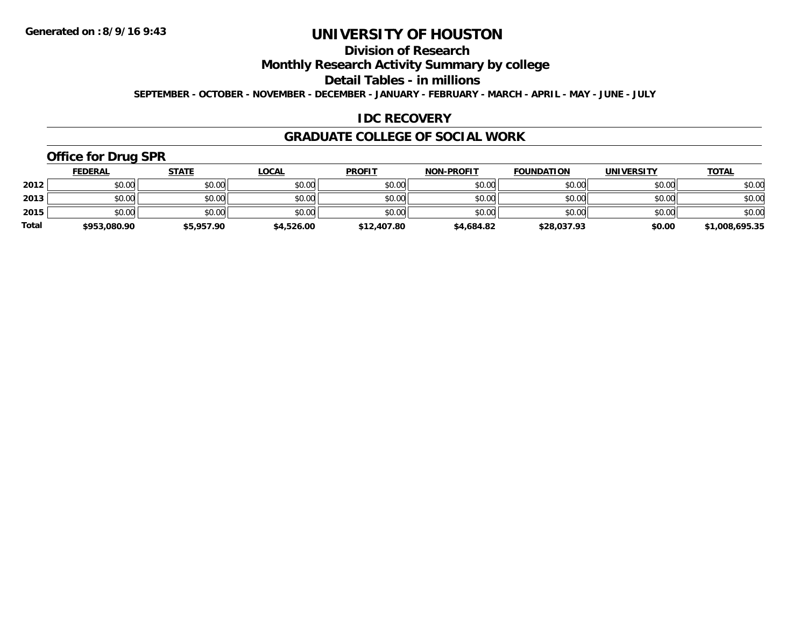## **Division of Research**

**Monthly Research Activity Summary by college**

**Detail Tables - in millions**

**SEPTEMBER - OCTOBER - NOVEMBER - DECEMBER - JANUARY - FEBRUARY - MARCH - APRIL - MAY - JUNE - JULY**

### **IDC RECOVERY**

#### **GRADUATE COLLEGE OF SOCIAL WORK**

## **Office for Drug SPR**

|              | <b>FEDERAL</b> | <b>STATE</b> | <u>LOCAL</u> | <b>PROFIT</b> | <b>NON-PROFIT</b> | <b>FOUNDATION</b> | <b>UNIVERSITY</b> | <b>TOTAL</b>   |
|--------------|----------------|--------------|--------------|---------------|-------------------|-------------------|-------------------|----------------|
| 2012         | \$0.00         | \$0.00       | \$0.00       | \$0.00        | \$0.00            | \$0.00            | \$0.00            | \$0.00         |
| 2013         | \$0.00         | \$0.00       | \$0.00       | \$0.00        | \$0.00            | \$0.00            | \$0.00            | \$0.00         |
| 2015         | \$0.00         | \$0.00       | \$0.00       | \$0.00        | \$0.00            | \$0.00            | \$0.00            | \$0.00         |
| <b>Total</b> | \$953,080.90   | \$5,957.90   | \$4,526.00   | \$12,407.80   | \$4,684.82        | \$28,037.93       | \$0.00            | \$1,008,695.35 |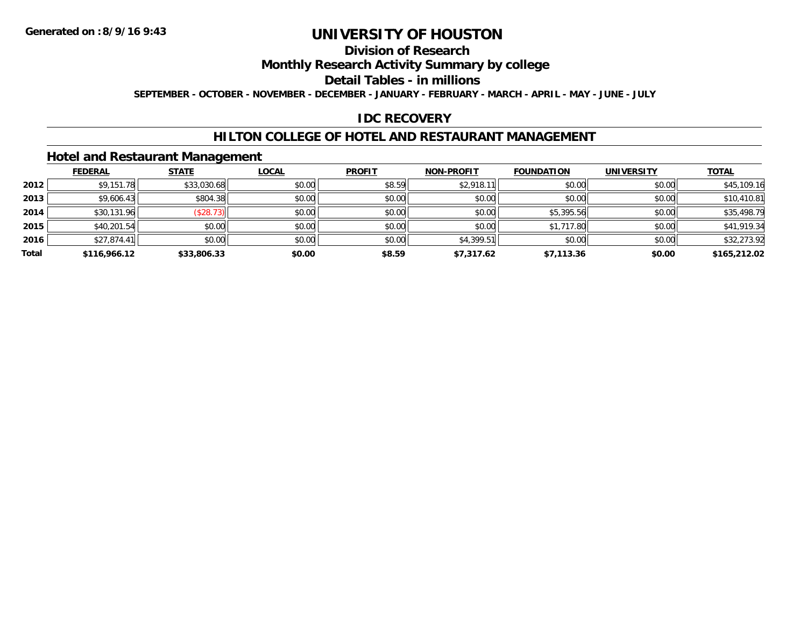## **Division of Research**

**Monthly Research Activity Summary by college**

**Detail Tables - in millions**

**SEPTEMBER - OCTOBER - NOVEMBER - DECEMBER - JANUARY - FEBRUARY - MARCH - APRIL - MAY - JUNE - JULY**

### **IDC RECOVERY**

### **HILTON COLLEGE OF HOTEL AND RESTAURANT MANAGEMENT**

### **Hotel and Restaurant Management**

|       | <b>FEDERAL</b> | <b>STATE</b> | <b>LOCAL</b> | <b>PROFIT</b> | <b>NON-PROFIT</b> | <b>FOUNDATION</b> | <b>UNIVERSITY</b> | <b>TOTAL</b> |
|-------|----------------|--------------|--------------|---------------|-------------------|-------------------|-------------------|--------------|
| 2012  | \$9,151.78     | \$33,030.68  | \$0.00       | \$8.59        | \$2,918.11        | \$0.00            | \$0.00            | \$45,109.16  |
| 2013  | \$9,606.43     | \$804.38     | \$0.00       | \$0.00        | \$0.00            | \$0.00            | \$0.00            | \$10,410.81  |
| 2014  | \$30,131.96    | (\$28.73)    | \$0.00       | \$0.00        | \$0.00            | \$5,395.56        | \$0.00            | \$35,498.79  |
| 2015  | \$40,201.54    | \$0.00       | \$0.00       | \$0.00        | \$0.00            | \$1,717.80        | \$0.00            | \$41,919.34  |
| 2016  | \$27,874.41    | \$0.00       | \$0.00       | \$0.00        | \$4,399.51        | \$0.00            | \$0.00            | \$32,273.92  |
| Total | \$116,966.12   | \$33,806.33  | \$0.00       | \$8.59        | \$7,317.62        | \$7,113.36        | \$0.00            | \$165,212.02 |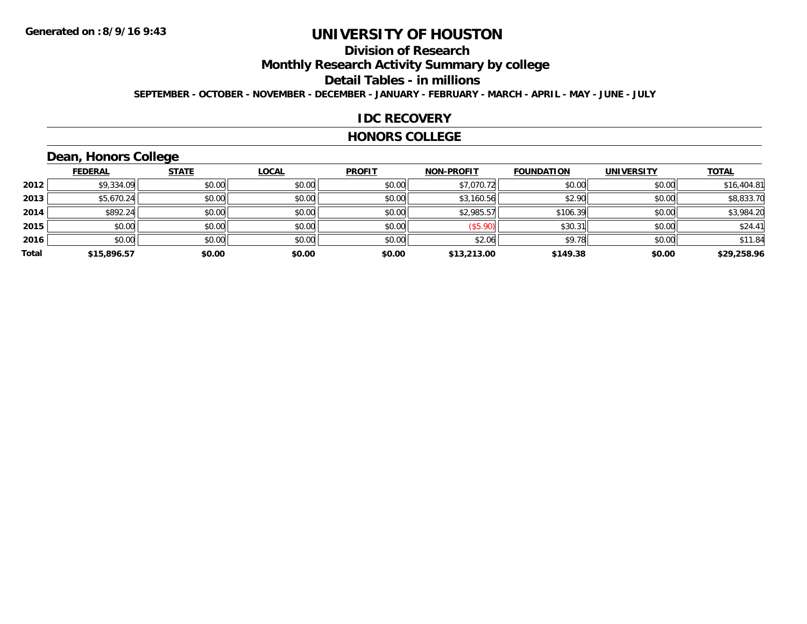## **Division of Research**

**Monthly Research Activity Summary by college**

**Detail Tables - in millions**

**SEPTEMBER - OCTOBER - NOVEMBER - DECEMBER - JANUARY - FEBRUARY - MARCH - APRIL - MAY - JUNE - JULY**

#### **IDC RECOVERY**

#### **HONORS COLLEGE**

## **Dean, Honors College**

|       | <b>FEDERAL</b> | <b>STATE</b> | <b>LOCAL</b> | <b>PROFIT</b> | <b>NON-PROFIT</b> | <b>FOUNDATION</b> | <b>UNIVERSITY</b> | <b>TOTAL</b> |
|-------|----------------|--------------|--------------|---------------|-------------------|-------------------|-------------------|--------------|
| 2012  | \$9,334.09     | \$0.00       | \$0.00       | \$0.00        | \$7,070.72        | \$0.00            | \$0.00            | \$16,404.81  |
| 2013  | \$5,670.24     | \$0.00       | \$0.00       | \$0.00        | \$3,160.56        | \$2.90            | \$0.00            | \$8,833.70   |
| 2014  | \$892.24       | \$0.00       | \$0.00       | \$0.00        | \$2,985.57        | \$106.39          | \$0.00            | \$3,984.20   |
| 2015  | \$0.00         | \$0.00       | \$0.00       | \$0.00        | (\$5.90)          | \$30.31           | \$0.00            | \$24.41      |
| 2016  | \$0.00         | \$0.00       | \$0.00       | \$0.00        | \$2.06            | \$9.78            | \$0.00            | \$11.84      |
| Total | \$15,896.57    | \$0.00       | \$0.00       | \$0.00        | \$13,213.00       | \$149.38          | \$0.00            | \$29,258.96  |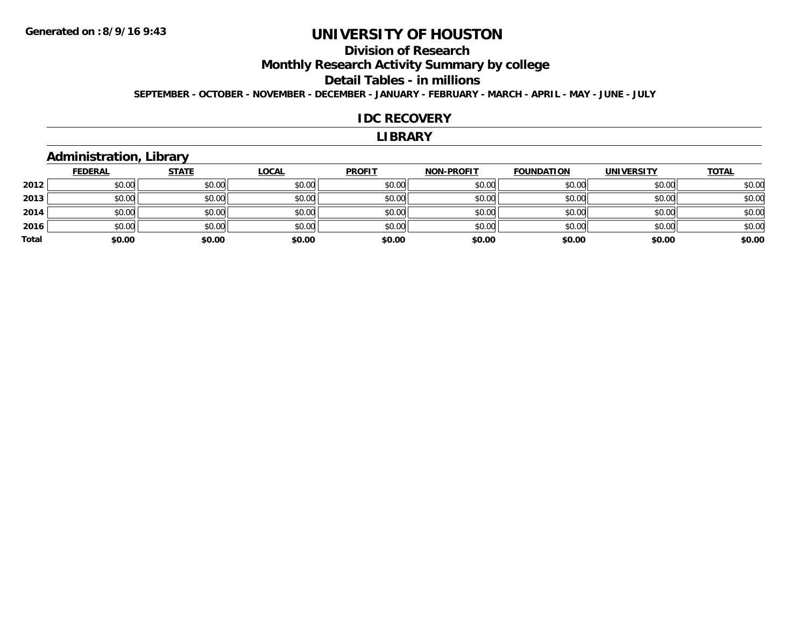## **Division of Research**

**Monthly Research Activity Summary by college**

**Detail Tables - in millions**

**SEPTEMBER - OCTOBER - NOVEMBER - DECEMBER - JANUARY - FEBRUARY - MARCH - APRIL - MAY - JUNE - JULY**

#### **IDC RECOVERY**

#### **LIBRARY**

### **Administration, Library**

|       | <u>FEDERAL</u> | <b>STATE</b> | <b>LOCAL</b> | <b>PROFIT</b> | <b>NON-PROFIT</b> | <b>FOUNDATION</b> | <b>UNIVERSITY</b> | <b>TOTAL</b> |
|-------|----------------|--------------|--------------|---------------|-------------------|-------------------|-------------------|--------------|
| 2012  | \$0.00         | \$0.00       | \$0.00       | \$0.00        | \$0.00            | \$0.00            | \$0.00            | \$0.00       |
| 2013  | \$0.00         | \$0.00       | \$0.00       | \$0.00        | \$0.00            | \$0.00            | \$0.00            | \$0.00       |
| 2014  | \$0.00         | \$0.00       | \$0.00       | \$0.00        | \$0.00            | \$0.00            | \$0.00            | \$0.00       |
| 2016  | \$0.00         | \$0.00       | \$0.00       | \$0.00        | \$0.00            | \$0.00            | \$0.00            | \$0.00       |
| Total | \$0.00         | \$0.00       | \$0.00       | \$0.00        | \$0.00            | \$0.00            | \$0.00            | \$0.00       |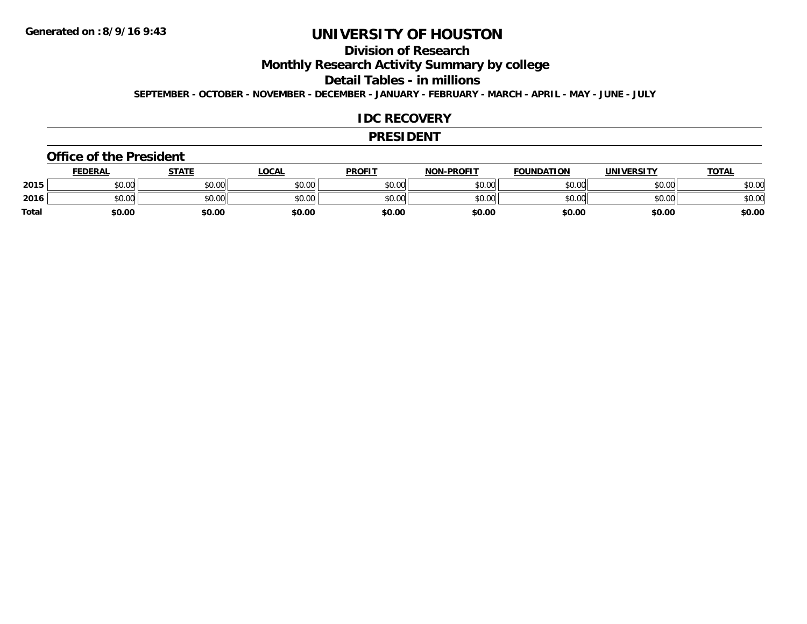### **Division of Research**

**Monthly Research Activity Summary by college**

**Detail Tables - in millions**

**SEPTEMBER - OCTOBER - NOVEMBER - DECEMBER - JANUARY - FEBRUARY - MARCH - APRIL - MAY - JUNE - JULY**

#### **IDC RECOVERY**

#### **PRESIDENT**

#### **Office of the President**

|              | <b>FEDERAL</b> | <b>STATE</b> | LOCAL  | <b>PROFIT</b> | <b>NON-PROFIT</b> | <b>FOUNDATION</b> | UNIVERSITY | <b>TOTAL</b> |
|--------------|----------------|--------------|--------|---------------|-------------------|-------------------|------------|--------------|
| 2015         | \$0.00         | \$0.00       | \$0.00 | \$0.00        | \$0.00            | \$0.00            | \$0.00     | \$0.00       |
| 2016         | \$0.00         | \$0.00       | \$0.00 | \$0.00        | \$0.00            | \$0.00            | \$0.00     | \$0.00       |
| <b>Total</b> | \$0.00         | \$0.00       | \$0.00 | \$0.00        | \$0.00            | \$0.00            | \$0.00     | \$0.00       |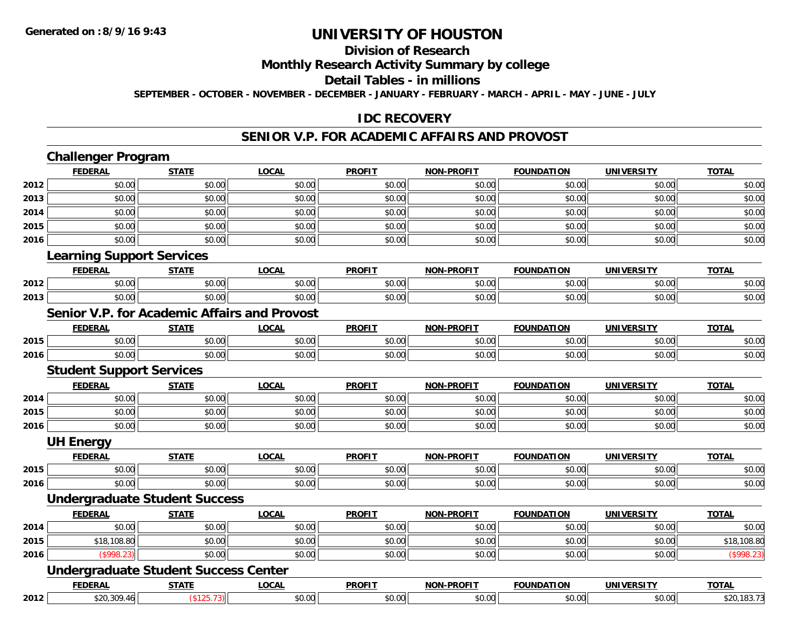#### **Division of Research**

**Monthly Research Activity Summary by college**

**Detail Tables - in millions**

**SEPTEMBER - OCTOBER - NOVEMBER - DECEMBER - JANUARY - FEBRUARY - MARCH - APRIL - MAY - JUNE - JULY**

### **IDC RECOVERY**

#### **SENIOR V.P. FOR ACADEMIC AFFAIRS AND PROVOST**

|      | <b>Challenger Program</b>                           |              |              |               |                   |                   |                   |              |
|------|-----------------------------------------------------|--------------|--------------|---------------|-------------------|-------------------|-------------------|--------------|
|      | <b>FEDERAL</b>                                      | <b>STATE</b> | <b>LOCAL</b> | <b>PROFIT</b> | <b>NON-PROFIT</b> | <b>FOUNDATION</b> | <b>UNIVERSITY</b> | <b>TOTAL</b> |
| 2012 | \$0.00                                              | \$0.00       | \$0.00       | \$0.00        | \$0.00            | \$0.00            | \$0.00            | \$0.00       |
| 2013 | \$0.00                                              | \$0.00       | \$0.00       | \$0.00        | \$0.00            | \$0.00            | \$0.00            | \$0.00       |
| 2014 | \$0.00                                              | \$0.00       | \$0.00       | \$0.00        | \$0.00            | \$0.00            | \$0.00            | \$0.00       |
| 2015 | \$0.00                                              | \$0.00       | \$0.00       | \$0.00        | \$0.00            | \$0.00            | \$0.00            | \$0.00       |
| 2016 | \$0.00                                              | \$0.00       | \$0.00       | \$0.00        | \$0.00            | \$0.00            | \$0.00            | \$0.00       |
|      | <b>Learning Support Services</b>                    |              |              |               |                   |                   |                   |              |
|      | <b>FEDERAL</b>                                      | <b>STATE</b> | <b>LOCAL</b> | <b>PROFIT</b> | <b>NON-PROFIT</b> | <b>FOUNDATION</b> | <b>UNIVERSITY</b> | <b>TOTAL</b> |
| 2012 | \$0.00                                              | \$0.00       | \$0.00       | \$0.00        | \$0.00            | \$0.00            | \$0.00            | \$0.00       |
| 2013 | \$0.00                                              | \$0.00       | \$0.00       | \$0.00        | \$0.00            | \$0.00            | \$0.00            | \$0.00       |
|      | <b>Senior V.P. for Academic Affairs and Provost</b> |              |              |               |                   |                   |                   |              |
|      | <b>FEDERAL</b>                                      | <b>STATE</b> | <b>LOCAL</b> | <b>PROFIT</b> | <b>NON-PROFIT</b> | <b>FOUNDATION</b> | <b>UNIVERSITY</b> | <b>TOTAL</b> |
| 2015 | \$0.00                                              | \$0.00       | \$0.00       | \$0.00        | \$0.00            | \$0.00            | \$0.00            | \$0.00       |
| 2016 | \$0.00                                              | \$0.00       | \$0.00       | \$0.00        | \$0.00            | \$0.00            | \$0.00            | \$0.00       |
|      | <b>Student Support Services</b>                     |              |              |               |                   |                   |                   |              |
|      | <b>FEDERAL</b>                                      | <b>STATE</b> | <b>LOCAL</b> | <b>PROFIT</b> | <b>NON-PROFIT</b> | <b>FOUNDATION</b> | <b>UNIVERSITY</b> | <b>TOTAL</b> |
| 2014 | \$0.00                                              | \$0.00       | \$0.00       | \$0.00        | \$0.00            | \$0.00            | \$0.00            | \$0.00       |
| 2015 | \$0.00                                              | \$0.00       | \$0.00       | \$0.00        | \$0.00            | \$0.00            | \$0.00            | \$0.00       |
| 2016 | \$0.00                                              | \$0.00       | \$0.00       | \$0.00        | \$0.00            | \$0.00            | \$0.00            | \$0.00       |
|      | <b>UH Energy</b>                                    |              |              |               |                   |                   |                   |              |
|      | <b>FEDERAL</b>                                      | <b>STATE</b> | <b>LOCAL</b> | <b>PROFIT</b> | <b>NON-PROFIT</b> | <b>FOUNDATION</b> | <b>UNIVERSITY</b> | <b>TOTAL</b> |
| 2015 | \$0.00                                              | \$0.00       | \$0.00       | \$0.00        | \$0.00            | \$0.00            | \$0.00            | \$0.00       |
| 2016 | \$0.00                                              | \$0.00       | \$0.00       | \$0.00        | \$0.00            | \$0.00            | \$0.00            | \$0.00       |
|      | <b>Undergraduate Student Success</b>                |              |              |               |                   |                   |                   |              |
|      | <b>FEDERAL</b>                                      | <b>STATE</b> | <b>LOCAL</b> | <b>PROFIT</b> | <b>NON-PROFIT</b> | <b>FOUNDATION</b> | <b>UNIVERSITY</b> | <b>TOTAL</b> |
| 2014 | \$0.00                                              | \$0.00       | \$0.00       | \$0.00        | \$0.00            | \$0.00            | \$0.00            | \$0.00       |
| 2015 | \$18,108.80                                         | \$0.00       | \$0.00       | \$0.00        | \$0.00            | \$0.00            | \$0.00            | \$18,108.80  |
| 2016 | (\$998.23)                                          | \$0.00       | \$0.00       | \$0.00        | \$0.00            | \$0.00            | \$0.00            | (\$998.23)   |
|      | <b>Undergraduate Student Success Center</b>         |              |              |               |                   |                   |                   |              |
|      | <b>FEDERAL</b>                                      | <b>STATE</b> | <b>LOCAL</b> | <b>PROFIT</b> | <b>NON-PROFIT</b> | <b>FOUNDATION</b> | <b>UNIVERSITY</b> | <b>TOTAL</b> |
| 2012 | \$20,309.46                                         | (\$125.73)   | \$0.00       | \$0.00        | \$0.00            | \$0.00            | \$0.00            | \$20,183.73  |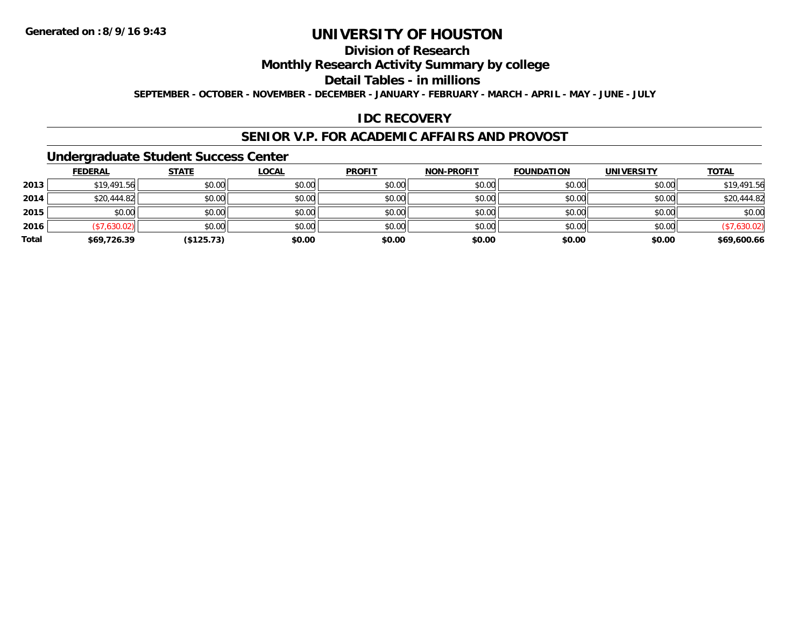## **Division of Research**

### **Monthly Research Activity Summary by college**

#### **Detail Tables - in millions**

**SEPTEMBER - OCTOBER - NOVEMBER - DECEMBER - JANUARY - FEBRUARY - MARCH - APRIL - MAY - JUNE - JULY**

### **IDC RECOVERY**

#### **SENIOR V.P. FOR ACADEMIC AFFAIRS AND PROVOST**

#### **Undergraduate Student Success Center**

|       | <b>FEDERAL</b> | <b>STATE</b> | <u>LOCAL</u> | <b>PROFIT</b> | <b>NON-PROFIT</b> | <b>FOUNDATION</b> | <b>UNIVERSITY</b> | <b>TOTAL</b> |
|-------|----------------|--------------|--------------|---------------|-------------------|-------------------|-------------------|--------------|
| 2013  | \$19,491.56    | \$0.00       | \$0.00       | \$0.00        | \$0.00            | \$0.00            | \$0.00            | \$19,491.56  |
| 2014  | \$20,444.82    | \$0.00       | \$0.00       | \$0.00        | \$0.00            | \$0.00            | \$0.00            | \$20,444.82  |
| 2015  | \$0.00         | \$0.00       | \$0.00       | \$0.00        | \$0.00            | \$0.00            | \$0.00            | \$0.00       |
| 2016  | (\$7,630.02)   | \$0.00       | \$0.00       | \$0.00        | \$0.00            | \$0.00            | \$0.00            | (\$7,630.02) |
| Total | \$69,726.39    | (\$125.73)   | \$0.00       | \$0.00        | \$0.00            | \$0.00            | \$0.00            | \$69,600.66  |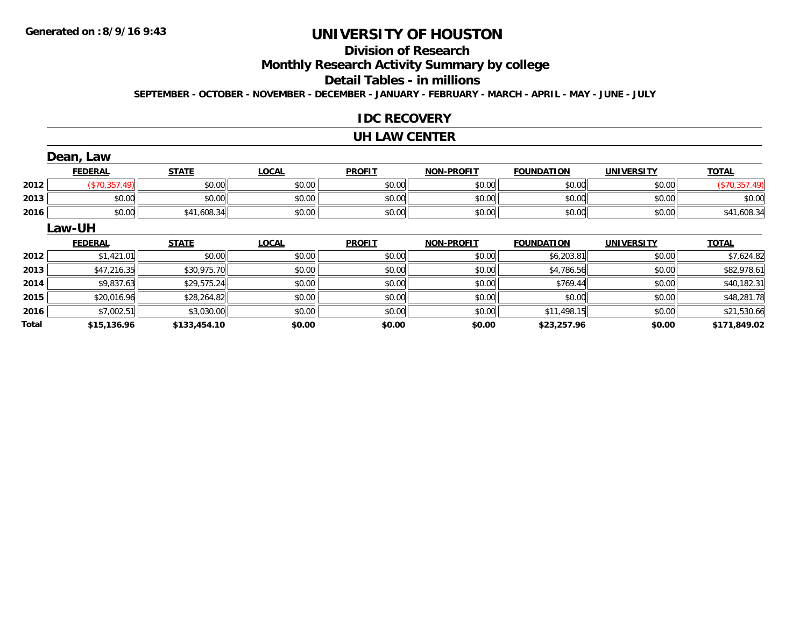## **Division of Research**

**Monthly Research Activity Summary by college**

#### **Detail Tables - in millions**

**SEPTEMBER - OCTOBER - NOVEMBER - DECEMBER - JANUARY - FEBRUARY - MARCH - APRIL - MAY - JUNE - JULY**

#### **IDC RECOVERY**

#### **UH LAW CENTER**

|              | Dean, Law      |              |              |               |                   |                   |                   |               |  |  |  |
|--------------|----------------|--------------|--------------|---------------|-------------------|-------------------|-------------------|---------------|--|--|--|
|              | <b>FEDERAL</b> | <b>STATE</b> | <b>LOCAL</b> | <b>PROFIT</b> | <b>NON-PROFIT</b> | <b>FOUNDATION</b> | <b>UNIVERSITY</b> | <b>TOTAL</b>  |  |  |  |
| 2012         | (\$70,357.49)  | \$0.00       | \$0.00       | \$0.00        | \$0.00            | \$0.00            | \$0.00            | (\$70,357.49) |  |  |  |
| 2013         | \$0.00         | \$0.00       | \$0.00       | \$0.00        | \$0.00            | \$0.00            | \$0.00            | \$0.00        |  |  |  |
| 2016         | \$0.00         | \$41,608.34  | \$0.00       | \$0.00        | \$0.00            | \$0.00            | \$0.00            | \$41,608.34   |  |  |  |
|              | Law-UH         |              |              |               |                   |                   |                   |               |  |  |  |
|              | <b>FEDERAL</b> | <b>STATE</b> | <b>LOCAL</b> | <b>PROFIT</b> | <b>NON-PROFIT</b> | <b>FOUNDATION</b> | <b>UNIVERSITY</b> | <b>TOTAL</b>  |  |  |  |
| 2012         | \$1,421.01     | \$0.00       | \$0.00       | \$0.00        | \$0.00            | \$6,203.81        | \$0.00            | \$7,624.82    |  |  |  |
| 2013         | \$47,216.35    | \$30,975.70  | \$0.00       | \$0.00        | \$0.00            | \$4,786.56        | \$0.00            | \$82,978.61   |  |  |  |
| 2014         | \$9,837.63     | \$29,575.24  | \$0.00       | \$0.00        | \$0.00            | \$769.44          | \$0.00            | \$40,182.31   |  |  |  |
| 2015         | \$20,016.96    | \$28,264.82  | \$0.00       | \$0.00        | \$0.00            | \$0.00            | \$0.00            | \$48,281.78   |  |  |  |
| 2016         | \$7,002.51     | \$3,030.00   | \$0.00       | \$0.00        | \$0.00            | \$11,498.15       | \$0.00            | \$21,530.66   |  |  |  |
| <b>Total</b> | \$15,136.96    | \$133,454.10 | \$0.00       | \$0.00        | \$0.00            | \$23,257.96       | \$0.00            | \$171,849.02  |  |  |  |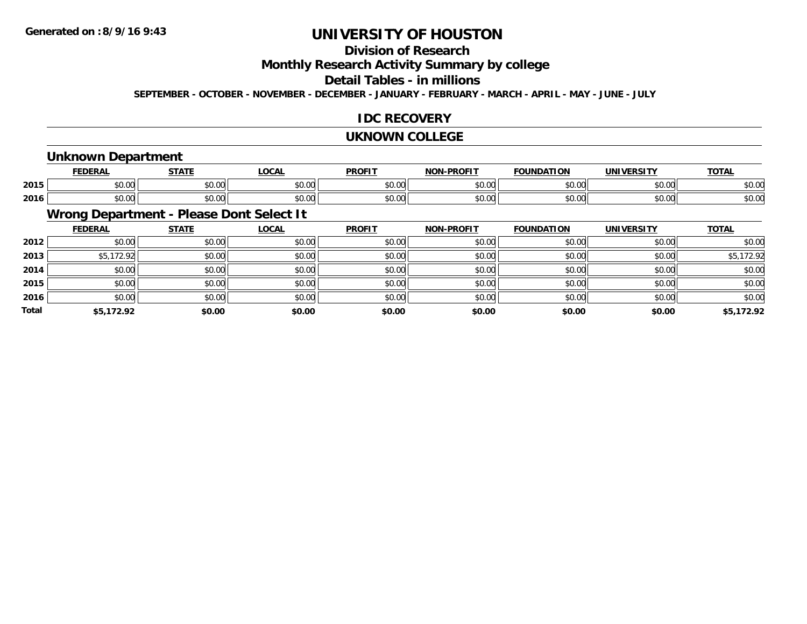## **Division of Research**

**Monthly Research Activity Summary by college**

#### **Detail Tables - in millions**

**SEPTEMBER - OCTOBER - NOVEMBER - DECEMBER - JANUARY - FEBRUARY - MARCH - APRIL - MAY - JUNE - JULY**

### **IDC RECOVERY**

#### **UKNOWN COLLEGE**

#### **Unknown Department**

|      | <b>FEDERAI</b>                       | <b>CTATE</b>  | 00 <sub>n</sub>        | <b>PROFIT</b> | <b>DDOEL1</b><br><b>MAR</b> | ΓΙΟΝ<br>IΊΔ   | UNIVERSITY | <b>TOTAL</b> |
|------|--------------------------------------|---------------|------------------------|---------------|-----------------------------|---------------|------------|--------------|
| 2015 | ሶስ ስስ<br>JU.UU                       | 0000<br>JU.UU | $\sim$ $\sim$<br>JU.UU | 0000<br>JU.UU | 0.00<br>וטטוע               | 0000<br>DU.UU | \$0.00     | \$0.00       |
| 2016 | $*$ $\circ$ $\circ$ $\circ$<br>JU.UU | 0000<br>JU.UU | JU.UU                  | 0000<br>JU.UU | $\sim$ 00<br>DU.UU          | \$0.00        | \$0.00     | \$0.00       |

## **Wrong Department - Please Dont Select It**

|              | <b>FEDERAL</b> | <b>STATE</b> | <u>LOCAL</u> | <b>PROFIT</b> | <b>NON-PROFIT</b> | <b>FOUNDATION</b> | <b>UNIVERSITY</b> | <b>TOTAL</b> |
|--------------|----------------|--------------|--------------|---------------|-------------------|-------------------|-------------------|--------------|
| 2012         | \$0.00         | \$0.00       | \$0.00       | \$0.00        | \$0.00            | \$0.00            | \$0.00            | \$0.00       |
| 2013         | \$5,172.92     | \$0.00       | \$0.00       | \$0.00        | \$0.00            | \$0.00            | \$0.00            | \$5,172.92   |
| 2014         | \$0.00         | \$0.00       | \$0.00       | \$0.00        | \$0.00            | \$0.00            | \$0.00            | \$0.00       |
| 2015         | \$0.00         | \$0.00       | \$0.00       | \$0.00        | \$0.00            | \$0.00            | \$0.00            | \$0.00       |
| 2016         | \$0.00         | \$0.00       | \$0.00       | \$0.00        | \$0.00            | \$0.00            | \$0.00            | \$0.00       |
| <b>Total</b> | \$5,172.92     | \$0.00       | \$0.00       | \$0.00        | \$0.00            | \$0.00            | \$0.00            | \$5,172.92   |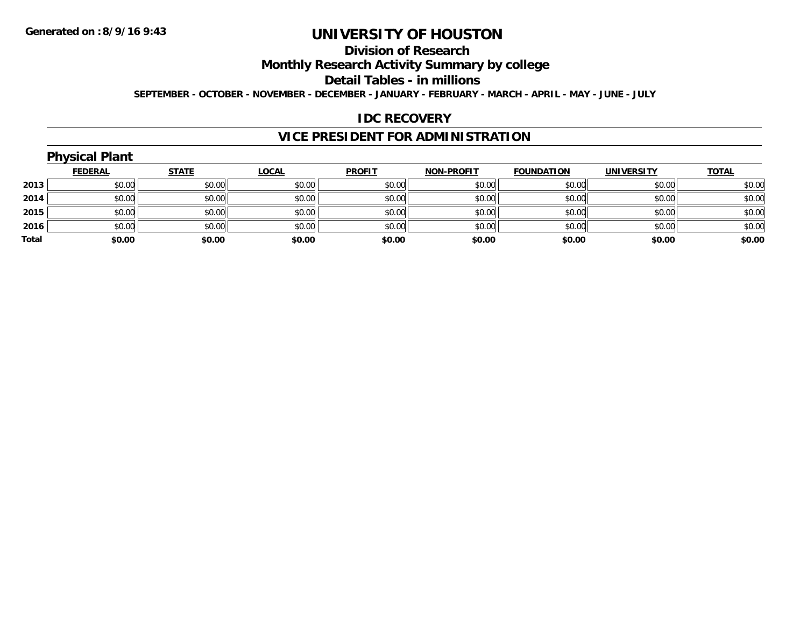## **Division of Research**

**Monthly Research Activity Summary by college**

**Detail Tables - in millions**

**SEPTEMBER - OCTOBER - NOVEMBER - DECEMBER - JANUARY - FEBRUARY - MARCH - APRIL - MAY - JUNE - JULY**

#### **IDC RECOVERY**

### **VICE PRESIDENT FOR ADMINISTRATION**

## **Physical Plant**

|       | <b>FEDERAL</b> | <b>STATE</b> | <b>LOCAL</b> | <b>PROFIT</b> | <b>NON-PROFIT</b> | <b>FOUNDATION</b> | <b>UNIVERSITY</b> | <b>TOTAL</b> |
|-------|----------------|--------------|--------------|---------------|-------------------|-------------------|-------------------|--------------|
| 2013  | \$0.00         | \$0.00       | \$0.00       | \$0.00        | \$0.00            | \$0.00            | \$0.00            | \$0.00       |
| 2014  | \$0.00         | \$0.00       | \$0.00       | \$0.00        | \$0.00            | \$0.00            | \$0.00            | \$0.00       |
| 2015  | \$0.00         | \$0.00       | \$0.00       | \$0.00        | \$0.00            | \$0.00            | \$0.00            | \$0.00       |
| 2016  | \$0.00         | \$0.00       | \$0.00       | \$0.00        | \$0.00            | \$0.00            | \$0.00            | \$0.00       |
| Total | \$0.00         | \$0.00       | \$0.00       | \$0.00        | \$0.00            | \$0.00            | \$0.00            | \$0.00       |